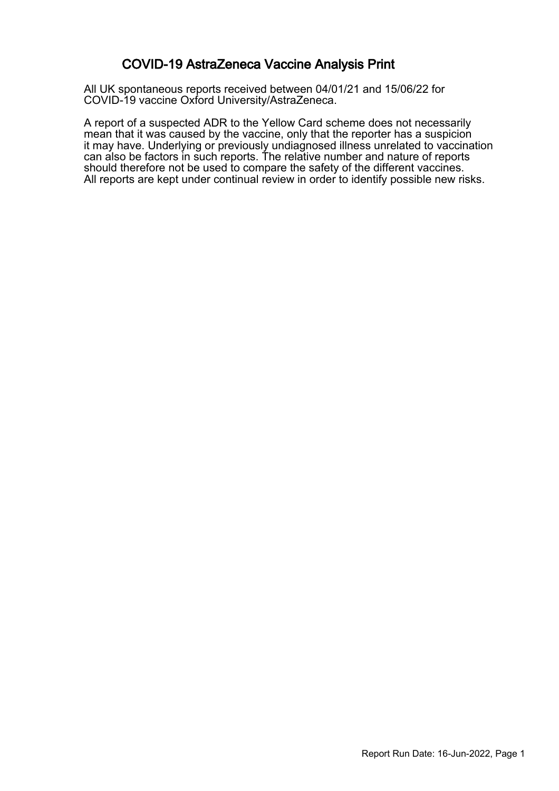### COVID-19 AstraZeneca Vaccine Analysis Print

All UK spontaneous reports received between 04/01/21 and 15/06/22 for COVID-19 vaccine Oxford University/AstraZeneca.

A report of a suspected ADR to the Yellow Card scheme does not necessarily mean that it was caused by the vaccine, only that the reporter has a suspicion it may have. Underlying or previously undiagnosed illness unrelated to vaccination can also be factors in such reports. The relative number and nature of reports should therefore not be used to compare the safety of the different vaccines. All reports are kept under continual review in order to identify possible new risks.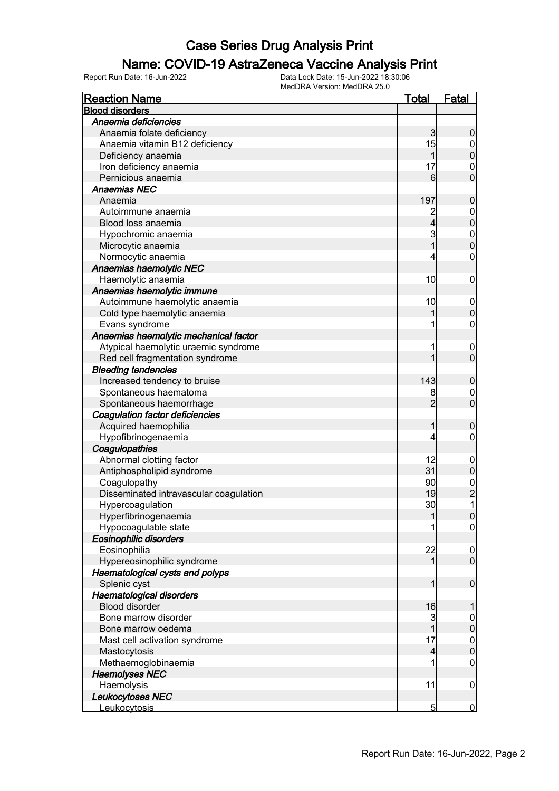### Name: COVID-19 AstraZeneca Vaccine Analysis Print

| <b>Reaction Name</b>                   | <b>Total</b>             | <b>Fatal</b>                               |
|----------------------------------------|--------------------------|--------------------------------------------|
| <b>Blood disorders</b>                 |                          |                                            |
| Anaemia deficiencies                   |                          |                                            |
| Anaemia folate deficiency              | 3                        | $\boldsymbol{0}$                           |
| Anaemia vitamin B12 deficiency         | 15                       | $\mathbf 0$                                |
| Deficiency anaemia                     | 1                        | $\overline{0}$                             |
| Iron deficiency anaemia                | 17                       | $\mathbf{0}$                               |
| Pernicious anaemia                     | 6                        | $\overline{0}$                             |
| <b>Anaemias NEC</b>                    |                          |                                            |
| Anaemia                                | 197                      | $\pmb{0}$                                  |
| Autoimmune anaemia                     |                          |                                            |
| Blood loss anaemia                     | $\overline{4}$           | $0\atop 0$                                 |
| Hypochromic anaemia                    | 3                        |                                            |
| Microcytic anaemia                     | $\overline{1}$           | $\begin{matrix}0\\0\end{matrix}$           |
| Normocytic anaemia                     | 4                        | $\pmb{0}$                                  |
| Anaemias haemolytic NEC                |                          |                                            |
| Haemolytic anaemia                     | 10                       | $\mathbf 0$                                |
| Anaemias haemolytic immune             |                          |                                            |
| Autoimmune haemolytic anaemia          | 10                       |                                            |
|                                        | 1                        | $\boldsymbol{0}$<br>$\mathbf 0$            |
| Cold type haemolytic anaemia           |                          |                                            |
| Evans syndrome                         | 1                        | $\pmb{0}$                                  |
| Anaemias haemolytic mechanical factor  |                          |                                            |
| Atypical haemolytic uraemic syndrome   | 1                        | $\boldsymbol{0}$                           |
| Red cell fragmentation syndrome        | 1                        | $\overline{0}$                             |
| <b>Bleeding tendencies</b>             |                          |                                            |
| Increased tendency to bruise           | 143                      | $\mathbf 0$                                |
| Spontaneous haematoma                  | 8                        | $\boldsymbol{0}$                           |
| Spontaneous haemorrhage                | $\overline{2}$           | $\overline{0}$                             |
| Coagulation factor deficiencies        |                          |                                            |
| Acquired haemophilia                   | 1                        | $\mathbf 0$                                |
| Hypofibrinogenaemia                    | 4                        | $\pmb{0}$                                  |
| Coagulopathies                         |                          |                                            |
| Abnormal clotting factor               | 12                       | $\boldsymbol{0}$                           |
| Antiphospholipid syndrome              | 31                       | $\mathbf 0$                                |
| Coagulopathy                           | 90                       | $\begin{array}{c} 0 \\ 2 \\ 1 \end{array}$ |
| Disseminated intravascular coagulation | 19                       |                                            |
| Hypercoagulation                       | 30                       |                                            |
| Hyperfibrinogenaemia                   | 11                       | $\overline{0}$                             |
| Hypocoagulable state                   |                          | $\overline{0}$                             |
| Eosinophilic disorders                 |                          |                                            |
| Eosinophilia                           | 22                       | $\mathbf 0$                                |
| Hypereosinophilic syndrome             | 1                        | $\overline{0}$                             |
| Haematological cysts and polyps        |                          |                                            |
| Splenic cyst                           | 1                        | $\boldsymbol{0}$                           |
| Haematological disorders               |                          |                                            |
| <b>Blood disorder</b>                  | 16                       | 1                                          |
| Bone marrow disorder                   | 3                        | $\boldsymbol{0}$                           |
| Bone marrow oedema                     | 1                        | $\mathbf 0$                                |
| Mast cell activation syndrome          | 17                       | $\boldsymbol{0}$                           |
| Mastocytosis                           | $\overline{\mathcal{L}}$ | $\overline{0}$                             |
| Methaemoglobinaemia                    |                          | $\mathbf 0$                                |
| <b>Haemolyses NEC</b>                  |                          |                                            |
| Haemolysis                             | 11                       | $\mathbf 0$                                |
| Leukocytoses NEC                       |                          |                                            |
| Leukocytosis                           | $5\overline{)}$          | $\overline{0}$                             |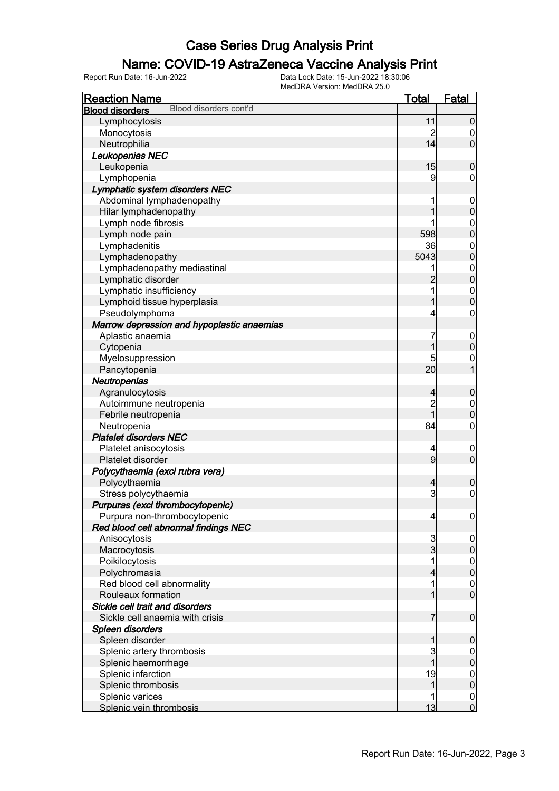### Name: COVID-19 AstraZeneca Vaccine Analysis Print

| MedDRA Version: MedDRA 25.0                      |                |                  |
|--------------------------------------------------|----------------|------------------|
| <b>Reaction Name</b>                             | <u>Total</u>   | <b>Fatal</b>     |
| Blood disorders cont'd<br><b>Blood disorders</b> |                |                  |
| Lymphocytosis                                    | 11             | $\overline{0}$   |
| Monocytosis                                      | $\overline{c}$ | $\overline{0}$   |
| Neutrophilia                                     | 14             | $\overline{0}$   |
| Leukopenias NEC                                  |                |                  |
| Leukopenia                                       | 15             | $\boldsymbol{0}$ |
| Lymphopenia                                      | 9              | $\mathbf 0$      |
| Lymphatic system disorders NEC                   |                |                  |
| Abdominal lymphadenopathy                        |                | $\mathbf 0$      |
| Hilar lymphadenopathy                            |                | $\pmb{0}$        |
| Lymph node fibrosis                              |                | $0$<br>0         |
| Lymph node pain                                  | 598            |                  |
| Lymphadenitis                                    | 36             | $0$<br>0         |
| Lymphadenopathy                                  | 5043           |                  |
| Lymphadenopathy mediastinal                      |                | $0$<br>0         |
| Lymphatic disorder                               | $\overline{2}$ |                  |
| Lymphatic insufficiency                          | 1              | $\boldsymbol{0}$ |
| Lymphoid tissue hyperplasia                      |                | $\overline{0}$   |
| Pseudolymphoma                                   | 4              | $\boldsymbol{0}$ |
| Marrow depression and hypoplastic anaemias       |                |                  |
| Aplastic anaemia                                 | 7              | $\mathbf 0$      |
| Cytopenia                                        | 1              | $\boldsymbol{0}$ |
| Myelosuppression                                 | 5              | $\overline{0}$   |
| Pancytopenia                                     | 20             | $\overline{1}$   |
| Neutropenias                                     |                |                  |
| Agranulocytosis                                  | 4              | $\boldsymbol{0}$ |
| Autoimmune neutropenia                           | $\overline{c}$ | $\overline{0}$   |
| Febrile neutropenia                              | $\overline{1}$ | $\mathbf 0$      |
| Neutropenia                                      | 84             | $\boldsymbol{0}$ |
| <b>Platelet disorders NEC</b>                    |                |                  |
| Platelet anisocytosis                            | 4              | $\mathbf 0$      |
| Platelet disorder                                | $\overline{9}$ | $\overline{0}$   |
| Polycythaemia (excl rubra vera)                  |                |                  |
| Polycythaemia                                    | 4              | $\mathbf 0$      |
| Stress polycythaemia                             | 3              | $\mathbf 0$      |
| Purpuras (excl thrombocytopenic)                 |                |                  |
| Purpura non-thrombocytopenic                     | 4              | $\overline{0}$   |
| Red blood cell abnormal findings NEC             |                |                  |
| Anisocytosis                                     | 3              | $\overline{0}$   |
| Macrocytosis                                     | $\overline{3}$ | $\mathbf 0$      |
| Poikilocytosis                                   |                | $\mathbf 0$      |
| Polychromasia                                    | 4              | $\boldsymbol{0}$ |
| Red blood cell abnormality                       |                | $\boldsymbol{0}$ |
| Rouleaux formation                               |                | $\overline{0}$   |
| Sickle cell trait and disorders                  |                |                  |
| Sickle cell anaemia with crisis                  | 7              | $\mathbf 0$      |
| Spleen disorders                                 |                |                  |
| Spleen disorder                                  |                | $\mathbf 0$      |
| Splenic artery thrombosis                        | 3              | 0                |
| Splenic haemorrhage                              |                | $\boldsymbol{0}$ |
| Splenic infarction                               | 19             | $\boldsymbol{0}$ |
| Splenic thrombosis                               |                | $\boldsymbol{0}$ |
| Splenic varices                                  |                | $\mathbf 0$      |
| Splenic vein thrombosis                          | 13             | $\mathbf 0$      |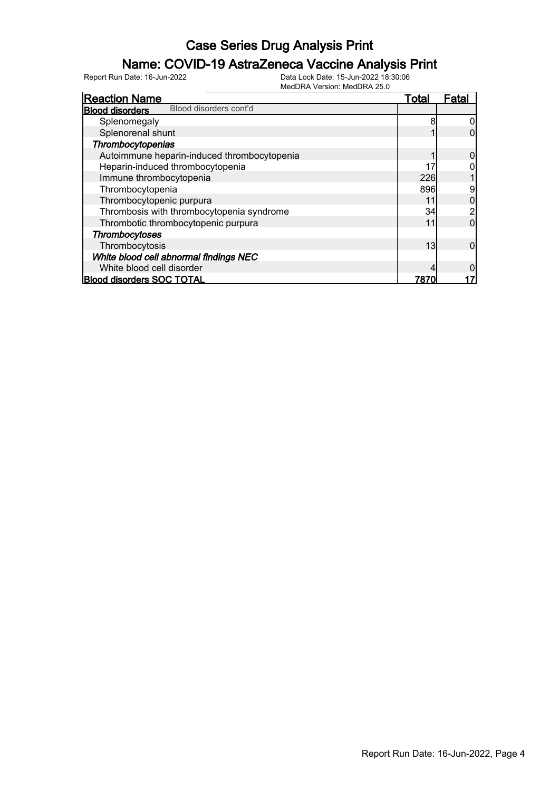### Name: COVID-19 AstraZeneca Vaccine Analysis Print

| <b>Reaction Name</b>                             | <b>Total</b> | <u>Fatal</u> |
|--------------------------------------------------|--------------|--------------|
| Blood disorders cont'd<br><b>Blood disorders</b> |              |              |
| Splenomegaly                                     | 8            |              |
| Splenorenal shunt                                |              |              |
| Thrombocytopenias                                |              |              |
| Autoimmune heparin-induced thrombocytopenia      |              |              |
| Heparin-induced thrombocytopenia                 |              |              |
| Immune thrombocytopenia                          | 226          |              |
| Thrombocytopenia                                 | 896          | 9            |
| Thrombocytopenic purpura                         | 11           |              |
| Thrombosis with thrombocytopenia syndrome        | 34           |              |
| Thrombotic thrombocytopenic purpura              | 11           | 0            |
| Thrombocytoses                                   |              |              |
| Thrombocytosis                                   | 13           | 0            |
| White blood cell abnormal findings NEC           |              |              |
| White blood cell disorder                        |              |              |
| <b>Blood disorders SOC TOTAL</b>                 | 7870         |              |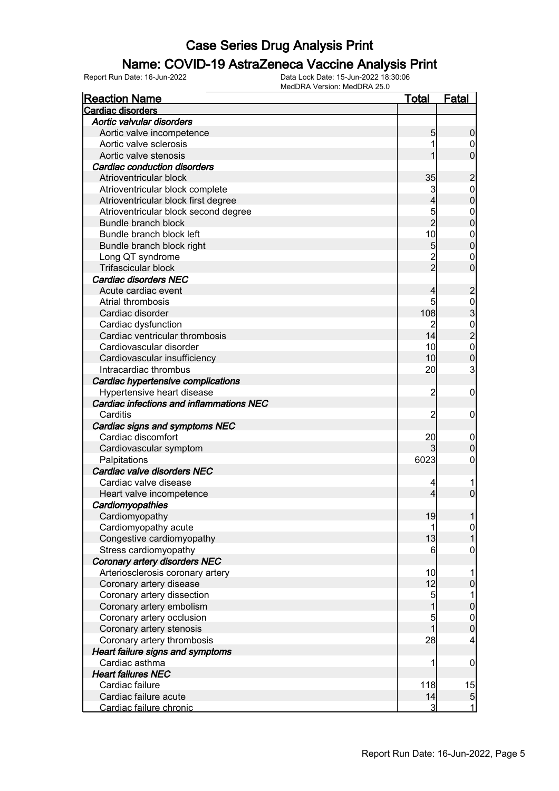### Name: COVID-19 AstraZeneca Vaccine Analysis Print

| <b>Reaction Name</b>                     | <u>Total</u>    | <b>Fatal</b>                           |
|------------------------------------------|-----------------|----------------------------------------|
| Cardiac disorders                        |                 |                                        |
| Aortic valvular disorders                |                 |                                        |
| Aortic valve incompetence                | 5               | $\boldsymbol{0}$                       |
| Aortic valve sclerosis                   | 1               | $\mathbf 0$                            |
| Aortic valve stenosis                    |                 | $\overline{0}$                         |
| <b>Cardiac conduction disorders</b>      |                 |                                        |
| Atrioventricular block                   | 35              | $\overline{\mathbf{c}}$                |
| Atrioventricular block complete          | 3               |                                        |
| Atrioventricular block first degree      | 4               | $\begin{matrix} 0 \\ 0 \end{matrix}$   |
| Atrioventricular block second degree     |                 |                                        |
| Bundle branch block                      | 5<br>2          | $\begin{matrix}0\\0\end{matrix}$       |
| Bundle branch block left                 | 10              |                                        |
| Bundle branch block right                |                 | $0\0$                                  |
| Long QT syndrome                         | $\frac{5}{2}$   | $\mathbf{0}$                           |
| Trifascicular block                      | $_2^-$          | $\overline{0}$                         |
| <b>Cardiac disorders NEC</b>             |                 |                                        |
| Acute cardiac event                      | 4               | $\overline{\mathbf{c}}$                |
| Atrial thrombosis                        | 5               |                                        |
| Cardiac disorder                         | 108             |                                        |
| Cardiac dysfunction                      | 2               |                                        |
| Cardiac ventricular thrombosis           | 14              | 0<br>0<br>0<br>0<br>0<br>0             |
| Cardiovascular disorder                  | 10              |                                        |
| Cardiovascular insufficiency             | 10              |                                        |
| Intracardiac thrombus                    | 20 <sup>°</sup> | 3                                      |
| Cardiac hypertensive complications       |                 |                                        |
| Hypertensive heart disease               | $\overline{2}$  | $\boldsymbol{0}$                       |
| Cardiac infections and inflammations NEC |                 |                                        |
| Carditis                                 | $\overline{2}$  | $\mathbf 0$                            |
| Cardiac signs and symptoms NEC           |                 |                                        |
| Cardiac discomfort                       | 20              | $\mathbf{0}$                           |
| Cardiovascular symptom                   |                 | $\boldsymbol{0}$                       |
| Palpitations                             | 6023            | 0                                      |
| Cardiac valve disorders NEC              |                 |                                        |
| Cardiac valve disease                    | 4               |                                        |
| Heart valve incompetence                 | $\overline{4}$  | $\mathbf 0$                            |
| Cardiomyopathies                         |                 |                                        |
| Cardiomyopathy                           | 19              | 1                                      |
| Cardiomyopathy acute                     | 1               |                                        |
| Congestive cardiomyopathy                | 13              | $\begin{bmatrix} 0 \\ 1 \end{bmatrix}$ |
| Stress cardiomyopathy                    | 6               | $\mathsf{O}\xspace$                    |
| Coronary artery disorders NEC            |                 |                                        |
| Arteriosclerosis coronary artery         | 10              | 1                                      |
| Coronary artery disease                  | 12              | $\mathbf 0$                            |
| Coronary artery dissection               | $\overline{5}$  | $\mathbf{1}$                           |
| Coronary artery embolism                 | $\overline{1}$  | $\mathbf 0$                            |
| Coronary artery occlusion                | $\overline{5}$  |                                        |
| Coronary artery stenosis                 | $\overline{1}$  | $\begin{matrix} 0 \\ 0 \end{matrix}$   |
| Coronary artery thrombosis               | 28              | 4                                      |
| <b>Heart failure signs and symptoms</b>  |                 |                                        |
| Cardiac asthma                           | 1               | $\mathbf 0$                            |
| <b>Heart failures NEC</b>                |                 |                                        |
| Cardiac failure                          | 118             | 15                                     |
| Cardiac failure acute                    | 14              |                                        |
| Cardiac failure chronic                  | 3               | $\frac{5}{1}$                          |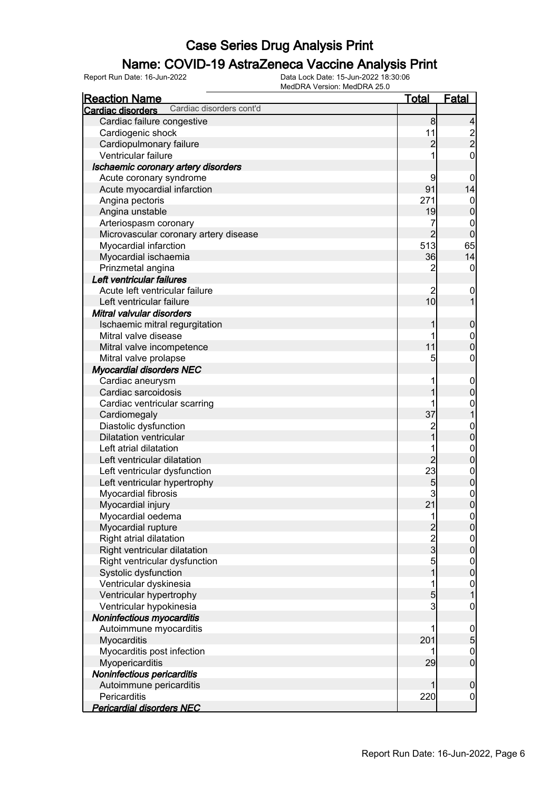### Name: COVID-19 AstraZeneca Vaccine Analysis Print

| Cardiac disorders cont'd<br>Cardiac disorders<br>Cardiac failure congestive<br>8<br>$\overline{a}$<br>$\frac{2}{2}$<br>Cardiogenic shock<br>11<br>$\overline{2}$<br>Cardiopulmonary failure<br>Ventricular failure<br>$\mathbf 0$<br>Ischaemic coronary artery disorders<br>Acute coronary syndrome<br>9<br>$\mathbf 0$<br>91<br>14<br>Acute myocardial infarction<br>Angina pectoris<br>271<br>$\overline{0}$<br>$\mathbf 0$<br>19<br>Angina unstable<br>Arteriospasm coronary<br>7<br>$\boldsymbol{0}$<br>$\mathbf 0$<br>$\overline{2}$<br>Microvascular coronary artery disease<br>65<br>513<br>Myocardial infarction<br>14<br>36<br>Myocardial ischaemia<br>Prinzmetal angina<br>2<br>$\mathbf 0$<br>Left ventricular failures<br>Acute left ventricular failure<br>$\overline{\mathbf{c}}$<br>$\mathbf 0$<br>10<br>$\overline{1}$<br>Left ventricular failure<br>Mitral valvular disorders<br>$\mathbf 0$<br>Ischaemic mitral regurgitation<br>Mitral valve disease<br>1<br>$\mathbf 0$<br>$\mathbf 0$<br>11<br>Mitral valve incompetence<br>Mitral valve prolapse<br>5<br>$\boldsymbol{0}$<br><b>Myocardial disorders NEC</b><br>Cardiac aneurysm<br>$\mathbf 0$<br>$\mathbf 0$<br>Cardiac sarcoidosis<br>$\begin{array}{c} 0 \\ 1 \end{array}$<br>Cardiac ventricular scarring<br>37<br>Cardiomegaly<br>Diastolic dysfunction<br>$0\atop 0$<br>$\overline{c}$<br>$\overline{1}$<br><b>Dilatation ventricular</b><br>$0\atop 0$<br>Left atrial dilatation<br>$\overline{c}$<br>Left ventricular dilatation<br>23<br>Left ventricular dysfunction<br>$\boldsymbol{0}$<br>$\mathbf 0$<br>Left ventricular hypertrophy<br>5<br>$\mathbf{3}$<br>$\boldsymbol{0}$<br>Myocardial fibrosis<br>$\overline{0}$<br>21<br>Myocardial injury<br>Myocardial oedema<br>1<br>$\overline{0}$<br>$\overline{2}$<br>$\boldsymbol{0}$<br>Myocardial rupture<br>$\frac{2}{3}$<br>Right atrial dilatation<br>$\mathbf 0$<br>$\mathbf 0$<br>Right ventricular dilatation<br>$\overline{5}$<br>Right ventricular dysfunction<br>$\boldsymbol{0}$<br>$\mathbf 0$<br>$\overline{1}$<br>Systolic dysfunction<br>Ventricular dyskinesia<br>$\mathbf 0$<br>$\overline{5}$<br>Ventricular hypertrophy<br>3<br>Ventricular hypokinesia<br>$\boldsymbol{0}$<br>Noninfectious myocarditis<br>Autoimmune myocarditis<br>$\mathbf 0$<br>$\overline{5}$<br>201<br><b>Myocarditis</b><br>Myocarditis post infection<br>$\mathbf 0$<br>$\overline{0}$<br>29<br>Myopericarditis<br>Noninfectious pericarditis<br>$\mathbf 0$<br>Autoimmune pericarditis | MedDRA Version: MedDRA 25.0 |              |       |
|-------------------------------------------------------------------------------------------------------------------------------------------------------------------------------------------------------------------------------------------------------------------------------------------------------------------------------------------------------------------------------------------------------------------------------------------------------------------------------------------------------------------------------------------------------------------------------------------------------------------------------------------------------------------------------------------------------------------------------------------------------------------------------------------------------------------------------------------------------------------------------------------------------------------------------------------------------------------------------------------------------------------------------------------------------------------------------------------------------------------------------------------------------------------------------------------------------------------------------------------------------------------------------------------------------------------------------------------------------------------------------------------------------------------------------------------------------------------------------------------------------------------------------------------------------------------------------------------------------------------------------------------------------------------------------------------------------------------------------------------------------------------------------------------------------------------------------------------------------------------------------------------------------------------------------------------------------------------------------------------------------------------------------------------------------------------------------------------------------------------------------------------------------------------------------------------------------------------------------------------------------------------------------------------------------------------------------------------------------------------------------------------------------------------------------------------------------------------------------------------------------------------------|-----------------------------|--------------|-------|
|                                                                                                                                                                                                                                                                                                                                                                                                                                                                                                                                                                                                                                                                                                                                                                                                                                                                                                                                                                                                                                                                                                                                                                                                                                                                                                                                                                                                                                                                                                                                                                                                                                                                                                                                                                                                                                                                                                                                                                                                                                                                                                                                                                                                                                                                                                                                                                                                                                                                                                                         | <b>Reaction Name</b>        | <u>Total</u> | Fatal |
|                                                                                                                                                                                                                                                                                                                                                                                                                                                                                                                                                                                                                                                                                                                                                                                                                                                                                                                                                                                                                                                                                                                                                                                                                                                                                                                                                                                                                                                                                                                                                                                                                                                                                                                                                                                                                                                                                                                                                                                                                                                                                                                                                                                                                                                                                                                                                                                                                                                                                                                         |                             |              |       |
|                                                                                                                                                                                                                                                                                                                                                                                                                                                                                                                                                                                                                                                                                                                                                                                                                                                                                                                                                                                                                                                                                                                                                                                                                                                                                                                                                                                                                                                                                                                                                                                                                                                                                                                                                                                                                                                                                                                                                                                                                                                                                                                                                                                                                                                                                                                                                                                                                                                                                                                         |                             |              |       |
|                                                                                                                                                                                                                                                                                                                                                                                                                                                                                                                                                                                                                                                                                                                                                                                                                                                                                                                                                                                                                                                                                                                                                                                                                                                                                                                                                                                                                                                                                                                                                                                                                                                                                                                                                                                                                                                                                                                                                                                                                                                                                                                                                                                                                                                                                                                                                                                                                                                                                                                         |                             |              |       |
|                                                                                                                                                                                                                                                                                                                                                                                                                                                                                                                                                                                                                                                                                                                                                                                                                                                                                                                                                                                                                                                                                                                                                                                                                                                                                                                                                                                                                                                                                                                                                                                                                                                                                                                                                                                                                                                                                                                                                                                                                                                                                                                                                                                                                                                                                                                                                                                                                                                                                                                         |                             |              |       |
|                                                                                                                                                                                                                                                                                                                                                                                                                                                                                                                                                                                                                                                                                                                                                                                                                                                                                                                                                                                                                                                                                                                                                                                                                                                                                                                                                                                                                                                                                                                                                                                                                                                                                                                                                                                                                                                                                                                                                                                                                                                                                                                                                                                                                                                                                                                                                                                                                                                                                                                         |                             |              |       |
|                                                                                                                                                                                                                                                                                                                                                                                                                                                                                                                                                                                                                                                                                                                                                                                                                                                                                                                                                                                                                                                                                                                                                                                                                                                                                                                                                                                                                                                                                                                                                                                                                                                                                                                                                                                                                                                                                                                                                                                                                                                                                                                                                                                                                                                                                                                                                                                                                                                                                                                         |                             |              |       |
|                                                                                                                                                                                                                                                                                                                                                                                                                                                                                                                                                                                                                                                                                                                                                                                                                                                                                                                                                                                                                                                                                                                                                                                                                                                                                                                                                                                                                                                                                                                                                                                                                                                                                                                                                                                                                                                                                                                                                                                                                                                                                                                                                                                                                                                                                                                                                                                                                                                                                                                         |                             |              |       |
|                                                                                                                                                                                                                                                                                                                                                                                                                                                                                                                                                                                                                                                                                                                                                                                                                                                                                                                                                                                                                                                                                                                                                                                                                                                                                                                                                                                                                                                                                                                                                                                                                                                                                                                                                                                                                                                                                                                                                                                                                                                                                                                                                                                                                                                                                                                                                                                                                                                                                                                         |                             |              |       |
|                                                                                                                                                                                                                                                                                                                                                                                                                                                                                                                                                                                                                                                                                                                                                                                                                                                                                                                                                                                                                                                                                                                                                                                                                                                                                                                                                                                                                                                                                                                                                                                                                                                                                                                                                                                                                                                                                                                                                                                                                                                                                                                                                                                                                                                                                                                                                                                                                                                                                                                         |                             |              |       |
|                                                                                                                                                                                                                                                                                                                                                                                                                                                                                                                                                                                                                                                                                                                                                                                                                                                                                                                                                                                                                                                                                                                                                                                                                                                                                                                                                                                                                                                                                                                                                                                                                                                                                                                                                                                                                                                                                                                                                                                                                                                                                                                                                                                                                                                                                                                                                                                                                                                                                                                         |                             |              |       |
|                                                                                                                                                                                                                                                                                                                                                                                                                                                                                                                                                                                                                                                                                                                                                                                                                                                                                                                                                                                                                                                                                                                                                                                                                                                                                                                                                                                                                                                                                                                                                                                                                                                                                                                                                                                                                                                                                                                                                                                                                                                                                                                                                                                                                                                                                                                                                                                                                                                                                                                         |                             |              |       |
|                                                                                                                                                                                                                                                                                                                                                                                                                                                                                                                                                                                                                                                                                                                                                                                                                                                                                                                                                                                                                                                                                                                                                                                                                                                                                                                                                                                                                                                                                                                                                                                                                                                                                                                                                                                                                                                                                                                                                                                                                                                                                                                                                                                                                                                                                                                                                                                                                                                                                                                         |                             |              |       |
|                                                                                                                                                                                                                                                                                                                                                                                                                                                                                                                                                                                                                                                                                                                                                                                                                                                                                                                                                                                                                                                                                                                                                                                                                                                                                                                                                                                                                                                                                                                                                                                                                                                                                                                                                                                                                                                                                                                                                                                                                                                                                                                                                                                                                                                                                                                                                                                                                                                                                                                         |                             |              |       |
|                                                                                                                                                                                                                                                                                                                                                                                                                                                                                                                                                                                                                                                                                                                                                                                                                                                                                                                                                                                                                                                                                                                                                                                                                                                                                                                                                                                                                                                                                                                                                                                                                                                                                                                                                                                                                                                                                                                                                                                                                                                                                                                                                                                                                                                                                                                                                                                                                                                                                                                         |                             |              |       |
|                                                                                                                                                                                                                                                                                                                                                                                                                                                                                                                                                                                                                                                                                                                                                                                                                                                                                                                                                                                                                                                                                                                                                                                                                                                                                                                                                                                                                                                                                                                                                                                                                                                                                                                                                                                                                                                                                                                                                                                                                                                                                                                                                                                                                                                                                                                                                                                                                                                                                                                         |                             |              |       |
|                                                                                                                                                                                                                                                                                                                                                                                                                                                                                                                                                                                                                                                                                                                                                                                                                                                                                                                                                                                                                                                                                                                                                                                                                                                                                                                                                                                                                                                                                                                                                                                                                                                                                                                                                                                                                                                                                                                                                                                                                                                                                                                                                                                                                                                                                                                                                                                                                                                                                                                         |                             |              |       |
|                                                                                                                                                                                                                                                                                                                                                                                                                                                                                                                                                                                                                                                                                                                                                                                                                                                                                                                                                                                                                                                                                                                                                                                                                                                                                                                                                                                                                                                                                                                                                                                                                                                                                                                                                                                                                                                                                                                                                                                                                                                                                                                                                                                                                                                                                                                                                                                                                                                                                                                         |                             |              |       |
|                                                                                                                                                                                                                                                                                                                                                                                                                                                                                                                                                                                                                                                                                                                                                                                                                                                                                                                                                                                                                                                                                                                                                                                                                                                                                                                                                                                                                                                                                                                                                                                                                                                                                                                                                                                                                                                                                                                                                                                                                                                                                                                                                                                                                                                                                                                                                                                                                                                                                                                         |                             |              |       |
|                                                                                                                                                                                                                                                                                                                                                                                                                                                                                                                                                                                                                                                                                                                                                                                                                                                                                                                                                                                                                                                                                                                                                                                                                                                                                                                                                                                                                                                                                                                                                                                                                                                                                                                                                                                                                                                                                                                                                                                                                                                                                                                                                                                                                                                                                                                                                                                                                                                                                                                         |                             |              |       |
|                                                                                                                                                                                                                                                                                                                                                                                                                                                                                                                                                                                                                                                                                                                                                                                                                                                                                                                                                                                                                                                                                                                                                                                                                                                                                                                                                                                                                                                                                                                                                                                                                                                                                                                                                                                                                                                                                                                                                                                                                                                                                                                                                                                                                                                                                                                                                                                                                                                                                                                         |                             |              |       |
|                                                                                                                                                                                                                                                                                                                                                                                                                                                                                                                                                                                                                                                                                                                                                                                                                                                                                                                                                                                                                                                                                                                                                                                                                                                                                                                                                                                                                                                                                                                                                                                                                                                                                                                                                                                                                                                                                                                                                                                                                                                                                                                                                                                                                                                                                                                                                                                                                                                                                                                         |                             |              |       |
|                                                                                                                                                                                                                                                                                                                                                                                                                                                                                                                                                                                                                                                                                                                                                                                                                                                                                                                                                                                                                                                                                                                                                                                                                                                                                                                                                                                                                                                                                                                                                                                                                                                                                                                                                                                                                                                                                                                                                                                                                                                                                                                                                                                                                                                                                                                                                                                                                                                                                                                         |                             |              |       |
|                                                                                                                                                                                                                                                                                                                                                                                                                                                                                                                                                                                                                                                                                                                                                                                                                                                                                                                                                                                                                                                                                                                                                                                                                                                                                                                                                                                                                                                                                                                                                                                                                                                                                                                                                                                                                                                                                                                                                                                                                                                                                                                                                                                                                                                                                                                                                                                                                                                                                                                         |                             |              |       |
|                                                                                                                                                                                                                                                                                                                                                                                                                                                                                                                                                                                                                                                                                                                                                                                                                                                                                                                                                                                                                                                                                                                                                                                                                                                                                                                                                                                                                                                                                                                                                                                                                                                                                                                                                                                                                                                                                                                                                                                                                                                                                                                                                                                                                                                                                                                                                                                                                                                                                                                         |                             |              |       |
|                                                                                                                                                                                                                                                                                                                                                                                                                                                                                                                                                                                                                                                                                                                                                                                                                                                                                                                                                                                                                                                                                                                                                                                                                                                                                                                                                                                                                                                                                                                                                                                                                                                                                                                                                                                                                                                                                                                                                                                                                                                                                                                                                                                                                                                                                                                                                                                                                                                                                                                         |                             |              |       |
|                                                                                                                                                                                                                                                                                                                                                                                                                                                                                                                                                                                                                                                                                                                                                                                                                                                                                                                                                                                                                                                                                                                                                                                                                                                                                                                                                                                                                                                                                                                                                                                                                                                                                                                                                                                                                                                                                                                                                                                                                                                                                                                                                                                                                                                                                                                                                                                                                                                                                                                         |                             |              |       |
|                                                                                                                                                                                                                                                                                                                                                                                                                                                                                                                                                                                                                                                                                                                                                                                                                                                                                                                                                                                                                                                                                                                                                                                                                                                                                                                                                                                                                                                                                                                                                                                                                                                                                                                                                                                                                                                                                                                                                                                                                                                                                                                                                                                                                                                                                                                                                                                                                                                                                                                         |                             |              |       |
|                                                                                                                                                                                                                                                                                                                                                                                                                                                                                                                                                                                                                                                                                                                                                                                                                                                                                                                                                                                                                                                                                                                                                                                                                                                                                                                                                                                                                                                                                                                                                                                                                                                                                                                                                                                                                                                                                                                                                                                                                                                                                                                                                                                                                                                                                                                                                                                                                                                                                                                         |                             |              |       |
|                                                                                                                                                                                                                                                                                                                                                                                                                                                                                                                                                                                                                                                                                                                                                                                                                                                                                                                                                                                                                                                                                                                                                                                                                                                                                                                                                                                                                                                                                                                                                                                                                                                                                                                                                                                                                                                                                                                                                                                                                                                                                                                                                                                                                                                                                                                                                                                                                                                                                                                         |                             |              |       |
|                                                                                                                                                                                                                                                                                                                                                                                                                                                                                                                                                                                                                                                                                                                                                                                                                                                                                                                                                                                                                                                                                                                                                                                                                                                                                                                                                                                                                                                                                                                                                                                                                                                                                                                                                                                                                                                                                                                                                                                                                                                                                                                                                                                                                                                                                                                                                                                                                                                                                                                         |                             |              |       |
|                                                                                                                                                                                                                                                                                                                                                                                                                                                                                                                                                                                                                                                                                                                                                                                                                                                                                                                                                                                                                                                                                                                                                                                                                                                                                                                                                                                                                                                                                                                                                                                                                                                                                                                                                                                                                                                                                                                                                                                                                                                                                                                                                                                                                                                                                                                                                                                                                                                                                                                         |                             |              |       |
|                                                                                                                                                                                                                                                                                                                                                                                                                                                                                                                                                                                                                                                                                                                                                                                                                                                                                                                                                                                                                                                                                                                                                                                                                                                                                                                                                                                                                                                                                                                                                                                                                                                                                                                                                                                                                                                                                                                                                                                                                                                                                                                                                                                                                                                                                                                                                                                                                                                                                                                         |                             |              |       |
|                                                                                                                                                                                                                                                                                                                                                                                                                                                                                                                                                                                                                                                                                                                                                                                                                                                                                                                                                                                                                                                                                                                                                                                                                                                                                                                                                                                                                                                                                                                                                                                                                                                                                                                                                                                                                                                                                                                                                                                                                                                                                                                                                                                                                                                                                                                                                                                                                                                                                                                         |                             |              |       |
|                                                                                                                                                                                                                                                                                                                                                                                                                                                                                                                                                                                                                                                                                                                                                                                                                                                                                                                                                                                                                                                                                                                                                                                                                                                                                                                                                                                                                                                                                                                                                                                                                                                                                                                                                                                                                                                                                                                                                                                                                                                                                                                                                                                                                                                                                                                                                                                                                                                                                                                         |                             |              |       |
|                                                                                                                                                                                                                                                                                                                                                                                                                                                                                                                                                                                                                                                                                                                                                                                                                                                                                                                                                                                                                                                                                                                                                                                                                                                                                                                                                                                                                                                                                                                                                                                                                                                                                                                                                                                                                                                                                                                                                                                                                                                                                                                                                                                                                                                                                                                                                                                                                                                                                                                         |                             |              |       |
|                                                                                                                                                                                                                                                                                                                                                                                                                                                                                                                                                                                                                                                                                                                                                                                                                                                                                                                                                                                                                                                                                                                                                                                                                                                                                                                                                                                                                                                                                                                                                                                                                                                                                                                                                                                                                                                                                                                                                                                                                                                                                                                                                                                                                                                                                                                                                                                                                                                                                                                         |                             |              |       |
|                                                                                                                                                                                                                                                                                                                                                                                                                                                                                                                                                                                                                                                                                                                                                                                                                                                                                                                                                                                                                                                                                                                                                                                                                                                                                                                                                                                                                                                                                                                                                                                                                                                                                                                                                                                                                                                                                                                                                                                                                                                                                                                                                                                                                                                                                                                                                                                                                                                                                                                         |                             |              |       |
|                                                                                                                                                                                                                                                                                                                                                                                                                                                                                                                                                                                                                                                                                                                                                                                                                                                                                                                                                                                                                                                                                                                                                                                                                                                                                                                                                                                                                                                                                                                                                                                                                                                                                                                                                                                                                                                                                                                                                                                                                                                                                                                                                                                                                                                                                                                                                                                                                                                                                                                         |                             |              |       |
|                                                                                                                                                                                                                                                                                                                                                                                                                                                                                                                                                                                                                                                                                                                                                                                                                                                                                                                                                                                                                                                                                                                                                                                                                                                                                                                                                                                                                                                                                                                                                                                                                                                                                                                                                                                                                                                                                                                                                                                                                                                                                                                                                                                                                                                                                                                                                                                                                                                                                                                         |                             |              |       |
|                                                                                                                                                                                                                                                                                                                                                                                                                                                                                                                                                                                                                                                                                                                                                                                                                                                                                                                                                                                                                                                                                                                                                                                                                                                                                                                                                                                                                                                                                                                                                                                                                                                                                                                                                                                                                                                                                                                                                                                                                                                                                                                                                                                                                                                                                                                                                                                                                                                                                                                         |                             |              |       |
|                                                                                                                                                                                                                                                                                                                                                                                                                                                                                                                                                                                                                                                                                                                                                                                                                                                                                                                                                                                                                                                                                                                                                                                                                                                                                                                                                                                                                                                                                                                                                                                                                                                                                                                                                                                                                                                                                                                                                                                                                                                                                                                                                                                                                                                                                                                                                                                                                                                                                                                         |                             |              |       |
|                                                                                                                                                                                                                                                                                                                                                                                                                                                                                                                                                                                                                                                                                                                                                                                                                                                                                                                                                                                                                                                                                                                                                                                                                                                                                                                                                                                                                                                                                                                                                                                                                                                                                                                                                                                                                                                                                                                                                                                                                                                                                                                                                                                                                                                                                                                                                                                                                                                                                                                         |                             |              |       |
|                                                                                                                                                                                                                                                                                                                                                                                                                                                                                                                                                                                                                                                                                                                                                                                                                                                                                                                                                                                                                                                                                                                                                                                                                                                                                                                                                                                                                                                                                                                                                                                                                                                                                                                                                                                                                                                                                                                                                                                                                                                                                                                                                                                                                                                                                                                                                                                                                                                                                                                         |                             |              |       |
|                                                                                                                                                                                                                                                                                                                                                                                                                                                                                                                                                                                                                                                                                                                                                                                                                                                                                                                                                                                                                                                                                                                                                                                                                                                                                                                                                                                                                                                                                                                                                                                                                                                                                                                                                                                                                                                                                                                                                                                                                                                                                                                                                                                                                                                                                                                                                                                                                                                                                                                         |                             |              |       |
|                                                                                                                                                                                                                                                                                                                                                                                                                                                                                                                                                                                                                                                                                                                                                                                                                                                                                                                                                                                                                                                                                                                                                                                                                                                                                                                                                                                                                                                                                                                                                                                                                                                                                                                                                                                                                                                                                                                                                                                                                                                                                                                                                                                                                                                                                                                                                                                                                                                                                                                         |                             |              |       |
|                                                                                                                                                                                                                                                                                                                                                                                                                                                                                                                                                                                                                                                                                                                                                                                                                                                                                                                                                                                                                                                                                                                                                                                                                                                                                                                                                                                                                                                                                                                                                                                                                                                                                                                                                                                                                                                                                                                                                                                                                                                                                                                                                                                                                                                                                                                                                                                                                                                                                                                         |                             |              |       |
|                                                                                                                                                                                                                                                                                                                                                                                                                                                                                                                                                                                                                                                                                                                                                                                                                                                                                                                                                                                                                                                                                                                                                                                                                                                                                                                                                                                                                                                                                                                                                                                                                                                                                                                                                                                                                                                                                                                                                                                                                                                                                                                                                                                                                                                                                                                                                                                                                                                                                                                         |                             |              |       |
|                                                                                                                                                                                                                                                                                                                                                                                                                                                                                                                                                                                                                                                                                                                                                                                                                                                                                                                                                                                                                                                                                                                                                                                                                                                                                                                                                                                                                                                                                                                                                                                                                                                                                                                                                                                                                                                                                                                                                                                                                                                                                                                                                                                                                                                                                                                                                                                                                                                                                                                         |                             |              |       |
|                                                                                                                                                                                                                                                                                                                                                                                                                                                                                                                                                                                                                                                                                                                                                                                                                                                                                                                                                                                                                                                                                                                                                                                                                                                                                                                                                                                                                                                                                                                                                                                                                                                                                                                                                                                                                                                                                                                                                                                                                                                                                                                                                                                                                                                                                                                                                                                                                                                                                                                         |                             |              |       |
|                                                                                                                                                                                                                                                                                                                                                                                                                                                                                                                                                                                                                                                                                                                                                                                                                                                                                                                                                                                                                                                                                                                                                                                                                                                                                                                                                                                                                                                                                                                                                                                                                                                                                                                                                                                                                                                                                                                                                                                                                                                                                                                                                                                                                                                                                                                                                                                                                                                                                                                         |                             |              |       |
|                                                                                                                                                                                                                                                                                                                                                                                                                                                                                                                                                                                                                                                                                                                                                                                                                                                                                                                                                                                                                                                                                                                                                                                                                                                                                                                                                                                                                                                                                                                                                                                                                                                                                                                                                                                                                                                                                                                                                                                                                                                                                                                                                                                                                                                                                                                                                                                                                                                                                                                         |                             |              |       |
|                                                                                                                                                                                                                                                                                                                                                                                                                                                                                                                                                                                                                                                                                                                                                                                                                                                                                                                                                                                                                                                                                                                                                                                                                                                                                                                                                                                                                                                                                                                                                                                                                                                                                                                                                                                                                                                                                                                                                                                                                                                                                                                                                                                                                                                                                                                                                                                                                                                                                                                         |                             |              |       |
| 220<br>Pericarditis<br>$\boldsymbol{0}$                                                                                                                                                                                                                                                                                                                                                                                                                                                                                                                                                                                                                                                                                                                                                                                                                                                                                                                                                                                                                                                                                                                                                                                                                                                                                                                                                                                                                                                                                                                                                                                                                                                                                                                                                                                                                                                                                                                                                                                                                                                                                                                                                                                                                                                                                                                                                                                                                                                                                 |                             |              |       |
| <b>Pericardial disorders NEC</b>                                                                                                                                                                                                                                                                                                                                                                                                                                                                                                                                                                                                                                                                                                                                                                                                                                                                                                                                                                                                                                                                                                                                                                                                                                                                                                                                                                                                                                                                                                                                                                                                                                                                                                                                                                                                                                                                                                                                                                                                                                                                                                                                                                                                                                                                                                                                                                                                                                                                                        |                             |              |       |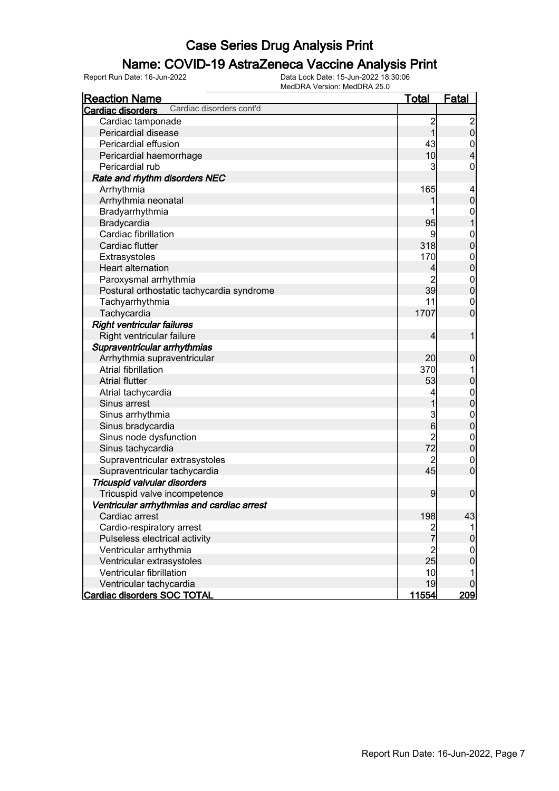### Name: COVID-19 AstraZeneca Vaccine Analysis Print

| <b>Reaction Name</b>                          | <u>Total</u>    | <b>Fatal</b>                         |
|-----------------------------------------------|-----------------|--------------------------------------|
| Cardiac disorders cont'd<br>Cardiac disorders |                 |                                      |
| Cardiac tamponade                             | $\overline{c}$  |                                      |
| Pericardial disease                           | $\mathbf{1}$    | $\frac{2}{0}$                        |
| Pericardial effusion                          | 43              | $\mathbf 0$                          |
| Pericardial haemorrhage                       | 10              | 4                                    |
| Pericardial rub                               | 3               | 0                                    |
| Rate and rhythm disorders NEC                 |                 |                                      |
| Arrhythmia                                    | 165             | $\overline{\mathcal{L}}$             |
| Arrhythmia neonatal                           |                 | $\overline{0}$                       |
| Bradyarrhythmia                               |                 |                                      |
| Bradycardia                                   | 95              | $\begin{matrix} 0 \\ 1 \end{matrix}$ |
| Cardiac fibrillation                          | 9               | $\mathbf{0}$                         |
| Cardiac flutter                               | 318             | $\overline{0}$                       |
| Extrasystoles                                 | 170             |                                      |
| <b>Heart alternation</b>                      | 4               | $0\atop 0$                           |
| Paroxysmal arrhythmia                         | $\overline{c}$  | $\mathbf{0}$                         |
| Postural orthostatic tachycardia syndrome     | 39              | $\overline{0}$                       |
| Tachyarrhythmia                               | 11              | $\mathbf 0$                          |
| Tachycardia                                   | 1707            | $\overline{0}$                       |
| <b>Right ventricular failures</b>             |                 |                                      |
| Right ventricular failure                     | $\overline{4}$  | 1                                    |
| Supraventricular arrhythmias                  |                 |                                      |
| Arrhythmia supraventricular                   | 20              | $\boldsymbol{0}$                     |
| <b>Atrial fibrillation</b>                    | 370             |                                      |
| <b>Atrial flutter</b>                         | 53              | $\pmb{0}$                            |
| Atrial tachycardia                            | 4               | $\mathbf{0}$                         |
| Sinus arrest                                  | 1               | $\overline{0}$                       |
| Sinus arrhythmia                              | 3               | $\mathbf{0}$                         |
| Sinus bradycardia                             | $6\overline{6}$ | $\overline{0}$                       |
| Sinus node dysfunction                        | $\overline{c}$  | $\mathbf{0}$                         |
| Sinus tachycardia                             | 72              | $\mathbf 0$                          |
| Supraventricular extrasystoles                | $\overline{2}$  | $\mathbf 0$                          |
| Supraventricular tachycardia                  | 45              | $\mathbf 0$                          |
| Tricuspid valvular disorders                  |                 |                                      |
| Tricuspid valve incompetence                  | 9               | $\boldsymbol{0}$                     |
| Ventricular arrhythmias and cardiac arrest    |                 |                                      |
| Cardiac arrest                                | 198             | 43                                   |
| Cardio-respiratory arrest                     |                 |                                      |
| Pulseless electrical activity                 | $\frac{2}{7}$   | $\mathbf 0$                          |
| Ventricular arrhythmia                        | $\overline{c}$  | $\mathbf 0$                          |
| Ventricular extrasystoles                     | 25              | $\overline{0}$                       |
| Ventricular fibrillation                      | 10              |                                      |
| Ventricular tachycardia                       | 19              | 0                                    |
| <b>Cardiac disorders SOC TOTAL</b>            | <u> 11554 </u>  | <u> 209 </u>                         |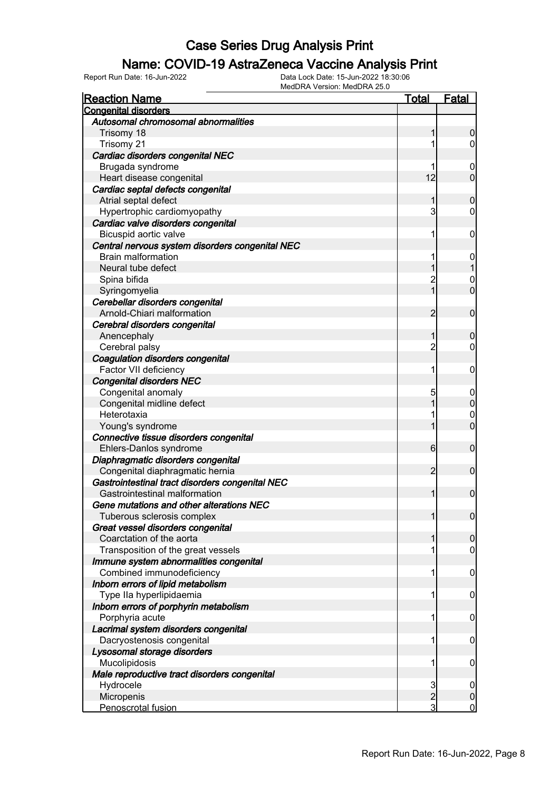### Name: COVID-19 AstraZeneca Vaccine Analysis Print

| <b>Reaction Name</b>                            | <u> Total</u>  | <u>Fatal</u> |
|-------------------------------------------------|----------------|--------------|
| <b>Congenital disorders</b>                     |                |              |
| Autosomal chromosomal abnormalities             |                |              |
| Trisomy 18                                      |                | 0            |
| Trisomy 21                                      |                | 0            |
| Cardiac disorders congenital NEC                |                |              |
| Brugada syndrome                                |                | 0            |
| Heart disease congenital                        | 12             | 0            |
| Cardiac septal defects congenital               |                |              |
| Atrial septal defect                            |                | 0            |
| Hypertrophic cardiomyopathy                     | 3              | 0            |
| Cardiac valve disorders congenital              |                |              |
| Bicuspid aortic valve                           | 1              | 0            |
| Central nervous system disorders congenital NEC |                |              |
| <b>Brain malformation</b>                       |                | 0            |
| Neural tube defect                              |                |              |
| Spina bifida                                    | 2              | 0            |
| Syringomyelia                                   |                | 0            |
| Cerebellar disorders congenital                 |                |              |
| Arnold-Chiari malformation                      | 2              | 0            |
| Cerebral disorders congenital                   |                |              |
| Anencephaly                                     |                | 0            |
| Cerebral palsy                                  | 2              | 0            |
| Coagulation disorders congenital                |                |              |
| Factor VII deficiency                           | 1              | 0            |
| <b>Congenital disorders NEC</b>                 |                |              |
| Congenital anomaly                              | 5              |              |
| Congenital midline defect                       |                | 0            |
| Heterotaxia                                     |                | 0            |
| Young's syndrome                                |                | 0            |
| Connective tissue disorders congenital          |                |              |
| Ehlers-Danlos syndrome                          | 6              | 0            |
| Diaphragmatic disorders congenital              |                |              |
| Congenital diaphragmatic hernia                 | 2              | 0            |
| Gastrointestinal tract disorders congenital NEC |                |              |
| Gastrointestinal malformation                   |                | 0            |
| Gene mutations and other alterations NEC        |                |              |
| Tuberous sclerosis complex                      |                | U            |
| Great vessel disorders congenital               |                |              |
| Coarctation of the aorta                        |                | 0            |
| Transposition of the great vessels              |                | 0            |
| Immune system abnormalities congenital          |                |              |
| Combined immunodeficiency                       | 1              | 0            |
| Inborn errors of lipid metabolism               |                |              |
| Type IIa hyperlipidaemia                        | 1              | 0            |
| Inborn errors of porphyrin metabolism           |                |              |
| Porphyria acute                                 | 1              | 0            |
| Lacrimal system disorders congenital            |                |              |
| Dacryostenosis congenital                       | 1              | 0            |
| Lysosomal storage disorders                     |                |              |
| Mucolipidosis                                   | 1              | 0            |
| Male reproductive tract disorders congenital    |                |              |
| Hydrocele                                       | 3              | 0            |
| Micropenis                                      | $\overline{2}$ | 0            |
| Penoscrotal fusion                              | 3              | 0            |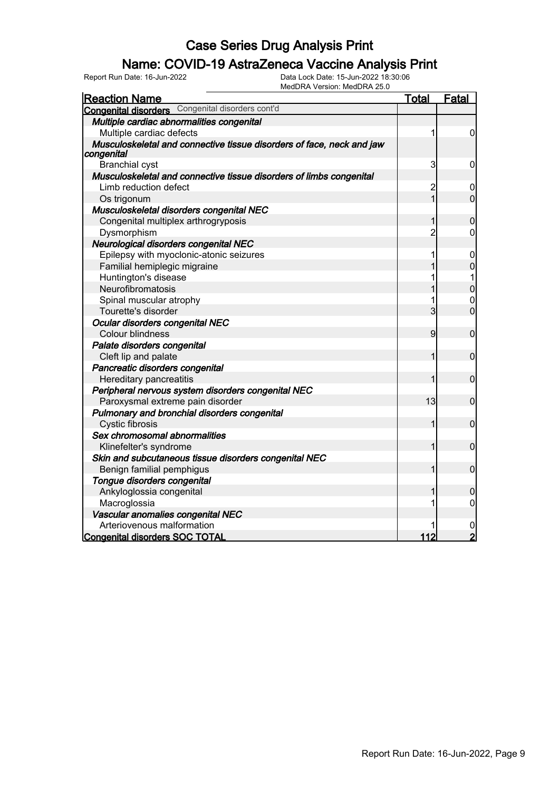### Name: COVID-19 AstraZeneca Vaccine Analysis Print

| MedDRA Version: MedDRA 25.0                                                         |                         |                  |
|-------------------------------------------------------------------------------------|-------------------------|------------------|
| <b>Reaction Name</b>                                                                | <b>Total</b>            | Fatal            |
| Congenital disorders cont'd<br><b>Congenital disorders</b>                          |                         |                  |
| Multiple cardiac abnormalities congenital                                           |                         |                  |
| Multiple cardiac defects                                                            | 1                       | $\overline{0}$   |
| Musculoskeletal and connective tissue disorders of face, neck and jaw<br>congenital |                         |                  |
| <b>Branchial cyst</b>                                                               | 3                       | 0                |
| Musculoskeletal and connective tissue disorders of limbs congenital                 |                         |                  |
| Limb reduction defect                                                               | $\overline{\mathbf{c}}$ | $\overline{0}$   |
| Os trigonum                                                                         | $\overline{1}$          | $\overline{0}$   |
| Musculoskeletal disorders congenital NEC                                            |                         |                  |
| Congenital multiplex arthrogryposis                                                 | 1                       | $\mathbf 0$      |
| Dysmorphism                                                                         | $\overline{2}$          | $\mathbf 0$      |
| Neurological disorders congenital NEC                                               |                         |                  |
| Epilepsy with myoclonic-atonic seizures                                             | 1                       | $\mathbf 0$      |
| Familial hemiplegic migraine                                                        | 1                       | $\overline{0}$   |
| Huntington's disease                                                                | 1                       | 1                |
| Neurofibromatosis                                                                   | 1                       | $\mathbf 0$      |
| Spinal muscular atrophy                                                             | 1                       | $\mathbf 0$      |
| Tourette's disorder                                                                 | 3                       | $\overline{0}$   |
| Ocular disorders congenital NEC                                                     |                         |                  |
| Colour blindness                                                                    | $\overline{9}$          | $\mathbf 0$      |
| Palate disorders congenital                                                         |                         |                  |
| Cleft lip and palate                                                                | 1                       | $\mathbf 0$      |
| Pancreatic disorders congenital                                                     |                         |                  |
| Hereditary pancreatitis                                                             | 1                       | $\overline{0}$   |
| Peripheral nervous system disorders congenital NEC                                  |                         |                  |
| Paroxysmal extreme pain disorder                                                    | 13                      | $\boldsymbol{0}$ |
| Pulmonary and bronchial disorders congenital                                        |                         |                  |
| <b>Cystic fibrosis</b>                                                              | 1                       | $\mathbf 0$      |
| Sex chromosomal abnormalities                                                       |                         |                  |
| Klinefelter's syndrome                                                              | 1                       | $\overline{0}$   |
| Skin and subcutaneous tissue disorders congenital NEC                               |                         |                  |
| Benign familial pemphigus                                                           | 1                       | $\mathbf 0$      |
| Tongue disorders congenital                                                         |                         |                  |
| Ankyloglossia congenital                                                            | 1                       | $\boldsymbol{0}$ |
| Macroglossia                                                                        | 1                       | $\mathbf 0$      |
| Vascular anomalies congenital NEC                                                   |                         |                  |
| Arteriovenous malformation                                                          |                         |                  |
| <b>Congenital disorders SOC TOTAL</b>                                               | 112                     | $\overline{2}$   |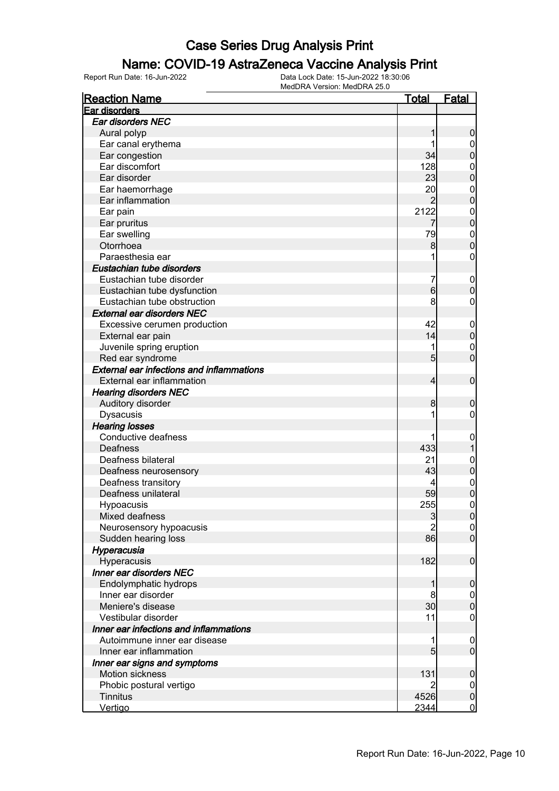### Name: COVID-19 AstraZeneca Vaccine Analysis Print

| <b>Reaction Name</b>                             | <u>Total</u>   | <b>Fatal</b>   |
|--------------------------------------------------|----------------|----------------|
| Ear disorders                                    |                |                |
| Ear disorders NEC                                |                |                |
| Aural polyp                                      |                | 0              |
| Ear canal erythema                               |                | $\mathbf 0$    |
| Ear congestion                                   | 34             | 0              |
| Ear discomfort                                   | 128            | $\mathbf 0$    |
| Ear disorder                                     | 23             | 0              |
| Ear haemorrhage                                  | 20             | $\mathbf{0}$   |
| Ear inflammation                                 | 2              | 0              |
| Ear pain                                         | 2122           | $\mathbf{0}$   |
| Ear pruritus                                     |                | 0              |
| Ear swelling                                     | 79             | $\mathbf{0}$   |
| Otorrhoea                                        | 8              | 0              |
| Paraesthesia ear                                 |                | $\mathbf 0$    |
| Eustachian tube disorders                        |                |                |
| Eustachian tube disorder                         | 7              | $\mathbf 0$    |
| Eustachian tube dysfunction                      | 6              | 0              |
| Eustachian tube obstruction                      | 8              | 0              |
| <b>External ear disorders NEC</b>                |                |                |
| Excessive cerumen production                     | 42             | $\mathbf 0$    |
| External ear pain                                | 14             | $\mathbf 0$    |
| Juvenile spring eruption                         | 1              | $\mathbf{0}$   |
| Red ear syndrome                                 | 5              | 0              |
| <b>External ear infections and inflammations</b> |                |                |
| External ear inflammation                        | 4              | $\mathbf 0$    |
| <b>Hearing disorders NEC</b>                     |                |                |
| Auditory disorder                                | 8              | 0              |
| <b>Dysacusis</b>                                 |                | 0              |
| <b>Hearing losses</b>                            |                |                |
| Conductive deafness                              |                | $\mathbf 0$    |
| Deafness                                         | 433            |                |
| Deafness bilateral                               | 21             | $\mathbf 0$    |
| Deafness neurosensory                            | 43             | 0              |
| Deafness transitory                              | 4              | $\mathbf{0}$   |
| Deafness unilateral                              | 59             | 0              |
| Hypoacusis                                       | 255            | 0              |
| Mixed deafness                                   | 3              | $\Omega$       |
| Neurosensory hypoacusis                          | $\overline{2}$ | $\overline{0}$ |
| Sudden hearing loss                              | 86             | $\overline{0}$ |
| Hyperacusia                                      |                |                |
| Hyperacusis                                      | 182            | $\mathbf 0$    |
| Inner ear disorders NEC                          |                |                |
| Endolymphatic hydrops                            |                | 0              |
| Inner ear disorder                               | 8              | $\mathbf 0$    |
| Meniere's disease                                | 30             | $\mathbf{0}$   |
| Vestibular disorder                              | 11             | 0              |
| Inner ear infections and inflammations           |                |                |
| Autoimmune inner ear disease                     |                | $\overline{0}$ |
| Inner ear inflammation                           | 5              | $\mathbf 0$    |
| Inner ear signs and symptoms                     |                |                |
| <b>Motion sickness</b>                           | 131            | 0              |
| Phobic postural vertigo                          |                | $\mathbf 0$    |
| <b>Tinnitus</b>                                  | 4526           | $\pmb{0}$      |
| Vertigo                                          | 2344           | $\mathbf 0$    |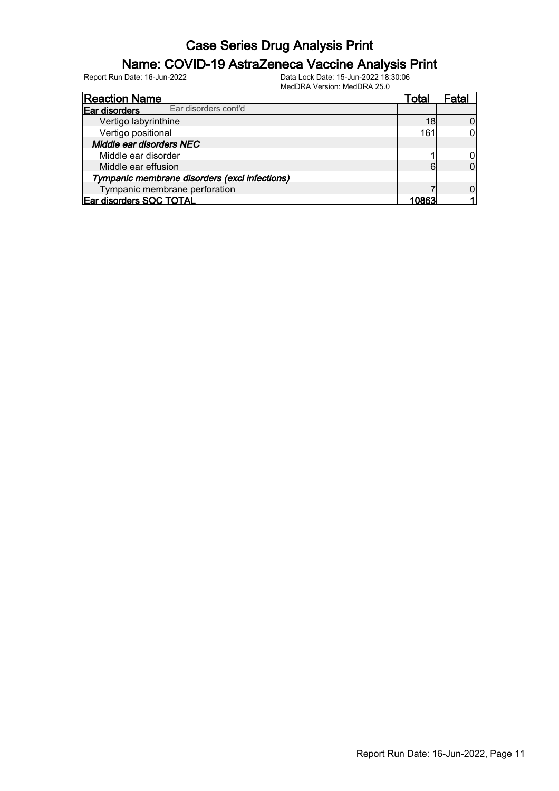### Name: COVID-19 AstraZeneca Vaccine Analysis Print

Report Run Date: 16-Jun-2022 Data Lock Date: 15-Jun-2022 18:30:06

MedDRA Version: MedDRA 25.0

| <b>Reaction Name</b>                          | Total | ⊦atal |
|-----------------------------------------------|-------|-------|
| Ear disorders cont'd<br>Ear disorders         |       |       |
| Vertigo labyrinthine                          | 18    |       |
| Vertigo positional                            | 161   |       |
| Middle ear disorders NEC                      |       |       |
| Middle ear disorder                           |       |       |
| Middle ear effusion                           | 6     |       |
| Tympanic membrane disorders (excl infections) |       |       |
| Tympanic membrane perforation                 |       |       |
| Ear disorders SOC TOTAL                       | 10863 |       |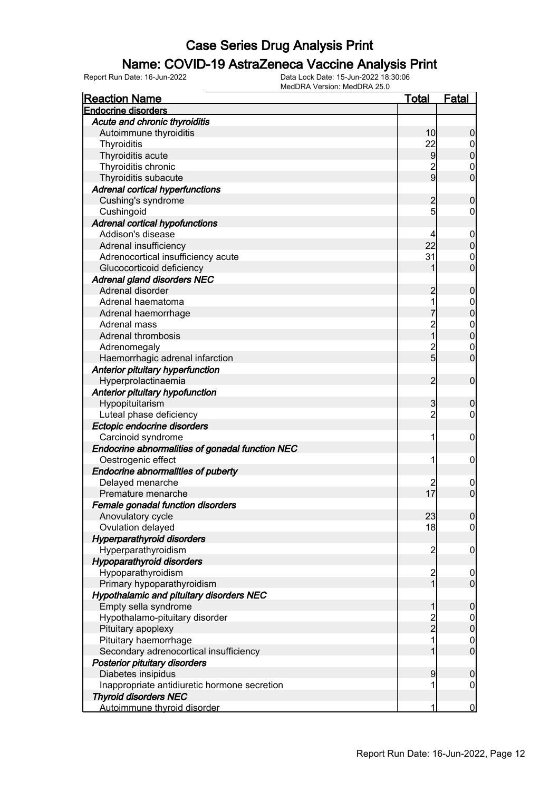### Name: COVID-19 AstraZeneca Vaccine Analysis Print

| <b>Reaction Name</b>                            | <u>Total</u>                     | <u>Fatal</u>   |
|-------------------------------------------------|----------------------------------|----------------|
| <b>Endocrine disorders</b>                      |                                  |                |
| Acute and chronic thyroiditis                   |                                  |                |
| Autoimmune thyroiditis                          | 10                               | 0              |
| Thyroiditis                                     | 22                               | 0              |
| Thyroiditis acute                               | 9                                | 0              |
| Thyroiditis chronic                             | $\overline{c}$                   | 0              |
| Thyroiditis subacute                            | 9                                | 0              |
| <b>Adrenal cortical hyperfunctions</b>          |                                  |                |
| Cushing's syndrome                              | 2                                | 0              |
| Cushingoid                                      | 5                                | 0              |
| <b>Adrenal cortical hypofunctions</b>           |                                  |                |
| Addison's disease                               | 4                                | 0              |
| Adrenal insufficiency                           | 22                               | 0              |
| Adrenocortical insufficiency acute              | 31                               | 0              |
| Glucocorticoid deficiency                       |                                  | 0              |
| <b>Adrenal gland disorders NEC</b>              |                                  |                |
| Adrenal disorder                                |                                  |                |
| Adrenal haematoma                               | 2                                | 0              |
|                                                 |                                  | 0              |
| Adrenal haemorrhage                             |                                  | 0              |
| Adrenal mass                                    | $\overline{\mathbf{c}}$          | 0              |
| <b>Adrenal thrombosis</b>                       |                                  | O              |
| Adrenomegaly                                    | $\overline{c}$<br>$\overline{5}$ | $\mathbf 0$    |
| Haemorrhagic adrenal infarction                 |                                  | O              |
| Anterior pituitary hyperfunction                |                                  |                |
| Hyperprolactinaemia                             | $\overline{c}$                   | 0              |
| Anterior pituitary hypofunction                 |                                  |                |
| Hypopituitarism                                 | 3                                | 0              |
| Luteal phase deficiency                         | $\overline{c}$                   | 0              |
| Ectopic endocrine disorders                     |                                  |                |
| Carcinoid syndrome                              | 1                                | 0              |
| Endocrine abnormalities of gonadal function NEC |                                  |                |
| Oestrogenic effect                              | 1                                | 0              |
| Endocrine abnormalities of puberty              |                                  |                |
| Delayed menarche                                |                                  | 0              |
| Premature menarche                              | 17                               | 0              |
| Female gonadal function disorders               |                                  |                |
| Anovulatory cycle                               | 23                               | U              |
| Ovulation delayed                               | 18                               | $\overline{0}$ |
| <b>Hyperparathyroid disorders</b>               |                                  |                |
| Hyperparathyroidism                             | $\overline{2}$                   | 0              |
| <b>Hypoparathyroid disorders</b>                |                                  |                |
| Hypoparathyroidism                              | $\overline{c}$                   | 0              |
| Primary hypoparathyroidism                      | 1                                | $\mathbf 0$    |
| <b>Hypothalamic and pituitary disorders NEC</b> |                                  |                |
| Empty sella syndrome                            |                                  | 0              |
| Hypothalamo-pituitary disorder                  |                                  | $\mathbf 0$    |
| Pituitary apoplexy                              | 2<br>2                           | $\mathbf 0$    |
| Pituitary haemorrhage                           | 1                                | 0              |
| Secondary adrenocortical insufficiency          |                                  | $\mathbf 0$    |
| Posterior pituitary disorders                   |                                  |                |
| Diabetes insipidus                              | 9                                | 0              |
| Inappropriate antidiuretic hormone secretion    | 1                                | 0              |
| <b>Thyroid disorders NEC</b>                    |                                  |                |
| Autoimmune thyroid disorder                     | 1                                | 0              |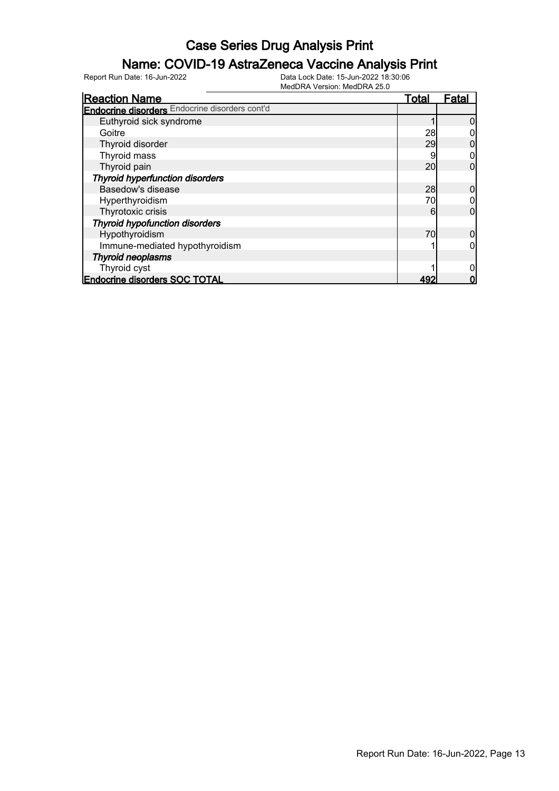### Name: COVID-19 AstraZeneca Vaccine Analysis Print

| <b>Reaction Name</b>                                  | <u>Total</u> | Fata |
|-------------------------------------------------------|--------------|------|
| <b>Endocrine disorders</b> Endocrine disorders cont'd |              |      |
| Euthyroid sick syndrome                               |              |      |
| Goitre                                                | 28           |      |
| Thyroid disorder                                      | 29           |      |
| Thyroid mass                                          |              |      |
| Thyroid pain                                          | 20           | 0    |
| <b>Thyroid hyperfunction disorders</b>                |              |      |
| Basedow's disease                                     | 28           |      |
| Hyperthyroidism                                       | 70           |      |
| Thyrotoxic crisis                                     | 6            |      |
| <b>Thyroid hypofunction disorders</b>                 |              |      |
| Hypothyroidism                                        | 70           |      |
| Immune-mediated hypothyroidism                        |              |      |
| <b>Thyroid neoplasms</b>                              |              |      |
| Thyroid cyst                                          |              |      |
| <b>Endocrine disorders SOC TOTAL</b>                  | 492          |      |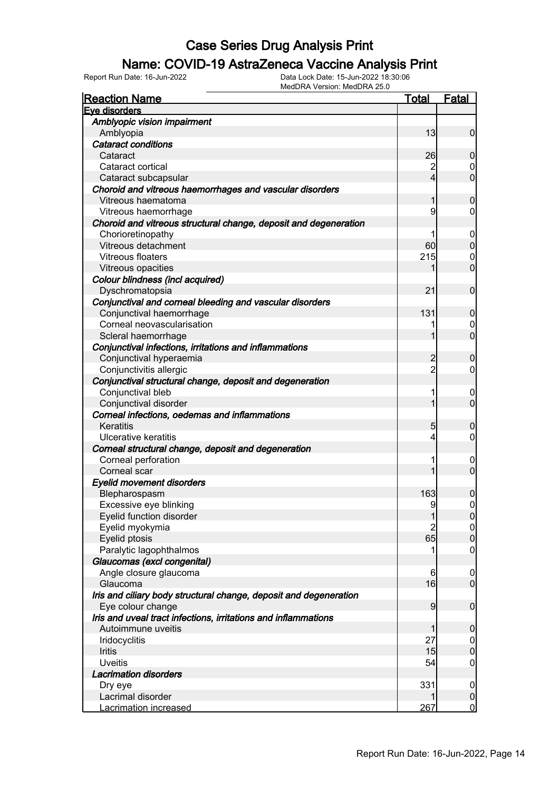### Name: COVID-19 AstraZeneca Vaccine Analysis Print

| <b>Reaction Name</b>                                              | <b>Total</b>   | <b>Fatal</b>     |
|-------------------------------------------------------------------|----------------|------------------|
| Eve disorders                                                     |                |                  |
| Amblyopic vision impairment                                       |                |                  |
| Amblyopia                                                         | 13             | $\mathbf 0$      |
| <b>Cataract conditions</b>                                        |                |                  |
| Cataract                                                          | 26             | $\mathbf 0$      |
| Cataract cortical                                                 | $\overline{c}$ | 0                |
| Cataract subcapsular                                              | 4              | $\mathbf 0$      |
| Choroid and vitreous haemorrhages and vascular disorders          |                |                  |
| Vitreous haematoma                                                | 1              | $\boldsymbol{0}$ |
| Vitreous haemorrhage                                              | 9              | 0                |
| Choroid and vitreous structural change, deposit and degeneration  |                |                  |
| Chorioretinopathy                                                 |                | $\mathbf 0$      |
| Vitreous detachment                                               | 60             | $\mathbf 0$      |
| <b>Vitreous floaters</b>                                          | 215            | 0                |
| Vitreous opacities                                                |                | $\mathbf 0$      |
| Colour blindness (incl acquired)                                  |                |                  |
| Dyschromatopsia                                                   | 21             | $\mathbf 0$      |
| Conjunctival and corneal bleeding and vascular disorders          |                |                  |
| Conjunctival haemorrhage                                          | 131            | $\mathbf 0$      |
| Corneal neovascularisation                                        |                | 0                |
| Scleral haemorrhage                                               | 1              | $\mathbf 0$      |
| Conjunctival infections, irritations and inflammations            |                |                  |
| Conjunctival hyperaemia                                           | $\overline{c}$ | $\mathbf 0$      |
| Conjunctivitis allergic                                           | $\overline{2}$ | $\overline{0}$   |
| Conjunctival structural change, deposit and degeneration          |                |                  |
| Conjunctival bleb                                                 |                | $\mathbf 0$      |
| Conjunctival disorder                                             | 1              | $\overline{0}$   |
| Corneal infections, oedemas and inflammations                     |                |                  |
| Keratitis                                                         | 5              | $\mathbf 0$      |
| Ulcerative keratitis                                              | 4              | $\mathbf 0$      |
| Corneal structural change, deposit and degeneration               |                |                  |
| Corneal perforation                                               |                | $\mathbf 0$      |
| Corneal scar                                                      |                | $\overline{0}$   |
| <b>Eyelid movement disorders</b>                                  |                |                  |
| Blepharospasm                                                     | 163            | $\boldsymbol{0}$ |
| Excessive eye blinking                                            | 9              | $\mathbf 0$      |
| Eyelid function disorder                                          | $\mathbf{1}$   | 0                |
| Eyelid myokymia                                                   | $\overline{2}$ | 0                |
| Eyelid ptosis                                                     | 65             | $\pmb{0}$        |
| Paralytic lagophthalmos                                           |                | $\mathbf 0$      |
| Glaucomas (excl congenital)                                       |                |                  |
| Angle closure glaucoma                                            | 6              | $\mathbf 0$      |
| Glaucoma                                                          | 16             | $\overline{0}$   |
| Iris and ciliary body structural change, deposit and degeneration |                |                  |
| Eye colour change                                                 | 9              | $\boldsymbol{0}$ |
| Iris and uveal tract infections, irritations and inflammations    |                |                  |
| Autoimmune uveitis                                                | 1              | $\mathbf 0$      |
| Iridocyclitis                                                     | 27             | $\overline{0}$   |
| Iritis                                                            | 15             | $\pmb{0}$        |
| <b>Uveitis</b>                                                    | 54             | $\mathbf 0$      |
| <b>Lacrimation disorders</b>                                      |                |                  |
| Dry eye                                                           | 331            | $\overline{0}$   |
| Lacrimal disorder                                                 |                | $\pmb{0}$        |
| <b>Lacrimation increased</b>                                      | 267            | $\overline{0}$   |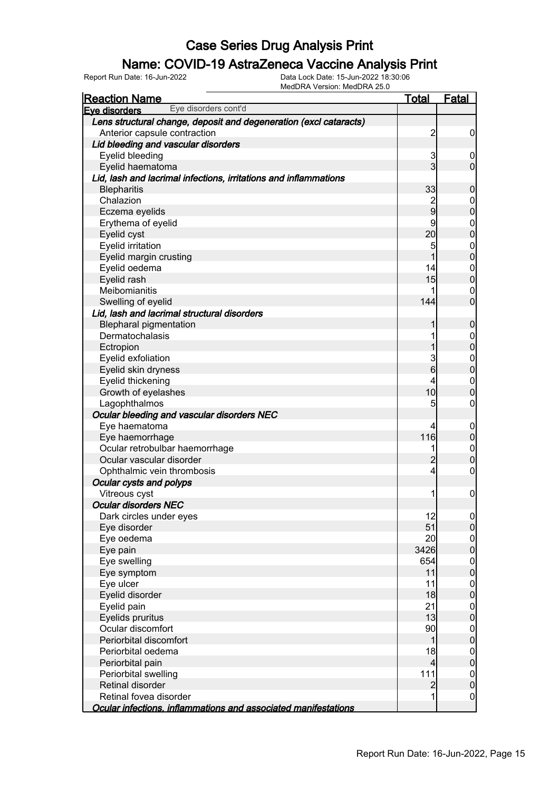### Name: COVID-19 AstraZeneca Vaccine Analysis Print

| <b>Reaction Name</b>                                              | <b>Total</b>   | <b>Fatal</b>                     |
|-------------------------------------------------------------------|----------------|----------------------------------|
| Eye disorders cont'd<br>Eve disorders                             |                |                                  |
| Lens structural change, deposit and degeneration (excl cataracts) |                |                                  |
| Anterior capsule contraction                                      | $\overline{2}$ | $\boldsymbol{0}$                 |
| Lid bleeding and vascular disorders                               |                |                                  |
| Eyelid bleeding                                                   | 3              | $\mathbf 0$                      |
| Eyelid haematoma                                                  | $\overline{3}$ | $\overline{0}$                   |
| Lid, lash and lacrimal infections, irritations and inflammations  |                |                                  |
| <b>Blepharitis</b>                                                | 33             | $\mathbf 0$                      |
| Chalazion                                                         | $\frac{2}{9}$  | $\mathbf 0$                      |
| Eczema eyelids                                                    |                | $\overline{0}$                   |
| Erythema of eyelid                                                | 9              | $\mathbf{0}$                     |
| Eyelid cyst                                                       | 20             | $\overline{0}$                   |
| Eyelid irritation                                                 | 5              | $\begin{matrix}0\\0\end{matrix}$ |
| Eyelid margin crusting                                            |                |                                  |
| Eyelid oedema                                                     | 14             | $\mathbf{0}$                     |
| Eyelid rash                                                       | 15             | $\overline{0}$                   |
| Meibomianitis                                                     |                | $\boldsymbol{0}$                 |
| Swelling of eyelid                                                | 144            | $\overline{0}$                   |
| Lid, lash and lacrimal structural disorders                       |                |                                  |
| <b>Blepharal pigmentation</b>                                     | 1              | $\mathbf 0$                      |
| Dermatochalasis                                                   | 1              | $\mathbf{0}$                     |
| Ectropion                                                         |                | $\overline{0}$                   |
| Eyelid exfoliation                                                | 3              | $\mathbf{0}$                     |
| Eyelid skin dryness                                               | 6              | $\overline{0}$                   |
| Eyelid thickening                                                 | 4              | $\mathbf{0}$                     |
| Growth of eyelashes                                               | 10             | $\overline{0}$                   |
| Lagophthalmos                                                     | 5              | 0                                |
| Ocular bleeding and vascular disorders NEC                        |                |                                  |
| Eye haematoma                                                     | 4              | $\boldsymbol{0}$                 |
| Eye haemorrhage                                                   | 116            | $\mathbf 0$                      |
| Ocular retrobulbar haemorrhage                                    | 1              | $\mathbf{0}$                     |
| Ocular vascular disorder                                          | 2              | $\overline{0}$                   |
| Ophthalmic vein thrombosis                                        | $\overline{4}$ | 0                                |
| Ocular cysts and polyps                                           |                |                                  |
| Vitreous cyst                                                     | 1              | $\boldsymbol{0}$                 |
| <b>Ocular disorders NEC</b>                                       |                |                                  |
| Dark circles under eyes                                           | 12             | 0                                |
| Eye disorder                                                      | 51             | $\overline{0}$                   |
| Eye oedema                                                        | 20             | $\boldsymbol{0}$                 |
| Eye pain                                                          | 3426           | $\overline{0}$                   |
| Eye swelling                                                      | 654            | $\boldsymbol{0}$                 |
| Eye symptom                                                       | 11             | $\overline{0}$                   |
| Eye ulcer                                                         | 11             | $\boldsymbol{0}$                 |
| Eyelid disorder                                                   | 18             | $\overline{0}$                   |
| Eyelid pain                                                       | 21             | $\boldsymbol{0}$                 |
| Eyelids pruritus                                                  | 13             | $\overline{0}$                   |
| Ocular discomfort                                                 | 90             | $\boldsymbol{0}$                 |
| Periorbital discomfort                                            | 1              | $\overline{0}$                   |
| Periorbital oedema                                                | 18             | $\boldsymbol{0}$                 |
| Periorbital pain                                                  | $\overline{4}$ | $\overline{0}$                   |
| Periorbital swelling                                              | 111            | $\boldsymbol{0}$                 |
| Retinal disorder                                                  | $\overline{2}$ | $\pmb{0}$                        |
| Retinal fovea disorder                                            | 1              | $\mathbf 0$                      |
| Ocular infections, inflammations and associated manifestations    |                |                                  |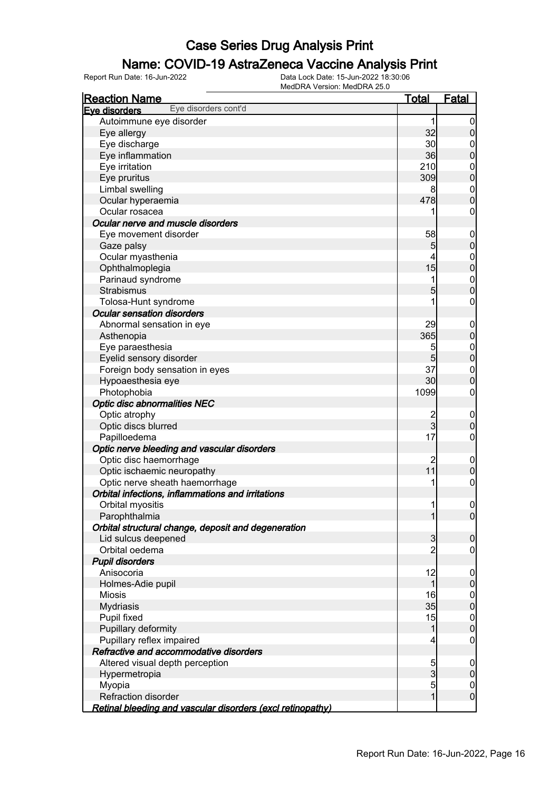### Name: COVID-19 AstraZeneca Vaccine Analysis Print

| <b>Reaction Name</b>                                       | <b>Total</b>   | <b>Fatal</b>     |
|------------------------------------------------------------|----------------|------------------|
| Eye disorders cont'd<br>Eve disorders                      |                |                  |
| Autoimmune eye disorder                                    | 1              | $\boldsymbol{0}$ |
| Eye allergy                                                | 32             | $\pmb{0}$        |
| Eye discharge                                              | 30             | 0                |
| Eye inflammation                                           | 36             | $\mathbf 0$      |
| Eye irritation                                             | 210            | $\mathbf 0$      |
| Eye pruritus                                               | 309            | $\mathbf 0$      |
| Limbal swelling                                            | 8              | $\boldsymbol{0}$ |
| Ocular hyperaemia                                          | 478            | $\mathbf 0$      |
| Ocular rosacea                                             | 1              | $\boldsymbol{0}$ |
| Ocular nerve and muscle disorders                          |                |                  |
| Eye movement disorder                                      | 58             | $\mathbf 0$      |
| Gaze palsy                                                 | 5              | $\mathbf 0$      |
| Ocular myasthenia                                          | 4              | $\boldsymbol{0}$ |
| Ophthalmoplegia                                            | 15             | $\mathbf 0$      |
| Parinaud syndrome                                          | 1              | $\mathbf{0}$     |
| Strabismus                                                 | 5              | $\overline{0}$   |
| Tolosa-Hunt syndrome                                       | 1              | $\boldsymbol{0}$ |
| <b>Ocular sensation disorders</b>                          |                |                  |
| Abnormal sensation in eye                                  | 29             | $\mathbf 0$      |
| Asthenopia                                                 | 365            | $\mathbf 0$      |
| Eye paraesthesia                                           | 5              | $\boldsymbol{0}$ |
| Eyelid sensory disorder                                    | 5              | $\mathbf 0$      |
| Foreign body sensation in eyes                             | 37             | $\boldsymbol{0}$ |
| Hypoaesthesia eye                                          | 30             | $\mathbf 0$      |
| Photophobia                                                | 1099           | $\boldsymbol{0}$ |
| <b>Optic disc abnormalities NEC</b>                        |                |                  |
| Optic atrophy                                              |                | $\mathbf 0$      |
| Optic discs blurred                                        | $\frac{2}{3}$  | $\mathbf 0$      |
| Papilloedema                                               | 17             | $\boldsymbol{0}$ |
| Optic nerve bleeding and vascular disorders                |                |                  |
| Optic disc haemorrhage                                     | $\overline{c}$ | $\mathbf 0$      |
| Optic ischaemic neuropathy                                 | 11             | $\pmb{0}$        |
| Optic nerve sheath haemorrhage                             | 1              | $\mathbf 0$      |
| Orbital infections, inflammations and irritations          |                |                  |
| Orbital myositis                                           | $\mathbf{1}$   | $\boldsymbol{0}$ |
| Parophthalmia                                              | $\mathbf{1}$   | $\overline{0}$   |
| Orbital structural change, deposit and degeneration        |                |                  |
| Lid sulcus deepened                                        | $\mathbf{3}$   | $\boldsymbol{0}$ |
| Orbital oedema                                             | $\overline{2}$ | $\boldsymbol{0}$ |
| <b>Pupil disorders</b>                                     |                |                  |
| Anisocoria                                                 | 12             | $\mathbf 0$      |
| Holmes-Adie pupil                                          | $\mathbf{1}$   | $\pmb{0}$        |
| <b>Miosis</b>                                              | 16             | $\overline{0}$   |
| Mydriasis                                                  | 35             | $\mathbf 0$      |
| Pupil fixed                                                | 15             | $\overline{0}$   |
| Pupillary deformity                                        | $\mathbf 1$    | $\pmb{0}$        |
| Pupillary reflex impaired                                  | 4              | $\mathbf 0$      |
| Refractive and accommodative disorders                     |                |                  |
| Altered visual depth perception                            | 5              | $\mathbf 0$      |
| Hypermetropia                                              | $\overline{3}$ | $\pmb{0}$        |
| Myopia                                                     | 5              | $\overline{0}$   |
| Refraction disorder                                        | $\mathbf{1}$   | $\mathbf 0$      |
| Retinal bleeding and vascular disorders (excl retinopathy) |                |                  |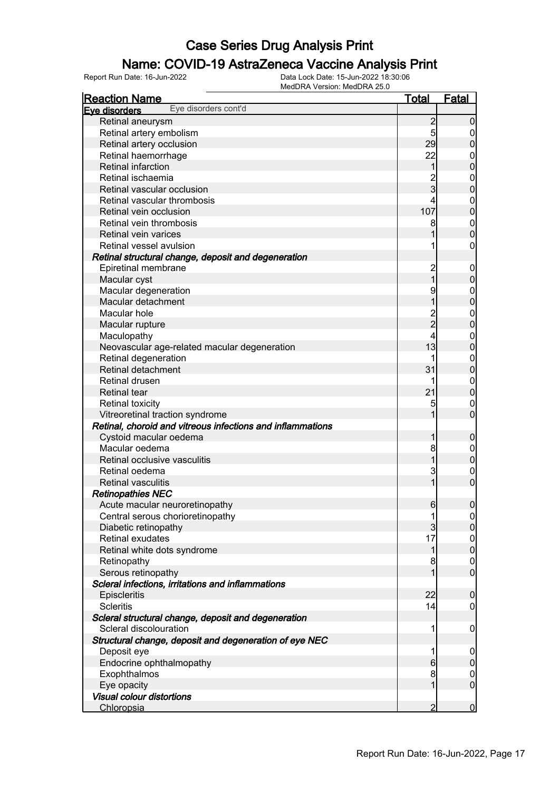### Name: COVID-19 AstraZeneca Vaccine Analysis Print

| <u>Reaction Name</u>                                       | <b>Total</b>    | <b>Fatal</b>     |
|------------------------------------------------------------|-----------------|------------------|
| Eye disorders cont'd<br>Eye disorders                      |                 |                  |
| Retinal aneurysm                                           | $\overline{2}$  | $\boldsymbol{0}$ |
| Retinal artery embolism                                    | 5               | 0                |
| Retinal artery occlusion                                   | 29              | $\pmb{0}$        |
| Retinal haemorrhage                                        | 22              | $\boldsymbol{0}$ |
| <b>Retinal infarction</b>                                  | $\mathbf 1$     | $\mathbf 0$      |
| Retinal ischaemia                                          |                 | $\mathbf 0$      |
| Retinal vascular occlusion                                 | $\frac{2}{3}$   | $\mathbf 0$      |
| Retinal vascular thrombosis                                | 4               | $\mathbf 0$      |
| Retinal vein occlusion                                     | 107             | $\pmb{0}$        |
| Retinal vein thrombosis                                    | 8               | $\boldsymbol{0}$ |
| Retinal vein varices                                       |                 | $\mathbf 0$      |
| Retinal vessel avulsion                                    |                 | $\boldsymbol{0}$ |
| Retinal structural change, deposit and degeneration        |                 |                  |
| Epiretinal membrane                                        |                 | $\mathbf 0$      |
| Macular cyst                                               | 2<br>1          | $\pmb{0}$        |
| Macular degeneration                                       | 9               | $\mathbf{0}$     |
| Macular detachment                                         |                 | $\mathbf 0$      |
| Macular hole                                               |                 | $\mathbf{0}$     |
| Macular rupture                                            | $\frac{2}{2}$   | $\mathbf 0$      |
| Maculopathy                                                | 4               | $\mathbf{0}$     |
| Neovascular age-related macular degeneration               | 13              | $\mathbf 0$      |
| Retinal degeneration                                       | 1               | $\mathbf{0}$     |
| Retinal detachment                                         | 31              | $\mathbf 0$      |
| Retinal drusen                                             | 1               | $\mathbf{0}$     |
| <b>Retinal tear</b>                                        | 21              | $\mathbf 0$      |
| <b>Retinal toxicity</b>                                    | 5               | $\mathbf 0$      |
| Vitreoretinal traction syndrome                            | 1               | $\overline{0}$   |
| Retinal, choroid and vitreous infections and inflammations |                 |                  |
| Cystoid macular oedema                                     | 1               | $\boldsymbol{0}$ |
| Macular oedema                                             | 8               | $\mathbf{0}$     |
| Retinal occlusive vasculitis                               | 1               | $\pmb{0}$        |
| Retinal oedema                                             | 3               | $\mathbf{0}$     |
| <b>Retinal vasculitis</b>                                  | 1               | $\boldsymbol{0}$ |
| <b>Retinopathies NEC</b>                                   |                 |                  |
| Acute macular neuroretinopathy                             | 6               | $\boldsymbol{0}$ |
| Central serous chorioretinopathy                           | $\mathbf{1}$    | 0                |
| Diabetic retinopathy                                       | $\overline{3}$  | 0                |
| Retinal exudates                                           | 17              | $\overline{0}$   |
| Retinal white dots syndrome                                | 1               | $\overline{0}$   |
| Retinopathy                                                | 8               | $\boldsymbol{0}$ |
| Serous retinopathy                                         | 1               | $\mathbf 0$      |
| Scleral infections, irritations and inflammations          |                 |                  |
| Episcleritis                                               | 22              | $\boldsymbol{0}$ |
| <b>Scleritis</b>                                           | 14              | $\boldsymbol{0}$ |
| Scleral structural change, deposit and degeneration        |                 |                  |
| Scleral discolouration                                     | 1               | $\mathbf 0$      |
| Structural change, deposit and degeneration of eye NEC     |                 |                  |
| Deposit eye                                                | 1               | $\mathbf 0$      |
| Endocrine ophthalmopathy                                   | $6 \overline{}$ | $\pmb{0}$        |
| Exophthalmos                                               | 8               | $\overline{0}$   |
| Eye opacity                                                | 1               | $\boldsymbol{0}$ |
| <b>Visual colour distortions</b>                           |                 |                  |
| Chloropsia                                                 | $\overline{2}$  | $\overline{0}$   |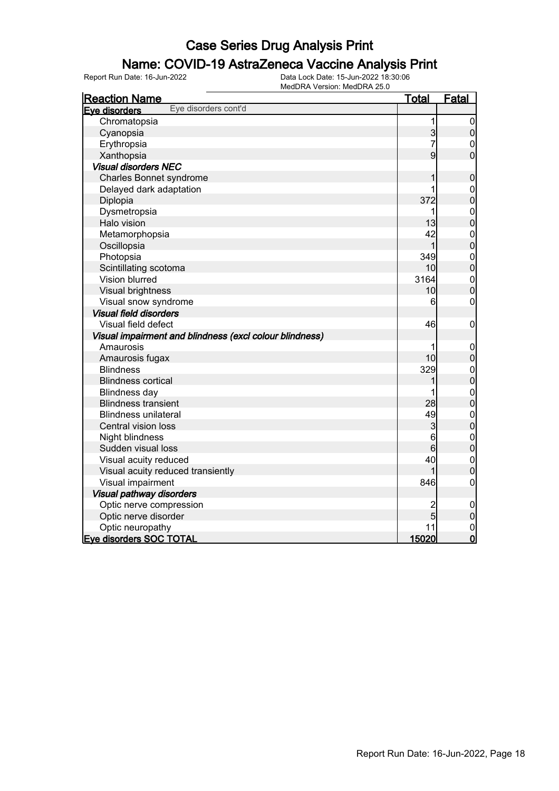### Name: COVID-19 AstraZeneca Vaccine Analysis Print

| <b>Reaction Name</b>                                    | <u>Total</u>   | <b>Fatal</b>                         |
|---------------------------------------------------------|----------------|--------------------------------------|
| Eye disorders cont'd<br>Eve disorders                   |                |                                      |
| Chromatopsia                                            | 1              | $\mathbf 0$                          |
| Cyanopsia                                               | 3              | $\overline{0}$                       |
| Erythropsia                                             | 7              | $\mathbf 0$                          |
| Xanthopsia                                              | $\overline{9}$ | $\overline{0}$                       |
| <b>Visual disorders NEC</b>                             |                |                                      |
| <b>Charles Bonnet syndrome</b>                          |                | $\boldsymbol{0}$                     |
| Delayed dark adaptation                                 | 1              | $\mathbf 0$                          |
| Diplopia                                                | 372            | $\overline{0}$                       |
| Dysmetropsia                                            | 1              | $\mathbf{0}$                         |
| Halo vision                                             | 13             | $\overline{0}$                       |
| Metamorphopsia                                          | 42             |                                      |
| Oscillopsia                                             | 1              | $\begin{matrix}0\\0\end{matrix}$     |
| Photopsia                                               | 349            |                                      |
| Scintillating scotoma                                   | 10             | $\begin{matrix}0\\0\end{matrix}$     |
| Vision blurred                                          | 3164           | $\mathbf{0}$                         |
| Visual brightness                                       | 10             | $\overline{0}$                       |
| Visual snow syndrome                                    | 6              | $\mathbf 0$                          |
| <b>Visual field disorders</b>                           |                |                                      |
| Visual field defect                                     | 46             | $\boldsymbol{0}$                     |
| Visual impairment and blindness (excl colour blindness) |                |                                      |
| Amaurosis                                               | 1              | $\boldsymbol{0}$                     |
| Amaurosis fugax                                         | 10             | $\pmb{0}$                            |
| <b>Blindness</b>                                        | 329            | $\mathbf{0}$                         |
| <b>Blindness cortical</b>                               | 1              | $\overline{0}$                       |
| <b>Blindness day</b>                                    | 1              |                                      |
| <b>Blindness transient</b>                              | 28             | $\begin{matrix}0\\0\end{matrix}$     |
| <b>Blindness unilateral</b>                             | 49             |                                      |
| Central vision loss                                     | 3              | $\begin{matrix} 0 \\ 0 \end{matrix}$ |
| Night blindness                                         | 6              |                                      |
| Sudden visual loss                                      | $6\phantom{a}$ | $0\atop 0$                           |
| Visual acuity reduced                                   | 40             | $\mathbf{0}$                         |
| Visual acuity reduced transiently                       |                | $\overline{0}$                       |
| Visual impairment                                       | 846            | $\overline{0}$                       |
| Visual pathway disorders                                |                |                                      |
| Optic nerve compression                                 | 2              | $\mathbf 0$                          |
| Optic nerve disorder                                    | 5              | $\mathbf 0$                          |
| Optic neuropathy                                        | 11             |                                      |
| Eye disorders SOC TOTAL                                 | 15020          | $\begin{matrix} 0 \\ 0 \end{matrix}$ |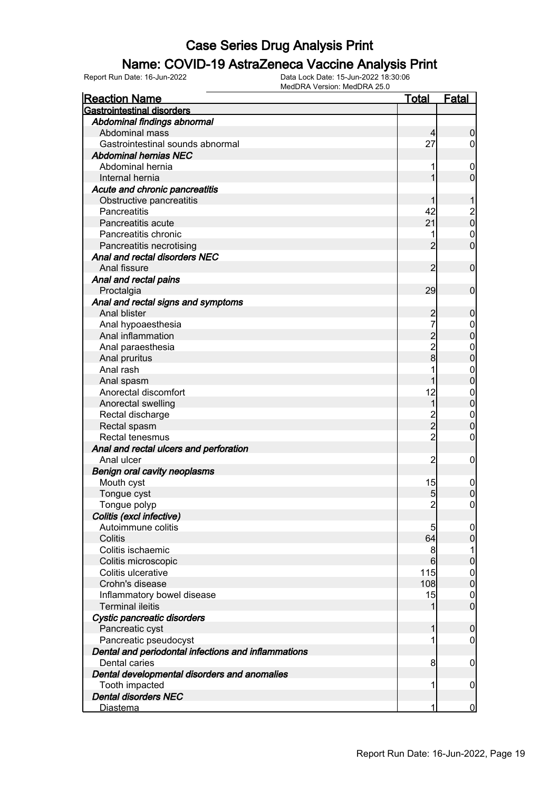### Name: COVID-19 AstraZeneca Vaccine Analysis Print

| <b>Reaction Name</b>                                | <u>Total</u>   | Fatal                                |
|-----------------------------------------------------|----------------|--------------------------------------|
| <b>Gastrointestinal disorders</b>                   |                |                                      |
| Abdominal findings abnormal                         |                |                                      |
| Abdominal mass                                      | 4              | $\mathbf 0$                          |
| Gastrointestinal sounds abnormal                    | 27             | 0                                    |
| <b>Abdominal hernias NEC</b>                        |                |                                      |
| Abdominal hernia                                    |                | $\mathbf 0$                          |
| Internal hernia                                     |                | $\overline{0}$                       |
| Acute and chronic pancreatitis                      |                |                                      |
| Obstructive pancreatitis                            |                |                                      |
| Pancreatitis                                        | 42             |                                      |
| Pancreatitis acute                                  | 21             | $\begin{matrix} 2 \\ 0 \end{matrix}$ |
| Pancreatitis chronic                                |                | $\mathbf 0$                          |
| Pancreatitis necrotising                            | $\overline{2}$ | $\mathbf 0$                          |
| Anal and rectal disorders NEC                       |                |                                      |
| Anal fissure                                        | $\overline{2}$ | $\mathbf 0$                          |
| Anal and rectal pains                               |                |                                      |
| Proctalgia                                          | 29             | $\mathbf 0$                          |
| Anal and rectal signs and symptoms                  |                |                                      |
| Anal blister                                        | $\overline{c}$ | $\boldsymbol{0}$                     |
| Anal hypoaesthesia                                  |                | $\boldsymbol{0}$                     |
| Anal inflammation                                   | $\overline{c}$ | $\overline{0}$                       |
| Anal paraesthesia                                   |                | $\mathbf{0}$                         |
| Anal pruritus                                       | $\frac{2}{8}$  | $\overline{0}$                       |
| Anal rash                                           |                | $\mathbf{0}$                         |
| Anal spasm                                          |                | $\overline{0}$                       |
| Anorectal discomfort                                | 12             | $\mathbf{0}$                         |
| Anorectal swelling                                  | $\mathbf 1$    | $\mathbf 0$                          |
| Rectal discharge                                    |                | $\boldsymbol{0}$                     |
| Rectal spasm                                        | 2<br>2         | $\mathbf 0$                          |
| Rectal tenesmus                                     | $\overline{c}$ | $\mathbf 0$                          |
| Anal and rectal ulcers and perforation              |                |                                      |
| Anal ulcer                                          | $\overline{c}$ | $\mathbf 0$                          |
| <b>Benign oral cavity neoplasms</b>                 |                |                                      |
| Mouth cyst                                          | 15             | $\mathbf 0$                          |
| Tongue cyst                                         | 5              | $\overline{0}$                       |
| Tongue polyp                                        | $\overline{2}$ | $\mathbf 0$                          |
| Colitis (excl infective)                            |                |                                      |
| Autoimmune colitis                                  | 5              | $\overline{0}$                       |
| Colitis                                             | 64             | $\boldsymbol{0}$                     |
| Colitis ischaemic                                   | 8              | 1                                    |
| Colitis microscopic                                 | 6              | $\pmb{0}$                            |
| Colitis ulcerative                                  | 115            | $\mathbf 0$                          |
| Crohn's disease                                     | 108            | $\mathbf 0$                          |
| Inflammatory bowel disease                          | 15             | $\mathbf 0$                          |
| <b>Terminal ileitis</b>                             | 1              | $\overline{0}$                       |
| Cystic pancreatic disorders                         |                |                                      |
| Pancreatic cyst                                     | 1              | $\boldsymbol{0}$                     |
| Pancreatic pseudocyst                               |                | $\mathbf 0$                          |
| Dental and periodontal infections and inflammations |                |                                      |
| Dental caries                                       | 8              | $\mathbf 0$                          |
| Dental developmental disorders and anomalies        |                |                                      |
| Tooth impacted                                      | 1              | $\mathbf 0$                          |
| <b>Dental disorders NEC</b>                         |                |                                      |
| <u>Diastema</u>                                     | 1              | $\overline{0}$                       |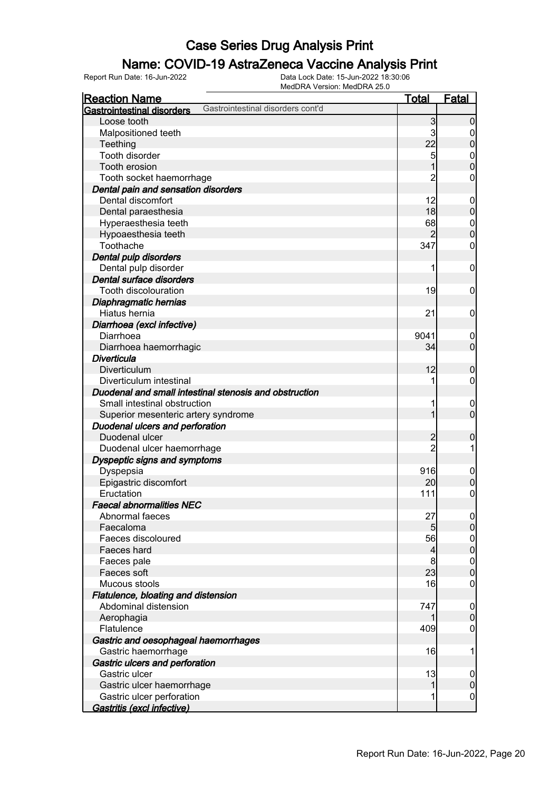### Name: COVID-19 AstraZeneca Vaccine Analysis Print

| <b>Reaction Name</b>                         |                                                        | <b>Total</b>    | <b>Fatal</b>                  |
|----------------------------------------------|--------------------------------------------------------|-----------------|-------------------------------|
| <b>Gastrointestinal disorders</b>            | Gastrointestinal disorders cont'd                      |                 |                               |
| Loose tooth                                  |                                                        | $\mathbf{3}$    | $\boldsymbol{0}$              |
| Malpositioned teeth                          |                                                        | $\overline{3}$  | $\overline{0}$                |
| Teething                                     |                                                        | 22              | $\boldsymbol{0}$              |
| Tooth disorder                               |                                                        | $\overline{5}$  | $\boldsymbol{0}$              |
| Tooth erosion                                |                                                        |                 | $\overline{0}$                |
| Tooth socket haemorrhage                     |                                                        | $\overline{c}$  | 0                             |
| Dental pain and sensation disorders          |                                                        |                 |                               |
| Dental discomfort                            |                                                        | 12              | $\mathbf 0$                   |
| Dental paraesthesia                          |                                                        | 18              | $\boldsymbol{0}$              |
| Hyperaesthesia teeth                         |                                                        | 68              | $\boldsymbol{0}$              |
| Hypoaesthesia teeth                          |                                                        | $\overline{2}$  | $\overline{0}$                |
| Toothache                                    |                                                        | 347             | 0                             |
| Dental pulp disorders                        |                                                        |                 |                               |
| Dental pulp disorder                         |                                                        |                 | $\boldsymbol{0}$              |
| Dental surface disorders                     |                                                        |                 |                               |
| <b>Tooth discolouration</b>                  |                                                        | 19              | $\mathbf 0$                   |
| Diaphragmatic hernias                        |                                                        |                 |                               |
| Hiatus hernia                                |                                                        | 21              | $\mathbf 0$                   |
| Diarrhoea (excl infective)                   |                                                        |                 |                               |
| Diarrhoea                                    |                                                        | 9041            |                               |
|                                              |                                                        | 34              | $\mathbf 0$<br>$\overline{0}$ |
| Diarrhoea haemorrhagic<br><b>Diverticula</b> |                                                        |                 |                               |
| Diverticulum                                 |                                                        | 12              |                               |
|                                              |                                                        |                 | $\mathbf 0$                   |
| Diverticulum intestinal                      |                                                        |                 | 0                             |
|                                              | Duodenal and small intestinal stenosis and obstruction |                 |                               |
| Small intestinal obstruction                 |                                                        |                 | $\mathbf 0$                   |
| Superior mesenteric artery syndrome          |                                                        |                 | $\overline{0}$                |
| <b>Duodenal ulcers and perforation</b>       |                                                        |                 |                               |
| Duodenal ulcer                               |                                                        | $\overline{2}$  | $\mathbf 0$                   |
| Duodenal ulcer haemorrhage                   |                                                        | $\overline{2}$  |                               |
| Dyspeptic signs and symptoms                 |                                                        |                 |                               |
| Dyspepsia                                    |                                                        | 916             | $\mathbf 0$                   |
| Epigastric discomfort                        |                                                        | 20 <sup>1</sup> | $\pmb{0}$                     |
| Eructation                                   |                                                        | 111             | $\boldsymbol{0}$              |
| <b>Faecal abnormalities NEC</b>              |                                                        |                 |                               |
| Abnormal faeces                              |                                                        | 27              | 0                             |
| Faecaloma                                    |                                                        | 5               | $\overline{0}$                |
| Faeces discoloured                           |                                                        | 56              | $\boldsymbol{0}$              |
| Faeces hard                                  |                                                        | 4               | $\overline{0}$                |
| Faeces pale                                  |                                                        | 8               | $\boldsymbol{0}$              |
| Faeces soft                                  |                                                        | 23              | $\overline{0}$                |
| Mucous stools                                |                                                        | 16              | 0                             |
| Flatulence, bloating and distension          |                                                        |                 |                               |
| Abdominal distension                         |                                                        | 747             | $\mathbf 0$                   |
| Aerophagia                                   |                                                        |                 | $\mathbf 0$                   |
| Flatulence                                   |                                                        | 409             | 0                             |
| Gastric and oesophageal haemorrhages         |                                                        |                 |                               |
| Gastric haemorrhage                          |                                                        | 16              | 1                             |
| Gastric ulcers and perforation               |                                                        |                 |                               |
| Gastric ulcer                                |                                                        | 13              | $\mathbf 0$                   |
| Gastric ulcer haemorrhage                    |                                                        | 1               | $\pmb{0}$                     |
| Gastric ulcer perforation                    |                                                        |                 | $\boldsymbol{0}$              |
| Gastritis (excl infective)                   |                                                        |                 |                               |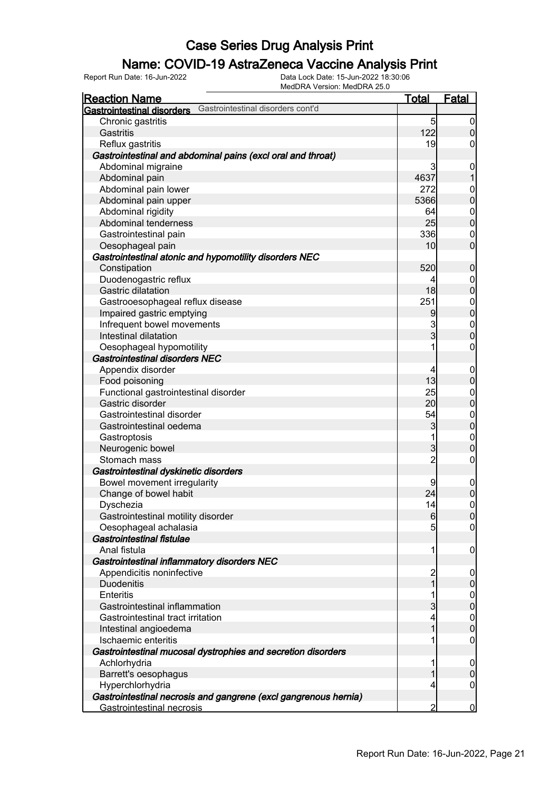### Name: COVID-19 AstraZeneca Vaccine Analysis Print

Report Run Date: 16-Jun-2022 Data Lock Date: 15-Jun-2022 18:30:06

MedDRA Version: MedDRA 25.0

| <u>Reaction Name</u>                                                   | <b>Total</b>    | <b>Fatal</b>        |
|------------------------------------------------------------------------|-----------------|---------------------|
| Gastrointestinal disorders cont'd<br><b>Gastrointestinal disorders</b> |                 |                     |
| Chronic gastritis                                                      | $\overline{5}$  | $\boldsymbol{0}$    |
| Gastritis                                                              | 122             | $\boldsymbol{0}$    |
| Reflux gastritis                                                       | 19              | $\overline{0}$      |
| Gastrointestinal and abdominal pains (excl oral and throat)            |                 |                     |
| Abdominal migraine                                                     | 3               | $\boldsymbol{0}$    |
| Abdominal pain                                                         | 4637            | $\mathbf{1}$        |
| Abdominal pain lower                                                   | 272             | $\mathbf{0}$        |
| Abdominal pain upper                                                   | 5366            | $\overline{0}$      |
| Abdominal rigidity                                                     | 64              | $\boldsymbol{0}$    |
| Abdominal tenderness                                                   | 25              | $\mathbf 0$         |
| Gastrointestinal pain                                                  | 336             | $\mathbf 0$         |
| Oesophageal pain                                                       | 10 <sub>l</sub> | $\overline{0}$      |
| Gastrointestinal atonic and hypomotility disorders NEC                 |                 |                     |
| Constipation                                                           | 520             | $\boldsymbol{0}$    |
| Duodenogastric reflux                                                  | 4               | $\overline{0}$      |
| Gastric dilatation                                                     | 18              | $\mathbf 0$         |
| Gastrooesophageal reflux disease                                       | 251             |                     |
| Impaired gastric emptying                                              | 9               | $0$ 0               |
| Infrequent bowel movements                                             | 3               |                     |
| Intestinal dilatation                                                  | $\overline{3}$  | $0\atop 0$          |
| Oesophageal hypomotility                                               | 1               | $\pmb{0}$           |
| Gastrointestinal disorders NEC                                         |                 |                     |
| Appendix disorder                                                      | 4               | $\mathbf 0$         |
| Food poisoning                                                         | 13              | $\pmb{0}$           |
| Functional gastrointestinal disorder                                   | 25              | $\boldsymbol{0}$    |
| Gastric disorder                                                       | 20              | $\mathbf 0$         |
| Gastrointestinal disorder                                              | 54              | $\boldsymbol{0}$    |
| Gastrointestinal oedema                                                | $\mathbf{3}$    | $\mathbf 0$         |
| Gastroptosis                                                           | 1               | $\mathbf{0}$        |
| Neurogenic bowel                                                       | 3               | $\overline{0}$      |
| Stomach mass                                                           | $\overline{2}$  | $\boldsymbol{0}$    |
| Gastrointestinal dyskinetic disorders                                  |                 |                     |
| Bowel movement irregularity                                            | 9               | $\boldsymbol{0}$    |
| Change of bowel habit                                                  | 24              | $\overline{0}$      |
| Dyschezia                                                              | 4               | $\mathsf{O}\xspace$ |
| Gastrointestinal motility disorder                                     | $6 \,$          | 0                   |
| Oesophageal achalasia                                                  | 5               | $\overline{0}$      |
| Gastrointestinal fistulae                                              |                 |                     |
| Anal fistula                                                           | 1               | $\mathbf 0$         |
| Gastrointestinal inflammatory disorders NEC                            |                 |                     |
| Appendicitis noninfective                                              | $\overline{c}$  | $\boldsymbol{0}$    |
| <b>Duodenitis</b>                                                      | 1               | $\pmb{0}$           |
| Enteritis                                                              | 1               | $\mathbf 0$         |
| Gastrointestinal inflammation                                          | 3               | $\pmb{0}$           |
| Gastrointestinal tract irritation                                      | 4               | $\mathbf 0$         |
| Intestinal angioedema                                                  | 1               | $\pmb{0}$           |
| Ischaemic enteritis                                                    |                 | $\mathbf 0$         |
| Gastrointestinal mucosal dystrophies and secretion disorders           |                 |                     |
| Achlorhydria                                                           | 1               | $\boldsymbol{0}$    |
| Barrett's oesophagus                                                   | 1               | $\pmb{0}$           |
| Hyperchlorhydria                                                       | 4               | 0                   |
| Gastrointestinal necrosis and gangrene (excl gangrenous hernia)        |                 |                     |
| Gastrointestinal necrosis                                              | $\overline{2}$  | $\overline{0}$      |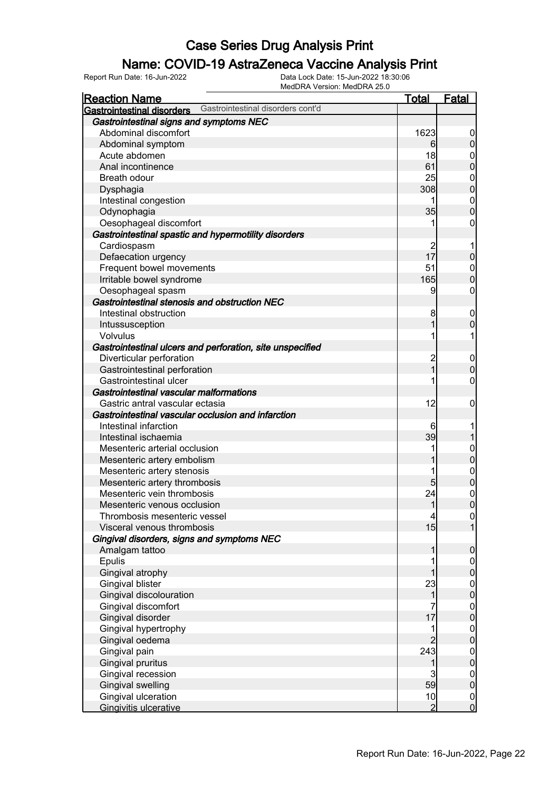### Name: COVID-19 AstraZeneca Vaccine Analysis Print

| <b>Reaction Name</b>                                 |                                                           | <b>Total</b>             | <b>Fatal</b>                         |
|------------------------------------------------------|-----------------------------------------------------------|--------------------------|--------------------------------------|
| <b>Gastrointestinal disorders</b>                    | Gastrointestinal disorders cont'd                         |                          |                                      |
| Gastrointestinal signs and symptoms NEC              |                                                           |                          |                                      |
| Abdominal discomfort                                 |                                                           | 1623                     | $\overline{0}$                       |
| Abdominal symptom                                    |                                                           | 6                        | $\overline{0}$                       |
| Acute abdomen                                        |                                                           | 18                       | $\boldsymbol{0}$                     |
| Anal incontinence                                    |                                                           | 61                       | $\overline{0}$                       |
| Breath odour                                         |                                                           | 25                       | $\boldsymbol{0}$                     |
| Dysphagia                                            |                                                           | 308                      | $\overline{0}$                       |
| Intestinal congestion                                |                                                           |                          | $\boldsymbol{0}$                     |
| Odynophagia                                          |                                                           | 35                       | $\overline{0}$                       |
| Oesophageal discomfort                               |                                                           |                          | 0                                    |
| Gastrointestinal spastic and hypermotility disorders |                                                           |                          |                                      |
| Cardiospasm                                          |                                                           | $\overline{c}$           |                                      |
| Defaecation urgency                                  |                                                           | 17                       | $\mathbf 0$                          |
| Frequent bowel movements                             |                                                           | 51                       | $\mathbf 0$                          |
| Irritable bowel syndrome                             |                                                           | 165                      | $\mathbf 0$                          |
| Oesophageal spasm                                    |                                                           | 9                        | $\boldsymbol{0}$                     |
| Gastrointestinal stenosis and obstruction NEC        |                                                           |                          |                                      |
| Intestinal obstruction                               |                                                           | 8                        | $\mathbf 0$                          |
| Intussusception                                      |                                                           |                          | $\mathbf 0$                          |
| <b>Volvulus</b>                                      |                                                           |                          |                                      |
|                                                      | Gastrointestinal ulcers and perforation, site unspecified |                          |                                      |
| Diverticular perforation                             |                                                           | $\overline{c}$           | $\mathbf 0$                          |
| Gastrointestinal perforation                         |                                                           | 1                        | $\boldsymbol{0}$                     |
| Gastrointestinal ulcer                               |                                                           |                          | 0                                    |
| Gastrointestinal vascular malformations              |                                                           |                          |                                      |
| Gastric antral vascular ectasia                      |                                                           | 12                       | $\mathbf 0$                          |
| Gastrointestinal vascular occlusion and infarction   |                                                           |                          |                                      |
| Intestinal infarction                                |                                                           | 6                        |                                      |
| Intestinal ischaemia                                 |                                                           | 39                       |                                      |
| Mesenteric arterial occlusion                        |                                                           |                          | $\mathbf{0}$                         |
| Mesenteric artery embolism                           |                                                           |                          | $\overline{0}$                       |
| Mesenteric artery stenosis                           |                                                           |                          | $\boldsymbol{0}$                     |
| Mesenteric artery thrombosis                         |                                                           | $\overline{5}$           | $\overline{0}$                       |
| Mesenteric vein thrombosis                           |                                                           | 24                       | $\mathbf{0}$                         |
| Mesenteric venous occlusion                          |                                                           | $\mathbf{1}$             | $\overline{0}$                       |
| Thrombosis mesenteric vessel                         |                                                           | $\overline{\mathcal{L}}$ | 0                                    |
| Visceral venous thrombosis                           |                                                           | 15                       |                                      |
| Gingival disorders, signs and symptoms NEC           |                                                           |                          |                                      |
| Amalgam tattoo                                       |                                                           |                          | $\boldsymbol{0}$                     |
| Epulis                                               |                                                           |                          | $\boldsymbol{0}$                     |
| Gingival atrophy                                     |                                                           |                          | $\overline{0}$                       |
| Gingival blister                                     |                                                           | 23                       |                                      |
| Gingival discolouration                              |                                                           | 1                        | $0\atop 0$                           |
| Gingival discomfort                                  |                                                           |                          | $\begin{matrix} 0 \\ 0 \end{matrix}$ |
| Gingival disorder                                    |                                                           | 17                       |                                      |
| Gingival hypertrophy                                 |                                                           | 1                        | $0\atop 0$                           |
| Gingival oedema                                      |                                                           | $\overline{2}$           |                                      |
| Gingival pain                                        |                                                           | 243                      | $0\atop 0$                           |
| Gingival pruritus                                    |                                                           |                          |                                      |
| Gingival recession                                   |                                                           | 3                        | $\overline{0}$                       |
| <b>Gingival swelling</b>                             |                                                           | 59                       | $\overline{0}$                       |
| Gingival ulceration                                  |                                                           | 10                       | $\overline{0}$                       |
| Gingivitis ulcerative                                |                                                           | $\overline{2}$           | $\mathbf 0$                          |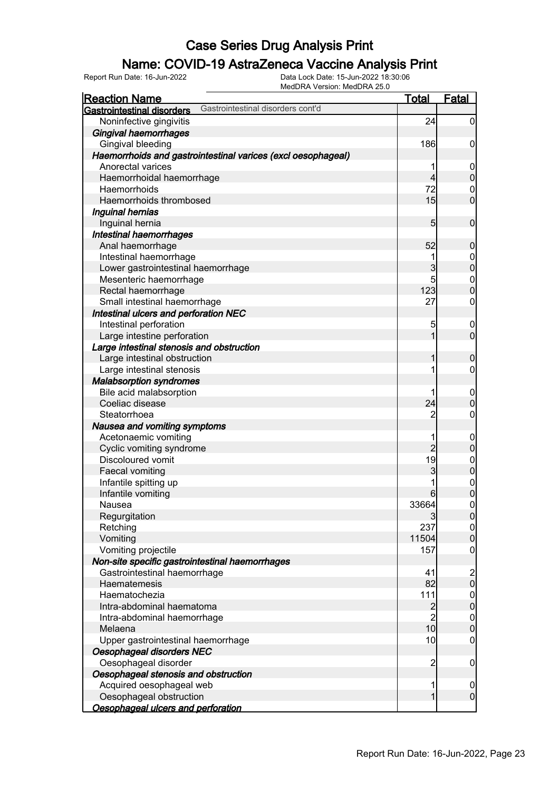### Name: COVID-19 AstraZeneca Vaccine Analysis Print

| <u>Reaction Name</u>                                                   | <b>Total</b>    | <b>Fatal</b>                         |
|------------------------------------------------------------------------|-----------------|--------------------------------------|
| Gastrointestinal disorders cont'd<br><b>Gastrointestinal disorders</b> |                 |                                      |
| Noninfective gingivitis                                                | 24              | $\overline{0}$                       |
| Gingival haemorrhages                                                  |                 |                                      |
| Gingival bleeding                                                      | 186             | $\mathbf 0$                          |
| Haemorrhoids and gastrointestinal varices (excl oesophageal)           |                 |                                      |
| Anorectal varices                                                      |                 | $\boldsymbol{0}$                     |
| Haemorrhoidal haemorrhage                                              | 4               | $\mathbf 0$                          |
| Haemorrhoids                                                           | 72              | $\mathbf 0$                          |
| Haemorrhoids thrombosed                                                | 15              | $\overline{0}$                       |
| Inguinal hernias                                                       |                 |                                      |
| Inguinal hernia                                                        | $5\overline{)}$ | $\mathbf 0$                          |
| Intestinal haemorrhages                                                |                 |                                      |
| Anal haemorrhage                                                       | 52              | $\boldsymbol{0}$                     |
| Intestinal haemorrhage                                                 | 1               | $\boldsymbol{0}$                     |
| Lower gastrointestinal haemorrhage                                     | 3               | $\overline{0}$                       |
| Mesenteric haemorrhage                                                 | 5               | $\mathbf{0}$                         |
| Rectal haemorrhage                                                     | 123             | $\overline{0}$                       |
| Small intestinal haemorrhage                                           | 27              | $\mathbf 0$                          |
| Intestinal ulcers and perforation NEC                                  |                 |                                      |
| Intestinal perforation                                                 | 5               | $\boldsymbol{0}$                     |
| Large intestine perforation                                            | 1               | $\overline{0}$                       |
| Large intestinal stenosis and obstruction                              |                 |                                      |
| Large intestinal obstruction                                           | 1               | $\mathbf 0$                          |
| Large intestinal stenosis                                              |                 | 0                                    |
| <b>Malabsorption syndromes</b>                                         |                 |                                      |
| Bile acid malabsorption                                                |                 | $\mathbf 0$                          |
| Coeliac disease                                                        | 24              | $\mathbf 0$                          |
| Steatorrhoea                                                           | $\overline{2}$  | 0                                    |
| Nausea and vomiting symptoms                                           |                 |                                      |
| Acetonaemic vomiting                                                   |                 | $\overline{0}$                       |
| Cyclic vomiting syndrome                                               | $\overline{2}$  | $\mathbf 0$                          |
| Discoloured vomit                                                      | 19              | $\mathbf{0}$                         |
| Faecal vomiting                                                        | 3               | $\overline{0}$                       |
| Infantile spitting up                                                  |                 | $\mathbf{0}$                         |
| Infantile vomiting                                                     | 6               | $\overline{0}$                       |
| Nausea                                                                 | 33664           | $\overline{0}$                       |
| Regurgitation                                                          | 3               | 0                                    |
| Retching                                                               | 237             | 0                                    |
| Vomiting                                                               | 11504           | $\mathbf 0$                          |
| Vomiting projectile                                                    | 157             | 0                                    |
| Non-site specific gastrointestinal haemorrhages                        |                 |                                      |
| Gastrointestinal haemorrhage                                           | 41              |                                      |
| Haematemesis                                                           | 82              | $\frac{2}{0}$                        |
| Haematochezia                                                          | 111             |                                      |
| Intra-abdominal haematoma                                              | $\overline{2}$  | $\begin{matrix} 0 \\ 0 \end{matrix}$ |
| Intra-abdominal haemorrhage                                            | $\overline{2}$  | $\boldsymbol{0}$                     |
| Melaena                                                                | 10              | $\overline{0}$                       |
| Upper gastrointestinal haemorrhage                                     | 10              | $\mathbf 0$                          |
| Oesophageal disorders NEC                                              |                 |                                      |
| Oesophageal disorder                                                   | $\overline{2}$  | $\mathbf 0$                          |
| Oesophageal stenosis and obstruction                                   |                 |                                      |
| Acquired oesophageal web                                               | 1               | $\overline{0}$                       |
| Oesophageal obstruction                                                | 1               | $\overline{0}$                       |
| Oesophageal ulcers and perforation                                     |                 |                                      |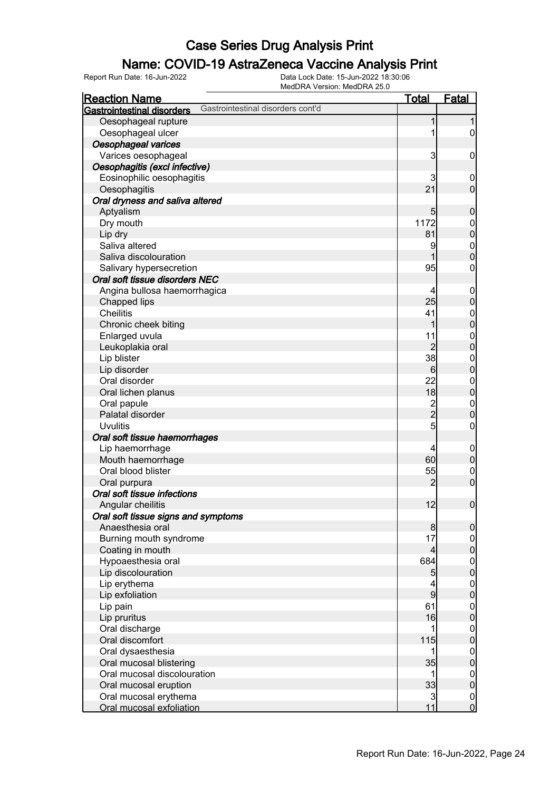### Name: COVID-19 AstraZeneca Vaccine Analysis Print

|                                     | MedDRA Version: MedDRA 25.0       |                 |                  |
|-------------------------------------|-----------------------------------|-----------------|------------------|
| <b>Reaction Name</b>                |                                   | <u>Total</u>    | Fatal            |
| Gastrointestinal disorders          | Gastrointestinal disorders cont'd |                 |                  |
| Oesophageal rupture                 |                                   |                 | 1                |
| Oesophageal ulcer                   |                                   |                 | 0                |
| Oesophageal varices                 |                                   |                 |                  |
| Varices oesophageal                 |                                   | 3               | $\mathbf 0$      |
| Oesophagitis (excl infective)       |                                   |                 |                  |
| Eosinophilic oesophagitis           |                                   | 3               | $\mathbf 0$      |
| Oesophagitis                        |                                   | 21              | $\mathbf 0$      |
| Oral dryness and saliva altered     |                                   |                 |                  |
| Aptyalism                           |                                   | $5\overline{)}$ | $\boldsymbol{0}$ |
| Dry mouth                           |                                   | 1172            | $\mathbf 0$      |
| Lip dry                             |                                   | 81              | $\boldsymbol{0}$ |
| Saliva altered                      |                                   | 9               | $\boldsymbol{0}$ |
| Saliva discolouration               |                                   |                 | $\overline{0}$   |
| Salivary hypersecretion             |                                   | 95              | $\boldsymbol{0}$ |
| Oral soft tissue disorders NEC      |                                   |                 |                  |
| Angina bullosa haemorrhagica        |                                   | 4               | $\mathbf 0$      |
| Chapped lips                        |                                   | 25              | $\pmb{0}$        |
| <b>Cheilitis</b>                    |                                   | 41              | $\boldsymbol{0}$ |
| Chronic cheek biting                |                                   | 1               | $\mathbf 0$      |
| Enlarged uvula                      |                                   | 11              |                  |
| Leukoplakia oral                    |                                   | $\overline{c}$  | $0$<br>0         |
| Lip blister                         |                                   | 38              | $\boldsymbol{0}$ |
| Lip disorder                        |                                   | 6               | $\mathbf 0$      |
| Oral disorder                       |                                   | 22              | $\boldsymbol{0}$ |
| Oral lichen planus                  |                                   | 18              | $\mathbf 0$      |
| Oral papule                         |                                   |                 | $\overline{0}$   |
| Palatal disorder                    |                                   | $\frac{2}{2}$   | $\overline{0}$   |
| <b>Uvulitis</b>                     |                                   | 5               | $\mathbf 0$      |
| Oral soft tissue haemorrhages       |                                   |                 |                  |
| Lip haemorrhage                     |                                   | 4               | $\mathbf 0$      |
| Mouth haemorrhage                   |                                   | 60              | $\boldsymbol{0}$ |
| Oral blood blister                  |                                   | 55              | $\mathbf 0$      |
| Oral purpura                        |                                   | $\overline{2}$  | $\boldsymbol{0}$ |
| Oral soft tissue infections         |                                   |                 |                  |
| Angular cheilitis                   |                                   | 12              | $\mathbf 0$      |
| Oral soft tissue signs and symptoms |                                   |                 |                  |
| Anaesthesia oral                    |                                   | 8               | $\overline{0}$   |
| Burning mouth syndrome              |                                   | 17              | $\overline{0}$   |
| Coating in mouth                    |                                   | 4               | $\pmb{0}$        |
| Hypoaesthesia oral                  |                                   | 684             | $\overline{0}$   |
| Lip discolouration                  |                                   | 5               | $\pmb{0}$        |
| Lip erythema                        |                                   | 4               | $\overline{0}$   |
| Lip exfoliation                     |                                   | 9               | $\pmb{0}$        |
| Lip pain                            |                                   | 61              | $\mathbf 0$      |
| Lip pruritus                        |                                   | 16              | $\pmb{0}$        |
| Oral discharge                      |                                   |                 | $\boldsymbol{0}$ |
| Oral discomfort                     |                                   | 115             | $\pmb{0}$        |
| Oral dysaesthesia                   |                                   |                 | $\boldsymbol{0}$ |
| Oral mucosal blistering             |                                   | 35              | $\pmb{0}$        |
| Oral mucosal discolouration         |                                   |                 | $\overline{0}$   |
| Oral mucosal eruption               |                                   | 33              | $\pmb{0}$        |
| Oral mucosal erythema               |                                   | 3               | $\overline{0}$   |
| Oral mucosal exfoliation            |                                   | 11              | $\mathbf 0$      |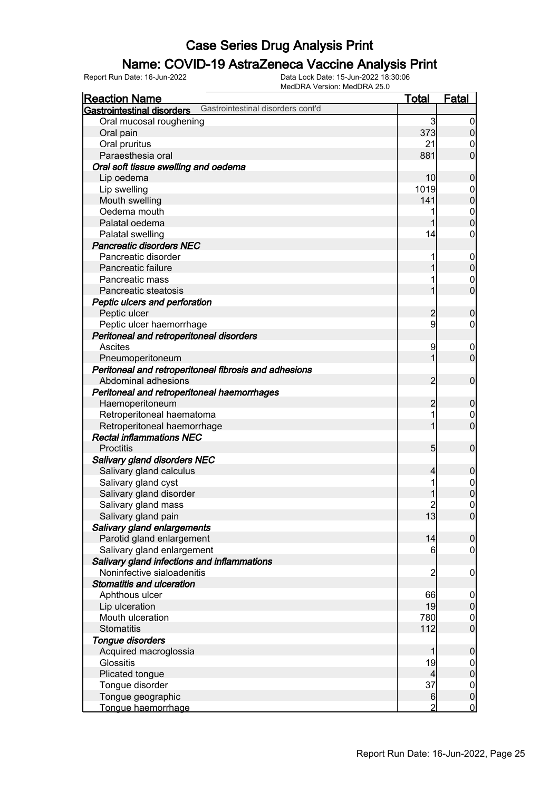### Name: COVID-19 AstraZeneca Vaccine Analysis Print

| <b>Reaction Name</b>                                                   | <b>Total</b>   | <b>Fatal</b>     |
|------------------------------------------------------------------------|----------------|------------------|
| Gastrointestinal disorders cont'd<br><b>Gastrointestinal disorders</b> |                |                  |
| Oral mucosal roughening                                                | 3              | $\boldsymbol{0}$ |
| Oral pain                                                              | 373            | $\overline{0}$   |
| Oral pruritus                                                          | 21             | 0                |
| Paraesthesia oral                                                      | 881            | $\overline{0}$   |
| Oral soft tissue swelling and oedema                                   |                |                  |
| Lip oedema                                                             | 10             | $\boldsymbol{0}$ |
| Lip swelling                                                           | 1019           | $\mathbf 0$      |
| Mouth swelling                                                         | 141            | $\mathbf 0$      |
| Oedema mouth                                                           |                | $\boldsymbol{0}$ |
| Palatal oedema                                                         |                | $\overline{0}$   |
| Palatal swelling                                                       | 14             | 0                |
| <b>Pancreatic disorders NEC</b>                                        |                |                  |
| Pancreatic disorder                                                    |                | $\mathbf 0$      |
| Pancreatic failure                                                     |                | $\mathbf 0$      |
| Pancreatic mass                                                        |                | $\overline{0}$   |
| Pancreatic steatosis                                                   |                | $\mathbf 0$      |
| Peptic ulcers and perforation                                          |                |                  |
| Peptic ulcer                                                           | $\overline{c}$ | $\mathbf 0$      |
| Peptic ulcer haemorrhage                                               | 9              | 0                |
| Peritoneal and retroperitoneal disorders                               |                |                  |
| Ascites                                                                | 9              | $\overline{0}$   |
| Pneumoperitoneum                                                       | 1              | $\mathbf 0$      |
| Peritoneal and retroperitoneal fibrosis and adhesions                  |                |                  |
| Abdominal adhesions                                                    | $\overline{2}$ | $\mathbf 0$      |
| Peritoneal and retroperitoneal haemorrhages                            |                |                  |
| Haemoperitoneum                                                        | $\overline{2}$ | $\mathbf 0$      |
| Retroperitoneal haematoma                                              |                | $\overline{0}$   |
| Retroperitoneal haemorrhage                                            | 1              | $\mathbf 0$      |
| <b>Rectal inflammations NEC</b>                                        |                |                  |
| <b>Proctitis</b>                                                       | 5 <sub>5</sub> | $\mathbf 0$      |
| Salivary gland disorders NEC                                           |                |                  |
| Salivary gland calculus                                                | 4              | $\mathbf 0$      |
| Salivary gland cyst                                                    |                | $\boldsymbol{0}$ |
| Salivary gland disorder                                                |                | $\overline{0}$   |
| Salivary gland mass                                                    | $\overline{2}$ | $\overline{0}$   |
| Salivary gland pain                                                    | 13             | $\overline{0}$   |
| Salivary gland enlargements                                            |                |                  |
| Parotid gland enlargement                                              | 14             | $\mathbf 0$      |
| Salivary gland enlargement                                             | 6              | 0                |
| Salivary gland infections and inflammations                            |                |                  |
| Noninfective sialoadenitis                                             | $\overline{2}$ | $\mathbf 0$      |
| <b>Stomatitis and ulceration</b>                                       |                |                  |
| Aphthous ulcer                                                         | 66             | $\overline{0}$   |
| Lip ulceration                                                         | 19             | $\pmb{0}$        |
| Mouth ulceration                                                       | 780            | $\overline{0}$   |
| <b>Stomatitis</b>                                                      | 112            | $\overline{0}$   |
| Tongue disorders                                                       |                |                  |
| Acquired macroglossia                                                  |                | $\boldsymbol{0}$ |
| Glossitis                                                              | 19             | $\overline{0}$   |
| Plicated tongue                                                        | 4              | $\pmb{0}$        |
| Tongue disorder                                                        | 37             | $\overline{0}$   |
| Tongue geographic                                                      | $6 \,$         | $\mathbf 0$      |
| Tongue haemorrhage                                                     | $\overline{2}$ | $\overline{0}$   |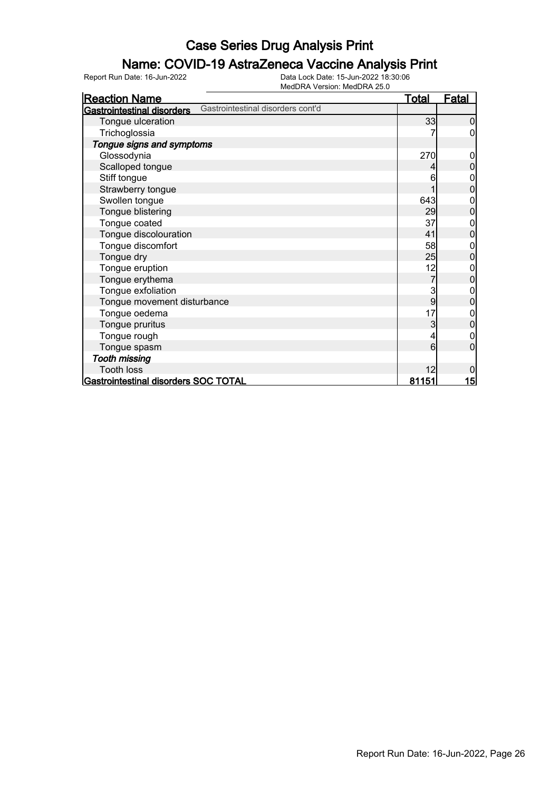### Name: COVID-19 AstraZeneca Vaccine Analysis Print

| <b>Reaction Name</b>                 |                                   | <u>Total</u>   | <b>Fatal</b>   |
|--------------------------------------|-----------------------------------|----------------|----------------|
| Gastrointestinal disorders           | Gastrointestinal disorders cont'd |                |                |
| Tongue ulceration                    |                                   | 33             | 0              |
| Trichoglossia                        |                                   |                | 0              |
| Tongue signs and symptoms            |                                   |                |                |
| Glossodynia                          |                                   | 270            | 0              |
| Scalloped tongue                     |                                   |                | 0              |
| Stiff tongue                         |                                   | 6              |                |
| Strawberry tongue                    |                                   |                | 0              |
| Swollen tongue                       |                                   | 643            | 0              |
| Tongue blistering                    |                                   | 29             | 0              |
| Tongue coated                        |                                   | 37             | 0              |
| Tongue discolouration                |                                   | 41             | 0              |
| Tongue discomfort                    |                                   | 58             | 0              |
| Tongue dry                           |                                   | 25             | $\overline{0}$ |
| Tongue eruption                      |                                   | 12             | 0              |
| Tongue erythema                      |                                   | $\overline{7}$ | 0              |
| Tongue exfoliation                   |                                   | 3              | 0              |
| Tongue movement disturbance          |                                   | 9              | 0              |
| Tongue oedema                        |                                   | 17             | 0              |
| Tongue pruritus                      |                                   | 3              | 0              |
| Tongue rough                         |                                   | 4              | 0              |
| Tongue spasm                         |                                   | 6              | $\overline{0}$ |
| <b>Tooth missing</b>                 |                                   |                |                |
| <b>Tooth loss</b>                    |                                   | 12             | 0              |
| Gastrointestinal disorders SOC TOTAL |                                   | 81151          | <u> 15 </u>    |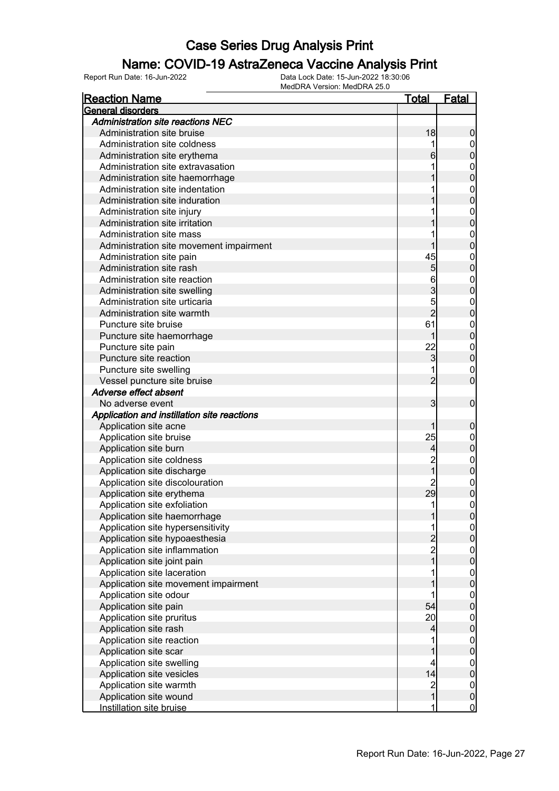### Name: COVID-19 AstraZeneca Vaccine Analysis Print

| <b>Reaction Name</b>                               | Total               | <b>Fatal</b>             |
|----------------------------------------------------|---------------------|--------------------------|
| General disorders                                  |                     |                          |
| <b>Administration site reactions NEC</b>           |                     |                          |
| Administration site bruise                         | 18                  | 0                        |
| Administration site coldness                       |                     | 0                        |
| Administration site erythema                       |                     | 0                        |
| Administration site extravasation                  |                     | $\mathbf 0$              |
| Administration site haemorrhage                    |                     | 0                        |
| Administration site indentation                    |                     | $\boldsymbol{0}$         |
| Administration site induration                     |                     | 0                        |
| Administration site injury                         |                     | $\boldsymbol{0}$         |
| Administration site irritation                     |                     | 0                        |
| Administration site mass                           |                     | $\mathbf 0$              |
| Administration site movement impairment            |                     | 0                        |
| Administration site pain                           | 45                  | $\mathbf 0$              |
| Administration site rash                           | 5                   | 0                        |
| Administration site reaction                       | 6                   | $\mathbf 0$              |
| Administration site swelling                       | 3                   | 0                        |
| Administration site urticaria                      | 5                   | $\mathbf 0$              |
| Administration site warmth                         | $\overline{2}$      | 0                        |
| Puncture site bruise                               | 61                  | $\mathbf 0$              |
| Puncture site haemorrhage                          |                     | 0                        |
| Puncture site pain                                 | 22                  | $\mathbf{0}$             |
| Puncture site reaction                             | 3                   | 0                        |
| Puncture site swelling                             |                     | $\mathbf 0$              |
| Vessel puncture site bruise                        | 2                   | 0                        |
| Adverse effect absent                              |                     |                          |
| No adverse event                                   | 3                   | $\mathbf 0$              |
| Application and instillation site reactions        |                     |                          |
| Application site acne                              |                     | 0                        |
| Application site bruise                            | 25                  | $\mathbf 0$              |
| Application site burn                              | 4                   | 0                        |
| Application site coldness                          | $\overline{c}$      | $\mathbf 0$              |
| Application site discharge                         |                     | 0                        |
| Application site discolouration                    | $\mathbf 2$         | $\mathbf{0}$             |
| Application site erythema                          | 29                  | 0                        |
| Application site exfoliation                       | 1                   | 0                        |
| Application site haemorrhage                       |                     | U                        |
| Application site hypersensitivity                  | 1                   | 0                        |
| Application site hypoaesthesia                     |                     | 0                        |
| Application site inflammation                      | $\overline{c}$      | $\mathbf 0$              |
| Application site joint pain                        |                     | $\overline{0}$           |
| Application site laceration                        |                     | 0                        |
| Application site movement impairment               |                     | $\overline{0}$           |
| Application site odour                             |                     | 0                        |
| Application site pain                              | 54                  | $\overline{0}$           |
| Application site pruritus                          | 20 <sup>°</sup>     |                          |
| Application site rash                              | 4                   | 0<br>$\overline{0}$      |
|                                                    |                     |                          |
| Application site reaction<br>Application site scar |                     | 0<br>0                   |
|                                                    |                     |                          |
| Application site swelling                          | 4<br>14             | 0<br>$\overline{0}$      |
| Application site vesicles                          |                     |                          |
| Application site warmth                            | $\overline{c}$<br>1 | 0                        |
| Application site wound                             | 1                   | $\pmb{0}$<br>$\mathbf 0$ |
| Instillation site bruise                           |                     |                          |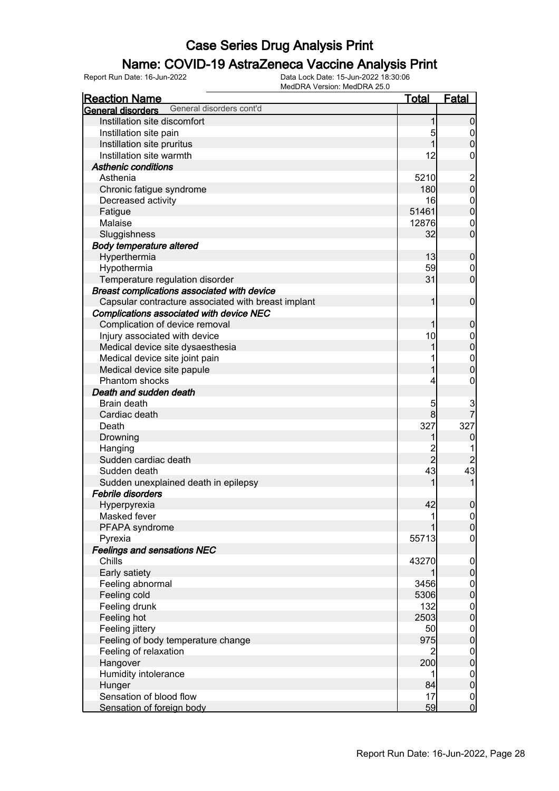### Name: COVID-19 AstraZeneca Vaccine Analysis Print

|                                                             | MedDRA Version: MedDRA 25.0 |                |                                      |
|-------------------------------------------------------------|-----------------------------|----------------|--------------------------------------|
| <b>Reaction Name</b>                                        |                             | <u>Total</u>   | Fatal                                |
| General disorders cont'd<br><b>General disorders</b>        |                             |                |                                      |
| Instillation site discomfort                                |                             |                | $\overline{0}$                       |
| Instillation site pain                                      |                             | 5              | $\overline{0}$                       |
| Instillation site pruritus                                  |                             | 1              | $\boldsymbol{0}$                     |
| Instillation site warmth                                    |                             | 12             | $\boldsymbol{0}$                     |
| <b>Asthenic conditions</b>                                  |                             |                |                                      |
| Asthenia                                                    |                             | 5210           | $\frac{2}{0}$                        |
| Chronic fatigue syndrome                                    |                             | 180            |                                      |
| Decreased activity                                          |                             | 16             | $\overline{0}$                       |
| Fatigue                                                     |                             | 51461          | $\overline{0}$                       |
| Malaise                                                     |                             | 12876          | $\mathbf 0$                          |
| Sluggishness                                                |                             | 32             | $\overline{0}$                       |
| <b>Body temperature altered</b>                             |                             |                |                                      |
| Hyperthermia                                                |                             | 13             | $\boldsymbol{0}$                     |
| Hypothermia                                                 |                             | 59             | $\overline{0}$                       |
| Temperature regulation disorder                             |                             | 31             | $\overline{0}$                       |
| Breast complications associated with device                 |                             |                |                                      |
| Capsular contracture associated with breast implant         |                             | 1              | $\mathbf 0$                          |
| Complications associated with device NEC                    |                             |                |                                      |
| Complication of device removal                              |                             | 1              | $\mathbf 0$                          |
| Injury associated with device                               |                             | 10             |                                      |
| Medical device site dysaesthesia                            |                             |                | $0\atop 0$                           |
| Medical device site joint pain                              |                             |                |                                      |
| Medical device site papule                                  |                             |                | $\begin{matrix} 0 \\ 0 \end{matrix}$ |
| Phantom shocks                                              |                             | 4              | $\boldsymbol{0}$                     |
| Death and sudden death                                      |                             |                |                                      |
| Brain death                                                 |                             | 5              |                                      |
| Cardiac death                                               |                             | 8 <sup>1</sup> | $\frac{3}{7}$                        |
| Death                                                       |                             | 327            | 327                                  |
| Drowning                                                    |                             |                | 0                                    |
| Hanging                                                     |                             |                |                                      |
| Sudden cardiac death                                        |                             | $\frac{2}{2}$  | $\overline{2}$                       |
| Sudden death                                                |                             | 43             | 43                                   |
| Sudden unexplained death in epilepsy                        |                             |                | $\mathbf{1}$                         |
| <b>Febrile disorders</b>                                    |                             |                |                                      |
| Hyperpyrexia                                                |                             | 42             | $\overline{0}$                       |
| Masked fever                                                |                             |                | 0                                    |
| PFAPA syndrome                                              |                             |                | $\overline{0}$                       |
| Pyrexia                                                     |                             | 55713          | 0                                    |
| <b>Feelings and sensations NEC</b>                          |                             |                |                                      |
| Chills                                                      |                             | 43270          | $\overline{0}$                       |
| Early satiety                                               |                             |                | $\boldsymbol{0}$                     |
| Feeling abnormal                                            |                             | 3456           | $\overline{0}$                       |
| Feeling cold                                                |                             | 5306           | $\mathbf 0$                          |
| Feeling drunk                                               |                             | 132            | $\overline{0}$                       |
| Feeling hot                                                 |                             | 2503           | $\mathbf 0$                          |
| Feeling jittery                                             |                             | 50             | $\overline{0}$                       |
|                                                             |                             | 975            | $\pmb{0}$                            |
| Feeling of body temperature change<br>Feeling of relaxation |                             | $\overline{2}$ |                                      |
|                                                             |                             |                | $\overline{0}$<br>$\pmb{0}$          |
| Hangover                                                    |                             | 200            |                                      |
| Humidity intolerance                                        |                             |                | $\overline{0}$                       |
| Hunger                                                      |                             | 84             | $\pmb{0}$                            |
| Sensation of blood flow                                     |                             | 17             | $\overline{0}$                       |
| Sensation of foreign body                                   |                             | 59             | $\overline{0}$                       |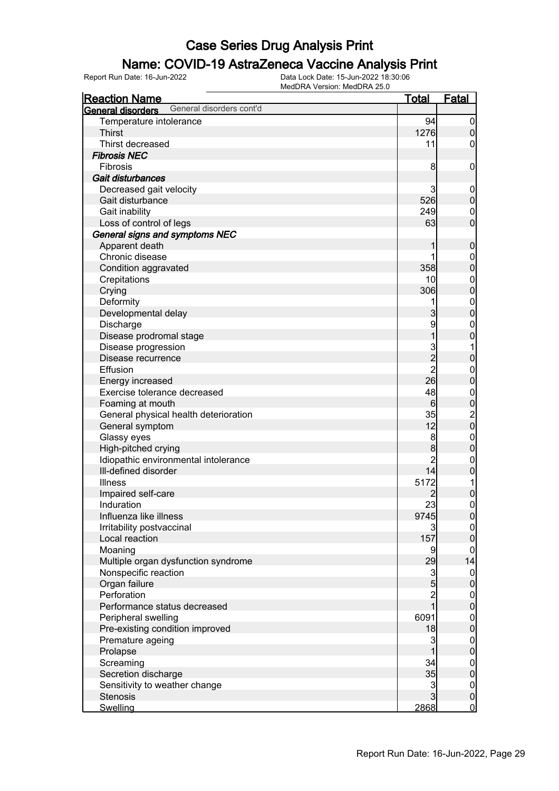### Name: COVID-19 AstraZeneca Vaccine Analysis Print

|                                       | MedDRA Version: MedDRA 25.0 |                 |                                        |
|---------------------------------------|-----------------------------|-----------------|----------------------------------------|
| <b>Reaction Name</b>                  |                             | <u>Total</u>    | Fatal                                  |
| General disorders                     | General disorders cont'd    |                 |                                        |
| Temperature intolerance               |                             | 94              | $\overline{0}$                         |
| <b>Thirst</b>                         |                             | 1276            | $\overline{0}$                         |
| Thirst decreased                      |                             | 11              | 0                                      |
| <b>Fibrosis NEC</b>                   |                             |                 |                                        |
| Fibrosis                              |                             | 8               | $\mathbf 0$                            |
| Gait disturbances                     |                             |                 |                                        |
| Decreased gait velocity               |                             | 3               | $\overline{0}$                         |
| Gait disturbance                      |                             | 526             | $\overline{0}$                         |
| Gait inability                        |                             | 249             | $\boldsymbol{0}$                       |
| Loss of control of legs               |                             | 63              | $\mathbf 0$                            |
| General signs and symptoms NEC        |                             |                 |                                        |
| Apparent death                        |                             |                 | $\boldsymbol{0}$                       |
| Chronic disease                       |                             |                 | $\mathbf 0$                            |
| Condition aggravated                  |                             | 358             | $\mathbf 0$                            |
| Crepitations                          |                             | 10 <sup>1</sup> |                                        |
| Crying                                |                             | 306             | $0$<br>0                               |
| Deformity                             |                             |                 |                                        |
| Developmental delay                   |                             | 3               | $\begin{matrix} 0 \\ 0 \end{matrix}$   |
| Discharge                             |                             | 9               | $\boldsymbol{0}$                       |
| Disease prodromal stage               |                             | 1               | $\mathbf 0$                            |
| Disease progression                   |                             | 3               | $\mathbf 1$                            |
| Disease recurrence                    |                             | $\overline{c}$  | $\mathbf 0$                            |
| Effusion                              |                             | $\overline{c}$  | $\boldsymbol{0}$                       |
| Energy increased                      |                             | 26              | $\mathbf 0$                            |
| Exercise tolerance decreased          |                             | 48              |                                        |
| Foaming at mouth                      |                             | 6               | $0$<br>0                               |
| General physical health deterioration |                             | 35              |                                        |
| General symptom                       |                             | 12              | $\begin{bmatrix} 2 \\ 0 \end{bmatrix}$ |
| Glassy eyes                           |                             | 8               | $\boldsymbol{0}$                       |
| High-pitched crying                   |                             | 8               | $\mathbf 0$                            |
| Idiopathic environmental intolerance  |                             | $\overline{c}$  | $\boldsymbol{0}$                       |
| Ill-defined disorder                  |                             | 14              | $\overline{0}$                         |
| <b>Illness</b>                        |                             | 5172            | $\mathbf 1$                            |
| Impaired self-care                    |                             | $\overline{2}$  | $\overline{0}$                         |
| Induration                            |                             | 23              | $\boldsymbol{0}$                       |
| Influenza like illness                |                             | 9745            | 0                                      |
| Irritability postvaccinal             |                             | 3               | 0                                      |
| Local reaction                        |                             | 157             | $\boldsymbol{0}$                       |
| Moaning                               |                             | 9               | $\boldsymbol{0}$                       |
| Multiple organ dysfunction syndrome   |                             | 29              | 14                                     |
| Nonspecific reaction                  |                             | $\overline{3}$  | $\overline{0}$                         |
| Organ failure                         |                             | $\overline{5}$  | $\pmb{0}$                              |
| Perforation                           |                             |                 | $\overline{0}$                         |
| Performance status decreased          |                             |                 | $\overline{0}$                         |
| Peripheral swelling                   |                             | 6091            | $\overline{0}$                         |
| Pre-existing condition improved       |                             | 18              | $\pmb{0}$                              |
| Premature ageing                      |                             | 3               | $\overline{0}$                         |
| Prolapse                              |                             |                 | $\pmb{0}$                              |
| Screaming                             |                             | 34              | $\overline{0}$                         |
| Secretion discharge                   |                             | 35              | $\mathbf 0$                            |
| Sensitivity to weather change         |                             | 3               | $\overline{0}$                         |
| <b>Stenosis</b>                       |                             | $\overline{3}$  | $\pmb{0}$                              |
| Swelling                              |                             | 2868            | $\overline{0}$                         |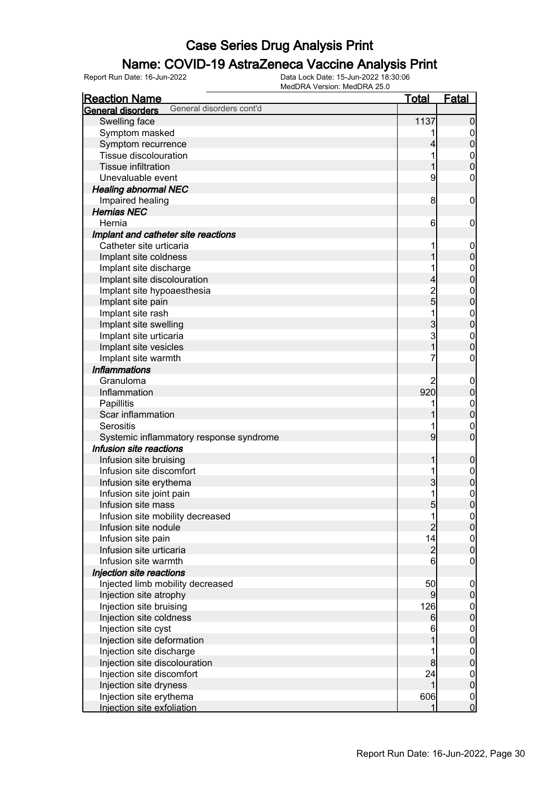### Name: COVID-19 AstraZeneca Vaccine Analysis Print

| MedDRA Version: MedDRA 25.0                   |                |                  |
|-----------------------------------------------|----------------|------------------|
| <b>Reaction Name</b>                          | <u>Total</u>   | Fatal            |
| General disorders cont'd<br>General disorders |                |                  |
| Swelling face                                 | 1137           | $\mathbf 0$      |
| Symptom masked                                |                | $\overline{0}$   |
| Symptom recurrence                            |                | $\pmb{0}$        |
| Tissue discolouration                         |                | $\boldsymbol{0}$ |
| <b>Tissue infiltration</b>                    |                | $\mathbf 0$      |
| Unevaluable event                             | 9              | 0                |
| <b>Healing abnormal NEC</b>                   |                |                  |
| Impaired healing                              | 8              | $\mathbf 0$      |
| <b>Hernias NEC</b>                            |                |                  |
| Hernia                                        | 6              | $\mathbf 0$      |
| Implant and catheter site reactions           |                |                  |
| Catheter site urticaria                       |                | $\mathbf 0$      |
| Implant site coldness                         |                | $\boldsymbol{0}$ |
| Implant site discharge                        |                | $\mathbf 0$      |
| Implant site discolouration                   | 4              | $\overline{0}$   |
| Implant site hypoaesthesia                    | $\frac{2}{5}$  | $\boldsymbol{0}$ |
| Implant site pain                             |                | $\mathbf 0$      |
| Implant site rash                             |                | $\boldsymbol{0}$ |
| Implant site swelling                         | 3              | $\mathbf 0$      |
| Implant site urticaria                        | 3              | $\boldsymbol{0}$ |
| Implant site vesicles                         | $\overline{1}$ | $\overline{0}$   |
| Implant site warmth                           | 7              | 0                |
| <b>Inflammations</b>                          |                |                  |
| Granuloma                                     | $\overline{c}$ | $\mathbf 0$      |
| Inflammation                                  | 920            | $\boldsymbol{0}$ |
| Papillitis                                    |                | $\boldsymbol{0}$ |
| Scar inflammation                             |                | $\mathbf 0$      |
| <b>Serositis</b>                              |                | $\mathbf 0$      |
| Systemic inflammatory response syndrome       | 9              | $\overline{0}$   |
| Infusion site reactions                       |                |                  |
| Infusion site bruising                        | 1              | $\boldsymbol{0}$ |
| Infusion site discomfort                      |                | $\overline{0}$   |
| Infusion site erythema                        | 3              | $\pmb{0}$        |
| Infusion site joint pain                      | 1              | $\mathbf 0$      |
| Infusion site mass                            |                | $\overline{0}$   |
| Infusion site mobility decreased              | 1              | $\overline{0}$   |
| Infusion site nodule                          | $\overline{2}$ | $\overline{0}$   |
| Infusion site pain                            | 14             | $\mathbf 0$      |
| Infusion site urticaria                       | $\overline{c}$ | $\overline{0}$   |
| Infusion site warmth                          | 6              | 0                |
| Injection site reactions                      |                |                  |
| Injected limb mobility decreased              | 50             | $\mathbf 0$      |
| Injection site atrophy                        | 9              | $\overline{0}$   |
| Injection site bruising                       | 126            | $\mathbf 0$      |
| Injection site coldness                       | 6              | $\boldsymbol{0}$ |
| Injection site cyst                           | 6              | $\mathbf 0$      |
| Injection site deformation                    |                | $\mathbf 0$      |
| Injection site discharge                      |                | $\boldsymbol{0}$ |
| Injection site discolouration                 | 8              | $\overline{0}$   |
| Injection site discomfort                     | 24             | 0                |
| Injection site dryness                        |                | $\boldsymbol{0}$ |
| Injection site erythema                       | 606            | $\overline{0}$   |
| Injection site exfoliation                    |                | $\mathbf 0$      |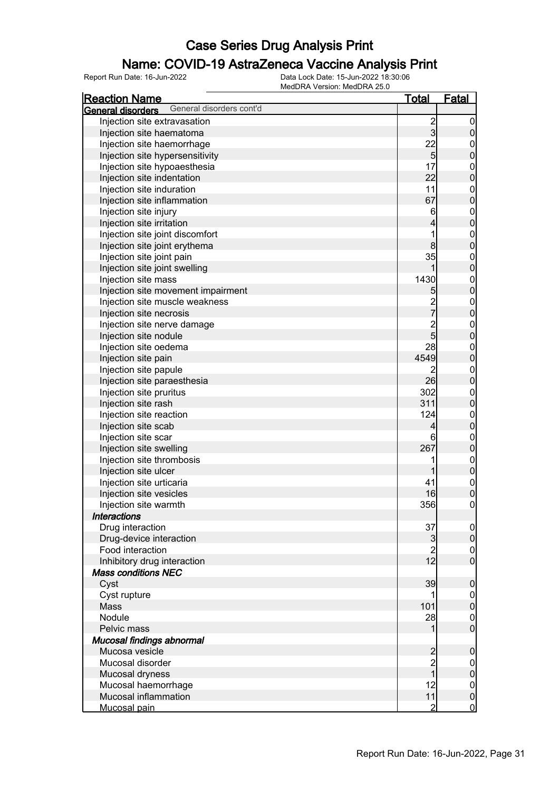### Name: COVID-19 AstraZeneca Vaccine Analysis Print

| <u>Reaction Name</u>                          | <u>Total</u>    | <b>Fatal</b>     |
|-----------------------------------------------|-----------------|------------------|
| General disorders cont'd<br>General disorders |                 |                  |
| Injection site extravasation                  |                 | $\overline{0}$   |
| Injection site haematoma                      | $\frac{2}{3}$   | $\pmb{0}$        |
| Injection site haemorrhage                    | 22              | $\boldsymbol{0}$ |
| Injection site hypersensitivity               | $5\overline{)}$ | $\mathbf 0$      |
| Injection site hypoaesthesia                  | 17              | $\boldsymbol{0}$ |
| Injection site indentation                    | 22              | $\overline{0}$   |
| Injection site induration                     | 11              | $\boldsymbol{0}$ |
| Injection site inflammation                   | 67              | $\overline{0}$   |
| Injection site injury                         | 6               | $\boldsymbol{0}$ |
| Injection site irritation                     | 4               | $\overline{0}$   |
| Injection site joint discomfort               | 1               |                  |
| Injection site joint erythema                 | 8               | $0$<br>0         |
| Injection site joint pain                     | 35              | $\boldsymbol{0}$ |
| Injection site joint swelling                 | 1               | $\overline{0}$   |
| Injection site mass                           | 1430            |                  |
| Injection site movement impairment            | 5               | $0$<br>0         |
| Injection site muscle weakness                |                 |                  |
| Injection site necrosis                       | 2<br>7          | $0$<br>0         |
| Injection site nerve damage                   |                 |                  |
| Injection site nodule                         | $\frac{2}{5}$   | $0$<br>0         |
| Injection site oedema                         | 28              | $\boldsymbol{0}$ |
| Injection site pain                           | 4549            | $\overline{0}$   |
| Injection site papule                         | 2               | $\boldsymbol{0}$ |
| Injection site paraesthesia                   | 26              | $\overline{0}$   |
| Injection site pruritus                       | 302             | $\boldsymbol{0}$ |
| Injection site rash                           | 311             | $\overline{0}$   |
| Injection site reaction                       | 124             | $\boldsymbol{0}$ |
| Injection site scab                           | $\overline{4}$  | $\overline{0}$   |
| Injection site scar                           | 6               | $\boldsymbol{0}$ |
| Injection site swelling                       | 267             | $\overline{0}$   |
| Injection site thrombosis                     |                 |                  |
| Injection site ulcer                          | 1               | $0$<br>0         |
| Injection site urticaria                      | 41              |                  |
| Injection site vesicles                       | 16              | $0$<br>0         |
| Injection site warmth                         | 356             | $\mathbf 0$      |
| <b>Interactions</b>                           |                 |                  |
| Drug interaction                              | 37              | $\overline{0}$   |
| Drug-device interaction                       | $\mathbf{3}$    | $\mathbf 0$      |
| Food interaction                              | $\overline{2}$  | $\overline{0}$   |
| Inhibitory drug interaction                   | 12              | $\overline{0}$   |
| <b>Mass conditions NEC</b>                    |                 |                  |
| Cyst                                          | 39              | $\pmb{0}$        |
| Cyst rupture                                  |                 | $\mathbf 0$      |
| <b>Mass</b>                                   | 101             | $\pmb{0}$        |
| Nodule                                        | 28              | $\mathbf 0$      |
| Pelvic mass                                   | 1               | $\overline{0}$   |
| Mucosal findings abnormal                     |                 |                  |
| Mucosa vesicle                                |                 | $\boldsymbol{0}$ |
| Mucosal disorder                              | 2<br>2          | $\overline{0}$   |
| Mucosal dryness                               | $\overline{1}$  | $\pmb{0}$        |
| Mucosal haemorrhage                           | 12              | $\boldsymbol{0}$ |
| Mucosal inflammation                          | 11              | $\mathbf 0$      |
| Mucosal pain                                  | $\overline{2}$  | $\overline{0}$   |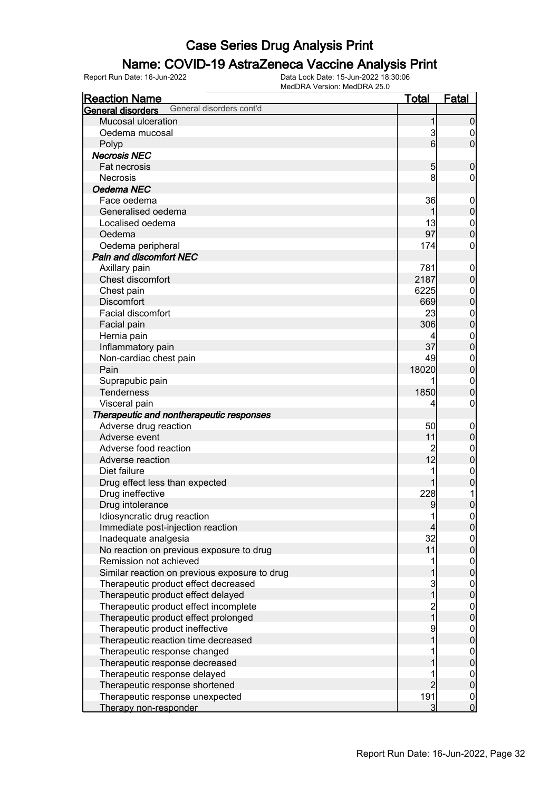### Name: COVID-19 AstraZeneca Vaccine Analysis Print

|                                                          | MedDRA Version: MedDRA 25.0 |                |                                    |
|----------------------------------------------------------|-----------------------------|----------------|------------------------------------|
| <b>Reaction Name</b>                                     |                             | <u>Total</u>   | Fatal                              |
| <b>General disorders</b>                                 | General disorders cont'd    |                |                                    |
| Mucosal ulceration                                       |                             |                | $\mathbf 0$                        |
| Oedema mucosal                                           |                             | 3              | $\overline{0}$                     |
| Polyp                                                    |                             | $6 \mid$       | $\overline{0}$                     |
| <b>Necrosis NEC</b>                                      |                             |                |                                    |
| Fat necrosis                                             |                             | 5 <sub>5</sub> | $\boldsymbol{0}$                   |
| <b>Necrosis</b>                                          |                             | 8              | 0                                  |
| Oedema NEC                                               |                             |                |                                    |
| Face oedema                                              |                             | 36             | $\mathbf 0$                        |
| Generalised oedema                                       |                             | 1              | $\overline{0}$                     |
| Localised oedema                                         |                             | 13             | $\boldsymbol{0}$                   |
| Oedema                                                   |                             | 97             | $\overline{0}$                     |
| Oedema peripheral                                        |                             | 174            | $\boldsymbol{0}$                   |
| <b>Pain and discomfort NEC</b>                           |                             |                |                                    |
| Axillary pain                                            |                             | 781            | $\mathbf 0$                        |
| Chest discomfort                                         |                             | 2187           | $\pmb{0}$                          |
| Chest pain                                               |                             | 6225           | $\overline{0}$                     |
| <b>Discomfort</b>                                        |                             | 669            | $\overline{0}$                     |
| Facial discomfort                                        |                             | 23             | $\boldsymbol{0}$                   |
| Facial pain                                              |                             | 306            | $\overline{0}$                     |
| Hernia pain                                              |                             | 4              | $\boldsymbol{0}$                   |
| Inflammatory pain                                        |                             | 37             | $\overline{0}$                     |
| Non-cardiac chest pain                                   |                             | 49             | $\boldsymbol{0}$                   |
| Pain                                                     |                             | 18020          | $\overline{0}$                     |
| Suprapubic pain                                          |                             |                | $\boldsymbol{0}$                   |
| Tenderness                                               |                             | 1850           | $\boldsymbol{0}$                   |
| Visceral pain                                            |                             | 4              | $\boldsymbol{0}$                   |
| Therapeutic and nontherapeutic responses                 |                             |                |                                    |
| Adverse drug reaction                                    |                             | 50             | $\mathbf 0$                        |
| Adverse event                                            |                             | 11             | $\pmb{0}$                          |
| Adverse food reaction                                    |                             | $\overline{c}$ | $\overline{0}$                     |
| Adverse reaction                                         |                             | 12             | $\mathbf 0$                        |
| Diet failure                                             |                             |                | $\overline{0}$                     |
| Drug effect less than expected                           |                             |                | $\overline{0}$                     |
| Drug ineffective                                         |                             | 228            | 1                                  |
| Drug intolerance                                         |                             | വ              | $\overline{0}$                     |
| Idiosyncratic drug reaction                              |                             |                | $\overline{0}$                     |
| Immediate post-injection reaction                        |                             | 4              | $\boldsymbol{0}$                   |
| Inadequate analgesia                                     |                             | 32             | $\mathbf 0$                        |
| No reaction on previous exposure to drug                 |                             | 11             | $\overline{0}$                     |
| Remission not achieved                                   |                             |                | $\boldsymbol{0}$                   |
| Similar reaction on previous exposure to drug            |                             |                | $\overline{0}$                     |
| Therapeutic product effect decreased                     |                             | 3              | $\boldsymbol{0}$                   |
| Therapeutic product effect delayed                       |                             | 1              | $\overline{0}$                     |
| Therapeutic product effect incomplete                    |                             |                | $\boldsymbol{0}$                   |
| Therapeutic product effect prolonged                     |                             | 2<br>1         | $\overline{0}$                     |
| Therapeutic product ineffective                          |                             | 9              |                                    |
| Therapeutic reaction time decreased                      |                             |                | $\boldsymbol{0}$<br>$\overline{0}$ |
| Therapeutic response changed                             |                             |                |                                    |
| Therapeutic response decreased                           |                             |                | $\mathbf{0}$<br>$\overline{0}$     |
|                                                          |                             |                |                                    |
| Therapeutic response delayed                             |                             | $\overline{2}$ | $\boldsymbol{0}$<br>$\mathbf 0$    |
| Therapeutic response shortened                           |                             | 191            |                                    |
| Therapeutic response unexpected<br>Therapy non-responder |                             | 3              | $\mathbf 0$<br>$\overline{0}$      |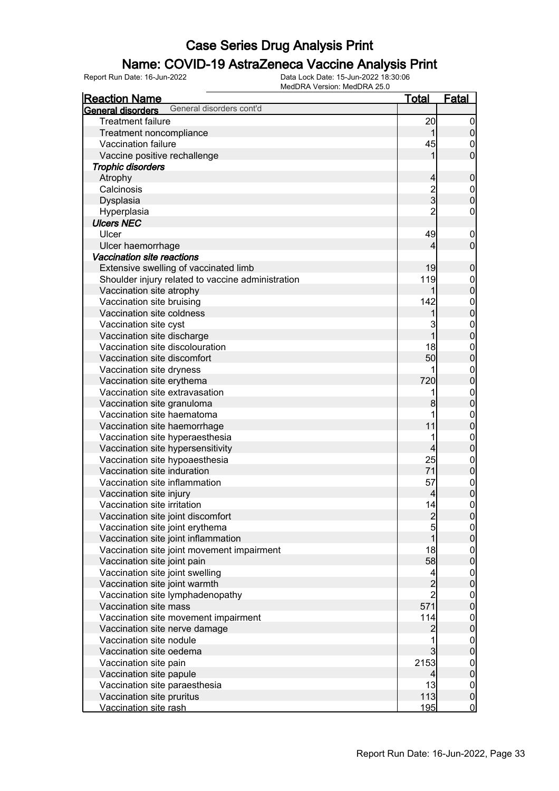### Name: COVID-19 AstraZeneca Vaccine Analysis Print

| General disorders<br><b>Treatment failure</b><br>20<br>$\overline{0}$<br>Treatment noncompliance<br>$\pmb{0}$<br>1<br>45<br>Vaccination failure<br>$\mathbf 0$<br>$\overline{0}$<br>Vaccine positive rechallenge<br>1<br><b>Trophic disorders</b><br>Atrophy<br>$\boldsymbol{0}$<br>$\overline{4}$<br>$\frac{2}{3}$<br>Calcinosis<br>$\mathbf 0$<br>$\overline{0}$<br>Dysplasia<br>$\overline{2}$<br>$\boldsymbol{0}$<br>Hyperplasia<br><b>Ulcers NEC</b><br>49<br>Ulcer<br>$\boldsymbol{0}$<br>$\overline{0}$<br>Ulcer haemorrhage<br>4<br><b>Vaccination site reactions</b><br>Extensive swelling of vaccinated limb<br>19<br>$\boldsymbol{0}$<br>Shoulder injury related to vaccine administration<br>119<br>$\mathbf{0}$<br>$\overline{0}$<br>Vaccination site atrophy<br>Vaccination site bruising<br>142<br>$\mathbf{0}$<br>$\mathbf 0$<br>Vaccination site coldness<br>1<br>3<br>Vaccination site cyst<br>$\mathbf{0}$<br>$\overline{0}$<br>1<br>Vaccination site discharge<br>Vaccination site discolouration<br>18<br>$\mathbf{0}$<br>$\overline{0}$<br>50<br>Vaccination site discomfort<br>Vaccination site dryness<br>$\mathbf{0}$<br>$\overline{0}$<br>720<br>Vaccination site erythema<br>Vaccination site extravasation<br>$\mathbf{0}$<br>1<br>$\mathbf 0$<br>8<br>Vaccination site granuloma<br>Vaccination site haematoma<br>1<br>$\mathbf{0}$<br>$\overline{0}$<br>11<br>Vaccination site haemorrhage<br>Vaccination site hyperaesthesia<br>1<br>$\mathbf{0}$<br>$\mathbf 0$<br>Vaccination site hypersensitivity<br>$\overline{4}$<br>Vaccination site hypoaesthesia<br>25<br>$\mathbf{0}$<br>$\mathbf 0$<br>71<br>Vaccination site induration<br>Vaccination site inflammation<br>57<br>$\boldsymbol{0}$<br>$\overline{0}$<br>Vaccination site injury<br>4<br>$\mathbf 0$<br>Vaccination site irritation<br>14<br>Vaccination site joint discomfort<br>2<br>5<br> 0 <br>Vaccination site joint erythema<br>이<br>$\mathbf 0$<br>Vaccination site joint inflammation<br>1<br>18<br>Vaccination site joint movement impairment<br>$\overline{0}$<br>$\mathbf 0$<br>58<br>Vaccination site joint pain<br>Vaccination site joint swelling<br>$\overline{0}$<br>4<br>$\mathbf 0$<br>$\frac{2}{2}$<br>Vaccination site joint warmth<br>Vaccination site lymphadenopathy<br>$\boldsymbol{0}$<br>$\mathbf 0$<br>571<br>Vaccination site mass<br>Vaccination site movement impairment<br>114<br>$\boldsymbol{0}$<br>$\mathbf 0$<br>Vaccination site nerve damage<br>$\overline{c}$ | <b>Reaction Name</b>     | <u>Total</u> | <b>Fatal</b>   |
|-----------------------------------------------------------------------------------------------------------------------------------------------------------------------------------------------------------------------------------------------------------------------------------------------------------------------------------------------------------------------------------------------------------------------------------------------------------------------------------------------------------------------------------------------------------------------------------------------------------------------------------------------------------------------------------------------------------------------------------------------------------------------------------------------------------------------------------------------------------------------------------------------------------------------------------------------------------------------------------------------------------------------------------------------------------------------------------------------------------------------------------------------------------------------------------------------------------------------------------------------------------------------------------------------------------------------------------------------------------------------------------------------------------------------------------------------------------------------------------------------------------------------------------------------------------------------------------------------------------------------------------------------------------------------------------------------------------------------------------------------------------------------------------------------------------------------------------------------------------------------------------------------------------------------------------------------------------------------------------------------------------------------------------------------------------------------------------------------------------------------------------------------------------------------------------------------------------------------------------------------------------------------------------------------------------------------------------------------------------------------------------------------------------------------------------------------------------------------------------------------|--------------------------|--------------|----------------|
|                                                                                                                                                                                                                                                                                                                                                                                                                                                                                                                                                                                                                                                                                                                                                                                                                                                                                                                                                                                                                                                                                                                                                                                                                                                                                                                                                                                                                                                                                                                                                                                                                                                                                                                                                                                                                                                                                                                                                                                                                                                                                                                                                                                                                                                                                                                                                                                                                                                                                               | General disorders cont'd |              |                |
|                                                                                                                                                                                                                                                                                                                                                                                                                                                                                                                                                                                                                                                                                                                                                                                                                                                                                                                                                                                                                                                                                                                                                                                                                                                                                                                                                                                                                                                                                                                                                                                                                                                                                                                                                                                                                                                                                                                                                                                                                                                                                                                                                                                                                                                                                                                                                                                                                                                                                               |                          |              |                |
|                                                                                                                                                                                                                                                                                                                                                                                                                                                                                                                                                                                                                                                                                                                                                                                                                                                                                                                                                                                                                                                                                                                                                                                                                                                                                                                                                                                                                                                                                                                                                                                                                                                                                                                                                                                                                                                                                                                                                                                                                                                                                                                                                                                                                                                                                                                                                                                                                                                                                               |                          |              |                |
|                                                                                                                                                                                                                                                                                                                                                                                                                                                                                                                                                                                                                                                                                                                                                                                                                                                                                                                                                                                                                                                                                                                                                                                                                                                                                                                                                                                                                                                                                                                                                                                                                                                                                                                                                                                                                                                                                                                                                                                                                                                                                                                                                                                                                                                                                                                                                                                                                                                                                               |                          |              |                |
|                                                                                                                                                                                                                                                                                                                                                                                                                                                                                                                                                                                                                                                                                                                                                                                                                                                                                                                                                                                                                                                                                                                                                                                                                                                                                                                                                                                                                                                                                                                                                                                                                                                                                                                                                                                                                                                                                                                                                                                                                                                                                                                                                                                                                                                                                                                                                                                                                                                                                               |                          |              |                |
|                                                                                                                                                                                                                                                                                                                                                                                                                                                                                                                                                                                                                                                                                                                                                                                                                                                                                                                                                                                                                                                                                                                                                                                                                                                                                                                                                                                                                                                                                                                                                                                                                                                                                                                                                                                                                                                                                                                                                                                                                                                                                                                                                                                                                                                                                                                                                                                                                                                                                               |                          |              |                |
|                                                                                                                                                                                                                                                                                                                                                                                                                                                                                                                                                                                                                                                                                                                                                                                                                                                                                                                                                                                                                                                                                                                                                                                                                                                                                                                                                                                                                                                                                                                                                                                                                                                                                                                                                                                                                                                                                                                                                                                                                                                                                                                                                                                                                                                                                                                                                                                                                                                                                               |                          |              |                |
|                                                                                                                                                                                                                                                                                                                                                                                                                                                                                                                                                                                                                                                                                                                                                                                                                                                                                                                                                                                                                                                                                                                                                                                                                                                                                                                                                                                                                                                                                                                                                                                                                                                                                                                                                                                                                                                                                                                                                                                                                                                                                                                                                                                                                                                                                                                                                                                                                                                                                               |                          |              |                |
|                                                                                                                                                                                                                                                                                                                                                                                                                                                                                                                                                                                                                                                                                                                                                                                                                                                                                                                                                                                                                                                                                                                                                                                                                                                                                                                                                                                                                                                                                                                                                                                                                                                                                                                                                                                                                                                                                                                                                                                                                                                                                                                                                                                                                                                                                                                                                                                                                                                                                               |                          |              |                |
|                                                                                                                                                                                                                                                                                                                                                                                                                                                                                                                                                                                                                                                                                                                                                                                                                                                                                                                                                                                                                                                                                                                                                                                                                                                                                                                                                                                                                                                                                                                                                                                                                                                                                                                                                                                                                                                                                                                                                                                                                                                                                                                                                                                                                                                                                                                                                                                                                                                                                               |                          |              |                |
|                                                                                                                                                                                                                                                                                                                                                                                                                                                                                                                                                                                                                                                                                                                                                                                                                                                                                                                                                                                                                                                                                                                                                                                                                                                                                                                                                                                                                                                                                                                                                                                                                                                                                                                                                                                                                                                                                                                                                                                                                                                                                                                                                                                                                                                                                                                                                                                                                                                                                               |                          |              |                |
|                                                                                                                                                                                                                                                                                                                                                                                                                                                                                                                                                                                                                                                                                                                                                                                                                                                                                                                                                                                                                                                                                                                                                                                                                                                                                                                                                                                                                                                                                                                                                                                                                                                                                                                                                                                                                                                                                                                                                                                                                                                                                                                                                                                                                                                                                                                                                                                                                                                                                               |                          |              |                |
|                                                                                                                                                                                                                                                                                                                                                                                                                                                                                                                                                                                                                                                                                                                                                                                                                                                                                                                                                                                                                                                                                                                                                                                                                                                                                                                                                                                                                                                                                                                                                                                                                                                                                                                                                                                                                                                                                                                                                                                                                                                                                                                                                                                                                                                                                                                                                                                                                                                                                               |                          |              |                |
|                                                                                                                                                                                                                                                                                                                                                                                                                                                                                                                                                                                                                                                                                                                                                                                                                                                                                                                                                                                                                                                                                                                                                                                                                                                                                                                                                                                                                                                                                                                                                                                                                                                                                                                                                                                                                                                                                                                                                                                                                                                                                                                                                                                                                                                                                                                                                                                                                                                                                               |                          |              |                |
|                                                                                                                                                                                                                                                                                                                                                                                                                                                                                                                                                                                                                                                                                                                                                                                                                                                                                                                                                                                                                                                                                                                                                                                                                                                                                                                                                                                                                                                                                                                                                                                                                                                                                                                                                                                                                                                                                                                                                                                                                                                                                                                                                                                                                                                                                                                                                                                                                                                                                               |                          |              |                |
|                                                                                                                                                                                                                                                                                                                                                                                                                                                                                                                                                                                                                                                                                                                                                                                                                                                                                                                                                                                                                                                                                                                                                                                                                                                                                                                                                                                                                                                                                                                                                                                                                                                                                                                                                                                                                                                                                                                                                                                                                                                                                                                                                                                                                                                                                                                                                                                                                                                                                               |                          |              |                |
|                                                                                                                                                                                                                                                                                                                                                                                                                                                                                                                                                                                                                                                                                                                                                                                                                                                                                                                                                                                                                                                                                                                                                                                                                                                                                                                                                                                                                                                                                                                                                                                                                                                                                                                                                                                                                                                                                                                                                                                                                                                                                                                                                                                                                                                                                                                                                                                                                                                                                               |                          |              |                |
|                                                                                                                                                                                                                                                                                                                                                                                                                                                                                                                                                                                                                                                                                                                                                                                                                                                                                                                                                                                                                                                                                                                                                                                                                                                                                                                                                                                                                                                                                                                                                                                                                                                                                                                                                                                                                                                                                                                                                                                                                                                                                                                                                                                                                                                                                                                                                                                                                                                                                               |                          |              |                |
|                                                                                                                                                                                                                                                                                                                                                                                                                                                                                                                                                                                                                                                                                                                                                                                                                                                                                                                                                                                                                                                                                                                                                                                                                                                                                                                                                                                                                                                                                                                                                                                                                                                                                                                                                                                                                                                                                                                                                                                                                                                                                                                                                                                                                                                                                                                                                                                                                                                                                               |                          |              |                |
|                                                                                                                                                                                                                                                                                                                                                                                                                                                                                                                                                                                                                                                                                                                                                                                                                                                                                                                                                                                                                                                                                                                                                                                                                                                                                                                                                                                                                                                                                                                                                                                                                                                                                                                                                                                                                                                                                                                                                                                                                                                                                                                                                                                                                                                                                                                                                                                                                                                                                               |                          |              |                |
|                                                                                                                                                                                                                                                                                                                                                                                                                                                                                                                                                                                                                                                                                                                                                                                                                                                                                                                                                                                                                                                                                                                                                                                                                                                                                                                                                                                                                                                                                                                                                                                                                                                                                                                                                                                                                                                                                                                                                                                                                                                                                                                                                                                                                                                                                                                                                                                                                                                                                               |                          |              |                |
|                                                                                                                                                                                                                                                                                                                                                                                                                                                                                                                                                                                                                                                                                                                                                                                                                                                                                                                                                                                                                                                                                                                                                                                                                                                                                                                                                                                                                                                                                                                                                                                                                                                                                                                                                                                                                                                                                                                                                                                                                                                                                                                                                                                                                                                                                                                                                                                                                                                                                               |                          |              |                |
|                                                                                                                                                                                                                                                                                                                                                                                                                                                                                                                                                                                                                                                                                                                                                                                                                                                                                                                                                                                                                                                                                                                                                                                                                                                                                                                                                                                                                                                                                                                                                                                                                                                                                                                                                                                                                                                                                                                                                                                                                                                                                                                                                                                                                                                                                                                                                                                                                                                                                               |                          |              |                |
|                                                                                                                                                                                                                                                                                                                                                                                                                                                                                                                                                                                                                                                                                                                                                                                                                                                                                                                                                                                                                                                                                                                                                                                                                                                                                                                                                                                                                                                                                                                                                                                                                                                                                                                                                                                                                                                                                                                                                                                                                                                                                                                                                                                                                                                                                                                                                                                                                                                                                               |                          |              |                |
|                                                                                                                                                                                                                                                                                                                                                                                                                                                                                                                                                                                                                                                                                                                                                                                                                                                                                                                                                                                                                                                                                                                                                                                                                                                                                                                                                                                                                                                                                                                                                                                                                                                                                                                                                                                                                                                                                                                                                                                                                                                                                                                                                                                                                                                                                                                                                                                                                                                                                               |                          |              |                |
|                                                                                                                                                                                                                                                                                                                                                                                                                                                                                                                                                                                                                                                                                                                                                                                                                                                                                                                                                                                                                                                                                                                                                                                                                                                                                                                                                                                                                                                                                                                                                                                                                                                                                                                                                                                                                                                                                                                                                                                                                                                                                                                                                                                                                                                                                                                                                                                                                                                                                               |                          |              |                |
|                                                                                                                                                                                                                                                                                                                                                                                                                                                                                                                                                                                                                                                                                                                                                                                                                                                                                                                                                                                                                                                                                                                                                                                                                                                                                                                                                                                                                                                                                                                                                                                                                                                                                                                                                                                                                                                                                                                                                                                                                                                                                                                                                                                                                                                                                                                                                                                                                                                                                               |                          |              |                |
|                                                                                                                                                                                                                                                                                                                                                                                                                                                                                                                                                                                                                                                                                                                                                                                                                                                                                                                                                                                                                                                                                                                                                                                                                                                                                                                                                                                                                                                                                                                                                                                                                                                                                                                                                                                                                                                                                                                                                                                                                                                                                                                                                                                                                                                                                                                                                                                                                                                                                               |                          |              |                |
|                                                                                                                                                                                                                                                                                                                                                                                                                                                                                                                                                                                                                                                                                                                                                                                                                                                                                                                                                                                                                                                                                                                                                                                                                                                                                                                                                                                                                                                                                                                                                                                                                                                                                                                                                                                                                                                                                                                                                                                                                                                                                                                                                                                                                                                                                                                                                                                                                                                                                               |                          |              |                |
|                                                                                                                                                                                                                                                                                                                                                                                                                                                                                                                                                                                                                                                                                                                                                                                                                                                                                                                                                                                                                                                                                                                                                                                                                                                                                                                                                                                                                                                                                                                                                                                                                                                                                                                                                                                                                                                                                                                                                                                                                                                                                                                                                                                                                                                                                                                                                                                                                                                                                               |                          |              |                |
|                                                                                                                                                                                                                                                                                                                                                                                                                                                                                                                                                                                                                                                                                                                                                                                                                                                                                                                                                                                                                                                                                                                                                                                                                                                                                                                                                                                                                                                                                                                                                                                                                                                                                                                                                                                                                                                                                                                                                                                                                                                                                                                                                                                                                                                                                                                                                                                                                                                                                               |                          |              |                |
|                                                                                                                                                                                                                                                                                                                                                                                                                                                                                                                                                                                                                                                                                                                                                                                                                                                                                                                                                                                                                                                                                                                                                                                                                                                                                                                                                                                                                                                                                                                                                                                                                                                                                                                                                                                                                                                                                                                                                                                                                                                                                                                                                                                                                                                                                                                                                                                                                                                                                               |                          |              |                |
|                                                                                                                                                                                                                                                                                                                                                                                                                                                                                                                                                                                                                                                                                                                                                                                                                                                                                                                                                                                                                                                                                                                                                                                                                                                                                                                                                                                                                                                                                                                                                                                                                                                                                                                                                                                                                                                                                                                                                                                                                                                                                                                                                                                                                                                                                                                                                                                                                                                                                               |                          |              |                |
|                                                                                                                                                                                                                                                                                                                                                                                                                                                                                                                                                                                                                                                                                                                                                                                                                                                                                                                                                                                                                                                                                                                                                                                                                                                                                                                                                                                                                                                                                                                                                                                                                                                                                                                                                                                                                                                                                                                                                                                                                                                                                                                                                                                                                                                                                                                                                                                                                                                                                               |                          |              |                |
|                                                                                                                                                                                                                                                                                                                                                                                                                                                                                                                                                                                                                                                                                                                                                                                                                                                                                                                                                                                                                                                                                                                                                                                                                                                                                                                                                                                                                                                                                                                                                                                                                                                                                                                                                                                                                                                                                                                                                                                                                                                                                                                                                                                                                                                                                                                                                                                                                                                                                               |                          |              |                |
|                                                                                                                                                                                                                                                                                                                                                                                                                                                                                                                                                                                                                                                                                                                                                                                                                                                                                                                                                                                                                                                                                                                                                                                                                                                                                                                                                                                                                                                                                                                                                                                                                                                                                                                                                                                                                                                                                                                                                                                                                                                                                                                                                                                                                                                                                                                                                                                                                                                                                               |                          |              |                |
|                                                                                                                                                                                                                                                                                                                                                                                                                                                                                                                                                                                                                                                                                                                                                                                                                                                                                                                                                                                                                                                                                                                                                                                                                                                                                                                                                                                                                                                                                                                                                                                                                                                                                                                                                                                                                                                                                                                                                                                                                                                                                                                                                                                                                                                                                                                                                                                                                                                                                               |                          |              |                |
|                                                                                                                                                                                                                                                                                                                                                                                                                                                                                                                                                                                                                                                                                                                                                                                                                                                                                                                                                                                                                                                                                                                                                                                                                                                                                                                                                                                                                                                                                                                                                                                                                                                                                                                                                                                                                                                                                                                                                                                                                                                                                                                                                                                                                                                                                                                                                                                                                                                                                               |                          |              |                |
|                                                                                                                                                                                                                                                                                                                                                                                                                                                                                                                                                                                                                                                                                                                                                                                                                                                                                                                                                                                                                                                                                                                                                                                                                                                                                                                                                                                                                                                                                                                                                                                                                                                                                                                                                                                                                                                                                                                                                                                                                                                                                                                                                                                                                                                                                                                                                                                                                                                                                               |                          |              |                |
|                                                                                                                                                                                                                                                                                                                                                                                                                                                                                                                                                                                                                                                                                                                                                                                                                                                                                                                                                                                                                                                                                                                                                                                                                                                                                                                                                                                                                                                                                                                                                                                                                                                                                                                                                                                                                                                                                                                                                                                                                                                                                                                                                                                                                                                                                                                                                                                                                                                                                               |                          |              |                |
|                                                                                                                                                                                                                                                                                                                                                                                                                                                                                                                                                                                                                                                                                                                                                                                                                                                                                                                                                                                                                                                                                                                                                                                                                                                                                                                                                                                                                                                                                                                                                                                                                                                                                                                                                                                                                                                                                                                                                                                                                                                                                                                                                                                                                                                                                                                                                                                                                                                                                               |                          |              |                |
|                                                                                                                                                                                                                                                                                                                                                                                                                                                                                                                                                                                                                                                                                                                                                                                                                                                                                                                                                                                                                                                                                                                                                                                                                                                                                                                                                                                                                                                                                                                                                                                                                                                                                                                                                                                                                                                                                                                                                                                                                                                                                                                                                                                                                                                                                                                                                                                                                                                                                               |                          |              |                |
|                                                                                                                                                                                                                                                                                                                                                                                                                                                                                                                                                                                                                                                                                                                                                                                                                                                                                                                                                                                                                                                                                                                                                                                                                                                                                                                                                                                                                                                                                                                                                                                                                                                                                                                                                                                                                                                                                                                                                                                                                                                                                                                                                                                                                                                                                                                                                                                                                                                                                               |                          |              |                |
|                                                                                                                                                                                                                                                                                                                                                                                                                                                                                                                                                                                                                                                                                                                                                                                                                                                                                                                                                                                                                                                                                                                                                                                                                                                                                                                                                                                                                                                                                                                                                                                                                                                                                                                                                                                                                                                                                                                                                                                                                                                                                                                                                                                                                                                                                                                                                                                                                                                                                               |                          |              |                |
|                                                                                                                                                                                                                                                                                                                                                                                                                                                                                                                                                                                                                                                                                                                                                                                                                                                                                                                                                                                                                                                                                                                                                                                                                                                                                                                                                                                                                                                                                                                                                                                                                                                                                                                                                                                                                                                                                                                                                                                                                                                                                                                                                                                                                                                                                                                                                                                                                                                                                               |                          |              |                |
|                                                                                                                                                                                                                                                                                                                                                                                                                                                                                                                                                                                                                                                                                                                                                                                                                                                                                                                                                                                                                                                                                                                                                                                                                                                                                                                                                                                                                                                                                                                                                                                                                                                                                                                                                                                                                                                                                                                                                                                                                                                                                                                                                                                                                                                                                                                                                                                                                                                                                               |                          |              |                |
|                                                                                                                                                                                                                                                                                                                                                                                                                                                                                                                                                                                                                                                                                                                                                                                                                                                                                                                                                                                                                                                                                                                                                                                                                                                                                                                                                                                                                                                                                                                                                                                                                                                                                                                                                                                                                                                                                                                                                                                                                                                                                                                                                                                                                                                                                                                                                                                                                                                                                               |                          |              |                |
|                                                                                                                                                                                                                                                                                                                                                                                                                                                                                                                                                                                                                                                                                                                                                                                                                                                                                                                                                                                                                                                                                                                                                                                                                                                                                                                                                                                                                                                                                                                                                                                                                                                                                                                                                                                                                                                                                                                                                                                                                                                                                                                                                                                                                                                                                                                                                                                                                                                                                               |                          |              |                |
|                                                                                                                                                                                                                                                                                                                                                                                                                                                                                                                                                                                                                                                                                                                                                                                                                                                                                                                                                                                                                                                                                                                                                                                                                                                                                                                                                                                                                                                                                                                                                                                                                                                                                                                                                                                                                                                                                                                                                                                                                                                                                                                                                                                                                                                                                                                                                                                                                                                                                               | Vaccination site nodule  |              | $\overline{0}$ |
| $\mathbf 0$<br>$\overline{3}$<br>Vaccination site oedema                                                                                                                                                                                                                                                                                                                                                                                                                                                                                                                                                                                                                                                                                                                                                                                                                                                                                                                                                                                                                                                                                                                                                                                                                                                                                                                                                                                                                                                                                                                                                                                                                                                                                                                                                                                                                                                                                                                                                                                                                                                                                                                                                                                                                                                                                                                                                                                                                                      |                          |              |                |
| 2153<br>Vaccination site pain                                                                                                                                                                                                                                                                                                                                                                                                                                                                                                                                                                                                                                                                                                                                                                                                                                                                                                                                                                                                                                                                                                                                                                                                                                                                                                                                                                                                                                                                                                                                                                                                                                                                                                                                                                                                                                                                                                                                                                                                                                                                                                                                                                                                                                                                                                                                                                                                                                                                 |                          |              |                |
| $\overline{0}$<br>$\boldsymbol{0}$<br>Vaccination site papule                                                                                                                                                                                                                                                                                                                                                                                                                                                                                                                                                                                                                                                                                                                                                                                                                                                                                                                                                                                                                                                                                                                                                                                                                                                                                                                                                                                                                                                                                                                                                                                                                                                                                                                                                                                                                                                                                                                                                                                                                                                                                                                                                                                                                                                                                                                                                                                                                                 |                          |              |                |
| $\overline{4}$<br>Vaccination site paraesthesia<br>13                                                                                                                                                                                                                                                                                                                                                                                                                                                                                                                                                                                                                                                                                                                                                                                                                                                                                                                                                                                                                                                                                                                                                                                                                                                                                                                                                                                                                                                                                                                                                                                                                                                                                                                                                                                                                                                                                                                                                                                                                                                                                                                                                                                                                                                                                                                                                                                                                                         |                          |              |                |
| $\overline{0}$<br>$\mathbf 0$<br>Vaccination site pruritus<br>113                                                                                                                                                                                                                                                                                                                                                                                                                                                                                                                                                                                                                                                                                                                                                                                                                                                                                                                                                                                                                                                                                                                                                                                                                                                                                                                                                                                                                                                                                                                                                                                                                                                                                                                                                                                                                                                                                                                                                                                                                                                                                                                                                                                                                                                                                                                                                                                                                             |                          |              |                |
| 195<br>$\overline{0}$<br>Vaccination site rash                                                                                                                                                                                                                                                                                                                                                                                                                                                                                                                                                                                                                                                                                                                                                                                                                                                                                                                                                                                                                                                                                                                                                                                                                                                                                                                                                                                                                                                                                                                                                                                                                                                                                                                                                                                                                                                                                                                                                                                                                                                                                                                                                                                                                                                                                                                                                                                                                                                |                          |              |                |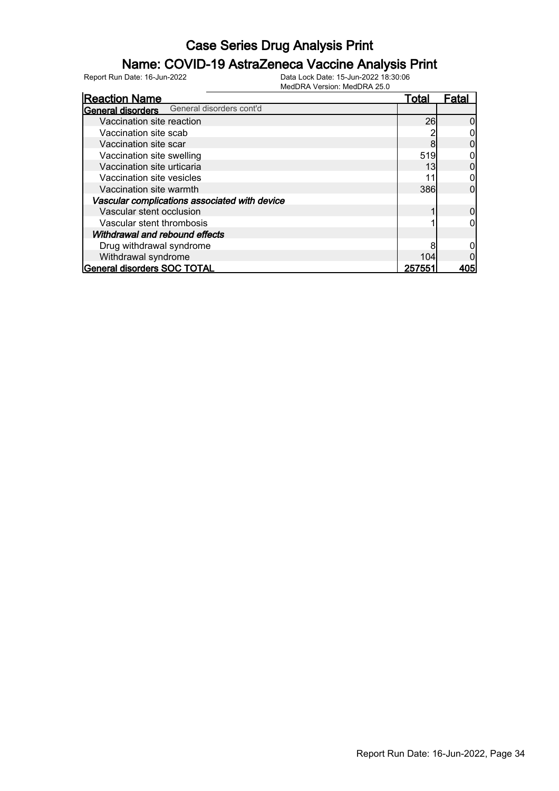### Name: COVID-19 AstraZeneca Vaccine Analysis Print

| <b>Reaction Name</b>                              | Total  | Fatal |
|---------------------------------------------------|--------|-------|
| <b>General disorders</b> General disorders cont'd |        |       |
| Vaccination site reaction                         | 26     |       |
| Vaccination site scab                             |        |       |
| Vaccination site scar                             |        |       |
| Vaccination site swelling                         | 519    |       |
| Vaccination site urticaria                        | 13     |       |
| Vaccination site vesicles                         |        |       |
| Vaccination site warmth                           | 386    |       |
| Vascular complications associated with device     |        |       |
| Vascular stent occlusion                          |        |       |
| Vascular stent thrombosis                         |        |       |
| Withdrawal and rebound effects                    |        |       |
| Drug withdrawal syndrome                          |        |       |
| Withdrawal syndrome                               | 104    |       |
| <b>General disorders SOC TOTAL</b>                | 257551 | 4051  |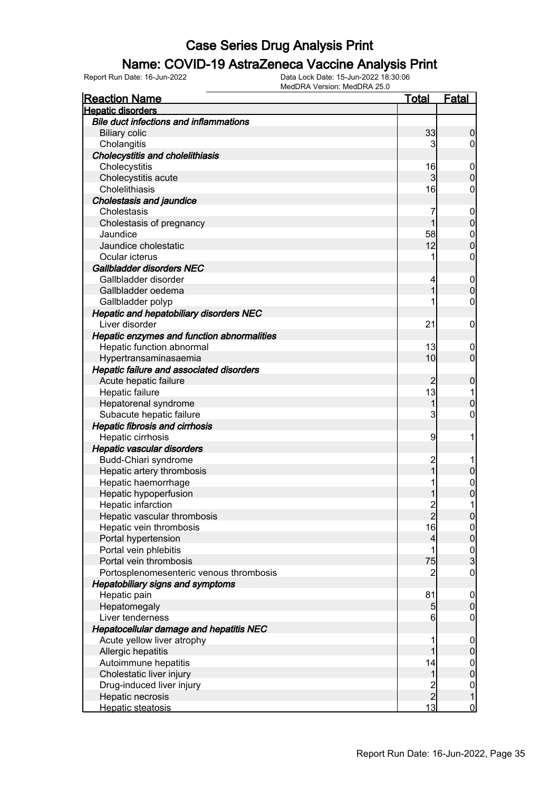### Name: COVID-19 AstraZeneca Vaccine Analysis Print

Report Run Date: 16-Jun-2022 Data Lock Date: 15-Jun-2022 18:30:06

MedDRA Version: MedDRA 25.0

| <b>Reaction Name</b>                           | <u>Total</u>            | <b>Fatal</b>        |
|------------------------------------------------|-------------------------|---------------------|
| <b>Hepatic disorders</b>                       |                         |                     |
| <b>Bile duct infections and inflammations</b>  |                         |                     |
| <b>Biliary colic</b>                           | 33                      | 0                   |
| Cholangitis                                    | 3                       | 0                   |
| <b>Cholecystitis and cholelithiasis</b>        |                         |                     |
| Cholecystitis                                  | 16                      | $\overline{0}$      |
| Cholecystitis acute                            | 3                       | 0                   |
| Cholelithiasis                                 | 16                      | 0                   |
| <b>Cholestasis and jaundice</b>                |                         |                     |
| Cholestasis                                    | 7                       | $\overline{0}$      |
| Cholestasis of pregnancy                       |                         | 0                   |
| Jaundice                                       | 58                      | $\mathbf{0}$        |
| Jaundice cholestatic                           | 12                      | 0                   |
| Ocular icterus                                 | 1                       | 0                   |
| Gallbladder disorders NEC                      |                         |                     |
| Gallbladder disorder                           | 4                       | $\mathbf 0$         |
| Gallbladder oedema                             |                         | 0                   |
| Gallbladder polyp                              |                         | 0                   |
| <b>Hepatic and hepatobiliary disorders NEC</b> |                         |                     |
| Liver disorder                                 | 21                      | 0                   |
| Hepatic enzymes and function abnormalities     |                         |                     |
| Hepatic function abnormal                      | 13                      | $\boldsymbol{0}$    |
| Hypertransaminasaemia                          | 10                      | $\overline{0}$      |
| Hepatic failure and associated disorders       |                         |                     |
| Acute hepatic failure                          | 2                       | 0                   |
| Hepatic failure                                | 13                      |                     |
| Hepatorenal syndrome                           | 1                       | 0                   |
| Subacute hepatic failure                       | 3                       | 0                   |
| <b>Hepatic fibrosis and cirrhosis</b>          |                         |                     |
| Hepatic cirrhosis                              | 9                       | 1                   |
| Hepatic vascular disorders                     |                         |                     |
| Budd-Chiari syndrome                           | $\overline{c}$          |                     |
| Hepatic artery thrombosis                      |                         | 0                   |
| Hepatic haemorrhage                            |                         | $\mathbf 0$         |
| Hepatic hypoperfusion                          |                         | 0                   |
| Hepatic infarction                             | $\overline{c}$          | 1                   |
| Hepatic vascular thrombosis                    | $\overline{2}$          | $\Omega$            |
| Hepatic vein thrombosis                        | 16                      | $\overline{0}$      |
| Portal hypertension                            | 4                       | $\mathsf{O}\xspace$ |
| Portal vein phlebitis                          | 1                       | $\frac{0}{3}$       |
| Portal vein thrombosis                         | 75                      |                     |
| Portosplenomesenteric venous thrombosis        | 2                       | $\boldsymbol{0}$    |
| <b>Hepatobiliary signs and symptoms</b>        |                         |                     |
| Hepatic pain                                   | 81                      | $\mathbf 0$         |
| Hepatomegaly                                   | 5                       | $\mathbf 0$         |
| Liver tenderness                               | 6                       | $\mathbf 0$         |
| Hepatocellular damage and hepatitis NEC        |                         |                     |
| Acute yellow liver atrophy                     | 1                       | $\mathbf 0$         |
| Allergic hepatitis                             |                         | 0                   |
| Autoimmune hepatitis                           | 14                      | $\mathbf 0$         |
| Cholestatic liver injury                       | 1                       | $\boldsymbol{0}$    |
| Drug-induced liver injury                      | $\overline{\mathbf{c}}$ | $\mathbf 0$         |
| Hepatic necrosis                               | $\overline{2}$          | 1                   |
| Hepatic steatosis                              | 13                      | $\mathbf 0$         |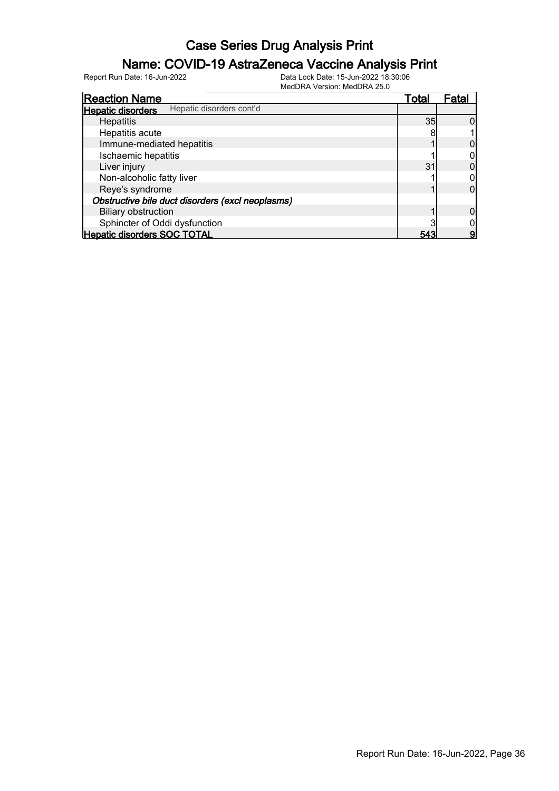### Name: COVID-19 AstraZeneca Vaccine Analysis Print

| <b>Reaction Name</b>                             |                          | Total | Fatal |
|--------------------------------------------------|--------------------------|-------|-------|
| <b>Hepatic disorders</b>                         | Hepatic disorders cont'd |       |       |
| <b>Hepatitis</b>                                 |                          | 35    |       |
| Hepatitis acute                                  |                          |       |       |
| Immune-mediated hepatitis                        |                          |       |       |
| Ischaemic hepatitis                              |                          |       |       |
| Liver injury                                     |                          | 31    |       |
| Non-alcoholic fatty liver                        |                          |       |       |
| Reye's syndrome                                  |                          |       |       |
| Obstructive bile duct disorders (excl neoplasms) |                          |       |       |
| <b>Biliary obstruction</b>                       |                          |       |       |
| Sphincter of Oddi dysfunction                    |                          |       |       |
| <b>Hepatic disorders SOC TOTAL</b>               |                          | 543   |       |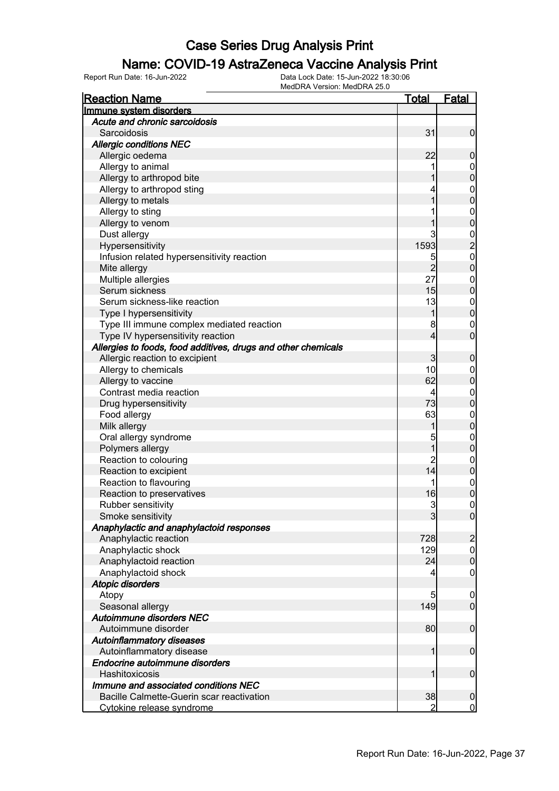#### Name: COVID-19 AstraZeneca Vaccine Analysis Print

| <b>Reaction Name</b>                                          | Total          | <b>Fatal</b>                               |
|---------------------------------------------------------------|----------------|--------------------------------------------|
| Immune system disorders                                       |                |                                            |
| Acute and chronic sarcoidosis                                 |                |                                            |
| Sarcoidosis                                                   | 31             | $\mathbf 0$                                |
| <b>Allergic conditions NEC</b>                                |                |                                            |
| Allergic oedema                                               | 22             | $\boldsymbol{0}$                           |
| Allergy to animal                                             |                | $\mathbf 0$                                |
| Allergy to arthropod bite                                     |                | $\mathbf 0$                                |
| Allergy to arthropod sting                                    |                | $\boldsymbol{0}$                           |
| Allergy to metals                                             | 1              | $\mathbf 0$                                |
| Allergy to sting                                              |                | $\boldsymbol{0}$                           |
| Allergy to venom                                              |                | $\mathbf 0$                                |
| Dust allergy                                                  | 3              |                                            |
| Hypersensitivity                                              | 1593           | $\begin{array}{c} 0 \\ 2 \\ 0 \end{array}$ |
| Infusion related hypersensitivity reaction                    | 5              |                                            |
| Mite allergy                                                  | $\overline{2}$ | $\mathbf 0$                                |
| Multiple allergies                                            | 27             | $\boldsymbol{0}$                           |
| Serum sickness                                                | 15             | $\mathbf 0$                                |
| Serum sickness-like reaction                                  | 13             | $\boldsymbol{0}$                           |
| Type I hypersensitivity                                       | 1              | $\mathbf 0$                                |
| Type III immune complex mediated reaction                     | 8              | $\mathbf 0$                                |
| Type IV hypersensitivity reaction                             | 4              | $\mathbf 0$                                |
| Allergies to foods, food additives, drugs and other chemicals |                |                                            |
| Allergic reaction to excipient                                | 3              | $\boldsymbol{0}$                           |
| Allergy to chemicals                                          | 10             | $\mathbf 0$                                |
| Allergy to vaccine                                            | 62             | $\pmb{0}$                                  |
| Contrast media reaction                                       | 4              | $\boldsymbol{0}$                           |
| Drug hypersensitivity                                         | 73             | $\mathbf 0$                                |
| Food allergy                                                  | 63             | $\boldsymbol{0}$                           |
| Milk allergy                                                  | 1              | $\mathbf 0$                                |
| Oral allergy syndrome                                         | 5              | $\boldsymbol{0}$                           |
| Polymers allergy                                              | 1              | $\mathbf 0$                                |
| Reaction to colouring                                         | $\overline{c}$ | $\boldsymbol{0}$                           |
| Reaction to excipient                                         | 14             | $\mathbf 0$                                |
| Reaction to flavouring                                        | 1              | $\boldsymbol{0}$                           |
| Reaction to preservatives                                     | 16             | $\overline{0}$                             |
| Rubber sensitivity                                            | 3              | $\pmb{0}$                                  |
| Smoke sensitivity                                             | 3              | 0                                          |
| Anaphylactic and anaphylactoid responses                      |                |                                            |
| Anaphylactic reaction                                         | 728            | $\overline{c}$                             |
| Anaphylactic shock                                            | 129            | $\boldsymbol{0}$                           |
| Anaphylactoid reaction                                        | 24             | $\mathbf 0$                                |
| Anaphylactoid shock                                           | 4              | $\mathbf 0$                                |
| <b>Atopic disorders</b>                                       |                |                                            |
| Atopy                                                         | 5              | $\boldsymbol{0}$                           |
| Seasonal allergy                                              | 149            | $\overline{0}$                             |
| Autoimmune disorders NEC                                      |                |                                            |
| Autoimmune disorder                                           | 80             | $\boldsymbol{0}$                           |
| <b>Autoinflammatory diseases</b>                              |                |                                            |
| Autoinflammatory disease                                      | 1              | $\boldsymbol{0}$                           |
| Endocrine autoimmune disorders                                |                |                                            |
| Hashitoxicosis                                                | 1              | $\boldsymbol{0}$                           |
| Immune and associated conditions NEC                          |                |                                            |
| Bacille Calmette-Guerin scar reactivation                     | 38             | $\mathbf 0$                                |
| Cytokine release syndrome                                     | 2              | $\overline{0}$                             |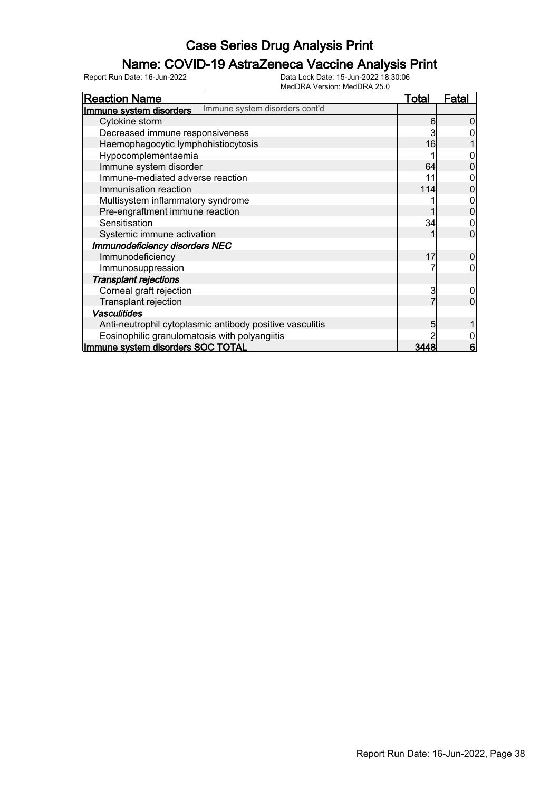### Name: COVID-19 AstraZeneca Vaccine Analysis Print

Report Run Date: 16-Jun-2022 Data Lock Date: 15-Jun-2022 18:30:06

|                                               | MedDRA Version: MedDRA 25.0                              |              |              |
|-----------------------------------------------|----------------------------------------------------------|--------------|--------------|
| <b>Reaction Name</b>                          |                                                          | <u>Total</u> | <u>Fatal</u> |
| Immune system disorders                       | Immune system disorders cont'd                           |              |              |
| Cytokine storm                                |                                                          | 6            |              |
| Decreased immune responsiveness               |                                                          |              |              |
| Haemophagocytic lymphohistiocytosis           |                                                          | 16           |              |
| Hypocomplementaemia                           |                                                          |              |              |
| Immune system disorder                        |                                                          | 64           |              |
| Immune-mediated adverse reaction              |                                                          | 11           |              |
| Immunisation reaction                         |                                                          | 114          |              |
| Multisystem inflammatory syndrome             |                                                          |              |              |
| Pre-engraftment immune reaction               |                                                          |              | 0            |
| Sensitisation                                 |                                                          | 34           |              |
| Systemic immune activation                    |                                                          |              | 0            |
| Immunodeficiency disorders NEC                |                                                          |              |              |
| Immunodeficiency                              |                                                          | 17           | 0            |
| Immunosuppression                             |                                                          |              |              |
| <b>Transplant rejections</b>                  |                                                          |              |              |
| Corneal graft rejection                       |                                                          | 3            |              |
| Transplant rejection                          |                                                          |              |              |
| <b>Vasculitides</b>                           |                                                          |              |              |
|                                               | Anti-neutrophil cytoplasmic antibody positive vasculitis | 5            |              |
| Eosinophilic granulomatosis with polyangiitis |                                                          |              |              |
| Immune system disorders SOC TOTAL             |                                                          |              | 6            |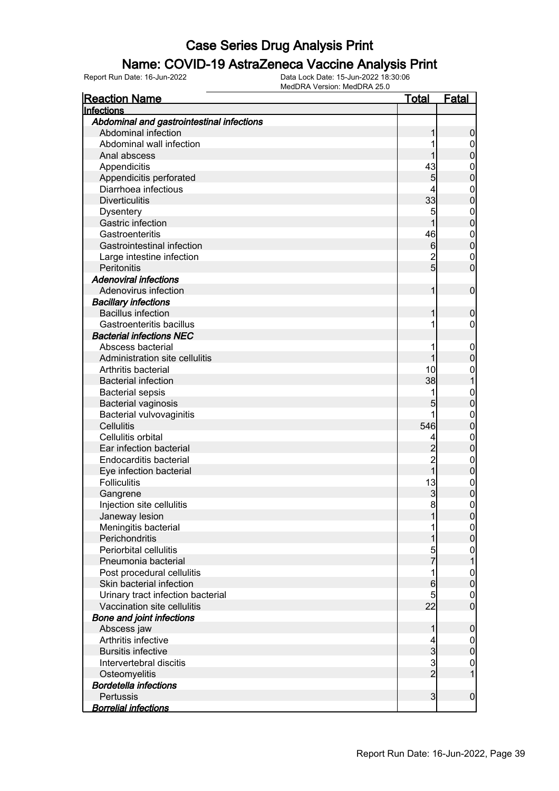### Name: COVID-19 AstraZeneca Vaccine Analysis Print

| <b>Reaction Name</b>                      | <u>Total</u>    | <b>Fatal</b>     |
|-------------------------------------------|-----------------|------------------|
| Infections                                |                 |                  |
| Abdominal and gastrointestinal infections |                 |                  |
| Abdominal infection                       |                 | 0                |
| Abdominal wall infection                  |                 | 0                |
| Anal abscess                              |                 | 0                |
| Appendicitis                              | 43              | $\boldsymbol{0}$ |
| Appendicitis perforated                   | 5               | 0                |
| Diarrhoea infectious                      | 4               | $\mathbf{0}$     |
| <b>Diverticulitis</b>                     | 33              | $\overline{0}$   |
| <b>Dysentery</b>                          | 5               | $\mathbf{0}$     |
| Gastric infection                         | 1               | $\mathbf 0$      |
| Gastroenteritis                           | 46              | $\mathbf{0}$     |
| <b>Gastrointestinal infection</b>         | $6\phantom{.0}$ | $\overline{0}$   |
| Large intestine infection                 | $\overline{2}$  | $\mathbf{0}$     |
| Peritonitis                               | 5 <sup>1</sup>  | $\overline{0}$   |
| <b>Adenoviral infections</b>              |                 |                  |
| Adenovirus infection                      | 1               | $\mathbf 0$      |
| <b>Bacillary infections</b>               |                 |                  |
| <b>Bacillus infection</b>                 |                 | 0                |
| Gastroenteritis bacillus                  |                 | 0                |
| <b>Bacterial infections NEC</b>           |                 |                  |
| Abscess bacterial                         | 1               | $\mathbf 0$      |
| Administration site cellulitis            |                 | 0                |
| Arthritis bacterial                       | 10              | $\boldsymbol{0}$ |
| <b>Bacterial infection</b>                | 38              |                  |
| <b>Bacterial sepsis</b>                   | 1               | $\mathbf 0$      |
| <b>Bacterial vaginosis</b>                | 5               | $\mathbf 0$      |
| Bacterial vulvovaginitis                  | 1               | $\mathbf 0$      |
| <b>Cellulitis</b>                         | 546             | $\overline{0}$   |
| Cellulitis orbital                        | 4               | $\mathbf{0}$     |
| Ear infection bacterial                   | $\overline{c}$  | $\boldsymbol{0}$ |
| Endocarditis bacterial                    | $\overline{c}$  | $\mathbf{0}$     |
| Eye infection bacterial                   | $\overline{1}$  | $\mathbf 0$      |
| <b>Folliculitis</b>                       | 13              | $\mathbf{0}$     |
| Gangrene                                  | $\mathbf{3}$    | $\mathbf 0$      |
| Injection site cellulitis                 | 8               | $\overline{0}$   |
| Janeway lesion                            |                 | $\Omega$         |
| Meningitis bacterial                      |                 | $\overline{0}$   |
| Perichondritis                            |                 | 0                |
| Periorbital cellulitis                    | 5               | $\boldsymbol{0}$ |
| Pneumonia bacterial                       | $\overline{7}$  |                  |
| Post procedural cellulitis                | 1               | $\boldsymbol{0}$ |
| Skin bacterial infection                  | 6               | 0                |
| Urinary tract infection bacterial         | 5               | 0                |
| Vaccination site cellulitis               | 22              | $\overline{0}$   |
| <b>Bone and joint infections</b>          |                 |                  |
| Abscess jaw                               |                 | 0                |
| Arthritis infective                       | 4               | $\mathbf 0$      |
| <b>Bursitis infective</b>                 | $\overline{3}$  | $\mathbf 0$      |
| Intervertebral discitis                   | $\overline{3}$  | $\boldsymbol{0}$ |
| Osteomyelitis                             | $\overline{2}$  | $\mathbf{1}$     |
| <b>Bordetella infections</b>              |                 |                  |
| Pertussis                                 | 3               | $\boldsymbol{0}$ |
| <b>Borrelial infections</b>               |                 |                  |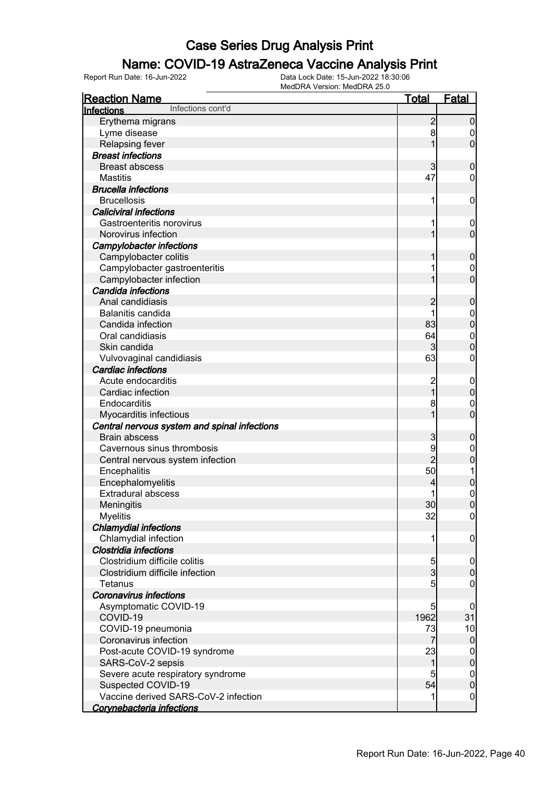### Name: COVID-19 AstraZeneca Vaccine Analysis Print

Report Run Date: 16-Jun-2022 Data Lock Date: 15-Jun-2022 18:30:06

|                                              | MedDRA Version: MedDRA 25.0 |                                           |                  |
|----------------------------------------------|-----------------------------|-------------------------------------------|------------------|
| <b>Reaction Name</b>                         |                             | <u>Total</u>                              | Fatal            |
| Infections cont'd<br>Infections              |                             |                                           |                  |
| Erythema migrans                             |                             | 2                                         | $\overline{0}$   |
| Lyme disease                                 |                             | 8                                         | $\overline{0}$   |
| Relapsing fever                              |                             | 1                                         | $\overline{0}$   |
| <b>Breast infections</b>                     |                             |                                           |                  |
| <b>Breast abscess</b>                        |                             | 3                                         | $\mathbf 0$      |
| <b>Mastitis</b>                              |                             | 47                                        | 0                |
| <b>Brucella infections</b>                   |                             |                                           |                  |
| <b>Brucellosis</b>                           |                             | 1                                         | $\mathbf 0$      |
| <b>Caliciviral infections</b>                |                             |                                           |                  |
| Gastroenteritis norovirus                    |                             | 1                                         | $\boldsymbol{0}$ |
| Norovirus infection                          |                             |                                           | $\mathbf 0$      |
| <b>Campylobacter infections</b>              |                             |                                           |                  |
| Campylobacter colitis                        |                             |                                           | $\mathbf 0$      |
| Campylobacter gastroenteritis                |                             |                                           | $\overline{0}$   |
| Campylobacter infection                      |                             |                                           | $\overline{0}$   |
| Candida infections                           |                             |                                           |                  |
| Anal candidiasis                             |                             | $\overline{2}$                            | $\mathbf 0$      |
| Balanitis candida                            |                             | 1                                         | $\overline{0}$   |
| Candida infection                            |                             | 83                                        | $\pmb{0}$        |
| Oral candidiasis                             |                             | 64                                        | $\boldsymbol{0}$ |
| Skin candida                                 |                             | 3                                         | $\boldsymbol{0}$ |
| Vulvovaginal candidiasis                     |                             | 63                                        | $\boldsymbol{0}$ |
| <b>Cardiac infections</b>                    |                             |                                           |                  |
| Acute endocarditis                           |                             |                                           | $\mathbf 0$      |
| Cardiac infection                            |                             | $\overline{\mathbf{c}}$<br>$\overline{1}$ | $\boldsymbol{0}$ |
|                                              |                             |                                           |                  |
| Endocarditis                                 |                             | 8                                         | $\mathbf 0$      |
| Myocarditis infectious                       |                             | 1                                         | $\overline{0}$   |
| Central nervous system and spinal infections |                             |                                           |                  |
| <b>Brain abscess</b>                         |                             | 3                                         | $\boldsymbol{0}$ |
| Cavernous sinus thrombosis                   |                             | 9                                         | $\mathbf 0$      |
| Central nervous system infection             |                             | $\overline{2}$                            | $\overline{0}$   |
| Encephalitis                                 |                             | 50                                        | 1                |
| Encephalomyelitis                            |                             | 4                                         | $\overline{0}$   |
| <b>Extradural abscess</b>                    |                             |                                           | $\mathbf 0$      |
| Meningitis                                   |                             | 30                                        | $\overline{0}$   |
| <b>Myelitis</b>                              |                             | 32                                        | $\overline{0}$   |
| <b>Chlamydial infections</b>                 |                             |                                           |                  |
| Chlamydial infection                         |                             | 1                                         | $\mathbf 0$      |
| Clostridia infections                        |                             |                                           |                  |
| Clostridium difficile colitis                |                             | 5                                         | $\overline{0}$   |
| Clostridium difficile infection              |                             | $\overline{3}$                            | $\overline{0}$   |
| Tetanus                                      |                             | 5                                         | 0                |
| <b>Coronavirus infections</b>                |                             |                                           |                  |
| Asymptomatic COVID-19                        |                             | 5                                         | 0                |
| COVID-19                                     |                             | 1962                                      | 31               |
| COVID-19 pneumonia                           |                             | 73                                        | 10               |
| Coronavirus infection                        |                             | 7                                         | $\mathbf 0$      |
| Post-acute COVID-19 syndrome                 |                             | 23                                        | $\overline{0}$   |
| SARS-CoV-2 sepsis                            |                             | 1                                         | $\pmb{0}$        |
| Severe acute respiratory syndrome            |                             | 5                                         | $\mathbf 0$      |
| Suspected COVID-19                           |                             | 54                                        | $\boldsymbol{0}$ |
| Vaccine derived SARS-CoV-2 infection         |                             | 1                                         | $\boldsymbol{0}$ |
| Corynebacteria infections                    |                             |                                           |                  |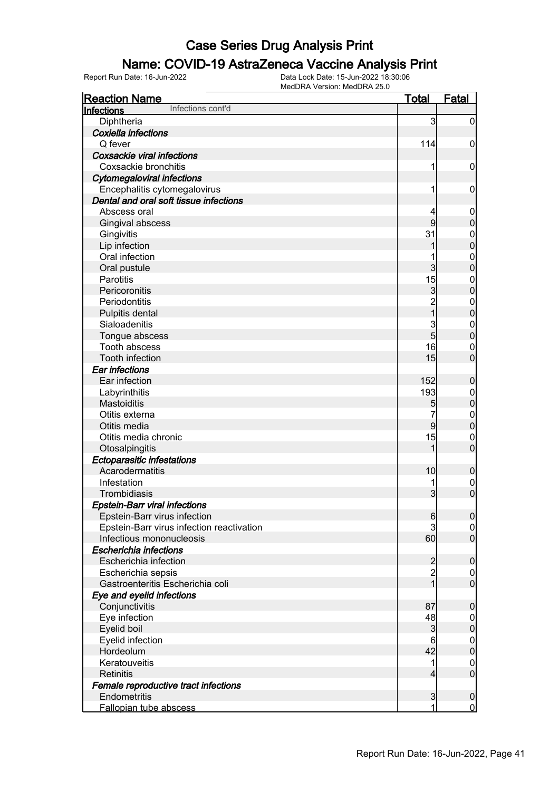### Name: COVID-19 AstraZeneca Vaccine Analysis Print

| Infections cont'd<br>Infections<br>Diphtheria<br>3<br>$\overline{0}$<br>Coxiella infections<br>Q fever<br>114<br>$\mathbf 0$<br><b>Coxsackie viral infections</b><br>Coxsackie bronchitis<br>$\mathbf 0$<br><b>Cytomegaloviral infections</b><br>Encephalitis cytomegalovirus<br>$\mathbf 0$<br>Dental and oral soft tissue infections<br>Abscess oral<br>$\mathbf 0$<br>$\boldsymbol{0}$<br>9<br>Gingival abscess<br>31<br>Gingivitis<br>$\mathbf 0$<br>$\overline{0}$<br>Lip infection<br>Oral infection<br>$\mathbf{0}$<br>$\overline{0}$<br>3<br>Oral pustule<br>15<br>Parotitis<br>$\mathbf{0}$<br>$\overline{0}$<br>$\overline{3}$<br>Pericoronitis<br>Periodontitis<br>$\mathbf{0}$<br>$\overline{1}$<br>$\mathbf 0$<br>Pulpitis dental<br>Sialoadenitis<br>3<br>$\mathbf{0}$<br>$\overline{5}$<br>$\overline{0}$<br>Tongue abscess<br>16<br>Tooth abscess<br>$\mathbf 0$<br>$\overline{0}$<br>15<br><b>Tooth infection</b><br>Ear infections<br>152<br>Ear infection<br>$\boldsymbol{0}$<br>193<br>Labyrinthitis<br>$\boldsymbol{0}$<br>$\overline{0}$<br>Mastoiditis<br>5<br>Otitis externa<br>$\boldsymbol{0}$<br>$\overline{0}$<br>$\overline{9}$<br>Otitis media<br>15<br>Otitis media chronic<br>$\mathbf 0$<br>$\mathbf 0$<br>1<br>Otosalpingitis<br><b>Ectoparasitic infestations</b><br>Acarodermatitis<br>10<br>$\boldsymbol{0}$<br>Infestation<br>$\mathbf 0$<br>$\overline{0}$<br>$\overline{3}$<br>Trombidiasis<br><b>Epstein-Barr viral infections</b><br>Epstein-Barr virus infection<br>$6 \,$<br> 0 <br>3<br>Epstein-Barr virus infection reactivation<br> 0 <br>$\overline{0}$<br>60<br>Infectious mononucleosis<br>Escherichia infections<br>Escherichia infection<br>$\overline{a}$<br>$\mathbf 0$<br>$\overline{c}$<br>Escherichia sepsis<br>$\overline{0}$<br>$\overline{0}$<br>$\overline{1}$<br>Gastroenteritis Escherichia coli<br>Eye and eyelid infections<br>87<br>$\mathbf 0$<br>Conjunctivitis<br>48<br>Eye infection<br>$\overline{0}$<br>$\pmb{0}$<br>$\mathbf{3}$<br>Eyelid boil<br>Eyelid infection<br>6<br>$\overline{0}$<br>$\overline{0}$<br>42<br>Hordeolum<br>Keratouveitis<br>1<br>$\mathbf 0$<br>$\boldsymbol{0}$<br>Retinitis<br>4 | <b>Reaction Name</b> | <b>Total</b> | <b>Fatal</b> |
|-------------------------------------------------------------------------------------------------------------------------------------------------------------------------------------------------------------------------------------------------------------------------------------------------------------------------------------------------------------------------------------------------------------------------------------------------------------------------------------------------------------------------------------------------------------------------------------------------------------------------------------------------------------------------------------------------------------------------------------------------------------------------------------------------------------------------------------------------------------------------------------------------------------------------------------------------------------------------------------------------------------------------------------------------------------------------------------------------------------------------------------------------------------------------------------------------------------------------------------------------------------------------------------------------------------------------------------------------------------------------------------------------------------------------------------------------------------------------------------------------------------------------------------------------------------------------------------------------------------------------------------------------------------------------------------------------------------------------------------------------------------------------------------------------------------------------------------------------------------------------------------------------------------------------------------------------------------------------------------------------------------------------------------------------------------------------------------------------------------------------------------------------------------------------------------|----------------------|--------------|--------------|
|                                                                                                                                                                                                                                                                                                                                                                                                                                                                                                                                                                                                                                                                                                                                                                                                                                                                                                                                                                                                                                                                                                                                                                                                                                                                                                                                                                                                                                                                                                                                                                                                                                                                                                                                                                                                                                                                                                                                                                                                                                                                                                                                                                                     |                      |              |              |
|                                                                                                                                                                                                                                                                                                                                                                                                                                                                                                                                                                                                                                                                                                                                                                                                                                                                                                                                                                                                                                                                                                                                                                                                                                                                                                                                                                                                                                                                                                                                                                                                                                                                                                                                                                                                                                                                                                                                                                                                                                                                                                                                                                                     |                      |              |              |
|                                                                                                                                                                                                                                                                                                                                                                                                                                                                                                                                                                                                                                                                                                                                                                                                                                                                                                                                                                                                                                                                                                                                                                                                                                                                                                                                                                                                                                                                                                                                                                                                                                                                                                                                                                                                                                                                                                                                                                                                                                                                                                                                                                                     |                      |              |              |
|                                                                                                                                                                                                                                                                                                                                                                                                                                                                                                                                                                                                                                                                                                                                                                                                                                                                                                                                                                                                                                                                                                                                                                                                                                                                                                                                                                                                                                                                                                                                                                                                                                                                                                                                                                                                                                                                                                                                                                                                                                                                                                                                                                                     |                      |              |              |
|                                                                                                                                                                                                                                                                                                                                                                                                                                                                                                                                                                                                                                                                                                                                                                                                                                                                                                                                                                                                                                                                                                                                                                                                                                                                                                                                                                                                                                                                                                                                                                                                                                                                                                                                                                                                                                                                                                                                                                                                                                                                                                                                                                                     |                      |              |              |
|                                                                                                                                                                                                                                                                                                                                                                                                                                                                                                                                                                                                                                                                                                                                                                                                                                                                                                                                                                                                                                                                                                                                                                                                                                                                                                                                                                                                                                                                                                                                                                                                                                                                                                                                                                                                                                                                                                                                                                                                                                                                                                                                                                                     |                      |              |              |
|                                                                                                                                                                                                                                                                                                                                                                                                                                                                                                                                                                                                                                                                                                                                                                                                                                                                                                                                                                                                                                                                                                                                                                                                                                                                                                                                                                                                                                                                                                                                                                                                                                                                                                                                                                                                                                                                                                                                                                                                                                                                                                                                                                                     |                      |              |              |
|                                                                                                                                                                                                                                                                                                                                                                                                                                                                                                                                                                                                                                                                                                                                                                                                                                                                                                                                                                                                                                                                                                                                                                                                                                                                                                                                                                                                                                                                                                                                                                                                                                                                                                                                                                                                                                                                                                                                                                                                                                                                                                                                                                                     |                      |              |              |
|                                                                                                                                                                                                                                                                                                                                                                                                                                                                                                                                                                                                                                                                                                                                                                                                                                                                                                                                                                                                                                                                                                                                                                                                                                                                                                                                                                                                                                                                                                                                                                                                                                                                                                                                                                                                                                                                                                                                                                                                                                                                                                                                                                                     |                      |              |              |
|                                                                                                                                                                                                                                                                                                                                                                                                                                                                                                                                                                                                                                                                                                                                                                                                                                                                                                                                                                                                                                                                                                                                                                                                                                                                                                                                                                                                                                                                                                                                                                                                                                                                                                                                                                                                                                                                                                                                                                                                                                                                                                                                                                                     |                      |              |              |
|                                                                                                                                                                                                                                                                                                                                                                                                                                                                                                                                                                                                                                                                                                                                                                                                                                                                                                                                                                                                                                                                                                                                                                                                                                                                                                                                                                                                                                                                                                                                                                                                                                                                                                                                                                                                                                                                                                                                                                                                                                                                                                                                                                                     |                      |              |              |
|                                                                                                                                                                                                                                                                                                                                                                                                                                                                                                                                                                                                                                                                                                                                                                                                                                                                                                                                                                                                                                                                                                                                                                                                                                                                                                                                                                                                                                                                                                                                                                                                                                                                                                                                                                                                                                                                                                                                                                                                                                                                                                                                                                                     |                      |              |              |
|                                                                                                                                                                                                                                                                                                                                                                                                                                                                                                                                                                                                                                                                                                                                                                                                                                                                                                                                                                                                                                                                                                                                                                                                                                                                                                                                                                                                                                                                                                                                                                                                                                                                                                                                                                                                                                                                                                                                                                                                                                                                                                                                                                                     |                      |              |              |
|                                                                                                                                                                                                                                                                                                                                                                                                                                                                                                                                                                                                                                                                                                                                                                                                                                                                                                                                                                                                                                                                                                                                                                                                                                                                                                                                                                                                                                                                                                                                                                                                                                                                                                                                                                                                                                                                                                                                                                                                                                                                                                                                                                                     |                      |              |              |
|                                                                                                                                                                                                                                                                                                                                                                                                                                                                                                                                                                                                                                                                                                                                                                                                                                                                                                                                                                                                                                                                                                                                                                                                                                                                                                                                                                                                                                                                                                                                                                                                                                                                                                                                                                                                                                                                                                                                                                                                                                                                                                                                                                                     |                      |              |              |
|                                                                                                                                                                                                                                                                                                                                                                                                                                                                                                                                                                                                                                                                                                                                                                                                                                                                                                                                                                                                                                                                                                                                                                                                                                                                                                                                                                                                                                                                                                                                                                                                                                                                                                                                                                                                                                                                                                                                                                                                                                                                                                                                                                                     |                      |              |              |
|                                                                                                                                                                                                                                                                                                                                                                                                                                                                                                                                                                                                                                                                                                                                                                                                                                                                                                                                                                                                                                                                                                                                                                                                                                                                                                                                                                                                                                                                                                                                                                                                                                                                                                                                                                                                                                                                                                                                                                                                                                                                                                                                                                                     |                      |              |              |
|                                                                                                                                                                                                                                                                                                                                                                                                                                                                                                                                                                                                                                                                                                                                                                                                                                                                                                                                                                                                                                                                                                                                                                                                                                                                                                                                                                                                                                                                                                                                                                                                                                                                                                                                                                                                                                                                                                                                                                                                                                                                                                                                                                                     |                      |              |              |
|                                                                                                                                                                                                                                                                                                                                                                                                                                                                                                                                                                                                                                                                                                                                                                                                                                                                                                                                                                                                                                                                                                                                                                                                                                                                                                                                                                                                                                                                                                                                                                                                                                                                                                                                                                                                                                                                                                                                                                                                                                                                                                                                                                                     |                      |              |              |
|                                                                                                                                                                                                                                                                                                                                                                                                                                                                                                                                                                                                                                                                                                                                                                                                                                                                                                                                                                                                                                                                                                                                                                                                                                                                                                                                                                                                                                                                                                                                                                                                                                                                                                                                                                                                                                                                                                                                                                                                                                                                                                                                                                                     |                      |              |              |
|                                                                                                                                                                                                                                                                                                                                                                                                                                                                                                                                                                                                                                                                                                                                                                                                                                                                                                                                                                                                                                                                                                                                                                                                                                                                                                                                                                                                                                                                                                                                                                                                                                                                                                                                                                                                                                                                                                                                                                                                                                                                                                                                                                                     |                      |              |              |
|                                                                                                                                                                                                                                                                                                                                                                                                                                                                                                                                                                                                                                                                                                                                                                                                                                                                                                                                                                                                                                                                                                                                                                                                                                                                                                                                                                                                                                                                                                                                                                                                                                                                                                                                                                                                                                                                                                                                                                                                                                                                                                                                                                                     |                      |              |              |
|                                                                                                                                                                                                                                                                                                                                                                                                                                                                                                                                                                                                                                                                                                                                                                                                                                                                                                                                                                                                                                                                                                                                                                                                                                                                                                                                                                                                                                                                                                                                                                                                                                                                                                                                                                                                                                                                                                                                                                                                                                                                                                                                                                                     |                      |              |              |
|                                                                                                                                                                                                                                                                                                                                                                                                                                                                                                                                                                                                                                                                                                                                                                                                                                                                                                                                                                                                                                                                                                                                                                                                                                                                                                                                                                                                                                                                                                                                                                                                                                                                                                                                                                                                                                                                                                                                                                                                                                                                                                                                                                                     |                      |              |              |
|                                                                                                                                                                                                                                                                                                                                                                                                                                                                                                                                                                                                                                                                                                                                                                                                                                                                                                                                                                                                                                                                                                                                                                                                                                                                                                                                                                                                                                                                                                                                                                                                                                                                                                                                                                                                                                                                                                                                                                                                                                                                                                                                                                                     |                      |              |              |
|                                                                                                                                                                                                                                                                                                                                                                                                                                                                                                                                                                                                                                                                                                                                                                                                                                                                                                                                                                                                                                                                                                                                                                                                                                                                                                                                                                                                                                                                                                                                                                                                                                                                                                                                                                                                                                                                                                                                                                                                                                                                                                                                                                                     |                      |              |              |
|                                                                                                                                                                                                                                                                                                                                                                                                                                                                                                                                                                                                                                                                                                                                                                                                                                                                                                                                                                                                                                                                                                                                                                                                                                                                                                                                                                                                                                                                                                                                                                                                                                                                                                                                                                                                                                                                                                                                                                                                                                                                                                                                                                                     |                      |              |              |
|                                                                                                                                                                                                                                                                                                                                                                                                                                                                                                                                                                                                                                                                                                                                                                                                                                                                                                                                                                                                                                                                                                                                                                                                                                                                                                                                                                                                                                                                                                                                                                                                                                                                                                                                                                                                                                                                                                                                                                                                                                                                                                                                                                                     |                      |              |              |
|                                                                                                                                                                                                                                                                                                                                                                                                                                                                                                                                                                                                                                                                                                                                                                                                                                                                                                                                                                                                                                                                                                                                                                                                                                                                                                                                                                                                                                                                                                                                                                                                                                                                                                                                                                                                                                                                                                                                                                                                                                                                                                                                                                                     |                      |              |              |
|                                                                                                                                                                                                                                                                                                                                                                                                                                                                                                                                                                                                                                                                                                                                                                                                                                                                                                                                                                                                                                                                                                                                                                                                                                                                                                                                                                                                                                                                                                                                                                                                                                                                                                                                                                                                                                                                                                                                                                                                                                                                                                                                                                                     |                      |              |              |
|                                                                                                                                                                                                                                                                                                                                                                                                                                                                                                                                                                                                                                                                                                                                                                                                                                                                                                                                                                                                                                                                                                                                                                                                                                                                                                                                                                                                                                                                                                                                                                                                                                                                                                                                                                                                                                                                                                                                                                                                                                                                                                                                                                                     |                      |              |              |
|                                                                                                                                                                                                                                                                                                                                                                                                                                                                                                                                                                                                                                                                                                                                                                                                                                                                                                                                                                                                                                                                                                                                                                                                                                                                                                                                                                                                                                                                                                                                                                                                                                                                                                                                                                                                                                                                                                                                                                                                                                                                                                                                                                                     |                      |              |              |
|                                                                                                                                                                                                                                                                                                                                                                                                                                                                                                                                                                                                                                                                                                                                                                                                                                                                                                                                                                                                                                                                                                                                                                                                                                                                                                                                                                                                                                                                                                                                                                                                                                                                                                                                                                                                                                                                                                                                                                                                                                                                                                                                                                                     |                      |              |              |
|                                                                                                                                                                                                                                                                                                                                                                                                                                                                                                                                                                                                                                                                                                                                                                                                                                                                                                                                                                                                                                                                                                                                                                                                                                                                                                                                                                                                                                                                                                                                                                                                                                                                                                                                                                                                                                                                                                                                                                                                                                                                                                                                                                                     |                      |              |              |
|                                                                                                                                                                                                                                                                                                                                                                                                                                                                                                                                                                                                                                                                                                                                                                                                                                                                                                                                                                                                                                                                                                                                                                                                                                                                                                                                                                                                                                                                                                                                                                                                                                                                                                                                                                                                                                                                                                                                                                                                                                                                                                                                                                                     |                      |              |              |
|                                                                                                                                                                                                                                                                                                                                                                                                                                                                                                                                                                                                                                                                                                                                                                                                                                                                                                                                                                                                                                                                                                                                                                                                                                                                                                                                                                                                                                                                                                                                                                                                                                                                                                                                                                                                                                                                                                                                                                                                                                                                                                                                                                                     |                      |              |              |
|                                                                                                                                                                                                                                                                                                                                                                                                                                                                                                                                                                                                                                                                                                                                                                                                                                                                                                                                                                                                                                                                                                                                                                                                                                                                                                                                                                                                                                                                                                                                                                                                                                                                                                                                                                                                                                                                                                                                                                                                                                                                                                                                                                                     |                      |              |              |
|                                                                                                                                                                                                                                                                                                                                                                                                                                                                                                                                                                                                                                                                                                                                                                                                                                                                                                                                                                                                                                                                                                                                                                                                                                                                                                                                                                                                                                                                                                                                                                                                                                                                                                                                                                                                                                                                                                                                                                                                                                                                                                                                                                                     |                      |              |              |
|                                                                                                                                                                                                                                                                                                                                                                                                                                                                                                                                                                                                                                                                                                                                                                                                                                                                                                                                                                                                                                                                                                                                                                                                                                                                                                                                                                                                                                                                                                                                                                                                                                                                                                                                                                                                                                                                                                                                                                                                                                                                                                                                                                                     |                      |              |              |
|                                                                                                                                                                                                                                                                                                                                                                                                                                                                                                                                                                                                                                                                                                                                                                                                                                                                                                                                                                                                                                                                                                                                                                                                                                                                                                                                                                                                                                                                                                                                                                                                                                                                                                                                                                                                                                                                                                                                                                                                                                                                                                                                                                                     |                      |              |              |
|                                                                                                                                                                                                                                                                                                                                                                                                                                                                                                                                                                                                                                                                                                                                                                                                                                                                                                                                                                                                                                                                                                                                                                                                                                                                                                                                                                                                                                                                                                                                                                                                                                                                                                                                                                                                                                                                                                                                                                                                                                                                                                                                                                                     |                      |              |              |
|                                                                                                                                                                                                                                                                                                                                                                                                                                                                                                                                                                                                                                                                                                                                                                                                                                                                                                                                                                                                                                                                                                                                                                                                                                                                                                                                                                                                                                                                                                                                                                                                                                                                                                                                                                                                                                                                                                                                                                                                                                                                                                                                                                                     |                      |              |              |
|                                                                                                                                                                                                                                                                                                                                                                                                                                                                                                                                                                                                                                                                                                                                                                                                                                                                                                                                                                                                                                                                                                                                                                                                                                                                                                                                                                                                                                                                                                                                                                                                                                                                                                                                                                                                                                                                                                                                                                                                                                                                                                                                                                                     |                      |              |              |
|                                                                                                                                                                                                                                                                                                                                                                                                                                                                                                                                                                                                                                                                                                                                                                                                                                                                                                                                                                                                                                                                                                                                                                                                                                                                                                                                                                                                                                                                                                                                                                                                                                                                                                                                                                                                                                                                                                                                                                                                                                                                                                                                                                                     |                      |              |              |
|                                                                                                                                                                                                                                                                                                                                                                                                                                                                                                                                                                                                                                                                                                                                                                                                                                                                                                                                                                                                                                                                                                                                                                                                                                                                                                                                                                                                                                                                                                                                                                                                                                                                                                                                                                                                                                                                                                                                                                                                                                                                                                                                                                                     |                      |              |              |
|                                                                                                                                                                                                                                                                                                                                                                                                                                                                                                                                                                                                                                                                                                                                                                                                                                                                                                                                                                                                                                                                                                                                                                                                                                                                                                                                                                                                                                                                                                                                                                                                                                                                                                                                                                                                                                                                                                                                                                                                                                                                                                                                                                                     |                      |              |              |
|                                                                                                                                                                                                                                                                                                                                                                                                                                                                                                                                                                                                                                                                                                                                                                                                                                                                                                                                                                                                                                                                                                                                                                                                                                                                                                                                                                                                                                                                                                                                                                                                                                                                                                                                                                                                                                                                                                                                                                                                                                                                                                                                                                                     |                      |              |              |
|                                                                                                                                                                                                                                                                                                                                                                                                                                                                                                                                                                                                                                                                                                                                                                                                                                                                                                                                                                                                                                                                                                                                                                                                                                                                                                                                                                                                                                                                                                                                                                                                                                                                                                                                                                                                                                                                                                                                                                                                                                                                                                                                                                                     |                      |              |              |
|                                                                                                                                                                                                                                                                                                                                                                                                                                                                                                                                                                                                                                                                                                                                                                                                                                                                                                                                                                                                                                                                                                                                                                                                                                                                                                                                                                                                                                                                                                                                                                                                                                                                                                                                                                                                                                                                                                                                                                                                                                                                                                                                                                                     |                      |              |              |
|                                                                                                                                                                                                                                                                                                                                                                                                                                                                                                                                                                                                                                                                                                                                                                                                                                                                                                                                                                                                                                                                                                                                                                                                                                                                                                                                                                                                                                                                                                                                                                                                                                                                                                                                                                                                                                                                                                                                                                                                                                                                                                                                                                                     |                      |              |              |
|                                                                                                                                                                                                                                                                                                                                                                                                                                                                                                                                                                                                                                                                                                                                                                                                                                                                                                                                                                                                                                                                                                                                                                                                                                                                                                                                                                                                                                                                                                                                                                                                                                                                                                                                                                                                                                                                                                                                                                                                                                                                                                                                                                                     |                      |              |              |
| Female reproductive tract infections<br>Endometritis<br>$\mathbf{3}$<br>$\mathbf 0$                                                                                                                                                                                                                                                                                                                                                                                                                                                                                                                                                                                                                                                                                                                                                                                                                                                                                                                                                                                                                                                                                                                                                                                                                                                                                                                                                                                                                                                                                                                                                                                                                                                                                                                                                                                                                                                                                                                                                                                                                                                                                                 |                      |              |              |
| 1<br>$\overline{0}$<br>Fallopian tube abscess                                                                                                                                                                                                                                                                                                                                                                                                                                                                                                                                                                                                                                                                                                                                                                                                                                                                                                                                                                                                                                                                                                                                                                                                                                                                                                                                                                                                                                                                                                                                                                                                                                                                                                                                                                                                                                                                                                                                                                                                                                                                                                                                       |                      |              |              |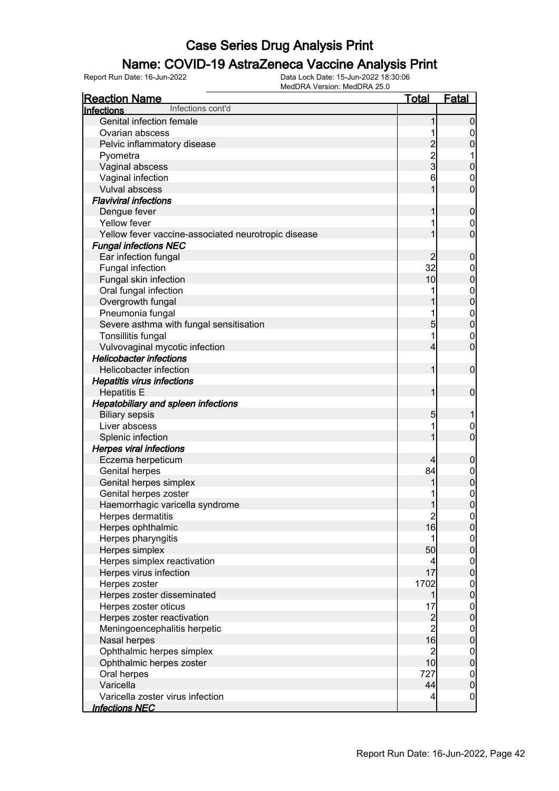### Name: COVID-19 AstraZeneca Vaccine Analysis Print

| <b>Reaction Name</b>                                | <u>Total</u>                           | <b>Fatal</b>                         |
|-----------------------------------------------------|----------------------------------------|--------------------------------------|
| Infections cont'd<br><b>Infections</b>              |                                        |                                      |
| Genital infection female                            | 1                                      | $\boldsymbol{0}$                     |
| Ovarian abscess                                     |                                        | 0                                    |
| Pelvic inflammatory disease                         | $\overline{a}$                         | $\mathbf 0$                          |
| Pyometra                                            |                                        |                                      |
| Vaginal abscess                                     | $\frac{2}{3}$                          | $\mathbf 0$                          |
| Vaginal infection                                   | 6                                      | 0                                    |
| <b>Vulval abscess</b>                               |                                        | $\overline{0}$                       |
| <b>Flaviviral infections</b>                        |                                        |                                      |
| Dengue fever                                        | 1                                      | $\boldsymbol{0}$                     |
| Yellow fever                                        |                                        | $\boldsymbol{0}$                     |
| Yellow fever vaccine-associated neurotropic disease |                                        | $\overline{0}$                       |
| <b>Fungal infections NEC</b>                        |                                        |                                      |
| Ear infection fungal                                | $\overline{2}$                         | $\boldsymbol{0}$                     |
| Fungal infection                                    | 32                                     | $\mathbf 0$                          |
| Fungal skin infection                               | 10                                     | $\pmb{0}$                            |
| Oral fungal infection                               |                                        | $\mathbf{0}$                         |
| Overgrowth fungal                                   |                                        | $\mathbf 0$                          |
| Pneumonia fungal                                    | 1                                      | $\mathbf{0}$                         |
| Severe asthma with fungal sensitisation             | 5                                      | $\mathbf 0$                          |
| Tonsillitis fungal                                  | 1                                      | $\mathbf 0$                          |
| Vulvovaginal mycotic infection                      | 4                                      | $\overline{0}$                       |
| <b>Helicobacter infections</b>                      |                                        |                                      |
| Helicobacter infection                              | 1                                      | $\mathbf 0$                          |
|                                                     |                                        |                                      |
| <b>Hepatitis virus infections</b>                   |                                        |                                      |
| <b>Hepatitis E</b>                                  | 1                                      | $\mathbf 0$                          |
| <b>Hepatobiliary and spleen infections</b>          |                                        |                                      |
| <b>Biliary sepsis</b>                               | 5                                      |                                      |
| Liver abscess                                       |                                        | 0<br>$\overline{0}$                  |
| Splenic infection                                   |                                        |                                      |
| <b>Herpes viral infections</b>                      |                                        |                                      |
| Eczema herpeticum                                   | 4                                      | $\boldsymbol{0}$                     |
| <b>Genital herpes</b>                               | 84                                     | $\boldsymbol{0}$                     |
| Genital herpes simplex                              |                                        | $\mathbf 0$                          |
| Genital herpes zoster                               |                                        | $\mathbf{0}$                         |
| Haemorrhagic varicella syndrome                     | 1                                      | $\overline{0}$                       |
| Herpes dermatitis                                   | $\begin{array}{c} 2 \\ 16 \end{array}$ | 0                                    |
| Herpes ophthalmic                                   |                                        | 0                                    |
| Herpes pharyngitis                                  | 1                                      | $\begin{matrix} 0 \\ 0 \end{matrix}$ |
| Herpes simplex                                      | 50                                     |                                      |
| Herpes simplex reactivation                         | 4                                      | $\begin{matrix} 0 \\ 0 \end{matrix}$ |
| Herpes virus infection                              | 17                                     |                                      |
| Herpes zoster                                       | 1702                                   | $\begin{matrix} 0 \\ 0 \end{matrix}$ |
| Herpes zoster disseminated                          | 1                                      |                                      |
| Herpes zoster oticus                                | 17                                     | $\begin{matrix} 0 \\ 0 \end{matrix}$ |
| Herpes zoster reactivation                          | $\overline{c}$                         |                                      |
| Meningoencephalitis herpetic                        | $\begin{array}{c} 2 \\ 16 \end{array}$ | $\begin{matrix} 0 \\ 0 \end{matrix}$ |
| Nasal herpes                                        |                                        |                                      |
| Ophthalmic herpes simplex                           | $\overline{c}$                         | $\begin{matrix} 0 \\ 0 \end{matrix}$ |
| Ophthalmic herpes zoster                            | 10                                     |                                      |
| Oral herpes                                         | 727                                    | $\begin{matrix} 0 \\ 0 \end{matrix}$ |
| Varicella                                           | 44                                     |                                      |
| Varicella zoster virus infection                    | 4                                      | $\overline{0}$                       |
| Infections NEC                                      |                                        |                                      |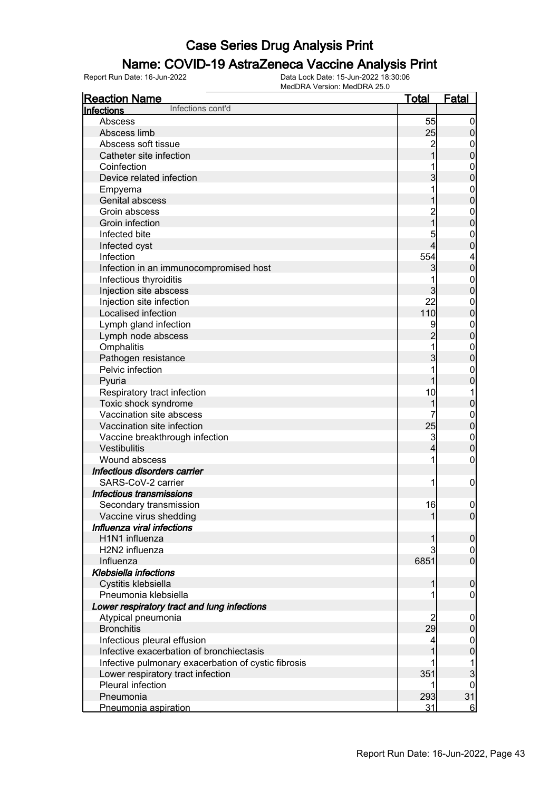### Name: COVID-19 AstraZeneca Vaccine Analysis Print

| <b>Reaction Name</b>                                                    | <u>Total</u>   | <b>Fatal</b>                               |
|-------------------------------------------------------------------------|----------------|--------------------------------------------|
| Infections cont'd<br>Infections                                         |                |                                            |
| Abscess                                                                 | 55             | $\overline{0}$                             |
| Abscess limb                                                            | 25             | $\boldsymbol{0}$                           |
| Abscess soft tissue                                                     | $\overline{c}$ | $\boldsymbol{0}$                           |
| Catheter site infection                                                 | 1              | $\mathbf 0$                                |
| Coinfection                                                             |                | $\mathbf{0}$                               |
| Device related infection                                                | 3              | $\overline{0}$                             |
| Empyema                                                                 | 1              | $\mathbf{0}$                               |
| Genital abscess                                                         |                | $\overline{0}$                             |
| Groin abscess                                                           |                | $\mathbf{0}$                               |
| Groin infection                                                         | 2<br>1         | $\overline{0}$                             |
| Infected bite                                                           | 5              | $\mathbf{0}$                               |
| Infected cyst                                                           | $\overline{4}$ | $\mathbf 0$                                |
| Infection                                                               | 554            |                                            |
|                                                                         |                | $\overline{\mathcal{L}}$<br>$\overline{0}$ |
| Infection in an immunocompromised host                                  | 3<br>1         |                                            |
| Infectious thyroiditis                                                  |                | $\mathbf{0}$                               |
| Injection site abscess                                                  | 3              | $\overline{0}$                             |
| Injection site infection                                                | 22             | $\mathbf{0}$                               |
| Localised infection                                                     | 110            | $\overline{0}$                             |
| Lymph gland infection                                                   | 9              | $\mathbf{0}$                               |
| Lymph node abscess                                                      | $\overline{2}$ | $\overline{0}$                             |
| Omphalitis                                                              | 1              | $\mathbf{0}$                               |
| Pathogen resistance                                                     | 3              | $\overline{0}$                             |
| Pelvic infection                                                        | 1              | $\mathbf{0}$                               |
| Pyuria                                                                  | 1              | $\mathbf 0$                                |
| Respiratory tract infection                                             | 10             | 1                                          |
| Toxic shock syndrome                                                    | 1              | $\mathbf 0$                                |
| Vaccination site abscess                                                | 7              | $\mathbf{0}$                               |
| Vaccination site infection                                              | 25             | $\overline{0}$                             |
| Vaccine breakthrough infection                                          | 3              | $\mathbf{0}$                               |
| Vestibulitis                                                            | 4              | $\mathbf 0$                                |
| Wound abscess                                                           | 1              | $\mathbf 0$                                |
| Infectious disorders carrier                                            |                |                                            |
| SARS-CoV-2 carrier                                                      | 1              | $\mathbf 0$                                |
| Infectious transmissions                                                |                |                                            |
| Secondary transmission                                                  | 16             | $\mathbf 0$                                |
| Vaccine virus shedding                                                  | $\mathbf{1}$   | 0                                          |
| Influenza viral infections                                              |                |                                            |
| H1N1 influenza                                                          | 1              | $\boldsymbol{0}$                           |
| H2N2 influenza                                                          |                | $\overline{0}$                             |
| Influenza                                                               | 6851           | $\overline{0}$                             |
| <b>Klebsiella infections</b>                                            |                |                                            |
| Cystitis klebsiella                                                     | 1              | $\mathbf 0$                                |
| Pneumonia klebsiella                                                    | 1              | $\mathbf 0$                                |
| Lower respiratory tract and lung infections                             |                |                                            |
| Atypical pneumonia                                                      | 2              | $\mathbf 0$                                |
| <b>Bronchitis</b>                                                       | 29             | $\pmb{0}$                                  |
|                                                                         |                |                                            |
| Infectious pleural effusion<br>Infective exacerbation of bronchiectasis | 4              | $\mathbf 0$                                |
|                                                                         |                | $\pmb{0}$                                  |
| Infective pulmonary exacerbation of cystic fibrosis                     |                | 1                                          |
| Lower respiratory tract infection                                       | 351            | 3                                          |
| Pleural infection                                                       | 1              | $\overline{0}$                             |
|                                                                         |                |                                            |
| Pneumonia<br>Pneumonia aspiration                                       | 293<br>31      | 31<br>6                                    |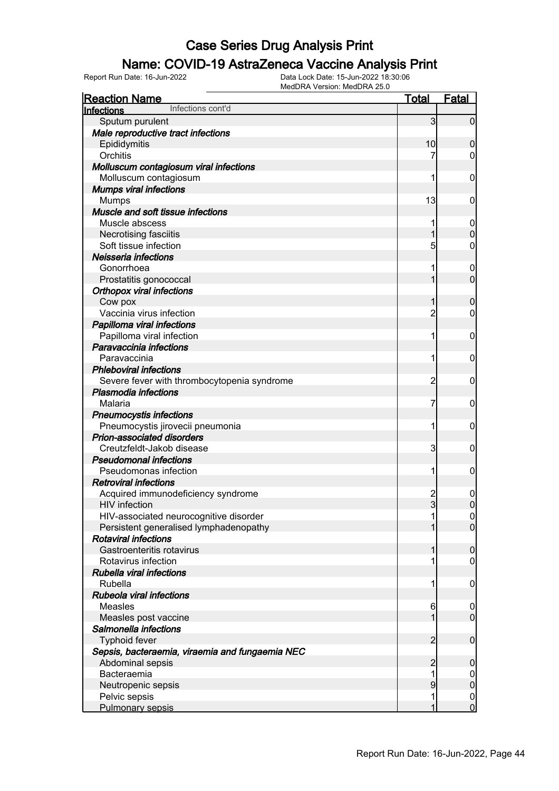### Name: COVID-19 AstraZeneca Vaccine Analysis Print

| <b>Reaction Name</b>                            | <b>Total</b>   | Fatal            |
|-------------------------------------------------|----------------|------------------|
| Infections cont'd<br>Infections                 |                |                  |
| Sputum purulent                                 | 3              | $\overline{0}$   |
| Male reproductive tract infections              |                |                  |
| Epididymitis                                    | 10             | $\mathbf 0$      |
| Orchitis                                        |                | 0                |
| Molluscum contagiosum viral infections          |                |                  |
| Molluscum contagiosum                           |                | $\mathbf 0$      |
| <b>Mumps viral infections</b>                   |                |                  |
| <b>Mumps</b>                                    | 13             | $\mathbf 0$      |
| Muscle and soft tissue infections               |                |                  |
| Muscle abscess                                  |                | $\boldsymbol{0}$ |
| Necrotising fasciitis                           |                | $\mathbf 0$      |
| Soft tissue infection                           | 5              | 0                |
| Neisseria infections                            |                |                  |
| Gonorrhoea                                      |                | $\boldsymbol{0}$ |
| Prostatitis gonococcal                          |                | $\mathbf 0$      |
| <b>Orthopox viral infections</b>                |                |                  |
| Cow pox                                         |                | $\boldsymbol{0}$ |
| Vaccinia virus infection                        | 2              | 0                |
| Papilloma viral infections                      |                |                  |
| Papilloma viral infection                       |                | $\mathbf 0$      |
| Paravaccinia infections                         |                |                  |
| Paravaccinia                                    | 1              | $\mathbf 0$      |
| <b>Phleboviral infections</b>                   |                |                  |
| Severe fever with thrombocytopenia syndrome     | $\overline{c}$ | $\mathbf 0$      |
| <b>Plasmodia infections</b>                     |                |                  |
| Malaria                                         | 7              | $\mathbf 0$      |
| <b>Pneumocystis infections</b>                  |                |                  |
| Pneumocystis jirovecii pneumonia                | 1              | $\mathbf 0$      |
| <b>Prion-associated disorders</b>               |                |                  |
| Creutzfeldt-Jakob disease                       | 3              | $\mathbf 0$      |
| <b>Pseudomonal infections</b>                   |                |                  |
| Pseudomonas infection                           |                | $\mathbf 0$      |
| <b>Retroviral infections</b>                    |                |                  |
| Acquired immunodeficiency syndrome              |                | 0                |
| <b>HIV</b> infection                            | $\overline{3}$ | $\overline{0}$   |
| HIV-associated neurocognitive disorder          |                | 0                |
| Persistent generalised lymphadenopathy          |                | $\overline{0}$   |
| <b>Rotaviral infections</b>                     |                |                  |
| Gastroenteritis rotavirus                       |                | $\mathbf 0$      |
| Rotavirus infection                             |                | $\mathbf 0$      |
| <b>Rubella viral infections</b>                 |                |                  |
| Rubella                                         |                | $\mathbf 0$      |
| Rubeola viral infections                        |                |                  |
| Measles                                         | 6              | $\overline{0}$   |
| Measles post vaccine                            |                | $\overline{0}$   |
| Salmonella infections                           |                |                  |
| <b>Typhoid fever</b>                            | $\overline{2}$ | $\mathbf 0$      |
| Sepsis, bacteraemia, viraemia and fungaemia NEC |                |                  |
| Abdominal sepsis                                | 2              | $\boldsymbol{0}$ |
| Bacteraemia                                     |                | $\overline{0}$   |
| Neutropenic sepsis                              | 9              | $\pmb{0}$        |
| Pelvic sepsis                                   |                | $\mathbf 0$      |
| Pulmonary sepsis                                | 1              | $\overline{0}$   |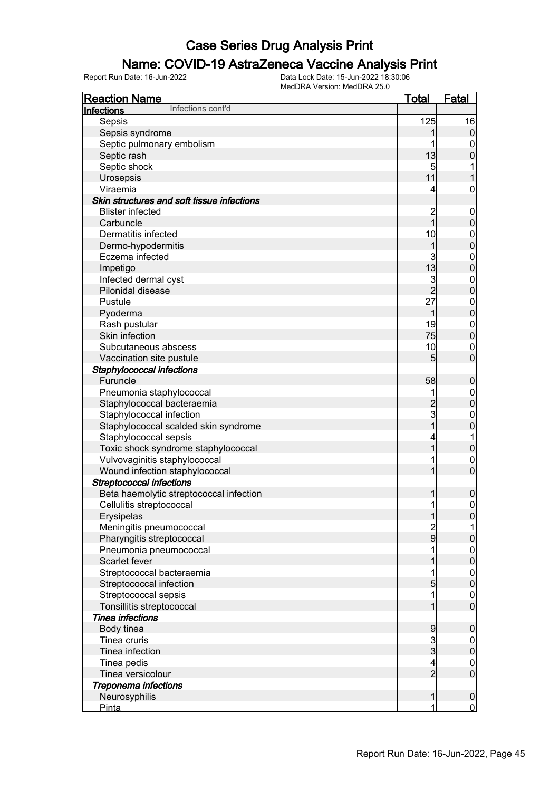### Name: COVID-19 AstraZeneca Vaccine Analysis Print

Report Run Date: 16-Jun-2022 Data Lock Date: 15-Jun-2022 18:30:06

|                                            | MedDRA Version: MedDRA 25.0 |                         |                                 |
|--------------------------------------------|-----------------------------|-------------------------|---------------------------------|
| <b>Reaction Name</b>                       |                             | <u>Total</u>            | <b>Fatal</b>                    |
| Infections cont'd<br>Infections            |                             |                         |                                 |
| Sepsis                                     |                             | 125                     | 16                              |
| Sepsis syndrome                            |                             |                         | $\overline{0}$                  |
| Septic pulmonary embolism                  |                             |                         | $\overline{0}$                  |
| Septic rash                                |                             | 13                      | $\boldsymbol{0}$                |
| Septic shock                               |                             | 5                       | 1                               |
| Urosepsis                                  |                             | 11                      | $\mathbf{1}$                    |
| Viraemia                                   |                             | 4                       | $\boldsymbol{0}$                |
| Skin structures and soft tissue infections |                             |                         |                                 |
| <b>Blister infected</b>                    |                             | $\overline{\mathbf{c}}$ | $\mathbf 0$                     |
| Carbuncle                                  |                             | $\overline{1}$          | $\boldsymbol{0}$                |
| Dermatitis infected                        |                             | 10                      | $\overline{0}$                  |
| Dermo-hypodermitis                         |                             | 1                       | $\mathbf 0$                     |
| Eczema infected                            |                             | 3                       | $\boldsymbol{0}$                |
| Impetigo                                   |                             | 13                      | $\mathbf 0$                     |
| Infected dermal cyst                       |                             | 3                       | $\boldsymbol{0}$                |
| Pilonidal disease                          |                             | $\overline{2}$          | $\mathbf 0$                     |
| Pustule                                    |                             | 27                      | $\boldsymbol{0}$                |
| Pyoderma                                   |                             | 1                       | $\mathbf 0$                     |
| Rash pustular                              |                             | 19                      | $\boldsymbol{0}$                |
| Skin infection                             |                             | 75                      | $\mathbf 0$                     |
| Subcutaneous abscess                       |                             | 10                      | $\overline{0}$                  |
| Vaccination site pustule                   |                             | 5                       | $\mathbf 0$                     |
| Staphylococcal infections                  |                             |                         |                                 |
| Furuncle                                   |                             | 58                      | $\mathbf 0$                     |
| Pneumonia staphylococcal                   |                             |                         | $\overline{0}$                  |
| Staphylococcal bacteraemia                 |                             | $\overline{c}$          | $\pmb{0}$                       |
| Staphylococcal infection                   |                             | 3                       | $\mathbf 0$                     |
| Staphylococcal scalded skin syndrome       |                             | $\overline{1}$          | $\pmb{0}$                       |
| Staphylococcal sepsis                      |                             | 4                       | 1                               |
| Toxic shock syndrome staphylococcal        |                             | 1                       | $\pmb{0}$                       |
| Vulvovaginitis staphylococcal              |                             |                         | $\overline{0}$                  |
| Wound infection staphylococcal             |                             |                         | $\mathbf 0$                     |
| <b>Streptococcal infections</b>            |                             |                         |                                 |
| Beta haemolytic streptococcal infection    |                             | $\mathbf{1}$            | $\pmb{0}$                       |
| Cellulitis streptococcal                   |                             |                         | $\mathbf{0}$                    |
| Erysipelas                                 |                             |                         | $\overline{0}$                  |
| Meningitis pneumococcal                    |                             |                         |                                 |
| Pharyngitis streptococcal                  |                             | $\frac{2}{9}$           | $\boldsymbol{0}$                |
|                                            |                             |                         |                                 |
| Pneumonia pneumococcal<br>Scarlet fever    |                             |                         | $\boldsymbol{0}$<br>$\mathbf 0$ |
|                                            |                             |                         |                                 |
| Streptococcal bacteraemia                  |                             |                         | $\mathbf 0$<br>$\overline{0}$   |
| Streptococcal infection                    |                             | $\overline{5}$          |                                 |
| Streptococcal sepsis                       |                             |                         | $\mathbf 0$                     |
| Tonsillitis streptococcal                  |                             |                         | $\overline{0}$                  |
| <b>Tinea infections</b>                    |                             |                         |                                 |
| Body tinea                                 |                             | 9                       | $\mathbf 0$                     |
| Tinea cruris                               |                             | 3                       | $\mathbf 0$                     |
| Tinea infection                            |                             | $\overline{3}$          | $\boldsymbol{0}$                |
| Tinea pedis                                |                             | 4                       | $\mathbf 0$                     |
| Tinea versicolour                          |                             | $\overline{2}$          | $\overline{0}$                  |
| Treponema infections                       |                             |                         |                                 |
| Neurosyphilis                              |                             | 1                       | $\boldsymbol{0}$                |
| <b>Pinta</b>                               |                             | 1                       | $\mathbf 0$                     |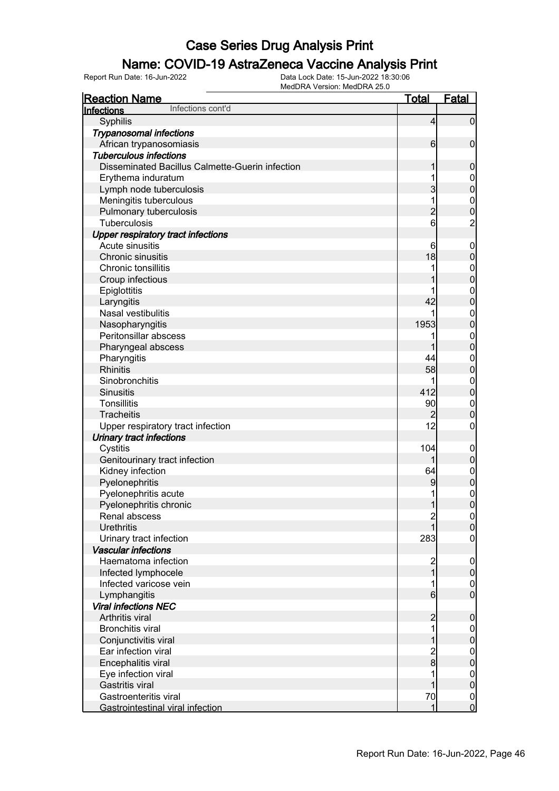### Name: COVID-19 AstraZeneca Vaccine Analysis Print

| <b>Reaction Name</b>                                  | <b>Total</b>     | <b>Fatal</b>                    |
|-------------------------------------------------------|------------------|---------------------------------|
| Infections cont'd<br>Infections                       |                  |                                 |
| Syphilis                                              | $\overline{4}$   | $\overline{0}$                  |
| <b>Trypanosomal infections</b>                        |                  |                                 |
| African trypanosomiasis                               | $6 \overline{}$  | $\mathbf 0$                     |
| <b>Tuberculous infections</b>                         |                  |                                 |
| Disseminated Bacillus Calmette-Guerin infection       | 1                | $\mathbf 0$                     |
| Erythema induratum                                    |                  | $\mathbf 0$                     |
| Lymph node tuberculosis                               | 3                | $\pmb{0}$                       |
| Meningitis tuberculous                                | 1                | $\boldsymbol{0}$                |
| Pulmonary tuberculosis                                | $\overline{c}$   | $\mathbf 0$                     |
| Tuberculosis                                          | $6 \overline{}$  | $\overline{c}$                  |
| <b>Upper respiratory tract infections</b>             |                  |                                 |
| Acute sinusitis                                       | 6                | $\mathbf 0$                     |
| Chronic sinusitis                                     | 18               | $\pmb{0}$                       |
| Chronic tonsillitis                                   |                  | $\mathbf 0$                     |
| Croup infectious                                      |                  | $\mathbf 0$                     |
| Epiglottitis                                          |                  | $\mathbf 0$                     |
| Laryngitis                                            | 42               | $\mathbf 0$                     |
| Nasal vestibulitis                                    |                  | $\mathbf 0$                     |
| Nasopharyngitis                                       | 1953             | $\mathbf 0$                     |
| Peritonsillar abscess                                 | 1                | $\mathbf 0$                     |
| Pharyngeal abscess                                    | 1                | $\mathbf 0$                     |
| Pharyngitis                                           | 44               | $\mathbf 0$                     |
| <b>Rhinitis</b>                                       | 58               | $\pmb{0}$                       |
| Sinobronchitis                                        |                  | $\mathbf 0$                     |
| <b>Sinusitis</b>                                      | 412              | $\pmb{0}$                       |
| <b>Tonsillitis</b>                                    | 90               | $\mathbf 0$                     |
| <b>Tracheitis</b>                                     | $\overline{2}$   | $\mathbf 0$                     |
| Upper respiratory tract infection                     | 12               | $\boldsymbol{0}$                |
| <b>Urinary tract infections</b>                       |                  |                                 |
| Cystitis                                              | 104              |                                 |
| Genitourinary tract infection                         | 1                | $\mathbf 0$<br>$\mathbf 0$      |
| Kidney infection                                      | 64               |                                 |
| Pyelonephritis                                        | 9                | $\boldsymbol{0}$<br>$\mathbf 0$ |
| Pyelonephritis acute                                  |                  |                                 |
| Pyelonephritis chronic                                | 1                | $\mathbf{0}$<br>$\overline{0}$  |
| Renal abscess                                         |                  |                                 |
| <b>Urethritis</b>                                     | $\overline{c}$   | 0 <br>$\overline{0}$            |
|                                                       |                  |                                 |
| Urinary tract infection<br><b>Vascular infections</b> | 283              | $\boldsymbol{0}$                |
| Haematoma infection                                   |                  |                                 |
|                                                       | $\frac{2}{1}$    | $\mathbf 0$                     |
| Infected lymphocele<br>Infected varicose vein         |                  | $\pmb{0}$                       |
|                                                       | 1                | $\mathbf 0$<br>$\overline{0}$   |
| Lymphangitis                                          | $6 \overline{6}$ |                                 |
| <b>Viral infections NEC</b><br>Arthritis viral        |                  |                                 |
|                                                       | $\overline{c}$   | $\boldsymbol{0}$                |
| <b>Bronchitis viral</b>                               |                  | 0                               |
| Conjunctivitis viral                                  |                  | $\mathbf 0$                     |
| Ear infection viral                                   | $\frac{2}{8}$    | $\mathbf 0$                     |
| Encephalitis viral                                    |                  | $\pmb{0}$                       |
| Eye infection viral                                   |                  | $\mathbf 0$                     |
| <b>Gastritis viral</b>                                | 1                | $\pmb{0}$                       |
| Gastroenteritis viral                                 | 70               | $\overline{0}$                  |
| Gastrointestinal viral infection                      | 1                | $\overline{0}$                  |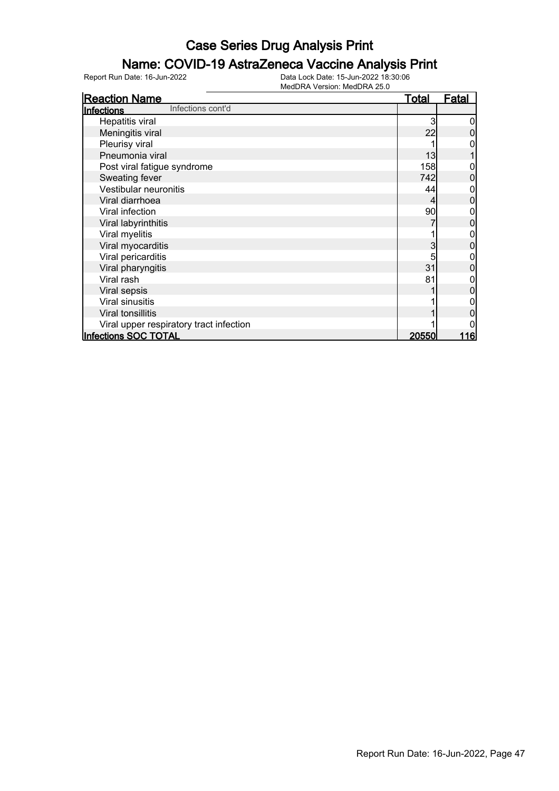### Name: COVID-19 AstraZeneca Vaccine Analysis Print

| <b>Reaction Name</b>                    | <b>Total</b>   | Fatal |
|-----------------------------------------|----------------|-------|
| Infections cont'd<br><b>Infections</b>  |                |       |
| Hepatitis viral                         | 3              |       |
| Meningitis viral                        | 22             |       |
| Pleurisy viral                          |                |       |
| Pneumonia viral                         | 13             |       |
| Post viral fatigue syndrome             | 158            |       |
| Sweating fever                          | 742            |       |
| Vestibular neuronitis                   | 44             |       |
| Viral diarrhoea                         |                |       |
| Viral infection                         | 90             |       |
| Viral labyrinthitis                     |                | 0     |
| Viral myelitis                          |                |       |
| Viral myocarditis                       | 3              |       |
| Viral pericarditis                      |                |       |
| Viral pharyngitis                       | 31             |       |
| Viral rash                              | 81             |       |
| Viral sepsis                            |                |       |
| Viral sinusitis                         |                |       |
| Viral tonsillitis                       |                |       |
| Viral upper respiratory tract infection |                |       |
| Infections SOC TOTAL                    | <u> 20550 </u> | 116   |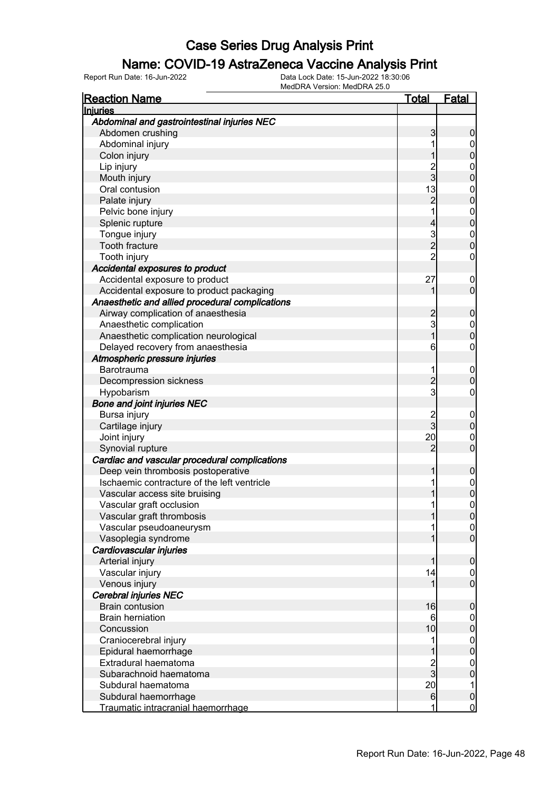### Name: COVID-19 AstraZeneca Vaccine Analysis Print

| <u>Total</u> | <b>Fatal</b>                                                                                                                                                                                                                                                     |
|--------------|------------------------------------------------------------------------------------------------------------------------------------------------------------------------------------------------------------------------------------------------------------------|
|              |                                                                                                                                                                                                                                                                  |
|              |                                                                                                                                                                                                                                                                  |
| 3            | $\overline{0}$                                                                                                                                                                                                                                                   |
|              | $\mathbf 0$                                                                                                                                                                                                                                                      |
|              | $\overline{0}$                                                                                                                                                                                                                                                   |
|              |                                                                                                                                                                                                                                                                  |
|              | $\begin{matrix} 0 \\ 0 \end{matrix}$                                                                                                                                                                                                                             |
|              |                                                                                                                                                                                                                                                                  |
|              | $\begin{matrix}0\\0\end{matrix}$                                                                                                                                                                                                                                 |
| 1            |                                                                                                                                                                                                                                                                  |
|              | $\begin{matrix}0\\0\end{matrix}$                                                                                                                                                                                                                                 |
|              |                                                                                                                                                                                                                                                                  |
|              | $\begin{matrix} 0 \\ 0 \end{matrix}$                                                                                                                                                                                                                             |
|              | 0                                                                                                                                                                                                                                                                |
|              |                                                                                                                                                                                                                                                                  |
|              | $\mathbf 0$                                                                                                                                                                                                                                                      |
| 1            | $\overline{0}$                                                                                                                                                                                                                                                   |
|              |                                                                                                                                                                                                                                                                  |
|              | $\mathbf 0$                                                                                                                                                                                                                                                      |
|              |                                                                                                                                                                                                                                                                  |
|              | $\begin{matrix} 0 \\ 0 \end{matrix}$                                                                                                                                                                                                                             |
|              | 0                                                                                                                                                                                                                                                                |
|              |                                                                                                                                                                                                                                                                  |
|              | $\boldsymbol{0}$                                                                                                                                                                                                                                                 |
|              | $\overline{0}$                                                                                                                                                                                                                                                   |
|              | 0                                                                                                                                                                                                                                                                |
|              |                                                                                                                                                                                                                                                                  |
|              | $\mathbf 0$                                                                                                                                                                                                                                                      |
|              | $\mathbf 0$                                                                                                                                                                                                                                                      |
|              | $\mathbf 0$                                                                                                                                                                                                                                                      |
|              | $\overline{0}$                                                                                                                                                                                                                                                   |
|              |                                                                                                                                                                                                                                                                  |
|              | $\mathbf 0$                                                                                                                                                                                                                                                      |
|              |                                                                                                                                                                                                                                                                  |
|              | $\begin{matrix} 0 \\ 0 \end{matrix}$                                                                                                                                                                                                                             |
|              | $\overline{0}$                                                                                                                                                                                                                                                   |
|              |                                                                                                                                                                                                                                                                  |
|              | $\overline{0}$                                                                                                                                                                                                                                                   |
|              | $\overline{0}$                                                                                                                                                                                                                                                   |
|              |                                                                                                                                                                                                                                                                  |
|              | $\mathbf 0$                                                                                                                                                                                                                                                      |
|              | 0                                                                                                                                                                                                                                                                |
|              | $\overline{0}$                                                                                                                                                                                                                                                   |
|              |                                                                                                                                                                                                                                                                  |
|              | $\mathbf 0$                                                                                                                                                                                                                                                      |
|              |                                                                                                                                                                                                                                                                  |
|              | 0<br>$\mathbf 0$                                                                                                                                                                                                                                                 |
|              |                                                                                                                                                                                                                                                                  |
|              | $\boldsymbol{0}$<br>$\overline{0}$                                                                                                                                                                                                                               |
|              |                                                                                                                                                                                                                                                                  |
|              | 0                                                                                                                                                                                                                                                                |
|              | $\boldsymbol{0}$                                                                                                                                                                                                                                                 |
|              | 1<br>$\mathbf 0$                                                                                                                                                                                                                                                 |
|              | $\mathbf 0$                                                                                                                                                                                                                                                      |
|              | 2<br>3<br>13<br>$\overline{2}$<br>4<br>$\frac{3}{2}$<br>$\overline{2}$<br>27<br>$\overline{c}$<br>$\mathsf{S}$<br>1<br>6<br>$\overline{2}$<br>3<br>2<br>3<br>20 <sup>1</sup><br>$\overline{2}$<br>14<br>1<br>16<br>6<br>10<br>$\frac{2}{3}$<br>20<br>$6 \,$<br>1 |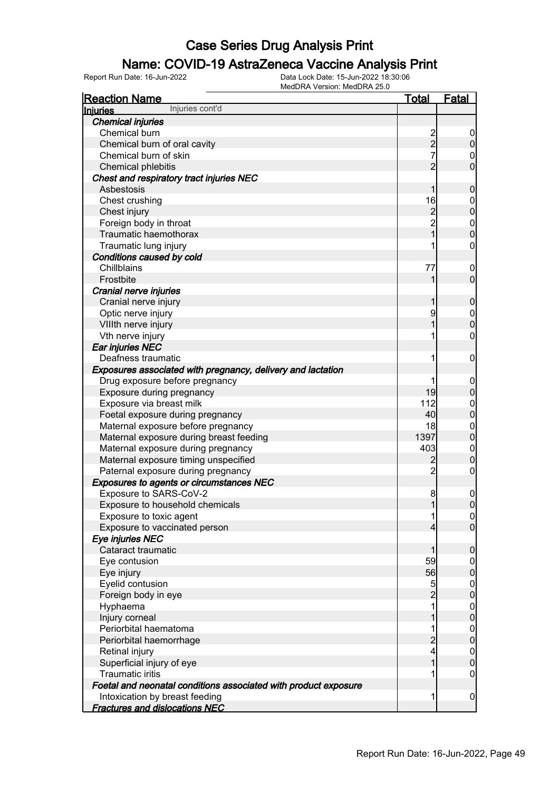### Name: COVID-19 AstraZeneca Vaccine Analysis Print

| <b>Reaction Name</b>                                            | <u>Total</u>                               | <b>Fatal</b>     |
|-----------------------------------------------------------------|--------------------------------------------|------------------|
| Injuries cont'd<br><b>Injuries</b>                              |                                            |                  |
| <b>Chemical injuries</b>                                        |                                            |                  |
| Chemical burn                                                   |                                            | $\overline{0}$   |
| Chemical burn of oral cavity                                    | 2<br>2<br>7                                | $\overline{0}$   |
| Chemical burn of skin                                           |                                            | $\mathbf 0$      |
| Chemical phlebitis                                              | $\overline{2}$                             | $\overline{0}$   |
| Chest and respiratory tract injuries NEC                        |                                            |                  |
| Asbestosis                                                      | 1                                          | $\boldsymbol{0}$ |
| Chest crushing                                                  | 16                                         |                  |
| Chest injury                                                    |                                            | $0$ 0            |
| Foreign body in throat                                          | $\begin{array}{c} 2 \\ 2 \\ 1 \end{array}$ |                  |
| Traumatic haemothorax                                           |                                            | $0\atop 0$       |
| Traumatic lung injury                                           | 1                                          | $\boldsymbol{0}$ |
| Conditions caused by cold                                       |                                            |                  |
| Chillblains                                                     | 77                                         | $\mathbf 0$      |
| Frostbite                                                       | 1                                          | $\mathbf 0$      |
| Cranial nerve injuries                                          |                                            |                  |
| Cranial nerve injury                                            | 1                                          | $\mathbf 0$      |
| Optic nerve injury                                              | 9                                          |                  |
| VIIIth nerve injury                                             | 1                                          | $0\atop 0$       |
| Vth nerve injury                                                |                                            | $\boldsymbol{0}$ |
| Ear injuries NEC                                                |                                            |                  |
| Deafness traumatic                                              | 1                                          | $\mathbf 0$      |
| Exposures associated with pregnancy, delivery and lactation     |                                            |                  |
| Drug exposure before pregnancy                                  | 1                                          | $\mathbf 0$      |
| Exposure during pregnancy                                       | 19                                         | $\pmb{0}$        |
| Exposure via breast milk                                        | 112                                        |                  |
| Foetal exposure during pregnancy                                | 40                                         | $0$ 0            |
| Maternal exposure before pregnancy                              | 18                                         |                  |
| Maternal exposure during breast feeding                         | 1397                                       | $0\atop 0$       |
| Maternal exposure during pregnancy                              | 403                                        |                  |
| Maternal exposure timing unspecified                            | $\overline{c}$                             | $0\atop 0$       |
| Paternal exposure during pregnancy                              | $\overline{2}$                             | $\mathbf 0$      |
| <b>Exposures to agents or circumstances NEC</b>                 |                                            |                  |
| Exposure to SARS-CoV-2                                          | 8                                          | $\mathbf 0$      |
| Exposure to household chemicals                                 | 1                                          | $\boldsymbol{0}$ |
| Exposure to toxic agent                                         | 1                                          | 0                |
| Exposure to vaccinated person                                   | 4                                          | $\overline{0}$   |
| Eye injuries NEC                                                |                                            |                  |
| Cataract traumatic                                              | 1                                          | $\mathbf 0$      |
| Eye contusion                                                   | 59                                         | $\overline{0}$   |
| Eye injury                                                      | 56                                         | $\pmb{0}$        |
| Eyelid contusion                                                | 5                                          | $\overline{0}$   |
| Foreign body in eye                                             | $\overline{c}$                             | $\mathbf 0$      |
| Hyphaema                                                        | 1                                          | $\overline{0}$   |
| Injury corneal                                                  |                                            | $\mathbf 0$      |
| Periorbital haematoma                                           |                                            | $\overline{0}$   |
| Periorbital haemorrhage                                         | $\overline{c}$                             | $\mathbf 0$      |
| Retinal injury                                                  | 4                                          | $\overline{0}$   |
| Superficial injury of eye                                       | 1                                          | $\pmb{0}$        |
| <b>Traumatic iritis</b>                                         |                                            | $\mathbf 0$      |
| Foetal and neonatal conditions associated with product exposure |                                            |                  |
| Intoxication by breast feeding                                  | 1                                          | $\mathbf 0$      |
| <b>Fractures and dislocations NEC</b>                           |                                            |                  |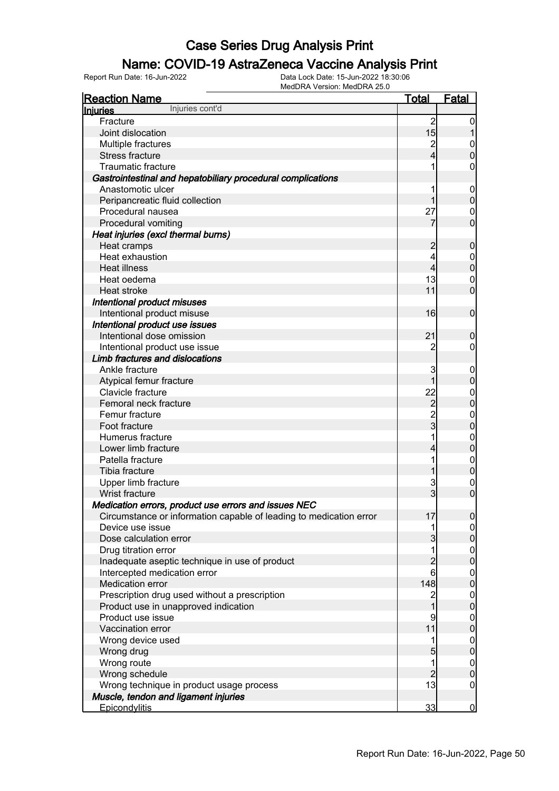#### Name: COVID-19 AstraZeneca Vaccine Analysis Print

| <b>Reaction Name</b>                                                                                                       | <u>Total</u>        | Fatal                         |
|----------------------------------------------------------------------------------------------------------------------------|---------------------|-------------------------------|
| Injuries cont'd<br><b>Injuries</b>                                                                                         |                     |                               |
| Fracture                                                                                                                   | $\overline{c}$      | $\boldsymbol{0}$              |
| Joint dislocation                                                                                                          | 15                  |                               |
| Multiple fractures                                                                                                         | $\overline{c}$      | $\mathbf 0$                   |
| <b>Stress fracture</b>                                                                                                     | 4                   | $\overline{0}$                |
| <b>Traumatic fracture</b>                                                                                                  |                     | 0                             |
| Gastrointestinal and hepatobiliary procedural complications                                                                |                     |                               |
| Anastomotic ulcer                                                                                                          |                     | $\mathbf 0$                   |
| Peripancreatic fluid collection                                                                                            |                     | $\boldsymbol{0}$              |
| Procedural nausea                                                                                                          | 27                  | $\mathbf 0$                   |
| Procedural vomiting                                                                                                        | 7                   | $\mathbf 0$                   |
| Heat injuries (excl thermal burns)                                                                                         |                     |                               |
| Heat cramps                                                                                                                | $\overline{c}$      | $\mathbf 0$                   |
| Heat exhaustion                                                                                                            | 4                   | $\mathbf 0$                   |
| <b>Heat illness</b>                                                                                                        | 4                   | $\mathbf 0$                   |
| Heat oedema                                                                                                                | 13                  | $\boldsymbol{0}$              |
| Heat stroke                                                                                                                | 11                  | $\mathbf 0$                   |
| Intentional product misuses                                                                                                |                     |                               |
| Intentional product misuse                                                                                                 | 16                  | $\mathbf 0$                   |
| Intentional product use issues                                                                                             |                     |                               |
| Intentional dose omission                                                                                                  | 21                  | $\boldsymbol{0}$              |
| Intentional product use issue                                                                                              | 2                   | 0                             |
| Limb fractures and dislocations                                                                                            |                     |                               |
| Ankle fracture                                                                                                             | 3                   | $\mathbf 0$                   |
| Atypical femur fracture                                                                                                    | 1                   | $\boldsymbol{0}$              |
| Clavicle fracture                                                                                                          | 22                  | $\mathbf 0$                   |
| Femoral neck fracture                                                                                                      | $\overline{c}$      | $\mathbf 0$                   |
| Femur fracture                                                                                                             |                     | $\mathbf{0}$                  |
| Foot fracture                                                                                                              | $\frac{2}{3}$       | $\overline{0}$                |
| Humerus fracture                                                                                                           |                     | $\mathbf{0}$                  |
| Lower limb fracture                                                                                                        | 4                   | $\overline{0}$                |
| Patella fracture                                                                                                           |                     | $\mathbf{0}$                  |
| Tibia fracture                                                                                                             |                     | $\overline{0}$                |
| Upper limb fracture                                                                                                        | 3                   | $\mathbf 0$                   |
| Wrist fracture                                                                                                             | $\overline{3}$      | $\overline{0}$                |
|                                                                                                                            |                     |                               |
| Medication errors, product use errors and issues NEC<br>Circumstance or information capable of leading to medication error | 17                  |                               |
| Device use issue                                                                                                           | 1                   | $\overline{0}$                |
| Dose calculation error                                                                                                     | 3                   | 0 <br> 0                      |
|                                                                                                                            |                     |                               |
| Drug titration error                                                                                                       | 1<br>$\overline{c}$ | $\overline{0}$<br>$\mathbf 0$ |
| Inadequate aseptic technique in use of product                                                                             |                     |                               |
| Intercepted medication error                                                                                               | 6                   | $\overline{0}$                |
| Medication error                                                                                                           | 148                 | $\mathbf 0$                   |
| Prescription drug used without a prescription                                                                              | $\overline{c}$      | $\overline{0}$                |
| Product use in unapproved indication                                                                                       | $\mathbf 1$         | $\mathbf 0$                   |
| Product use issue                                                                                                          | 9                   | $\overline{0}$                |
| Vaccination error                                                                                                          | 11                  | $\mathbf 0$                   |
| Wrong device used                                                                                                          | 1                   | $\overline{0}$                |
| Wrong drug                                                                                                                 | 5                   | $\mathbf 0$                   |
| Wrong route                                                                                                                | 1                   | $\overline{0}$                |
| Wrong schedule                                                                                                             | $\overline{2}$      | $\mathbf 0$                   |
| Wrong technique in product usage process                                                                                   | 13                  | $\mathbf 0$                   |
| Muscle, tendon and ligament injuries                                                                                       |                     |                               |
| <b>Epicondylitis</b>                                                                                                       | 33                  | $\overline{0}$                |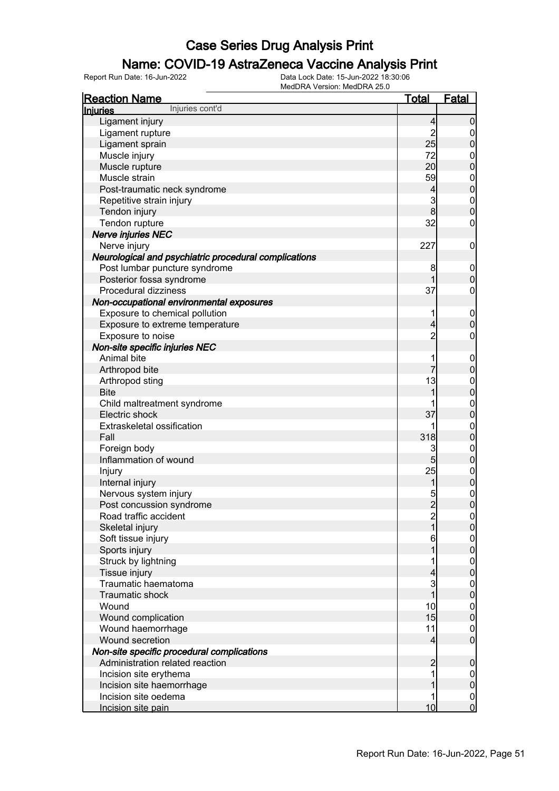### Name: COVID-19 AstraZeneca Vaccine Analysis Print

| Injuries cont'd<br>Injuries<br>Ligament injury<br>$\overline{4}$<br>$\overline{2}$<br>Ligament rupture<br>25<br>Ligament sprain | $\boldsymbol{0}$<br>$\mathbf 0$<br>$\mathbf 0$<br>$0$<br>0 |
|---------------------------------------------------------------------------------------------------------------------------------|------------------------------------------------------------|
|                                                                                                                                 |                                                            |
|                                                                                                                                 |                                                            |
|                                                                                                                                 |                                                            |
|                                                                                                                                 |                                                            |
| Muscle injury<br>72                                                                                                             |                                                            |
| 20<br>Muscle rupture                                                                                                            |                                                            |
| 59<br>Muscle strain                                                                                                             |                                                            |
| Post-traumatic neck syndrome<br>$\overline{\mathcal{L}}$                                                                        | $0$<br>0                                                   |
| 3<br>Repetitive strain injury                                                                                                   |                                                            |
| $\bf{8}$<br>Tendon injury                                                                                                       | $0\atop 0$                                                 |
| 32<br>Tendon rupture                                                                                                            | $\boldsymbol{0}$                                           |
| Nerve injuries NEC                                                                                                              |                                                            |
| Nerve injury<br>227                                                                                                             | $\mathbf 0$                                                |
| Neurological and psychiatric procedural complications                                                                           |                                                            |
| Post lumbar puncture syndrome<br>8                                                                                              | $\boldsymbol{0}$                                           |
| Posterior fossa syndrome<br>1                                                                                                   | $\mathbf 0$                                                |
| 37<br>Procedural dizziness                                                                                                      | $\boldsymbol{0}$                                           |
| Non-occupational environmental exposures                                                                                        |                                                            |
| Exposure to chemical pollution<br>1                                                                                             | $\boldsymbol{0}$                                           |
| Exposure to extreme temperature<br>$\overline{4}$                                                                               | $\overline{0}$                                             |
| $\overline{2}$<br>Exposure to noise                                                                                             | $\boldsymbol{0}$                                           |
| Non-site specific injuries NEC                                                                                                  |                                                            |
| Animal bite<br>1                                                                                                                | $\boldsymbol{0}$                                           |
| Arthropod bite                                                                                                                  | $\mathbf 0$                                                |
| 13<br>Arthropod sting                                                                                                           |                                                            |
| 1<br><b>Bite</b>                                                                                                                | $0$<br>0                                                   |
| Child maltreatment syndrome                                                                                                     |                                                            |
| 37<br>Electric shock                                                                                                            | $0\atop 0$                                                 |
| Extraskeletal ossification<br>1                                                                                                 |                                                            |
| 318<br>Fall                                                                                                                     | $0\atop 0$                                                 |
| Foreign body<br>3                                                                                                               |                                                            |
| Inflammation of wound<br>$\overline{5}$                                                                                         | $0$<br>0                                                   |
| 25<br>Injury                                                                                                                    |                                                            |
| Internal injury<br>1                                                                                                            | $\begin{matrix}0\\0\end{matrix}$                           |
| Nervous system injury<br>5                                                                                                      |                                                            |
| $\overline{2}$<br>Post concussion syndrome                                                                                      | $\begin{matrix} 0 \\ 0 \end{matrix}$                       |
| Road traffic accident                                                                                                           |                                                            |
| $\frac{2}{1}$<br>Skeletal injury                                                                                                | $\Omega$<br>$\mathbf 0$                                    |
| Soft tissue injury<br>6                                                                                                         |                                                            |
| Sports injury<br>1                                                                                                              | $\overline{0}$<br>$\mathbf 0$                              |
| Struck by lightning<br>1                                                                                                        |                                                            |
| Tissue injury<br>4                                                                                                              | $\boldsymbol{0}$<br>$\mathbf 0$                            |
| 3<br>Traumatic haematoma                                                                                                        |                                                            |
| $\overline{1}$<br>Traumatic shock                                                                                               | $\boldsymbol{0}$<br>$\mathbf 0$                            |
| 10<br>Wound                                                                                                                     |                                                            |
| 15<br>Wound complication                                                                                                        | $\boldsymbol{0}$<br>$\mathbf 0$                            |
| Wound haemorrhage<br>11                                                                                                         |                                                            |
| Wound secretion                                                                                                                 | $\boldsymbol{0}$<br>$\mathbf 0$                            |
| $\overline{4}$                                                                                                                  |                                                            |
| Non-site specific procedural complications<br>Administration related reaction                                                   |                                                            |
| $\overline{c}$<br>1                                                                                                             | $\boldsymbol{0}$                                           |
| Incision site erythema                                                                                                          | $\boldsymbol{0}$                                           |
| Incision site haemorrhage<br>1                                                                                                  | $\pmb{0}$                                                  |
| Incision site oedema<br>1<br>10<br>Incision site pain                                                                           | $\boldsymbol{0}$<br>$\overline{0}$                         |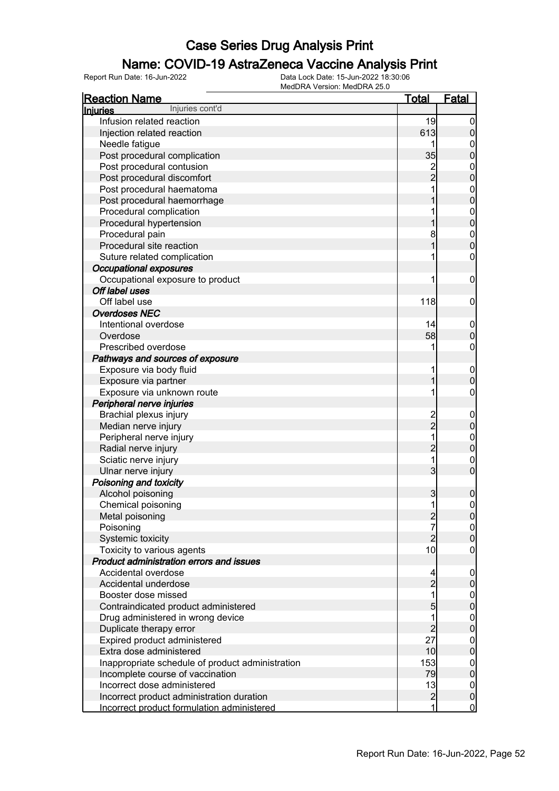### Name: COVID-19 AstraZeneca Vaccine Analysis Print

| <b>Reaction Name</b><br><u>Total</u><br><u>Fatal</u><br>Injuries cont'd<br><b>Injuries</b><br>Infusion related reaction<br>19<br>$\boldsymbol{0}$<br>613<br>Injection related reaction<br>$\mathbf 0$<br>Needle fatigue<br>$\mathbf{0}$<br>1<br>$\mathbf 0$<br>Post procedural complication<br>35<br>$\overline{c}$<br>Post procedural contusion<br>$0\atop 0$<br>–<br>2<br>Post procedural discomfort<br>1<br>Post procedural haematoma<br>$0\atop 0$<br>Post procedural haemorrhage<br>1<br>$\begin{matrix}0\\0\end{matrix}$<br>Procedural complication<br>1<br>Procedural hypertension<br>1<br>8<br>$\begin{matrix}0\\0\end{matrix}$<br>Procedural pain<br>1<br>Procedural site reaction<br>$\overline{0}$<br>Suture related complication<br>1<br><b>Occupational exposures</b><br>Occupational exposure to product<br>$\mathbf 0$<br>1<br>Off label uses<br>Off label use<br>118<br>$\mathbf 0$<br><b>Overdoses NEC</b><br>Intentional overdose<br> 14 <br>$\boldsymbol{0}$<br>$\overline{0}$<br>58<br>Overdose<br>Prescribed overdose<br>1<br>$\boldsymbol{0}$<br>Pathways and sources of exposure |
|---------------------------------------------------------------------------------------------------------------------------------------------------------------------------------------------------------------------------------------------------------------------------------------------------------------------------------------------------------------------------------------------------------------------------------------------------------------------------------------------------------------------------------------------------------------------------------------------------------------------------------------------------------------------------------------------------------------------------------------------------------------------------------------------------------------------------------------------------------------------------------------------------------------------------------------------------------------------------------------------------------------------------------------------------------------------------------------------------------|
|                                                                                                                                                                                                                                                                                                                                                                                                                                                                                                                                                                                                                                                                                                                                                                                                                                                                                                                                                                                                                                                                                                         |
|                                                                                                                                                                                                                                                                                                                                                                                                                                                                                                                                                                                                                                                                                                                                                                                                                                                                                                                                                                                                                                                                                                         |
|                                                                                                                                                                                                                                                                                                                                                                                                                                                                                                                                                                                                                                                                                                                                                                                                                                                                                                                                                                                                                                                                                                         |
|                                                                                                                                                                                                                                                                                                                                                                                                                                                                                                                                                                                                                                                                                                                                                                                                                                                                                                                                                                                                                                                                                                         |
|                                                                                                                                                                                                                                                                                                                                                                                                                                                                                                                                                                                                                                                                                                                                                                                                                                                                                                                                                                                                                                                                                                         |
|                                                                                                                                                                                                                                                                                                                                                                                                                                                                                                                                                                                                                                                                                                                                                                                                                                                                                                                                                                                                                                                                                                         |
|                                                                                                                                                                                                                                                                                                                                                                                                                                                                                                                                                                                                                                                                                                                                                                                                                                                                                                                                                                                                                                                                                                         |
|                                                                                                                                                                                                                                                                                                                                                                                                                                                                                                                                                                                                                                                                                                                                                                                                                                                                                                                                                                                                                                                                                                         |
|                                                                                                                                                                                                                                                                                                                                                                                                                                                                                                                                                                                                                                                                                                                                                                                                                                                                                                                                                                                                                                                                                                         |
|                                                                                                                                                                                                                                                                                                                                                                                                                                                                                                                                                                                                                                                                                                                                                                                                                                                                                                                                                                                                                                                                                                         |
|                                                                                                                                                                                                                                                                                                                                                                                                                                                                                                                                                                                                                                                                                                                                                                                                                                                                                                                                                                                                                                                                                                         |
|                                                                                                                                                                                                                                                                                                                                                                                                                                                                                                                                                                                                                                                                                                                                                                                                                                                                                                                                                                                                                                                                                                         |
|                                                                                                                                                                                                                                                                                                                                                                                                                                                                                                                                                                                                                                                                                                                                                                                                                                                                                                                                                                                                                                                                                                         |
|                                                                                                                                                                                                                                                                                                                                                                                                                                                                                                                                                                                                                                                                                                                                                                                                                                                                                                                                                                                                                                                                                                         |
|                                                                                                                                                                                                                                                                                                                                                                                                                                                                                                                                                                                                                                                                                                                                                                                                                                                                                                                                                                                                                                                                                                         |
|                                                                                                                                                                                                                                                                                                                                                                                                                                                                                                                                                                                                                                                                                                                                                                                                                                                                                                                                                                                                                                                                                                         |
|                                                                                                                                                                                                                                                                                                                                                                                                                                                                                                                                                                                                                                                                                                                                                                                                                                                                                                                                                                                                                                                                                                         |
|                                                                                                                                                                                                                                                                                                                                                                                                                                                                                                                                                                                                                                                                                                                                                                                                                                                                                                                                                                                                                                                                                                         |
|                                                                                                                                                                                                                                                                                                                                                                                                                                                                                                                                                                                                                                                                                                                                                                                                                                                                                                                                                                                                                                                                                                         |
|                                                                                                                                                                                                                                                                                                                                                                                                                                                                                                                                                                                                                                                                                                                                                                                                                                                                                                                                                                                                                                                                                                         |
|                                                                                                                                                                                                                                                                                                                                                                                                                                                                                                                                                                                                                                                                                                                                                                                                                                                                                                                                                                                                                                                                                                         |
|                                                                                                                                                                                                                                                                                                                                                                                                                                                                                                                                                                                                                                                                                                                                                                                                                                                                                                                                                                                                                                                                                                         |
|                                                                                                                                                                                                                                                                                                                                                                                                                                                                                                                                                                                                                                                                                                                                                                                                                                                                                                                                                                                                                                                                                                         |
| Exposure via body fluid<br>1<br>$\mathbf 0$                                                                                                                                                                                                                                                                                                                                                                                                                                                                                                                                                                                                                                                                                                                                                                                                                                                                                                                                                                                                                                                             |
| $\overline{0}$<br>Exposure via partner<br>1                                                                                                                                                                                                                                                                                                                                                                                                                                                                                                                                                                                                                                                                                                                                                                                                                                                                                                                                                                                                                                                             |
| Exposure via unknown route<br>1<br>0                                                                                                                                                                                                                                                                                                                                                                                                                                                                                                                                                                                                                                                                                                                                                                                                                                                                                                                                                                                                                                                                    |
| Peripheral nerve injuries                                                                                                                                                                                                                                                                                                                                                                                                                                                                                                                                                                                                                                                                                                                                                                                                                                                                                                                                                                                                                                                                               |
| Brachial plexus injury<br>$\mathbf 0$                                                                                                                                                                                                                                                                                                                                                                                                                                                                                                                                                                                                                                                                                                                                                                                                                                                                                                                                                                                                                                                                   |
| 2<br>2<br>$\mathbf 0$<br>Median nerve injury                                                                                                                                                                                                                                                                                                                                                                                                                                                                                                                                                                                                                                                                                                                                                                                                                                                                                                                                                                                                                                                            |
| 1<br>Peripheral nerve injury                                                                                                                                                                                                                                                                                                                                                                                                                                                                                                                                                                                                                                                                                                                                                                                                                                                                                                                                                                                                                                                                            |
| $\mathbf{0}$<br>$\overline{c}$<br>$\overline{0}$<br>Radial nerve injury                                                                                                                                                                                                                                                                                                                                                                                                                                                                                                                                                                                                                                                                                                                                                                                                                                                                                                                                                                                                                                 |
| $\overline{1}$<br>Sciatic nerve injury                                                                                                                                                                                                                                                                                                                                                                                                                                                                                                                                                                                                                                                                                                                                                                                                                                                                                                                                                                                                                                                                  |
| $\mathbf{0}$<br>$\overline{0}$<br>$\overline{3}$<br>Ulnar nerve injury                                                                                                                                                                                                                                                                                                                                                                                                                                                                                                                                                                                                                                                                                                                                                                                                                                                                                                                                                                                                                                  |
| Poisoning and toxicity                                                                                                                                                                                                                                                                                                                                                                                                                                                                                                                                                                                                                                                                                                                                                                                                                                                                                                                                                                                                                                                                                  |
| Alcohol poisoning<br>3<br>$\mathbf 0$                                                                                                                                                                                                                                                                                                                                                                                                                                                                                                                                                                                                                                                                                                                                                                                                                                                                                                                                                                                                                                                                   |
| 1<br>$\mathbf 0$<br>Chemical poisoning                                                                                                                                                                                                                                                                                                                                                                                                                                                                                                                                                                                                                                                                                                                                                                                                                                                                                                                                                                                                                                                                  |
| Metal poisoning<br> 0                                                                                                                                                                                                                                                                                                                                                                                                                                                                                                                                                                                                                                                                                                                                                                                                                                                                                                                                                                                                                                                                                   |
| $\frac{2}{7}$<br>Poisoning<br> 0                                                                                                                                                                                                                                                                                                                                                                                                                                                                                                                                                                                                                                                                                                                                                                                                                                                                                                                                                                                                                                                                        |
| $\overline{2}$<br>$\boldsymbol{0}$<br>Systemic toxicity                                                                                                                                                                                                                                                                                                                                                                                                                                                                                                                                                                                                                                                                                                                                                                                                                                                                                                                                                                                                                                                 |
| 10<br>Toxicity to various agents<br>$\boldsymbol{0}$                                                                                                                                                                                                                                                                                                                                                                                                                                                                                                                                                                                                                                                                                                                                                                                                                                                                                                                                                                                                                                                    |
| Product administration errors and issues                                                                                                                                                                                                                                                                                                                                                                                                                                                                                                                                                                                                                                                                                                                                                                                                                                                                                                                                                                                                                                                                |
| Accidental overdose<br>$\boldsymbol{0}$<br>4                                                                                                                                                                                                                                                                                                                                                                                                                                                                                                                                                                                                                                                                                                                                                                                                                                                                                                                                                                                                                                                            |
| $\overline{2}$<br>$\pmb{0}$<br>Accidental underdose                                                                                                                                                                                                                                                                                                                                                                                                                                                                                                                                                                                                                                                                                                                                                                                                                                                                                                                                                                                                                                                     |
| 1<br>Booster dose missed                                                                                                                                                                                                                                                                                                                                                                                                                                                                                                                                                                                                                                                                                                                                                                                                                                                                                                                                                                                                                                                                                |
| $\begin{matrix} 0 \\ 0 \end{matrix}$<br>5<br>Contraindicated product administered                                                                                                                                                                                                                                                                                                                                                                                                                                                                                                                                                                                                                                                                                                                                                                                                                                                                                                                                                                                                                       |
| 1<br>Drug administered in wrong device                                                                                                                                                                                                                                                                                                                                                                                                                                                                                                                                                                                                                                                                                                                                                                                                                                                                                                                                                                                                                                                                  |
| $\begin{matrix} 0 \\ 0 \end{matrix}$<br>$\overline{c}$<br>Duplicate therapy error                                                                                                                                                                                                                                                                                                                                                                                                                                                                                                                                                                                                                                                                                                                                                                                                                                                                                                                                                                                                                       |
| 27<br>Expired product administered                                                                                                                                                                                                                                                                                                                                                                                                                                                                                                                                                                                                                                                                                                                                                                                                                                                                                                                                                                                                                                                                      |
| $0\atop 0$<br>Extra dose administered<br>10                                                                                                                                                                                                                                                                                                                                                                                                                                                                                                                                                                                                                                                                                                                                                                                                                                                                                                                                                                                                                                                             |
| Inappropriate schedule of product administration<br>153                                                                                                                                                                                                                                                                                                                                                                                                                                                                                                                                                                                                                                                                                                                                                                                                                                                                                                                                                                                                                                                 |
| $\boldsymbol{0}$<br>$\pmb{0}$<br>79<br>Incomplete course of vaccination                                                                                                                                                                                                                                                                                                                                                                                                                                                                                                                                                                                                                                                                                                                                                                                                                                                                                                                                                                                                                                 |
| Incorrect dose administered<br>13                                                                                                                                                                                                                                                                                                                                                                                                                                                                                                                                                                                                                                                                                                                                                                                                                                                                                                                                                                                                                                                                       |
| $\boldsymbol{0}$<br>$\mathbf 0$<br>$\overline{c}$<br>Incorrect product administration duration                                                                                                                                                                                                                                                                                                                                                                                                                                                                                                                                                                                                                                                                                                                                                                                                                                                                                                                                                                                                          |
| 1<br>$\overline{0}$<br>Incorrect product formulation administered                                                                                                                                                                                                                                                                                                                                                                                                                                                                                                                                                                                                                                                                                                                                                                                                                                                                                                                                                                                                                                       |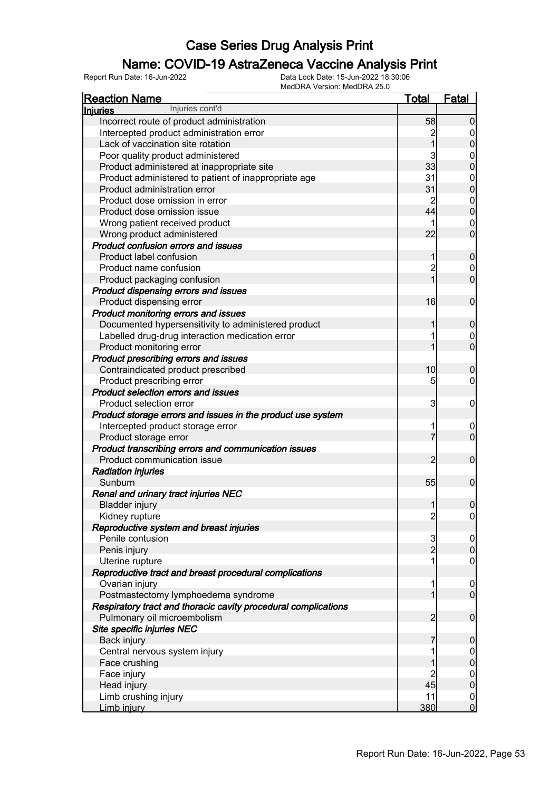### Name: COVID-19 AstraZeneca Vaccine Analysis Print

| <b>Reaction Name</b>                                           | <b>Total</b>   | <b>Fatal</b>     |
|----------------------------------------------------------------|----------------|------------------|
| Injuries cont'd<br><b>Injuries</b>                             |                |                  |
| Incorrect route of product administration                      | 58             | $\overline{0}$   |
| Intercepted product administration error                       | $\overline{c}$ | $\mathbf 0$      |
| Lack of vaccination site rotation                              | $\overline{1}$ | $\mathbf 0$      |
| Poor quality product administered                              | 3              | $\mathbf 0$      |
| Product administered at inappropriate site                     | 33             | $\overline{0}$   |
| Product administered to patient of inappropriate age           | 31             | $\mathbf{0}$     |
| Product administration error                                   | 31             | $\overline{0}$   |
| Product dose omission in error                                 | 2              | $\mathbf{0}$     |
| Product dose omission issue                                    | 44             | $\overline{0}$   |
| Wrong patient received product                                 | 1              | $\mathbf 0$      |
| Wrong product administered                                     | 22             | $\overline{0}$   |
| Product confusion errors and issues                            |                |                  |
| Product label confusion                                        | 1              | $\boldsymbol{0}$ |
| Product name confusion                                         | $\overline{2}$ | $\mathbf 0$      |
| Product packaging confusion                                    | $\overline{1}$ | $\overline{0}$   |
| Product dispensing errors and issues                           |                |                  |
| Product dispensing error                                       | 16             | $\mathbf 0$      |
| Product monitoring errors and issues                           |                |                  |
| Documented hypersensitivity to administered product            | 1              | $\mathbf 0$      |
| Labelled drug-drug interaction medication error                | 1              | $\mathbf 0$      |
| Product monitoring error                                       | 1              | $\overline{0}$   |
| Product prescribing errors and issues                          |                |                  |
| Contraindicated product prescribed                             | 10             | $\mathbf 0$      |
| Product prescribing error                                      | 5              | $\overline{0}$   |
| <b>Product selection errors and issues</b>                     |                |                  |
| Product selection error                                        | 3              | $\boldsymbol{0}$ |
| Product storage errors and issues in the product use system    |                |                  |
| Intercepted product storage error                              |                | $\mathbf 0$      |
| Product storage error                                          |                | $\mathbf 0$      |
| Product transcribing errors and communication issues           |                |                  |
| Product communication issue                                    | 2              | $\mathbf 0$      |
| <b>Radiation injuries</b>                                      |                |                  |
| Sunburn                                                        | 55             | $\mathbf 0$      |
| Renal and urinary tract injuries NEC                           |                |                  |
| <b>Bladder injury</b>                                          | 1              | $\boldsymbol{0}$ |
| Kidney rupture                                                 | $\overline{c}$ | 0                |
| Reproductive system and breast injuries                        |                |                  |
| Penile contusion                                               | 3              | $\overline{0}$   |
| Penis injury                                                   | $\overline{2}$ | $\mathbf 0$      |
| Uterine rupture                                                | 1              | $\mathbf 0$      |
| Reproductive tract and breast procedural complications         |                |                  |
| Ovarian injury                                                 | 1              | $\mathbf 0$      |
| Postmastectomy lymphoedema syndrome                            | 1              | $\overline{0}$   |
| Respiratory tract and thoracic cavity procedural complications |                |                  |
| Pulmonary oil microembolism                                    | $\overline{2}$ | $\boldsymbol{0}$ |
| Site specific injuries NEC                                     |                |                  |
| Back injury                                                    | 7              | $\mathbf 0$      |
| Central nervous system injury                                  | 1              | $\mathbf 0$      |
| Face crushing                                                  | 1              | $\pmb{0}$        |
| Face injury                                                    | $\overline{2}$ | $\boldsymbol{0}$ |
| Head injury                                                    | 45             | $\mathbf 0$      |
| Limb crushing injury                                           | 11             | $\boldsymbol{0}$ |
| Limb injury                                                    | 380            | $\mathbf 0$      |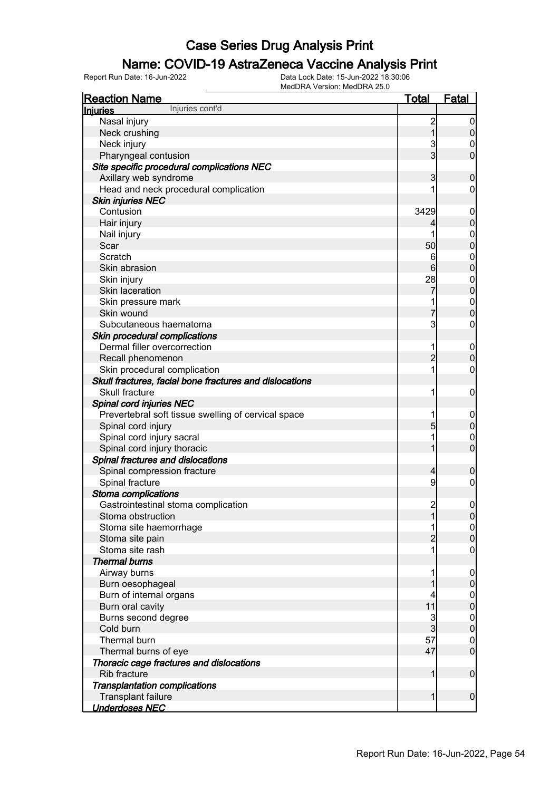### Name: COVID-19 AstraZeneca Vaccine Analysis Print

| <u>Reaction Name</u>                                    | <u>Total</u>   | <b>Fatal</b>                     |
|---------------------------------------------------------|----------------|----------------------------------|
| Injuries cont'd<br><u>Injuries</u>                      |                |                                  |
| Nasal injury                                            | $\overline{c}$ | $\boldsymbol{0}$                 |
| Neck crushing                                           | $\overline{1}$ | $\mathbf 0$                      |
| Neck injury                                             | 3              | $\mathbf 0$                      |
| Pharyngeal contusion                                    | $\overline{3}$ | $\overline{0}$                   |
| Site specific procedural complications NEC              |                |                                  |
| Axillary web syndrome                                   | 3              | $\mathbf 0$                      |
| Head and neck procedural complication                   | 1              | 0                                |
| <b>Skin injuries NEC</b>                                |                |                                  |
| Contusion                                               | 3429           | $\mathbf 0$                      |
| Hair injury                                             | 4              | $\mathbf 0$                      |
| Nail injury                                             | 1              | $\mathbf{0}$                     |
| Scar                                                    | 50             | $\overline{0}$                   |
| Scratch                                                 | 6              |                                  |
| Skin abrasion                                           | 6              | $\begin{matrix}0\\0\end{matrix}$ |
| Skin injury                                             | 28             |                                  |
| Skin laceration                                         | 7              | $\begin{matrix}0\\0\end{matrix}$ |
| Skin pressure mark                                      | 1              |                                  |
| Skin wound                                              | 7              | $\begin{matrix}0\\0\end{matrix}$ |
| Subcutaneous haematoma                                  | $\overline{3}$ | 0                                |
| Skin procedural complications                           |                |                                  |
| Dermal filler overcorrection                            | 1              | $\boldsymbol{0}$                 |
| Recall phenomenon                                       | $\overline{2}$ | $\mathbf 0$                      |
| Skin procedural complication                            | 1              | 0                                |
| Skull fractures, facial bone fractures and dislocations |                |                                  |
| Skull fracture                                          | 1              | $\mathbf 0$                      |
| Spinal cord injuries NEC                                |                |                                  |
| Prevertebral soft tissue swelling of cervical space     | 1              | $\boldsymbol{0}$                 |
| Spinal cord injury                                      | 5              | $\mathbf 0$                      |
| Spinal cord injury sacral                               | 1              | $\mathbf{0}$                     |
| Spinal cord injury thoracic                             | $\overline{1}$ | $\overline{0}$                   |
| Spinal fractures and dislocations                       |                |                                  |
| Spinal compression fracture                             | $\overline{4}$ | $\mathbf 0$                      |
| Spinal fracture                                         | $\overline{9}$ | $\boldsymbol{0}$                 |
| Stoma complications                                     |                |                                  |
| Gastrointestinal stoma complication                     | $\overline{2}$ | $\boldsymbol{0}$                 |
| Stoma obstruction                                       | 1              | 0                                |
| Stoma site haemorrhage                                  | 1              | $\overline{0}$                   |
| Stoma site pain                                         | $\overline{2}$ | $\boldsymbol{0}$                 |
| Stoma site rash                                         | 1              | $\mathbf 0$                      |
| <b>Thermal burns</b>                                    |                |                                  |
| Airway burns                                            | 1              | $\mathbf 0$                      |
| Burn oesophageal                                        |                | $\mathbf 0$                      |
| Burn of internal organs                                 | 4              | $\boldsymbol{0}$                 |
| Burn oral cavity                                        | 11             | $\overline{0}$                   |
| Burns second degree                                     |                | $\boldsymbol{0}$                 |
| Cold burn                                               | $\frac{3}{3}$  | $\mathbf 0$                      |
| Thermal burn                                            | 57             | $\mathbf{0}$                     |
| Thermal burns of eye                                    | 47             | $\overline{0}$                   |
| Thoracic cage fractures and dislocations                |                |                                  |
| <b>Rib fracture</b>                                     | 1              | $\boldsymbol{0}$                 |
| <b>Transplantation complications</b>                    |                |                                  |
| Transplant failure                                      | 1              | $\boldsymbol{0}$                 |
| <b>Underdoses NEC</b>                                   |                |                                  |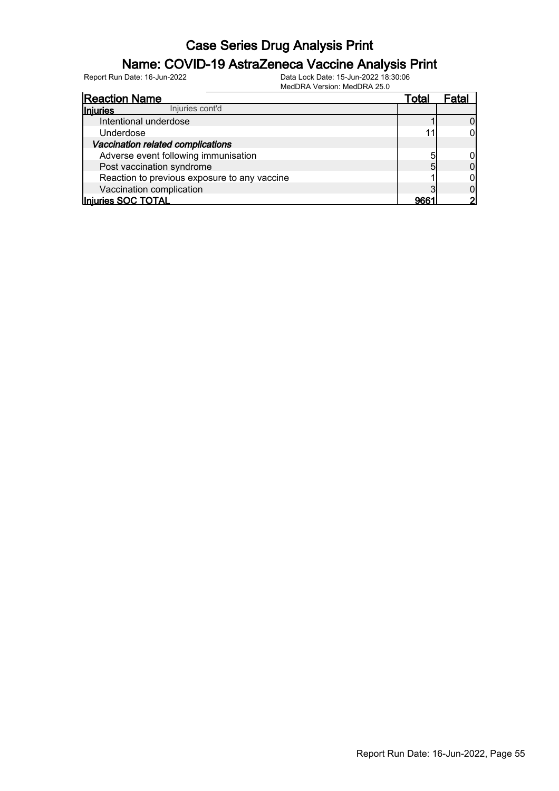### Name: COVID-19 AstraZeneca Vaccine Analysis Print

| <b>Reaction Name</b>                         | Total | Fatal |
|----------------------------------------------|-------|-------|
| Injuries cont'd<br><b>Injuries</b>           |       |       |
| Intentional underdose                        |       |       |
| Underdose                                    |       |       |
| Vaccination related complications            |       |       |
| Adverse event following immunisation         | 5     |       |
| Post vaccination syndrome                    |       |       |
| Reaction to previous exposure to any vaccine |       |       |
| Vaccination complication                     |       |       |
| Injuries SOC TOTAL                           | 966   |       |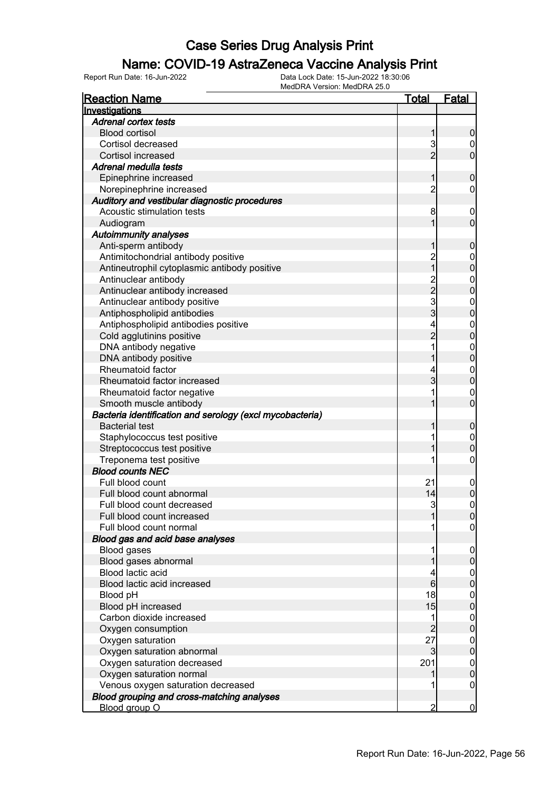### Name: COVID-19 AstraZeneca Vaccine Analysis Print

| <b>Reaction Name</b>                                     | <u>Total</u>                                   | <b>Fatal</b>     |
|----------------------------------------------------------|------------------------------------------------|------------------|
| Investigations                                           |                                                |                  |
| <b>Adrenal cortex tests</b>                              |                                                |                  |
| <b>Blood cortisol</b>                                    | 1                                              | $\boldsymbol{0}$ |
| Cortisol decreased                                       | 3                                              | $\overline{0}$   |
| <b>Cortisol increased</b>                                | $\overline{2}$                                 | $\overline{0}$   |
| Adrenal medulla tests                                    |                                                |                  |
| Epinephrine increased                                    | 1                                              | $\boldsymbol{0}$ |
| Norepinephrine increased                                 | $\overline{c}$                                 | $\mathbf 0$      |
| Auditory and vestibular diagnostic procedures            |                                                |                  |
| Acoustic stimulation tests                               | 8                                              | $\mathbf 0$      |
| Audiogram                                                | 1                                              | $\mathbf 0$      |
| <b>Autoimmunity analyses</b>                             |                                                |                  |
| Anti-sperm antibody                                      | 1                                              | $\boldsymbol{0}$ |
| Antimitochondrial antibody positive                      | 2<br>1                                         | $\boldsymbol{0}$ |
| Antineutrophil cytoplasmic antibody positive             |                                                | $\mathbf{0}$     |
| Antinuclear antibody                                     |                                                |                  |
| Antinuclear antibody increased                           |                                                | 0<br>0           |
| Antinuclear antibody positive                            | $\begin{array}{c}\n 2 \\ 2 \\ 3\n \end{array}$ | $\mathbf{0}$     |
| Antiphospholipid antibodies                              |                                                | $\mathbf{0}$     |
| Antiphospholipid antibodies positive                     | 4                                              |                  |
| Cold agglutinins positive                                | $\overline{2}$                                 | $0\atop 0$       |
| DNA antibody negative                                    | 1                                              |                  |
| DNA antibody positive                                    | 1                                              | $0\atop 0$       |
| Rheumatoid factor                                        | 4                                              | $\mathbf{0}$     |
| Rheumatoid factor increased                              | 3                                              | $\overline{0}$   |
| Rheumatoid factor negative                               | 1                                              | $\mathbf{0}$     |
| Smooth muscle antibody                                   | 1                                              | $\overline{0}$   |
| Bacteria identification and serology (excl mycobacteria) |                                                |                  |
| <b>Bacterial test</b>                                    | 1                                              | $\boldsymbol{0}$ |
| Staphylococcus test positive                             | 1                                              | $\mathbf{0}$     |
| Streptococcus test positive                              | 1                                              | $\mathbf 0$      |
| Treponema test positive                                  |                                                | $\pmb{0}$        |
| <b>Blood counts NEC</b>                                  |                                                |                  |
| Full blood count                                         | 21                                             | $\boldsymbol{0}$ |
| Full blood count abnormal                                | 14                                             | $\mathbf 0$      |
| Full blood count decreased                               | $\mathbf{3}$                                   | $\mathbf 0$      |
| Full blood count increased                               |                                                | 0                |
| Full blood count normal                                  |                                                | $\overline{0}$   |
| Blood gas and acid base analyses                         |                                                |                  |
| <b>Blood gases</b>                                       |                                                | $\mathbf 0$      |
| Blood gases abnormal                                     |                                                | $\pmb{0}$        |
| Blood lactic acid                                        | 4                                              | $\boldsymbol{0}$ |
| Blood lactic acid increased                              | $6 \overline{}$                                | $\overline{0}$   |
| Blood pH                                                 | 18                                             | $\boldsymbol{0}$ |
| Blood pH increased                                       | 15                                             | $\overline{0}$   |
| Carbon dioxide increased                                 | 1                                              | $\boldsymbol{0}$ |
| Oxygen consumption                                       | $\overline{c}$                                 | $\overline{0}$   |
| Oxygen saturation                                        | 27                                             | $\boldsymbol{0}$ |
| Oxygen saturation abnormal                               | $\mathbf{3}$                                   | $\overline{0}$   |
| Oxygen saturation decreased                              | 201                                            | $\boldsymbol{0}$ |
| Oxygen saturation normal                                 | 1                                              | $\mathbf 0$      |
| Venous oxygen saturation decreased                       |                                                | $\mathbf 0$      |
| Blood grouping and cross-matching analyses               |                                                |                  |
| Blood group O                                            | $\overline{2}$                                 | $\mathbf 0$      |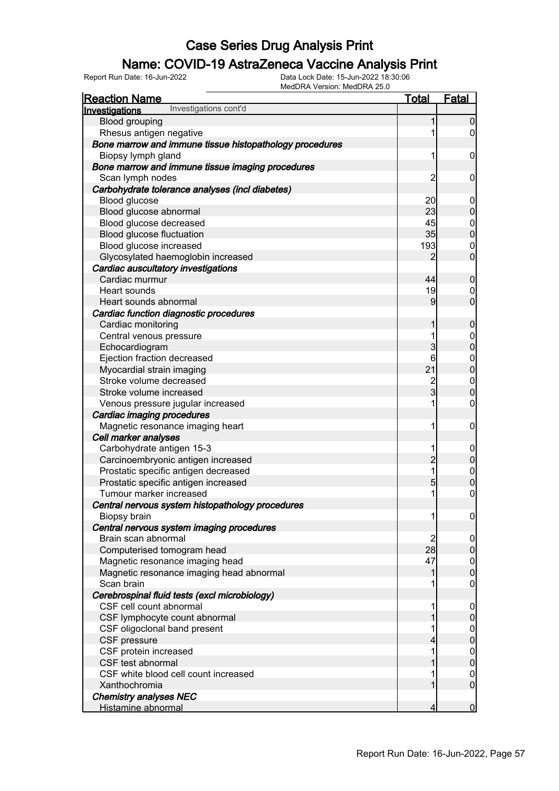### Name: COVID-19 AstraZeneca Vaccine Analysis Print

| <b>Reaction Name</b>                                    | <b>Total</b>   | Fatal            |
|---------------------------------------------------------|----------------|------------------|
| Investigations cont'd<br><b>Investigations</b>          |                |                  |
| <b>Blood grouping</b>                                   | 1              | $\overline{0}$   |
| Rhesus antigen negative                                 |                | $\overline{0}$   |
| Bone marrow and immune tissue histopathology procedures |                |                  |
| Biopsy lymph gland                                      | 1              | $\mathbf 0$      |
| Bone marrow and immune tissue imaging procedures        |                |                  |
| Scan lymph nodes                                        | $\overline{c}$ | $\mathbf 0$      |
| Carbohydrate tolerance analyses (incl diabetes)         |                |                  |
| Blood glucose                                           | 20             | $\mathbf 0$      |
| Blood glucose abnormal                                  | 23             | $\mathbf 0$      |
| Blood glucose decreased                                 | 45             |                  |
| Blood glucose fluctuation                               | 35             | $0\atop 0$       |
| Blood glucose increased                                 | 193            | $\mathbf 0$      |
| Glycosylated haemoglobin increased                      | $\overline{2}$ | $\overline{0}$   |
| Cardiac auscultatory investigations                     |                |                  |
| Cardiac murmur                                          | 44             | $\mathbf 0$      |
| Heart sounds                                            | 19             | $\boldsymbol{0}$ |
| Heart sounds abnormal                                   | 9              | $\overline{0}$   |
| Cardiac function diagnostic procedures                  |                |                  |
| Cardiac monitoring                                      | 1              | $\boldsymbol{0}$ |
| Central venous pressure                                 | 1              |                  |
| Echocardiogram                                          | 3              | $0\atop 0$       |
| Ejection fraction decreased                             | 6              |                  |
| Myocardial strain imaging                               | 21             | $0\atop 0$       |
| Stroke volume decreased                                 |                |                  |
| Stroke volume increased                                 | $\frac{2}{3}$  | $0\atop 0$       |
| Venous pressure jugular increased                       | 1              | $\boldsymbol{0}$ |
| Cardiac imaging procedures                              |                |                  |
| Magnetic resonance imaging heart                        | 1              | $\boldsymbol{0}$ |
| Cell marker analyses                                    |                |                  |
| Carbohydrate antigen 15-3                               | 1              | $\mathbf 0$      |
| Carcinoembryonic antigen increased                      | $\overline{2}$ | $\mathbf 0$      |
| Prostatic specific antigen decreased                    | 1              |                  |
| Prostatic specific antigen increased                    | $\overline{5}$ | $0$ 0            |
| Tumour marker increased                                 | 1              | $\mathbf 0$      |
| Central nervous system histopathology procedures        |                |                  |
| Biopsy brain                                            | 1              | 0                |
| Central nervous system imaging procedures               |                |                  |
| Brain scan abnormal                                     | $\overline{c}$ | $\overline{0}$   |
| Computerised tomogram head                              | 28             | $\overline{0}$   |
| Magnetic resonance imaging head                         | 47             | $\boldsymbol{0}$ |
| Magnetic resonance imaging head abnormal                | 1              | $\mathbf 0$      |
| Scan brain                                              |                | $\mathbf 0$      |
| Cerebrospinal fluid tests (excl microbiology)           |                |                  |
| CSF cell count abnormal                                 |                | $\mathbf 0$      |
| CSF lymphocyte count abnormal                           |                | $\mathbf 0$      |
| CSF oligoclonal band present                            |                | $\boldsymbol{0}$ |
| CSF pressure                                            | 4              | $\overline{0}$   |
| CSF protein increased                                   |                | $\boldsymbol{0}$ |
| CSF test abnormal                                       |                | $\mathbf 0$      |
| CSF white blood cell count increased                    |                | $\overline{0}$   |
| Xanthochromia                                           |                | $\overline{0}$   |
| <b>Chemistry analyses NEC</b>                           |                |                  |
| Histamine abnormal                                      | 4              | $\mathbf 0$      |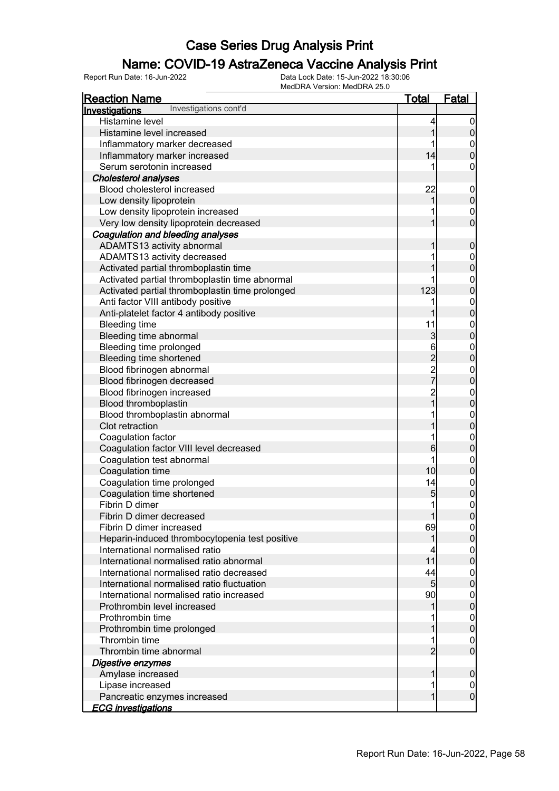### Name: COVID-19 AstraZeneca Vaccine Analysis Print

| <u>Reaction Name</u>                            | <u>Total</u>   | <b>Fatal</b>                     |
|-------------------------------------------------|----------------|----------------------------------|
| Investigations cont'd<br><b>Investigations</b>  |                |                                  |
| Histamine level                                 | 4              | $\overline{0}$                   |
| Histamine level increased                       | 1              | $\pmb{0}$                        |
| Inflammatory marker decreased                   |                |                                  |
| Inflammatory marker increased                   | 14             | $0\atop 0$                       |
| Serum serotonin increased                       | 1              | $\boldsymbol{0}$                 |
| <b>Cholesterol analyses</b>                     |                |                                  |
| Blood cholesterol increased                     | 22             | $\boldsymbol{0}$                 |
| Low density lipoprotein                         | 1              | $\mathbf 0$                      |
| Low density lipoprotein increased               |                | $\mathbf{0}$                     |
| Very low density lipoprotein decreased          | 1              | $\overline{0}$                   |
| Coagulation and bleeding analyses               |                |                                  |
| ADAMTS13 activity abnormal                      | 1              | $\boldsymbol{0}$                 |
| ADAMTS13 activity decreased                     |                |                                  |
| Activated partial thromboplastin time           |                | $0\atop 0$                       |
| Activated partial thromboplastin time abnormal  | 1              |                                  |
| Activated partial thromboplastin time prolonged | 123            | $0\atop 0$                       |
| Anti factor VIII antibody positive              | 1              |                                  |
| Anti-platelet factor 4 antibody positive        | 1              | $\begin{matrix}0\\0\end{matrix}$ |
| <b>Bleeding time</b>                            | 11             |                                  |
| Bleeding time abnormal                          | $\mathbf{3}$   | $0$ 0                            |
| Bleeding time prolonged                         | 6              |                                  |
| Bleeding time shortened                         |                | $0\atop 0$                       |
| Blood fibrinogen abnormal                       | $\frac{2}{2}$  |                                  |
| Blood fibrinogen decreased                      |                | $0\atop 0$                       |
| Blood fibrinogen increased                      |                |                                  |
| Blood thromboplastin                            | $\frac{2}{1}$  | $0$ 0                            |
| Blood thromboplastin abnormal                   |                |                                  |
| Clot retraction                                 |                | $\begin{matrix}0\\0\end{matrix}$ |
| Coagulation factor                              | 1              |                                  |
| Coagulation factor VIII level decreased         | 6              | $0\atop 0$                       |
|                                                 | 1              |                                  |
| Coagulation test abnormal<br>Coagulation time   | 10             | $0$ 0                            |
|                                                 | 14             |                                  |
| Coagulation time prolonged                      |                | $0\atop 0$                       |
| Coagulation time shortened<br>Fibrin D dimer    | 5              |                                  |
|                                                 | $\mathbf{1}$   | $\mathbf 0$                      |
| Fibrin D dimer decreased                        | 1              | 0                                |
| Fibrin D dimer increased                        | 69             | $\overline{0}$                   |
| Heparin-induced thrombocytopenia test positive  | 1              | $\pmb{0}$                        |
| International normalised ratio                  | 4              | $\boldsymbol{0}$                 |
| International normalised ratio abnormal         | 11             | $\overline{0}$                   |
| International normalised ratio decreased        | 44             | $\boldsymbol{0}$                 |
| International normalised ratio fluctuation      | $\overline{5}$ | $\overline{0}$                   |
| International normalised ratio increased        | 90             | $\boldsymbol{0}$                 |
| Prothrombin level increased                     | 1              | $\overline{0}$                   |
| Prothrombin time                                |                | $\boldsymbol{0}$                 |
| Prothrombin time prolonged                      |                | $\overline{0}$                   |
| Thrombin time                                   |                | $\mathbf 0$                      |
| Thrombin time abnormal                          | $\overline{2}$ | $\overline{0}$                   |
| Digestive enzymes                               |                |                                  |
| Amylase increased                               | 1              | $\mathbf 0$                      |
| Lipase increased                                |                | 0                                |
| Pancreatic enzymes increased                    | 1              | $\overline{0}$                   |
| <b>ECG investigations</b>                       |                |                                  |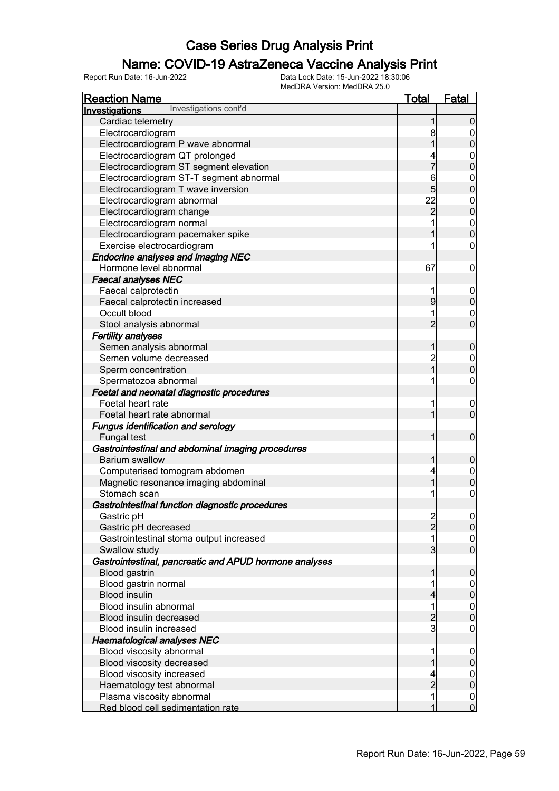### Name: COVID-19 AstraZeneca Vaccine Analysis Print

| <b>Reaction Name</b>                                   | <b>Total</b>   | Fatal                                |
|--------------------------------------------------------|----------------|--------------------------------------|
| Investigations cont'd<br>Investigations                |                |                                      |
| Cardiac telemetry                                      |                | 0                                    |
| Electrocardiogram                                      | 8              | $\overline{0}$                       |
| Electrocardiogram P wave abnormal                      |                | $\mathbf 0$                          |
| Electrocardiogram QT prolonged                         |                | $\mathbf{0}$                         |
| Electrocardiogram ST segment elevation                 | 7              | $\overline{0}$                       |
| Electrocardiogram ST-T segment abnormal                | 6              |                                      |
| Electrocardiogram T wave inversion                     | 5              | 0<br>0                               |
| Electrocardiogram abnormal                             | 22             |                                      |
| Electrocardiogram change                               | $\overline{c}$ | $0\atop 0$                           |
| Electrocardiogram normal                               |                |                                      |
| Electrocardiogram pacemaker spike                      |                | $\begin{matrix} 0 \\ 0 \end{matrix}$ |
| Exercise electrocardiogram                             |                | $\pmb{0}$                            |
| <b>Endocrine analyses and imaging NEC</b>              |                |                                      |
| Hormone level abnormal                                 | 67             | $\mathbf 0$                          |
| <b>Faecal analyses NEC</b>                             |                |                                      |
| Faecal calprotectin                                    |                | $\mathbf 0$                          |
| Faecal calprotectin increased                          | 9              | $\mathbf 0$                          |
| Occult blood                                           | 1              | $\mathbf{0}$                         |
| Stool analysis abnormal                                | $\overline{2}$ | $\overline{0}$                       |
| <b>Fertility analyses</b>                              |                |                                      |
| Semen analysis abnormal                                | 1              | $\boldsymbol{0}$                     |
| Semen volume decreased                                 | $\overline{c}$ | $\boldsymbol{0}$                     |
| Sperm concentration                                    | $\overline{1}$ | $\overline{0}$                       |
| Spermatozoa abnormal                                   |                | $\pmb{0}$                            |
| Foetal and neonatal diagnostic procedures              |                |                                      |
| Foetal heart rate                                      | 1              | $\mathbf 0$                          |
| Foetal heart rate abnormal                             | 1              | $\mathbf 0$                          |
| <b>Fungus identification and serology</b>              |                |                                      |
| <b>Fungal test</b>                                     | 1              | $\boldsymbol{0}$                     |
| Gastrointestinal and abdominal imaging procedures      |                |                                      |
| <b>Barium swallow</b>                                  | 1              | $\boldsymbol{0}$                     |
| Computerised tomogram abdomen                          | 4              |                                      |
| Magnetic resonance imaging abdominal                   | 1              | $0\atop 0$                           |
| Stomach scan                                           |                | $\mathbf 0$                          |
| Gastrointestinal function diagnostic procedures        |                |                                      |
| Gastric pH                                             |                | 0                                    |
| Gastric pH decreased                                   | $\frac{2}{2}$  | $\overline{0}$                       |
| Gastrointestinal stoma output increased                |                | $\mathbf 0$                          |
| Swallow study                                          | $\overline{3}$ | $\overline{0}$                       |
| Gastrointestinal, pancreatic and APUD hormone analyses |                |                                      |
| <b>Blood gastrin</b>                                   | 1              | $\mathbf 0$                          |
| Blood gastrin normal                                   |                | $\overline{0}$                       |
| <b>Blood insulin</b>                                   | 4              | $\mathbf 0$                          |
| Blood insulin abnormal                                 | 1              | $\boldsymbol{0}$                     |
| Blood insulin decreased                                | $\overline{c}$ | $\overline{0}$                       |
| Blood insulin increased                                | $\overline{3}$ | $\mathbf 0$                          |
| <b>Haematological analyses NEC</b>                     |                |                                      |
| Blood viscosity abnormal                               |                | $\mathbf 0$                          |
| Blood viscosity decreased                              |                | $\pmb{0}$                            |
| Blood viscosity increased                              |                |                                      |
| Haematology test abnormal                              | $\overline{2}$ | $\boldsymbol{0}$<br>$\mathbf 0$      |
| Plasma viscosity abnormal                              | 1              | $\mathbf{0}$                         |
| Red blood cell sedimentation rate                      | 1              | $\overline{0}$                       |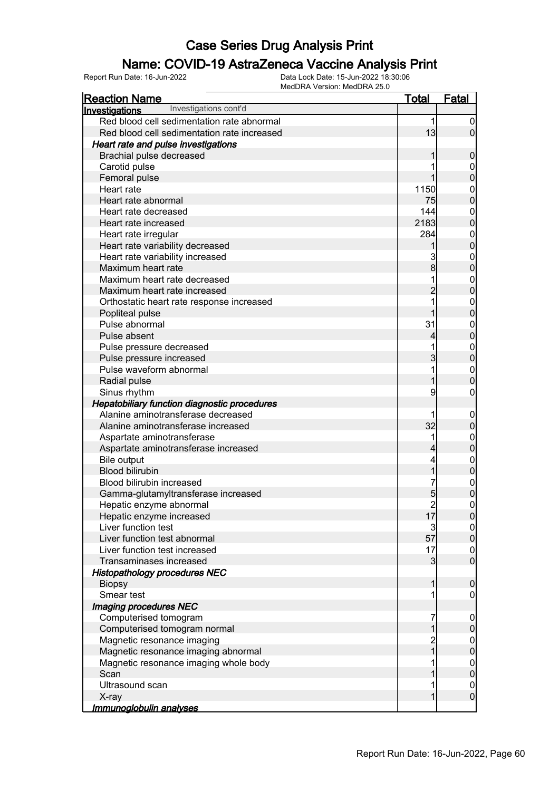### Name: COVID-19 AstraZeneca Vaccine Analysis Print

| <b>Reaction Name</b>                                                               | <b>Total</b>   | <b>Fatal</b>                   |
|------------------------------------------------------------------------------------|----------------|--------------------------------|
| Investigations cont'd<br>Investigations                                            |                |                                |
| Red blood cell sedimentation rate abnormal                                         | 1              | $\boldsymbol{0}$               |
| Red blood cell sedimentation rate increased                                        | 13             | $\overline{0}$                 |
| Heart rate and pulse investigations                                                |                |                                |
| Brachial pulse decreased                                                           |                | $\boldsymbol{0}$               |
| Carotid pulse                                                                      |                | $\mathbf 0$                    |
| Femoral pulse                                                                      |                | $\mathbf 0$                    |
| Heart rate                                                                         | 1150           | $\mathbf{0}$                   |
| Heart rate abnormal                                                                | 75             | $\mathbf 0$                    |
| Heart rate decreased                                                               | 144            | $\mathbf{0}$                   |
| Heart rate increased                                                               | 2183           | $\overline{0}$                 |
| Heart rate irregular                                                               | 284            | $\mathbf{0}$                   |
| Heart rate variability decreased                                                   |                | $\overline{0}$                 |
| Heart rate variability increased                                                   | 3              | $\mathbf{0}$                   |
| Maximum heart rate                                                                 | 8              | $\overline{0}$                 |
| Maximum heart rate decreased                                                       |                | $\mathbf{0}$                   |
| Maximum heart rate increased                                                       | $\overline{c}$ | $\overline{0}$                 |
| Orthostatic heart rate response increased                                          |                | $\mathbf{0}$                   |
| Popliteal pulse                                                                    |                | $\overline{0}$                 |
| Pulse abnormal                                                                     | 31             |                                |
| Pulse absent                                                                       | 4              | $\mathbf{0}$<br>$\overline{0}$ |
|                                                                                    |                |                                |
| Pulse pressure decreased                                                           | 3              | $\mathbf{0}$<br>$\overline{0}$ |
| Pulse pressure increased<br>Pulse waveform abnormal                                |                |                                |
|                                                                                    |                | $\mathbf{0}$                   |
| Radial pulse                                                                       |                | $\overline{0}$                 |
| Sinus rhythm                                                                       | 9              | 0                              |
| Hepatobiliary function diagnostic procedures<br>Alanine aminotransferase decreased |                |                                |
|                                                                                    |                | $\mathbf 0$                    |
| Alanine aminotransferase increased                                                 | 32             | $\mathbf 0$                    |
| Aspartate aminotransferase                                                         | 1              | $\mathbf{0}$                   |
| Aspartate aminotransferase increased                                               | 4              | $\mathbf 0$                    |
| Bile output                                                                        | 4              | $\mathbf{0}$                   |
| <b>Blood bilirubin</b>                                                             | $\overline{1}$ | $\overline{0}$                 |
| Blood bilirubin increased                                                          | 7              | $\mathbf{0}$                   |
| Gamma-glutamyltransferase increased                                                | 5              | $\overline{0}$                 |
| Hepatic enzyme abnormal                                                            | $\overline{2}$ | $\mathbf 0$                    |
| Hepatic enzyme increased                                                           | 17             | 0                              |
| Liver function test                                                                | $\overline{3}$ | $\overline{0}$                 |
| Liver function test abnormal                                                       | 57             | $\mathbf 0$                    |
| Liver function test increased                                                      | 17             | $\boldsymbol{0}$               |
| Transaminases increased                                                            | $\overline{3}$ | $\mathbf 0$                    |
| <b>Histopathology procedures NEC</b>                                               |                |                                |
| <b>Biopsy</b>                                                                      | 1              | $\mathbf 0$                    |
| Smear test                                                                         |                | $\boldsymbol{0}$               |
| Imaging procedures NEC                                                             |                |                                |
| Computerised tomogram                                                              | 7              | $\mathbf 0$                    |
| Computerised tomogram normal                                                       | 1              | $\pmb{0}$                      |
| Magnetic resonance imaging                                                         | $\overline{c}$ | $\mathbf 0$                    |
| Magnetic resonance imaging abnormal                                                | $\overline{1}$ | $\mathbf 0$                    |
| Magnetic resonance imaging whole body                                              |                | $\boldsymbol{0}$               |
| Scan                                                                               |                | $\overline{0}$                 |
| Ultrasound scan                                                                    |                | $\boldsymbol{0}$               |
| X-ray                                                                              | 1              | $\mathbf 0$                    |
| Immunoglobulin analyses                                                            |                |                                |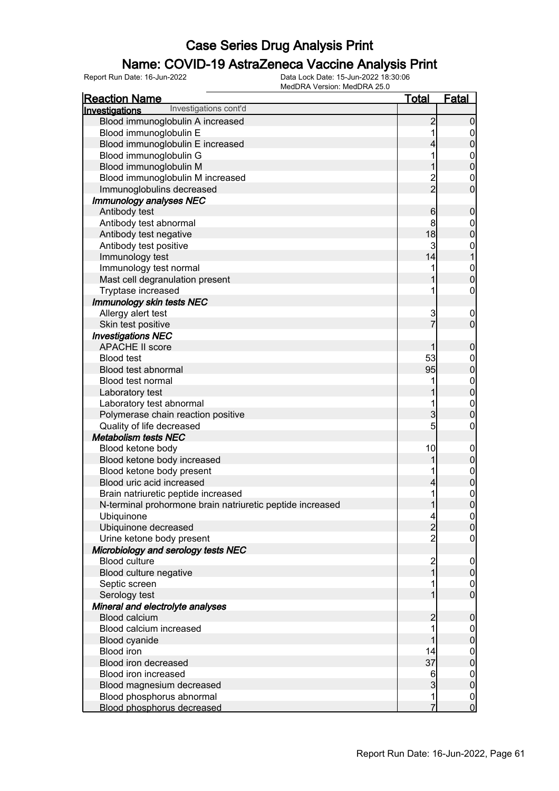### Name: COVID-19 AstraZeneca Vaccine Analysis Print

| <u>Reaction Name</u>                                      | <u>Total</u>            | <b>Fatal</b>                         |
|-----------------------------------------------------------|-------------------------|--------------------------------------|
| Investigations cont'd<br>Investigations                   |                         |                                      |
| Blood immunoglobulin A increased                          | $\overline{2}$          | $\mathbf 0$                          |
| Blood immunoglobulin E                                    | 1                       | $\mathbf 0$                          |
| Blood immunoglobulin E increased                          | 4                       | $\pmb{0}$                            |
| Blood immunoglobulin G                                    |                         | $\boldsymbol{0}$                     |
| Blood immunoglobulin M                                    |                         | $\overline{0}$                       |
| Blood immunoglobulin M increased                          |                         | $\mathbf 0$                          |
| Immunoglobulins decreased                                 | $\frac{2}{2}$           | $\overline{0}$                       |
| Immunology analyses NEC                                   |                         |                                      |
| Antibody test                                             | 6                       | $\boldsymbol{0}$                     |
| Antibody test abnormal                                    | 8                       | $\boldsymbol{0}$                     |
| Antibody test negative                                    | 18                      | $\mathbf 0$                          |
| Antibody test positive                                    | $\overline{3}$          | $\mathbf{0}$                         |
| Immunology test                                           | 14                      | $\overline{1}$                       |
| Immunology test normal                                    | 1                       |                                      |
| Mast cell degranulation present                           |                         | $0\atop 0$                           |
| Tryptase increased                                        | 1                       | $\boldsymbol{0}$                     |
| <b>Immunology skin tests NEC</b>                          |                         |                                      |
| Allergy alert test                                        | 3                       | $\mathbf 0$                          |
| Skin test positive                                        | $\overline{7}$          | $\mathbf 0$                          |
| <b>Investigations NEC</b>                                 |                         |                                      |
| <b>APACHE II score</b>                                    | 1                       | $\boldsymbol{0}$                     |
| <b>Blood test</b>                                         | 53                      | $\boldsymbol{0}$                     |
| Blood test abnormal                                       | 95                      | $\mathbf 0$                          |
| <b>Blood test normal</b>                                  | 1                       |                                      |
| Laboratory test                                           |                         | 0                                    |
| Laboratory test abnormal                                  | 1                       | $\mathbf{0}$                         |
| Polymerase chain reaction positive                        | $\overline{3}$          | $\mathbf 0$                          |
| Quality of life decreased                                 | 5                       | 0                                    |
| <b>Metabolism tests NEC</b>                               |                         |                                      |
| Blood ketone body                                         | 10                      | $\mathbf 0$                          |
| Blood ketone body increased                               | 1                       | $\boldsymbol{0}$                     |
| Blood ketone body present                                 |                         |                                      |
| Blood uric acid increased                                 | 4                       | $\begin{matrix} 0 \\ 0 \end{matrix}$ |
| Brain natriuretic peptide increased                       | 1                       | $\mathbf{0}$                         |
| N-terminal prohormone brain natriuretic peptide increased | 1                       | $\overline{0}$                       |
| Ubiquinone                                                | $\overline{4}$          | 0                                    |
| Ubiquinone decreased                                      | $\overline{2}$          | 0                                    |
| Urine ketone body present                                 | $\overline{c}$          | 0                                    |
| Microbiology and serology tests NEC                       |                         |                                      |
| <b>Blood culture</b>                                      | $\overline{\mathbf{c}}$ | $\overline{0}$                       |
| Blood culture negative                                    | $\overline{1}$          | $\pmb{0}$                            |
| Septic screen                                             |                         | $\overline{0}$                       |
| Serology test                                             |                         | $\overline{0}$                       |
| Mineral and electrolyte analyses                          |                         |                                      |
| <b>Blood calcium</b>                                      | $\overline{2}$          | $\boldsymbol{0}$                     |
| Blood calcium increased                                   |                         | $\overline{0}$                       |
| Blood cyanide                                             |                         | $\overline{0}$                       |
| <b>Blood</b> iron                                         | 14                      | $\boldsymbol{0}$                     |
| Blood iron decreased                                      | 37                      | $\overline{0}$                       |
| Blood iron increased                                      | 6                       | $\boldsymbol{0}$                     |
| Blood magnesium decreased                                 | 3                       | $\overline{0}$                       |
| Blood phosphorus abnormal                                 | 1                       | $\overline{0}$                       |
| Blood phosphorus decreased                                | 7                       | $\overline{0}$                       |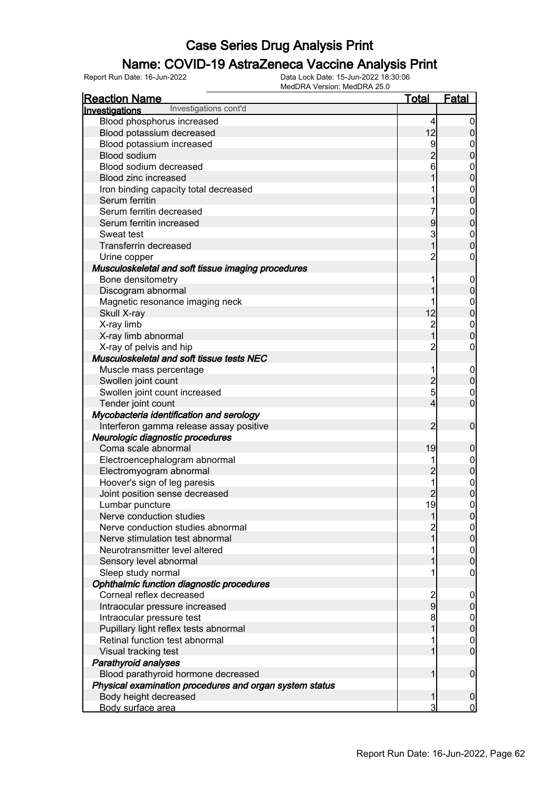### Name: COVID-19 AstraZeneca Vaccine Analysis Print

| <b>Reaction Name</b>                                    | <u>Total</u>   | <b>Fatal</b>                         |
|---------------------------------------------------------|----------------|--------------------------------------|
| Investigations cont'd<br>Investigations                 |                |                                      |
| Blood phosphorus increased                              | 4              | $\boldsymbol{0}$                     |
| Blood potassium decreased                               | 12             | $\mathbf 0$                          |
| Blood potassium increased                               | 9              | $\boldsymbol{0}$                     |
| Blood sodium                                            |                | $\mathbf 0$                          |
| Blood sodium decreased                                  | 6              |                                      |
| Blood zinc increased                                    | 1              | $\begin{matrix}0\\0\end{matrix}$     |
| Iron binding capacity total decreased                   | 1              |                                      |
| Serum ferritin                                          | 1              | $0\atop 0$                           |
| Serum ferritin decreased                                | 7              |                                      |
| Serum ferritin increased                                | 9              | $\begin{matrix}0\\0\end{matrix}$     |
| Sweat test                                              | 3              |                                      |
| <b>Transferrin decreased</b>                            | $\overline{1}$ | $\begin{matrix}0\\0\end{matrix}$     |
| Urine copper                                            | $\overline{2}$ | $\mathbf 0$                          |
| Musculoskeletal and soft tissue imaging procedures      |                |                                      |
| Bone densitometry                                       | 1              | $\boldsymbol{0}$                     |
| Discogram abnormal                                      |                | $\mathbf 0$                          |
| Magnetic resonance imaging neck                         | 1              |                                      |
| Skull X-ray                                             | 12             | $0\atop 0$                           |
| X-ray limb                                              | $\overline{2}$ | $\begin{matrix}0\\0\end{matrix}$     |
| X-ray limb abnormal                                     | $\overline{1}$ |                                      |
| X-ray of pelvis and hip                                 | $\overline{2}$ | $\mathbf 0$                          |
| Musculoskeletal and soft tissue tests NEC               |                |                                      |
| Muscle mass percentage                                  | 1              | $\boldsymbol{0}$                     |
| Swollen joint count                                     | $\overline{2}$ | $\mathbf 0$                          |
| Swollen joint count increased                           | 5              | $\begin{matrix}0\\0\end{matrix}$     |
| Tender joint count                                      | 4              |                                      |
| Mycobacteria identification and serology                |                |                                      |
| Interferon gamma release assay positive                 | $\overline{2}$ | $\mathbf 0$                          |
| Neurologic diagnostic procedures                        |                |                                      |
| Coma scale abnormal                                     | 19             | $\mathbf 0$                          |
| Electroencephalogram abnormal                           | 1              |                                      |
| Electromyogram abnormal                                 | $\overline{c}$ | $0\atop 0$                           |
| Hoover's sign of leg paresis                            | 1              | $\begin{matrix} 0 \\ 0 \end{matrix}$ |
| Joint position sense decreased                          | $\overline{2}$ |                                      |
| Lumbar puncture                                         | 19             | $\mathbf 0$                          |
| Nerve conduction studies                                | 1              | 0                                    |
| Nerve conduction studies abnormal                       | $\overline{2}$ | $\overline{0}$                       |
| Nerve stimulation test abnormal                         | 1              | $\mathbf 0$                          |
| Neurotransmitter level altered                          | 1              | $\mathbf 0$                          |
| Sensory level abnormal                                  | 1              | $\mathbf 0$                          |
| Sleep study normal                                      | 1              | 0                                    |
| Ophthalmic function diagnostic procedures               |                |                                      |
| Corneal reflex decreased                                | 2<br>9         | $\mathbf 0$                          |
| Intraocular pressure increased                          |                | $\mathbf 0$                          |
| Intraocular pressure test                               | 8              | $\mathbf 0$                          |
| Pupillary light reflex tests abnormal                   | 1              | $\overline{0}$                       |
| Retinal function test abnormal                          | 1              | $\begin{matrix} 0 \\ 0 \end{matrix}$ |
| Visual tracking test                                    | 1              |                                      |
| <b>Parathyroid analyses</b>                             |                |                                      |
| Blood parathyroid hormone decreased                     | 1              | $\boldsymbol{0}$                     |
| Physical examination procedures and organ system status |                |                                      |
| Body height decreased                                   | 1              | $\boldsymbol{0}$                     |
| Body surface area                                       | 3              | $\overline{0}$                       |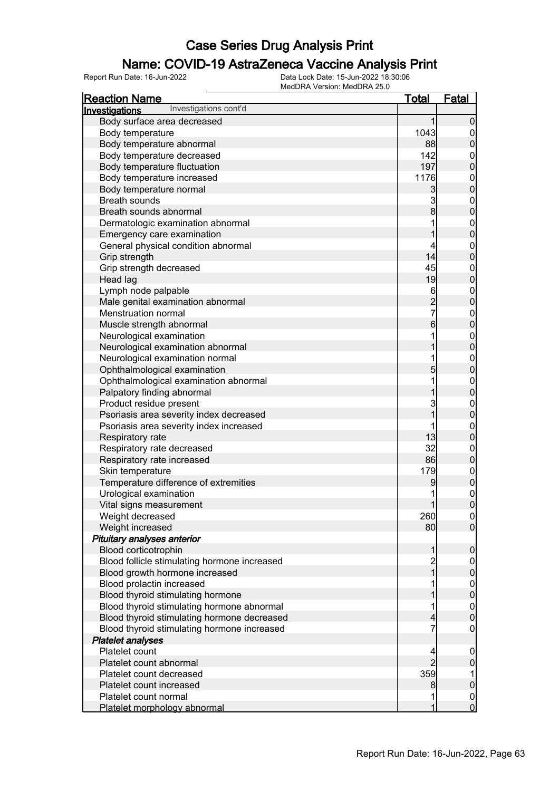### Name: COVID-19 AstraZeneca Vaccine Analysis Print

| <b>Reaction Name</b>                         | <u>Total</u>    | <b>Fatal</b>                         |
|----------------------------------------------|-----------------|--------------------------------------|
| Investigations cont'd<br>Investigations      |                 |                                      |
| Body surface area decreased                  | 1               | $\overline{0}$                       |
| Body temperature                             | 1043            | $\boldsymbol{0}$                     |
| Body temperature abnormal                    | 88              | $\overline{0}$                       |
| Body temperature decreased                   | 142             | $\mathbf{0}$                         |
| Body temperature fluctuation                 | 197             | $\overline{0}$                       |
| Body temperature increased                   | 1176            |                                      |
| Body temperature normal                      | $\mathbf{3}$    | $0\atop 0$                           |
| <b>Breath sounds</b>                         | $\mathbf{3}$    |                                      |
| Breath sounds abnormal                       | $\bf{8}$        | $\begin{matrix}0\\0\end{matrix}$     |
| Dermatologic examination abnormal            | 1               |                                      |
| Emergency care examination                   | 1               | $\begin{matrix}0\\0\end{matrix}$     |
| General physical condition abnormal          | 4               |                                      |
| Grip strength                                | 14              | $\begin{matrix}0\\0\end{matrix}$     |
| Grip strength decreased                      | 45              |                                      |
| Head lag                                     | 19              | $0\atop 0$                           |
| Lymph node palpable                          | 6               |                                      |
| Male genital examination abnormal            |                 | $\begin{matrix}0\\0\end{matrix}$     |
| Menstruation normal                          | $\frac{2}{7}$   |                                      |
| Muscle strength abnormal                     | $6\overline{6}$ | $\begin{matrix}0\\0\end{matrix}$     |
| Neurological examination                     | 1               |                                      |
| Neurological examination abnormal            | 1               | $\begin{matrix}0\\0\end{matrix}$     |
| Neurological examination normal              | 1               |                                      |
| Ophthalmological examination                 | 5               | $\begin{matrix}0\\0\end{matrix}$     |
| Ophthalmological examination abnormal        | 1               |                                      |
| Palpatory finding abnormal                   | 1               | $\begin{matrix}0\\0\end{matrix}$     |
| Product residue present                      | 3               |                                      |
| Psoriasis area severity index decreased      | $\overline{1}$  | $0\atop 0$                           |
| Psoriasis area severity index increased      | 1               |                                      |
| Respiratory rate                             | 13              | $\begin{matrix}0\\0\end{matrix}$     |
| Respiratory rate decreased                   | 32              | $\mathbf{0}$                         |
| Respiratory rate increased                   | 86              | $\mathbf 0$                          |
| Skin temperature                             | 179             |                                      |
| Temperature difference of extremities        | 9               | $\begin{matrix} 0 \\ 0 \end{matrix}$ |
| Urological examination                       | 1               | $\begin{matrix}0\\0\end{matrix}$     |
| Vital signs measurement                      | 1               |                                      |
| Weight decreased                             | 260             | 0                                    |
| Weight increased                             | 80              | $\overline{0}$                       |
| Pituitary analyses anterior                  |                 |                                      |
| Blood corticotrophin                         | 1               | $\mathbf 0$                          |
| Blood follicle stimulating hormone increased | $\overline{2}$  | $\boldsymbol{0}$                     |
| Blood growth hormone increased               | $\mathbf{1}$    | $\pmb{0}$                            |
| Blood prolactin increased                    | 1               | $\boldsymbol{0}$                     |
| Blood thyroid stimulating hormone            |                 | $\overline{0}$                       |
| Blood thyroid stimulating hormone abnormal   | 1               | $\boldsymbol{0}$                     |
| Blood thyroid stimulating hormone decreased  | $\overline{4}$  | $\overline{0}$                       |
| Blood thyroid stimulating hormone increased  | 7               | $\boldsymbol{0}$                     |
| <b>Platelet analyses</b>                     |                 |                                      |
| Platelet count                               | 4               | $\mathbf 0$                          |
| Platelet count abnormal                      | $\overline{2}$  | $\mathsf{O}\xspace$                  |
| Platelet count decreased                     | 359             | 1                                    |
| Platelet count increased                     | 8               | $\mathbf 0$                          |
| Platelet count normal                        |                 | $\boldsymbol{0}$                     |
| Platelet morphology abnormal                 | 1               | $\overline{0}$                       |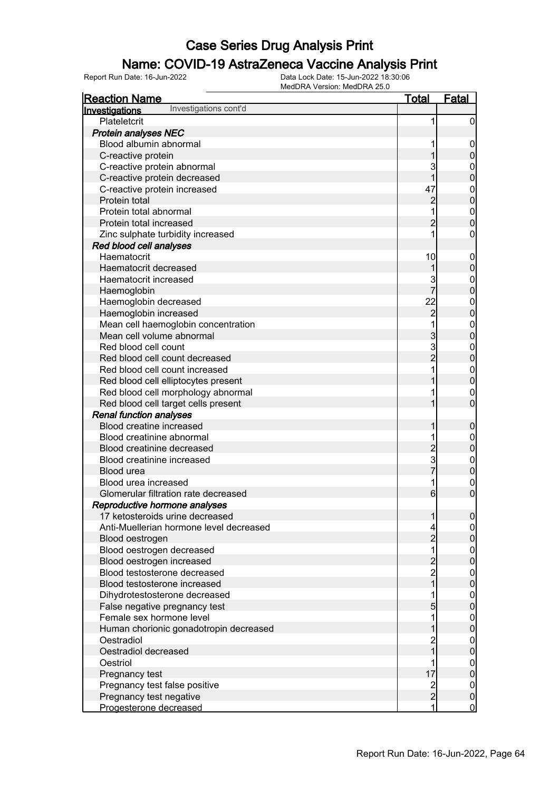### Name: COVID-19 AstraZeneca Vaccine Analysis Print

| <b>Reaction Name</b>                    | <u>Total</u>   | <b>Fatal</b>     |
|-----------------------------------------|----------------|------------------|
| Investigations cont'd<br>Investigations |                |                  |
| Plateletcrit                            | 1              | 0                |
| <b>Protein analyses NEC</b>             |                |                  |
| Blood albumin abnormal                  |                | $\mathbf 0$      |
| C-reactive protein                      |                | $\boldsymbol{0}$ |
| C-reactive protein abnormal             | 3              | $\mathbf{0}$     |
| C-reactive protein decreased            |                | $\mathbf 0$      |
| C-reactive protein increased            | 47             | $\mathbf{0}$     |
| Protein total                           | $\overline{c}$ | $\overline{0}$   |
| Protein total abnormal                  |                | $\mathbf{0}$     |
| Protein total increased                 | $\overline{c}$ | $\overline{0}$   |
| Zinc sulphate turbidity increased       |                | 0                |
| Red blood cell analyses                 |                |                  |
| Haematocrit                             | 10             | $\mathbf 0$      |
| Haematocrit decreased                   | 1              | $\mathbf 0$      |
| Haematocrit increased                   | 3              | $\mathbf 0$      |
| Haemoglobin                             |                | $\mathbf 0$      |
| Haemoglobin decreased                   | 22             | $\mathbf{0}$     |
| Haemoglobin increased                   | $\overline{c}$ | $\overline{0}$   |
| Mean cell haemoglobin concentration     |                | $\mathbf{0}$     |
| Mean cell volume abnormal               | 3              | $\overline{0}$   |
| Red blood cell count                    | 3              | $\mathbf{0}$     |
| Red blood cell count decreased          | $\overline{2}$ | $\overline{0}$   |
| Red blood cell count increased          |                | $\mathbf{0}$     |
| Red blood cell elliptocytes present     |                | $\overline{0}$   |
| Red blood cell morphology abnormal      |                | $\mathbf 0$      |
| Red blood cell target cells present     |                | $\overline{0}$   |
| <b>Renal function analyses</b>          |                |                  |
| Blood creatine increased                |                | $\mathbf 0$      |
| Blood creatinine abnormal               |                | $\mathbf{0}$     |
| Blood creatinine decreased              | $\overline{c}$ | $\mathbf 0$      |
| Blood creatinine increased              | 3              | $\mathbf{0}$     |
| Blood urea                              |                | $\mathbf 0$      |
| Blood urea increased                    |                | $\mathbf 0$      |
| Glomerular filtration rate decreased    | 6              | 0                |
| Reproductive hormone analyses           |                |                  |
| 17 ketosteroids urine decreased         | 1              | 0                |
| Anti-Muellerian hormone level decreased |                |                  |
| Blood oestrogen                         | $\overline{2}$ | $\overline{0}$   |
| Blood oestrogen decreased               |                |                  |
| Blood oestrogen increased               | $\overline{2}$ | $0$<br>0         |
| Blood testosterone decreased            | $\overline{c}$ |                  |
| Blood testosterone increased            | 1              | $0\atop 0$       |
| Dihydrotestosterone decreased           |                |                  |
| False negative pregnancy test           | 5              | $0\atop 0$       |
| Female sex hormone level                |                |                  |
| Human chorionic gonadotropin decreased  |                | $0\atop 0$       |
| Oestradiol                              |                |                  |
| Oestradiol decreased                    |                | $0\atop 0$       |
| Oestriol                                |                | $\boldsymbol{0}$ |
| Pregnancy test                          | 17             | $\overline{0}$   |
| Pregnancy test false positive           |                | $\boldsymbol{0}$ |
| Pregnancy test negative                 | $\frac{2}{2}$  | $\mathbf 0$      |
| Progesterone decreased                  | 1              | $\overline{0}$   |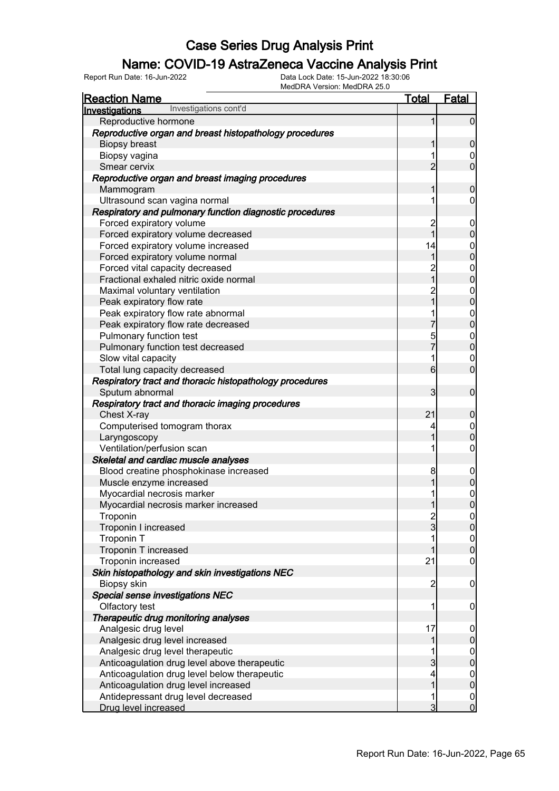### Name: COVID-19 AstraZeneca Vaccine Analysis Print

| <u>Reaction Name</u>                                     | <u>Total</u>   | <b>Fatal</b>                         |
|----------------------------------------------------------|----------------|--------------------------------------|
| Investigations cont'd<br>Investigations                  |                |                                      |
| Reproductive hormone                                     | 1              | $\overline{0}$                       |
| Reproductive organ and breast histopathology procedures  |                |                                      |
| <b>Biopsy breast</b>                                     | 1              | $\boldsymbol{0}$                     |
| Biopsy vagina                                            | 1              | $\overline{0}$                       |
| Smear cervix                                             | $\overline{2}$ | $\overline{0}$                       |
| Reproductive organ and breast imaging procedures         |                |                                      |
| Mammogram                                                | 1              | $\boldsymbol{0}$                     |
| Ultrasound scan vagina normal                            | 1              | $\overline{0}$                       |
| Respiratory and pulmonary function diagnostic procedures |                |                                      |
| Forced expiratory volume                                 | $\overline{c}$ | $\boldsymbol{0}$                     |
| Forced expiratory volume decreased                       | $\overline{1}$ | $\mathbf 0$                          |
| Forced expiratory volume increased                       | 14             | $\begin{matrix}0\\0\end{matrix}$     |
| Forced expiratory volume normal                          | 1              |                                      |
| Forced vital capacity decreased                          | 2<br>1         | $\begin{matrix}0\\0\end{matrix}$     |
| Fractional exhaled nitric oxide normal                   |                |                                      |
| Maximal voluntary ventilation                            | 2<br>1         | $\begin{matrix}0\\0\end{matrix}$     |
| Peak expiratory flow rate                                |                |                                      |
| Peak expiratory flow rate abnormal                       | 1              | $\begin{matrix}0\\0\end{matrix}$     |
| Peak expiratory flow rate decreased                      | 7              |                                      |
| Pulmonary function test                                  | 5              | $0\atop 0$                           |
| Pulmonary function test decreased                        | $\overline{7}$ |                                      |
| Slow vital capacity                                      | 1              | $\mathbf{0}$                         |
| Total lung capacity decreased                            | 6              | $\overline{0}$                       |
| Respiratory tract and thoracic histopathology procedures |                |                                      |
| Sputum abnormal                                          | 3              | $\mathbf 0$                          |
| Respiratory tract and thoracic imaging procedures        |                |                                      |
| Chest X-ray                                              | 21             | $\boldsymbol{0}$                     |
| Computerised tomogram thorax                             | 4              | $\begin{matrix}0\\0\end{matrix}$     |
| Laryngoscopy                                             | 1              |                                      |
| Ventilation/perfusion scan                               | 1              | $\boldsymbol{0}$                     |
| Skeletal and cardiac muscle analyses                     |                |                                      |
| Blood creatine phosphokinase increased                   | 8              | $\boldsymbol{0}$                     |
| Muscle enzyme increased                                  | 1              | $\overline{0}$                       |
| Myocardial necrosis marker                               | 1              | $\begin{matrix}0\\0\end{matrix}$     |
| Myocardial necrosis marker increased                     | 1              |                                      |
| Troponin                                                 | $\frac{2}{3}$  | $\Omega$                             |
| Troponin I increased                                     |                | $\overline{0}$                       |
| Troponin T                                               | 1              | $\begin{matrix} 0 \\ 0 \end{matrix}$ |
| Troponin T increased                                     | 1              |                                      |
| Troponin increased                                       | 21             | $\boldsymbol{0}$                     |
| Skin histopathology and skin investigations NEC          |                |                                      |
| Biopsy skin                                              | $\overline{c}$ | $\mathbf 0$                          |
| Special sense investigations NEC                         |                |                                      |
| Olfactory test                                           | 1              | $\overline{0}$                       |
| Therapeutic drug monitoring analyses                     |                |                                      |
| Analgesic drug level                                     | 17             | $\boldsymbol{0}$                     |
| Analgesic drug level increased                           | 1              | $\pmb{0}$                            |
| Analgesic drug level therapeutic                         | 1              | $0\atop 0$                           |
| Anticoagulation drug level above therapeutic             | $\overline{3}$ |                                      |
| Anticoagulation drug level below therapeutic             | 4              | $0\atop 0$                           |
| Anticoagulation drug level increased                     | $\overline{1}$ |                                      |
| Antidepressant drug level decreased                      | 1              | $\boldsymbol{0}$                     |
| Drug level increased                                     | $\overline{3}$ | $\overline{0}$                       |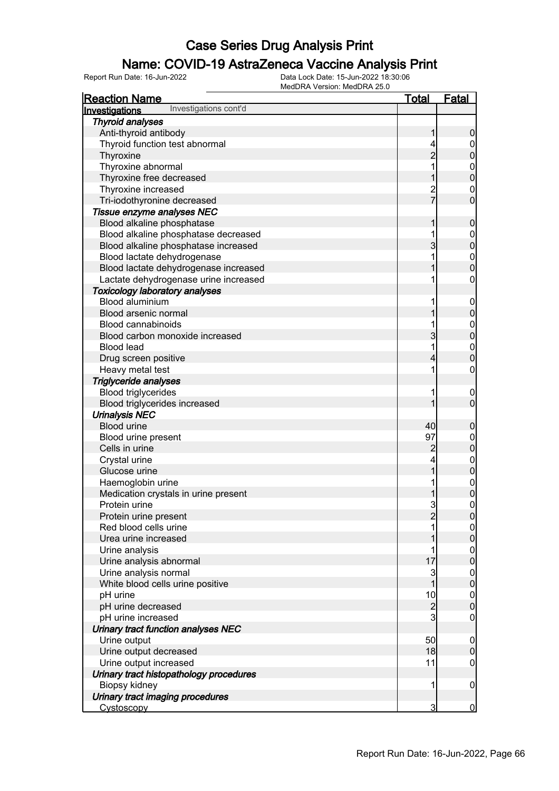### Name: COVID-19 AstraZeneca Vaccine Analysis Print

| <u>Reaction Name</u>                    | <u>Total</u>   | <b>Fatal</b>                         |
|-----------------------------------------|----------------|--------------------------------------|
| Investigations cont'd<br>Investigations |                |                                      |
| <b>Thyroid analyses</b>                 |                |                                      |
| Anti-thyroid antibody                   | 1              | $\boldsymbol{0}$                     |
| Thyroid function test abnormal          | 4              | $\overline{0}$                       |
| Thyroxine                               | $\overline{2}$ | $\mathbf 0$                          |
| Thyroxine abnormal                      |                |                                      |
| Thyroxine free decreased                |                | $0\atop 0$                           |
| Thyroxine increased                     |                | $\mathbf 0$                          |
| Tri-iodothyronine decreased             | 2<br>7         | $\overline{0}$                       |
| Tissue enzyme analyses NEC              |                |                                      |
| Blood alkaline phosphatase              | 1              | $\mathbf 0$                          |
| Blood alkaline phosphatase decreased    | 1              | $\boldsymbol{0}$                     |
| Blood alkaline phosphatase increased    | 3              | $\overline{0}$                       |
| Blood lactate dehydrogenase             |                |                                      |
| Blood lactate dehydrogenase increased   |                | $0\atop 0$                           |
| Lactate dehydrogenase urine increased   |                | $\boldsymbol{0}$                     |
| <b>Toxicology laboratory analyses</b>   |                |                                      |
| Blood aluminium                         | 1              | $\mathbf 0$                          |
| Blood arsenic normal                    |                | $\mathbf 0$                          |
| <b>Blood cannabinoids</b>               |                |                                      |
| Blood carbon monoxide increased         | 3              | $0\atop 0$                           |
| <b>Blood lead</b>                       | 1              | $\boldsymbol{0}$                     |
| Drug screen positive                    | 4              | $\overline{0}$                       |
| Heavy metal test                        | 1              | $\boldsymbol{0}$                     |
| Triglyceride analyses                   |                |                                      |
| <b>Blood triglycerides</b>              | 1              |                                      |
| Blood triglycerides increased           |                | $\mathbf 0$<br>$\overline{0}$        |
| <b>Urinalysis NEC</b>                   |                |                                      |
| <b>Blood urine</b>                      | 40             |                                      |
|                                         | 97             | $\mathbf 0$                          |
| Blood urine present<br>Cells in urine   |                | $\mathbf{0}$                         |
|                                         | $\overline{2}$ | $\mathbf 0$                          |
| Crystal urine                           | 4<br>1         | 0                                    |
| Glucose urine                           |                |                                      |
| Haemoglobin urine                       |                | $0\atop 0$                           |
| Medication crystals in urine present    |                |                                      |
| Protein urine                           | 3              | $\mathbf 0$                          |
| Protein urine present                   | $\overline{2}$ | 0                                    |
| Red blood cells urine                   |                | $\overline{0}$                       |
| Urea urine increased                    |                | $\mathbf 0$                          |
| Urine analysis                          | 1              | $\begin{matrix} 0 \\ 0 \end{matrix}$ |
| Urine analysis abnormal                 | 17             |                                      |
| Urine analysis normal                   | 3              | $\begin{matrix} 0 \\ 0 \end{matrix}$ |
| White blood cells urine positive        | $\overline{1}$ |                                      |
| pH urine                                | 10             | $\boldsymbol{0}$                     |
| pH urine decreased                      | $\overline{c}$ | $\overline{0}$                       |
| pH urine increased                      | 3              | $\mathbf 0$                          |
| Urinary tract function analyses NEC     |                |                                      |
| Urine output                            | 50             | $\mathbf 0$                          |
| Urine output decreased                  | 18             | $\pmb{0}$                            |
| Urine output increased                  | 11             | $\mathbf 0$                          |
| Urinary tract histopathology procedures |                |                                      |
| Biopsy kidney                           | 1              | $\mathbf 0$                          |
| Urinary tract imaging procedures        |                |                                      |
| Cystoscopy                              | 3              | $\overline{0}$                       |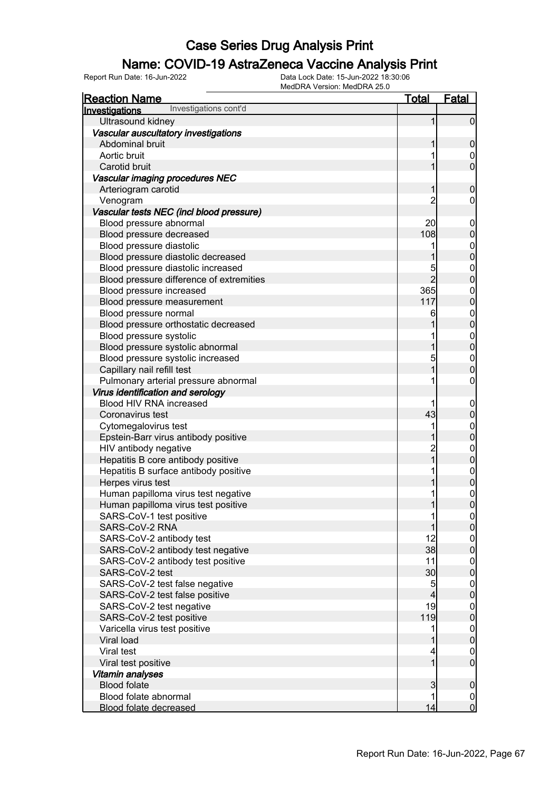### Name: COVID-19 AstraZeneca Vaccine Analysis Print

| <u>Reaction Name</u>                     | <b>Total</b>            | <b>Fatal</b>                         |
|------------------------------------------|-------------------------|--------------------------------------|
| Investigations cont'd<br>Investigations  |                         |                                      |
| Ultrasound kidney                        | 1                       | $\overline{0}$                       |
| Vascular auscultatory investigations     |                         |                                      |
| Abdominal bruit                          | 1                       | $\mathbf 0$                          |
| Aortic bruit                             |                         | $\overline{0}$                       |
| Carotid bruit                            | 1                       | $\overline{0}$                       |
| Vascular imaging procedures NEC          |                         |                                      |
| Arteriogram carotid                      | 1                       | $\mathbf 0$                          |
| Venogram                                 | $\overline{c}$          | 0                                    |
| Vascular tests NEC (incl blood pressure) |                         |                                      |
| Blood pressure abnormal                  | 20                      | $\mathbf 0$                          |
| Blood pressure decreased                 | 108                     | $\pmb{0}$                            |
| Blood pressure diastolic                 |                         |                                      |
| Blood pressure diastolic decreased       | 1                       | $0\atop 0$                           |
| Blood pressure diastolic increased       | 5                       |                                      |
| Blood pressure difference of extremities | $\overline{2}$          | $0\atop 0$                           |
| Blood pressure increased                 | 365                     |                                      |
| Blood pressure measurement               | 117                     | $0\atop 0$                           |
| Blood pressure normal                    | 6                       |                                      |
| Blood pressure orthostatic decreased     |                         | $0\atop 0$                           |
| Blood pressure systolic                  |                         |                                      |
| Blood pressure systolic abnormal         | 1                       | $0\atop 0$                           |
| Blood pressure systolic increased        | 5                       |                                      |
| Capillary nail refill test               | 1                       | $\begin{matrix}0\\0\end{matrix}$     |
| Pulmonary arterial pressure abnormal     |                         | $\boldsymbol{0}$                     |
| Virus identification and serology        |                         |                                      |
| Blood HIV RNA increased                  | 1                       | $\mathbf 0$                          |
| Coronavirus test                         | 43                      | $\mathbf 0$                          |
| Cytomegalovirus test                     | 1                       |                                      |
| Epstein-Barr virus antibody positive     |                         | $0\atop 0$                           |
| HIV antibody negative                    |                         |                                      |
| Hepatitis B core antibody positive       | 2<br>1                  | $0\atop 0$                           |
| Hepatitis B surface antibody positive    |                         |                                      |
| Herpes virus test                        | 1                       | $\begin{matrix} 0 \\ 0 \end{matrix}$ |
| Human papilloma virus test negative      |                         |                                      |
| Human papilloma virus test positive      | 1                       | $\begin{matrix}0\\0\end{matrix}$     |
| SARS-CoV-1 test positive                 | 1                       | 0                                    |
| SARS-CoV-2 RNA                           | 1                       | 0                                    |
| SARS-CoV-2 antibody test                 | 12                      | $\overline{0}$                       |
| SARS-CoV-2 antibody test negative        | 38                      | $\overline{0}$                       |
| SARS-CoV-2 antibody test positive        | 11                      | $\mathbf 0$                          |
| SARS-CoV-2 test                          | 30                      | $\mathbf 0$                          |
| SARS-CoV-2 test false negative           | 5                       | $\boldsymbol{0}$                     |
| SARS-CoV-2 test false positive           | $\overline{\mathbf{4}}$ | $\mathbf 0$                          |
| SARS-CoV-2 test negative                 | 19                      | $\boldsymbol{0}$                     |
| SARS-CoV-2 test positive                 | 119                     | $\mathbf 0$                          |
| Varicella virus test positive            | 1                       |                                      |
| Viral load                               | 1                       | $0$<br>0                             |
| Viral test                               | 4                       | $\overline{0}$                       |
| Viral test positive                      | 1                       | $\overline{0}$                       |
| Vitamin analyses                         |                         |                                      |
| <b>Blood folate</b>                      | 3                       | $\boldsymbol{0}$                     |
| Blood folate abnormal                    | 1                       | $\overline{0}$                       |
| <b>Blood folate decreased</b>            | 14                      | $\mathbf 0$                          |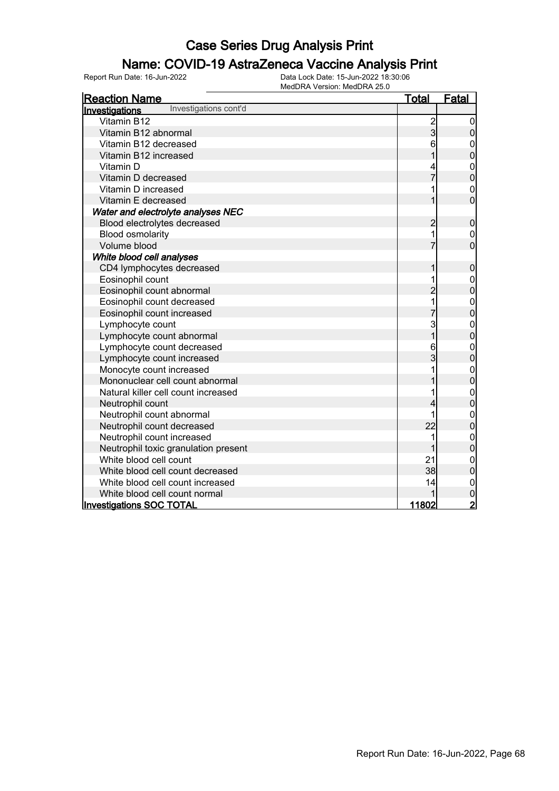### Name: COVID-19 AstraZeneca Vaccine Analysis Print

| <b>Reaction Name</b>                    | <u>Total</u>   | Fatal            |
|-----------------------------------------|----------------|------------------|
| Investigations cont'd<br>Investigations |                |                  |
| Vitamin B12                             |                | $\overline{0}$   |
| Vitamin B12 abnormal                    | $\frac{2}{3}$  | $\boldsymbol{0}$ |
| Vitamin B12 decreased                   | 6              | $\mathbf{0}$     |
| Vitamin B12 increased                   |                | $\mathbf 0$      |
| Vitamin D                               |                | $\boldsymbol{0}$ |
| Vitamin D decreased                     | $\overline{7}$ | $\overline{0}$   |
| Vitamin D increased                     |                | $\mathbf 0$      |
| Vitamin E decreased                     | 1              | $\overline{0}$   |
| Water and electrolyte analyses NEC      |                |                  |
| Blood electrolytes decreased            | $\overline{2}$ | $\bf 0$          |
| <b>Blood osmolarity</b>                 | 1              | $\mathbf 0$      |
| Volume blood                            | $\overline{7}$ | $\overline{0}$   |
| White blood cell analyses               |                |                  |
| CD4 lymphocytes decreased               | 1              | $\boldsymbol{0}$ |
| Eosinophil count                        | 1              | $\mathbf 0$      |
| Eosinophil count abnormal               | $\overline{c}$ | $\mathbf 0$      |
| Eosinophil count decreased              | 1              | $\mathbf{0}$     |
| Eosinophil count increased              | $\overline{7}$ | $\overline{0}$   |
| Lymphocyte count                        | 3              | $\mathbf{0}$     |
| Lymphocyte count abnormal               | $\overline{1}$ | $\overline{0}$   |
| Lymphocyte count decreased              | 6              | $\mathbf{0}$     |
| Lymphocyte count increased              | 3              | $\overline{0}$   |
| Monocyte count increased                | 1              | $\mathbf{0}$     |
| Mononuclear cell count abnormal         |                | $\overline{0}$   |
| Natural killer cell count increased     | 1              | $\mathbf{0}$     |
| Neutrophil count                        | 4              | $\mathbf 0$      |
| Neutrophil count abnormal               | 1              | $\mathbf{0}$     |
| Neutrophil count decreased              | 22             | $\mathbf 0$      |
| Neutrophil count increased              | 1              | $\mathbf{0}$     |
| Neutrophil toxic granulation present    | 1              | $\overline{0}$   |
| White blood cell count                  | 21             | $\mathbf{0}$     |
| White blood cell count decreased        | 38             | $\overline{0}$   |
| White blood cell count increased        | 14             | $\boldsymbol{0}$ |
| White blood cell count normal           | 1              | $\overline{0}$   |
| <b>Investigations SOC TOTAL</b>         | 11802          | $\overline{2}$   |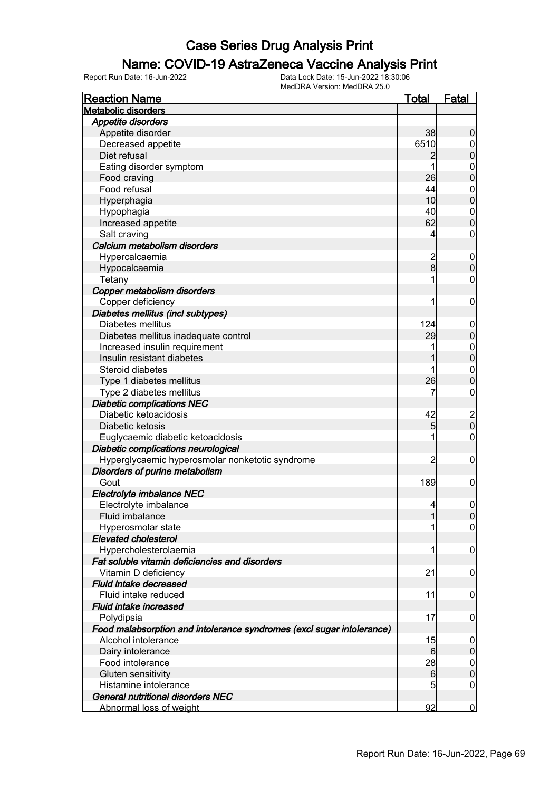### Name: COVID-19 AstraZeneca Vaccine Analysis Print

Report Run Date: 16-Jun-2022 Data Lock Date: 15-Jun-2022 18:30:06

MedDRA Version: MedDRA 25.0

| <b>Reaction Name</b>                                                  | <u>Total</u>   | <b>Fatal</b>                          |
|-----------------------------------------------------------------------|----------------|---------------------------------------|
| <b>Metabolic disorders</b>                                            |                |                                       |
| <b>Appetite disorders</b>                                             |                |                                       |
| Appetite disorder                                                     | 38             | $\boldsymbol{0}$                      |
| Decreased appetite                                                    | 6510           | $\mathbf 0$                           |
| Diet refusal                                                          | 2              | $\overline{0}$                        |
| Eating disorder symptom                                               | 1              | $\mathbf{0}$                          |
| Food craving                                                          | 26             | $\overline{0}$                        |
| Food refusal                                                          | 44             |                                       |
| Hyperphagia                                                           | 10             | $\begin{matrix}0\\0\end{matrix}$      |
| Hypophagia                                                            | 40             |                                       |
| Increased appetite                                                    | 62             | $\begin{matrix}0\\0\end{matrix}$      |
| Salt craving                                                          | 4              | $\mathbf 0$                           |
| Calcium metabolism disorders                                          |                |                                       |
| Hypercalcaemia                                                        | $\overline{c}$ | $\boldsymbol{0}$                      |
| Hypocalcaemia                                                         | $\overline{8}$ | $\mathbf 0$                           |
| Tetany                                                                | 1              | $\mathbf 0$                           |
| Copper metabolism disorders                                           |                |                                       |
|                                                                       | 1              | $\boldsymbol{0}$                      |
| Copper deficiency                                                     |                |                                       |
| Diabetes mellitus (incl subtypes)                                     |                |                                       |
| Diabetes mellitus                                                     | 124            | $\mathbf 0$                           |
| Diabetes mellitus inadequate control                                  | 29             | $\mathbf 0$                           |
| Increased insulin requirement                                         | 1              | $0\atop 0$                            |
| Insulin resistant diabetes                                            |                |                                       |
| Steroid diabetes                                                      |                | $\mathbf{0}$                          |
| Type 1 diabetes mellitus                                              | 26             | $\overline{0}$                        |
| Type 2 diabetes mellitus                                              | 7              | $\mathbf 0$                           |
| <b>Diabetic complications NEC</b>                                     |                |                                       |
| Diabetic ketoacidosis                                                 | 42             | $\begin{array}{c} 2 \\ 0 \end{array}$ |
| Diabetic ketosis                                                      | 5              |                                       |
| Euglycaemic diabetic ketoacidosis                                     | 1              | $\mathbf 0$                           |
| Diabetic complications neurological                                   |                |                                       |
| Hyperglycaemic hyperosmolar nonketotic syndrome                       | $\overline{2}$ | $\boldsymbol{0}$                      |
| Disorders of purine metabolism                                        |                |                                       |
| Gout                                                                  | 189            | $\mathbf 0$                           |
| Electrolyte imbalance NEC                                             |                |                                       |
| Electrolyte imbalance                                                 | 4              | $\boldsymbol{0}$                      |
| Fluid imbalance                                                       | 11             | 0                                     |
| Hyperosmolar state                                                    | 1              | $\overline{0}$                        |
| <b>Elevated cholesterol</b>                                           |                |                                       |
| Hypercholesterolaemia                                                 | 1              | $\mathbf 0$                           |
| Fat soluble vitamin deficiencies and disorders                        |                |                                       |
| Vitamin D deficiency                                                  | 21             | $\mathbf 0$                           |
| Fluid intake decreased                                                |                |                                       |
| Fluid intake reduced                                                  | 11             | $\mathbf 0$                           |
| Fluid intake increased                                                |                |                                       |
| Polydipsia                                                            | 17             | $\mathbf 0$                           |
| Food malabsorption and intolerance syndromes (excl sugar intolerance) |                |                                       |
| Alcohol intolerance                                                   | 15             | 0                                     |
| Dairy intolerance                                                     | 6              | $\boldsymbol{0}$                      |
| Food intolerance                                                      | 28             | $\mathbf 0$                           |
| Gluten sensitivity                                                    | 6              | $\boldsymbol{0}$                      |
| Histamine intolerance                                                 | 5              | $\overline{0}$                        |
| General nutritional disorders NEC                                     |                |                                       |
| Abnormal loss of weight                                               | 92             | $\bf{0}$                              |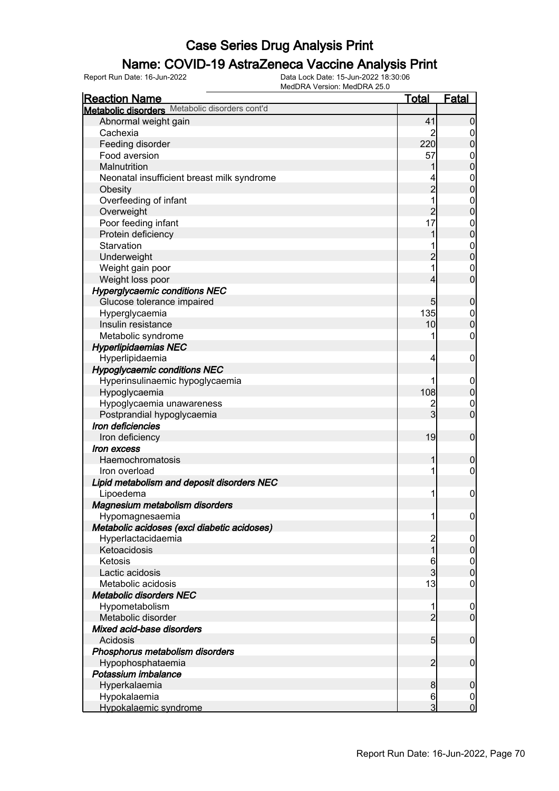### Name: COVID-19 AstraZeneca Vaccine Analysis Print

Report Run Date: 16-Jun-2022 Data Lock Date: 15-Jun-2022 18:30:06

|                                                | MedDRA Version: MedDRA 25.0 |                  |
|------------------------------------------------|-----------------------------|------------------|
| <b>Reaction Name</b>                           | <u>Total</u>                | Fatal            |
| Metabolic disorders Metabolic disorders cont'd |                             |                  |
| Abnormal weight gain                           | 41                          | $\mathbf 0$      |
| Cachexia                                       | 2                           | $\overline{0}$   |
| Feeding disorder                               | 220                         | $\pmb{0}$        |
| Food aversion                                  | 57                          | $\boldsymbol{0}$ |
| Malnutrition                                   |                             | $\overline{0}$   |
| Neonatal insufficient breast milk syndrome     |                             |                  |
| Obesity                                        | $\overline{2}$              | $0$<br>0         |
| Overfeeding of infant                          | 1                           | $\overline{0}$   |
| Overweight                                     | $\overline{2}$              | $\overline{0}$   |
| Poor feeding infant                            | 17                          | $\boldsymbol{0}$ |
| Protein deficiency                             | 1                           | $\overline{0}$   |
| Starvation                                     |                             |                  |
|                                                | $\overline{2}$              | $0$<br>0         |
| Underweight                                    |                             |                  |
| Weight gain poor                               | 1                           | $\mathbf 0$      |
| Weight loss poor                               | 4                           | $\overline{0}$   |
| <b>Hyperglycaemic conditions NEC</b>           |                             |                  |
| Glucose tolerance impaired                     | 5 <sub>5</sub>              | $\boldsymbol{0}$ |
| Hyperglycaemia                                 | 135                         | $\overline{0}$   |
| Insulin resistance                             | 10                          | $\mathbf 0$      |
| Metabolic syndrome                             |                             | $\boldsymbol{0}$ |
| <b>Hyperlipidaemias NEC</b>                    |                             |                  |
| Hyperlipidaemia                                | 4                           | $\mathbf 0$      |
| <b>Hypoglycaemic conditions NEC</b>            |                             |                  |
| Hyperinsulinaemic hypoglycaemia                |                             | $\overline{0}$   |
| Hypoglycaemia                                  | 108                         | $\boldsymbol{0}$ |
| Hypoglycaemia unawareness                      | $\overline{c}$              | $\overline{0}$   |
| Postprandial hypoglycaemia                     | 3                           | $\overline{0}$   |
| Iron deficiencies                              |                             |                  |
| Iron deficiency                                | 19                          | $\mathbf 0$      |
| Iron excess                                    |                             |                  |
| Haemochromatosis                               | 1                           | $\boldsymbol{0}$ |
| Iron overload                                  | 1                           | $\mathbf 0$      |
| Lipid metabolism and deposit disorders NEC     |                             |                  |
| Lipoedema                                      | 1                           | $\mathbf 0$      |
| Magnesium metabolism disorders                 |                             |                  |
| Hypomagnesaemia                                | 1                           | $\overline{0}$   |
| Metabolic acidoses (excl diabetic acidoses)    |                             |                  |
| Hyperlactacidaemia                             | $\overline{c}$              | $\overline{0}$   |
| Ketoacidosis                                   | 1                           | $\mathbf 0$      |
| Ketosis                                        | 6                           | $\overline{0}$   |
| Lactic acidosis                                | $\overline{3}$              | $\mathbf 0$      |
| Metabolic acidosis                             | 13                          | 0                |
| <b>Metabolic disorders NEC</b>                 |                             |                  |
| Hypometabolism                                 |                             | $\mathbf 0$      |
| Metabolic disorder                             | $\overline{2}$              | $\overline{0}$   |
| Mixed acid-base disorders                      |                             |                  |
|                                                |                             |                  |
| Acidosis                                       | 5 <sub>5</sub>              | $\overline{0}$   |
| Phosphorus metabolism disorders                |                             |                  |
| Hypophosphataemia                              | $\overline{2}$              | $\overline{0}$   |
| Potassium imbalance                            |                             |                  |
| Hyperkalaemia                                  | 8                           | $\mathbf 0$      |
| Hypokalaemia                                   | 6                           | $\overline{0}$   |
| Hypokalaemic syndrome                          | 3                           | $\mathbf 0$      |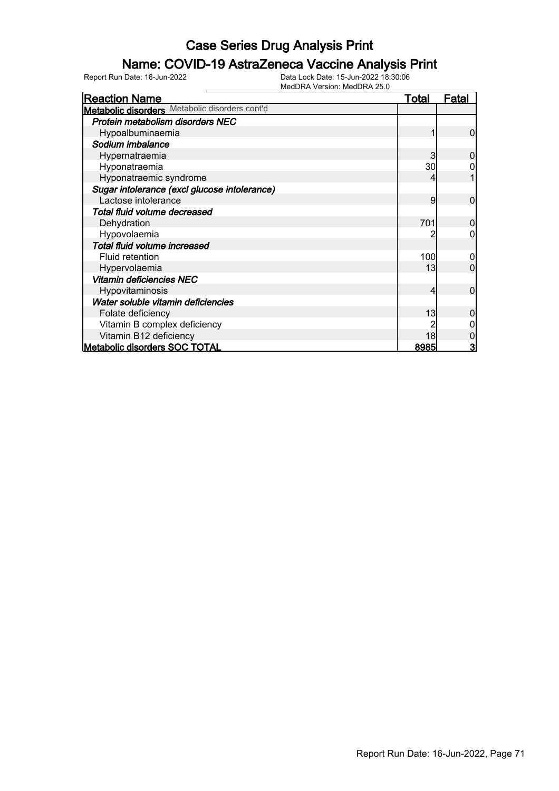### Name: COVID-19 AstraZeneca Vaccine Analysis Print

| <b>Reaction Name</b>                           | <u>Total</u> | <u>Fatal</u> |
|------------------------------------------------|--------------|--------------|
| Metabolic disorders Metabolic disorders cont'd |              |              |
| Protein metabolism disorders NEC               |              |              |
| Hypoalbuminaemia                               |              | 0            |
| Sodium imbalance                               |              |              |
| Hypernatraemia                                 |              |              |
| Hyponatraemia                                  | 30           |              |
| Hyponatraemic syndrome                         |              |              |
| Sugar intolerance (excl glucose intolerance)   |              |              |
| Lactose intolerance                            | 9            | 0            |
| Total fluid volume decreased                   |              |              |
| Dehydration                                    | 701          | 0            |
| Hypovolaemia                                   |              |              |
| Total fluid volume increased                   |              |              |
| <b>Fluid retention</b>                         | 100          |              |
| Hypervolaemia                                  | 13           |              |
| Vitamin deficiencies NEC                       |              |              |
| Hypovitaminosis                                | 4            | $\Omega$     |
| Water soluble vitamin deficiencies             |              |              |
| Folate deficiency                              | 13           |              |
| Vitamin B complex deficiency                   |              |              |
| Vitamin B12 deficiency                         | 18           |              |
| Metabolic disorders SOC TOTAL                  | <u>8985</u>  | 3            |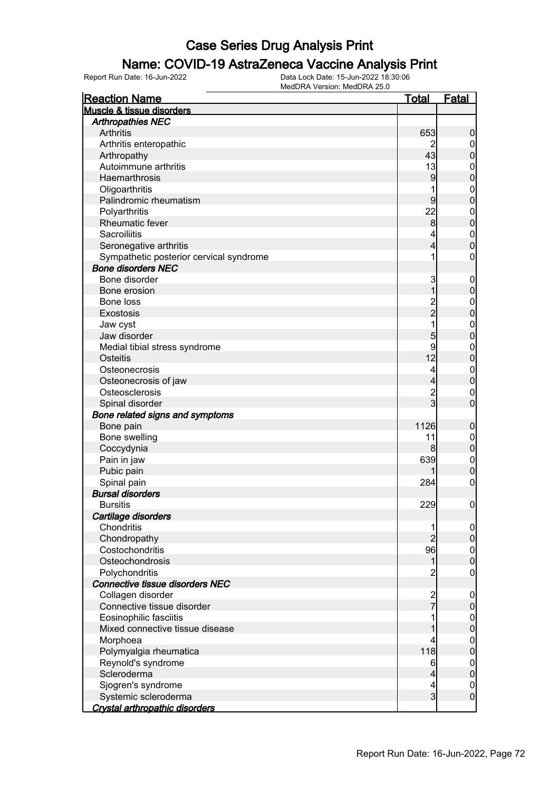### Name: COVID-19 AstraZeneca Vaccine Analysis Print

| <b>Reaction Name</b>                    | <u>Total</u>   | <b>Fatal</b>     |
|-----------------------------------------|----------------|------------------|
| Muscle & tissue disorders               |                |                  |
| <b>Arthropathies NEC</b>                |                |                  |
| Arthritis                               | 653            | 0                |
| Arthritis enteropathic                  |                | $\overline{0}$   |
| Arthropathy                             | 43             | $\pmb{0}$        |
| Autoimmune arthritis                    | 13             | $\mathbf{0}$     |
| Haemarthrosis                           | 9              | $\mathbf 0$      |
| Oligoarthritis                          | 1              | $\mathbf{0}$     |
| Palindromic rheumatism                  | 9              | $\mathbf 0$      |
| Polyarthritis                           | 22             | $\mathbf{0}$     |
| Rheumatic fever                         | 8 <sup>1</sup> | $\mathbf 0$      |
| Sacroiliitis                            | 4              | $\mathbf{0}$     |
| Seronegative arthritis                  | 4              | $\overline{0}$   |
| Sympathetic posterior cervical syndrome | 1              | $\mathbf{0}$     |
| <b>Bone disorders NEC</b>               |                |                  |
| Bone disorder                           | 3              | $\mathbf 0$      |
| Bone erosion                            | 1              | $\pmb{0}$        |
| Bone loss                               | $\overline{c}$ | $\mathbf 0$      |
| <b>Exostosis</b>                        | $\overline{2}$ | $\mathbf 0$      |
| Jaw cyst                                | 1              | $\mathbf{0}$     |
| Jaw disorder                            | 5              | $\mathbf 0$      |
| Medial tibial stress syndrome           | 9              | $\mathbf{0}$     |
| <b>Osteitis</b>                         | 12             | $\mathbf 0$      |
| Osteonecrosis                           | 4              | $\mathbf{0}$     |
| Osteonecrosis of jaw                    | 4              | $\mathbf 0$      |
| Osteosclerosis                          | $\overline{2}$ | $\mathbf{0}$     |
| Spinal disorder                         | $\mathsf{s}$   | $\overline{0}$   |
| Bone related signs and symptoms         |                |                  |
| Bone pain                               | 1126           | 0                |
| Bone swelling                           | 11             | $\boldsymbol{0}$ |
| Coccydynia                              | 8              | $\mathbf 0$      |
| Pain in jaw                             | 639            | $\boldsymbol{0}$ |
| Pubic pain                              |                | $\overline{0}$   |
| Spinal pain                             | 284            | $\boldsymbol{0}$ |
| <b>Bursal disorders</b>                 |                |                  |
| <b>Bursitis</b>                         | 229            | $\mathbf 0$      |
| Cartilage disorders                     |                |                  |
| Chondritis                              | 1              | $\overline{0}$   |
| Chondropathy                            | $\overline{2}$ | $\overline{0}$   |
| Costochondritis                         | 96             | $\mathbf 0$      |
| Osteochondrosis                         | $\mathbf{1}$   | $\overline{0}$   |
| Polychondritis                          | $\overline{c}$ | $\boldsymbol{0}$ |
| Connective tissue disorders NEC         |                |                  |
| Collagen disorder                       | $\frac{2}{7}$  | $\mathbf 0$      |
| Connective tissue disorder              |                | 0                |
| Eosinophilic fasciitis                  |                | $\boldsymbol{0}$ |
| Mixed connective tissue disease         |                | $\mathbf 0$      |
| Morphoea                                | 4              | $\mathbf 0$      |
| Polymyalgia rheumatica                  | 118            | $\boldsymbol{0}$ |
| Reynold's syndrome                      | 6              | $\mathbf 0$      |
| Scleroderma                             | 4              | $\boldsymbol{0}$ |
| Sjogren's syndrome                      | 4              | $\mathbf 0$      |
| Systemic scleroderma                    | $\overline{3}$ | $\mathbf 0$      |
| Crystal arthropathic disorders          |                |                  |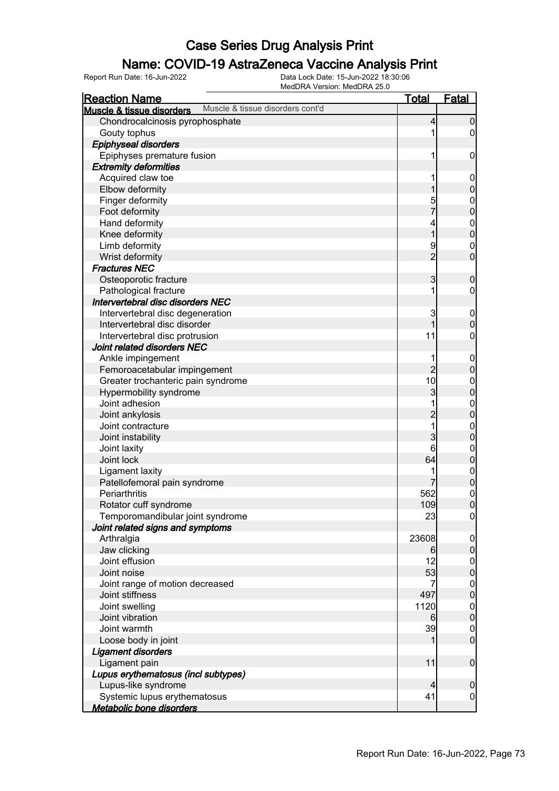### Name: COVID-19 AstraZeneca Vaccine Analysis Print

|                                     | MedDRA Version: MedDRA 25.0      |                |                                      |
|-------------------------------------|----------------------------------|----------------|--------------------------------------|
| <b>Reaction Name</b>                |                                  | <u>Total</u>   | Fatal                                |
| Muscle & tissue disorders           | Muscle & tissue disorders cont'd |                |                                      |
| Chondrocalcinosis pyrophosphate     |                                  | 4              | $\mathbf 0$                          |
| Gouty tophus                        |                                  | 1              | 0                                    |
| <b>Epiphyseal disorders</b>         |                                  |                |                                      |
| Epiphyses premature fusion          |                                  | 1              | $\mathbf 0$                          |
| <b>Extremity deformities</b>        |                                  |                |                                      |
| Acquired claw toe                   |                                  | 1              | $\mathbf 0$                          |
| Elbow deformity                     |                                  |                | $\pmb{0}$                            |
| Finger deformity                    |                                  | 5              |                                      |
| Foot deformity                      |                                  | 7              | $\begin{matrix} 0 \\ 0 \end{matrix}$ |
| Hand deformity                      |                                  | 4              |                                      |
| Knee deformity                      |                                  | $\overline{1}$ | $0$<br>0                             |
| Limb deformity                      |                                  | 9              | $\boldsymbol{0}$                     |
| Wrist deformity                     |                                  | $\overline{2}$ | $\overline{0}$                       |
| <b>Fractures NEC</b>                |                                  |                |                                      |
| Osteoporotic fracture               |                                  | 3              | $\boldsymbol{0}$                     |
| Pathological fracture               |                                  | 1              | $\mathbf 0$                          |
| Intervertebral disc disorders NEC   |                                  |                |                                      |
| Intervertebral disc degeneration    |                                  | 3              | $\mathbf 0$                          |
| Intervertebral disc disorder        |                                  | 1              | $\boldsymbol{0}$                     |
| Intervertebral disc protrusion      |                                  | 11             | $\boldsymbol{0}$                     |
| Joint related disorders NEC         |                                  |                |                                      |
| Ankle impingement                   |                                  |                | $\mathbf 0$                          |
| Femoroacetabular impingement        |                                  | $\overline{2}$ | $\pmb{0}$                            |
| Greater trochanteric pain syndrome  |                                  | 10             |                                      |
| Hypermobility syndrome              |                                  | 3              | $0\atop 0$                           |
| Joint adhesion                      |                                  |                |                                      |
| Joint ankylosis                     |                                  | $\overline{c}$ | $0$<br>0                             |
| Joint contracture                   |                                  | 1              | $\boldsymbol{0}$                     |
| Joint instability                   |                                  | 3              | $\overline{0}$                       |
| Joint laxity                        |                                  | 6              |                                      |
| Joint lock                          |                                  | 64             | $0$<br>0                             |
| Ligament laxity                     |                                  |                |                                      |
| Patellofemoral pain syndrome        |                                  |                | $\boldsymbol{0}$<br>$\overline{0}$   |
| Periarthritis                       |                                  | 562            | $\mathbf 0$                          |
| Rotator cuff syndrome               |                                  | 109            | $\overline{0}$                       |
| Temporomandibular joint syndrome    |                                  | 23             | $\overline{0}$                       |
| Joint related signs and symptoms    |                                  |                |                                      |
|                                     |                                  | 23608          |                                      |
| Arthralgia                          |                                  |                | $\overline{0}$<br>$\boldsymbol{0}$   |
| Jaw clicking<br>Joint effusion      |                                  | 6<br>12        |                                      |
|                                     |                                  |                | $\overline{0}$                       |
| Joint noise                         |                                  | 53             | $\pmb{0}$                            |
| Joint range of motion decreased     |                                  |                | $\overline{0}$                       |
| Joint stiffness                     |                                  | 497            | $\pmb{0}$                            |
| Joint swelling                      |                                  | 1120           | $\overline{0}$                       |
| Joint vibration                     |                                  | 6              | $\pmb{0}$                            |
| Joint warmth                        |                                  | 39             | $\boldsymbol{0}$                     |
| Loose body in joint                 |                                  |                | $\overline{0}$                       |
| <b>Ligament disorders</b>           |                                  |                |                                      |
| Ligament pain                       |                                  | 11             | $\overline{0}$                       |
| Lupus erythematosus (incl subtypes) |                                  |                |                                      |
| Lupus-like syndrome                 |                                  | 4              | $\mathbf 0$                          |
| Systemic lupus erythematosus        |                                  | 41             | $\boldsymbol{0}$                     |
| <b>Metabolic bone disorders</b>     |                                  |                |                                      |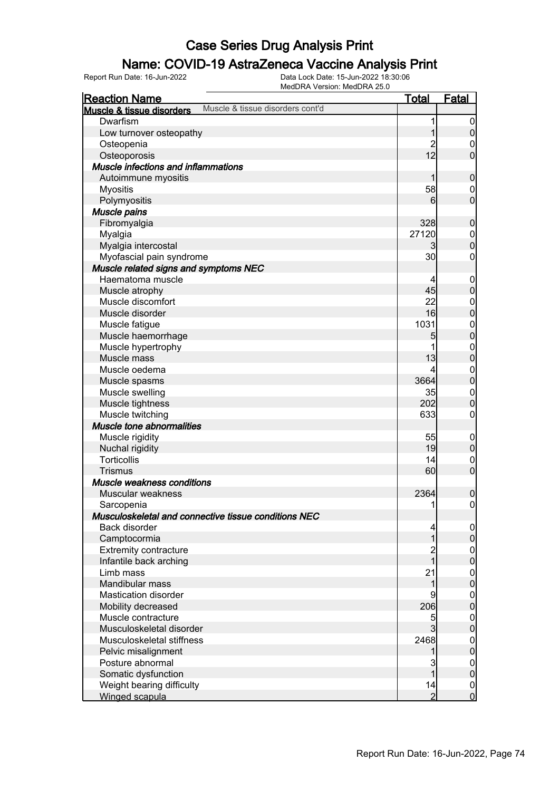### Name: COVID-19 AstraZeneca Vaccine Analysis Print

| <b>Reaction Name</b>                                 |                                  | <u>Total</u>   | Fatal                              |
|------------------------------------------------------|----------------------------------|----------------|------------------------------------|
| Muscle & tissue disorders                            | Muscle & tissue disorders cont'd |                |                                    |
| Dwarfism                                             |                                  |                | $\overline{0}$                     |
| Low turnover osteopathy                              |                                  |                | $\pmb{0}$                          |
| Osteopenia                                           |                                  | $\overline{c}$ | $\boldsymbol{0}$                   |
| Osteoporosis                                         |                                  | 12             | $\overline{0}$                     |
| <b>Muscle infections and inflammations</b>           |                                  |                |                                    |
| Autoimmune myositis                                  |                                  |                | $\boldsymbol{0}$                   |
| <b>Myositis</b>                                      |                                  | 58             | $\mathbf 0$                        |
| Polymyositis                                         |                                  | 6              | $\mathbf 0$                        |
| Muscle pains                                         |                                  |                |                                    |
| Fibromyalgia                                         |                                  | 328            | $\boldsymbol{0}$                   |
| Myalgia                                              |                                  | 27120          | $\boldsymbol{0}$                   |
| Myalgia intercostal                                  |                                  | 3              | $\overline{0}$                     |
| Myofascial pain syndrome                             |                                  | 30             | $\boldsymbol{0}$                   |
| Muscle related signs and symptoms NEC                |                                  |                |                                    |
| Haematoma muscle                                     |                                  | 4              | $\mathbf 0$                        |
| Muscle atrophy                                       |                                  | 45             | $\mathbf 0$                        |
| Muscle discomfort                                    |                                  | 22             | $\boldsymbol{0}$                   |
| Muscle disorder                                      |                                  | 16             | $\mathbf 0$                        |
| Muscle fatigue                                       |                                  | 1031           | $\mathbf{0}$                       |
| Muscle haemorrhage                                   |                                  | 5              | $\overline{0}$                     |
| Muscle hypertrophy                                   |                                  |                | $\mathbf{0}$                       |
| Muscle mass                                          |                                  | 13             | $\overline{0}$                     |
| Muscle oedema                                        |                                  |                | $\mathbf{0}$                       |
| Muscle spasms                                        |                                  | 3664           | $\mathbf 0$                        |
| Muscle swelling                                      |                                  | 35             | $\boldsymbol{0}$                   |
| Muscle tightness                                     |                                  | 202            | $\overline{0}$                     |
| Muscle twitching                                     |                                  | 633            | $\boldsymbol{0}$                   |
| <b>Muscle tone abnormalities</b>                     |                                  |                |                                    |
| Muscle rigidity                                      |                                  | 55             | $\mathbf 0$                        |
| Nuchal rigidity                                      |                                  | 19             | $\boldsymbol{0}$                   |
| <b>Torticollis</b>                                   |                                  | 14             | $\mathbf 0$                        |
| <b>Trismus</b>                                       |                                  | 60             | $\overline{0}$                     |
| Muscle weakness conditions                           |                                  |                |                                    |
| Muscular weakness                                    |                                  | 2364           | $\boldsymbol{0}$                   |
| Sarcopenia                                           |                                  | 1              | $\mathbf 0$                        |
| Musculoskeletal and connective tissue conditions NEC |                                  |                |                                    |
| <b>Back disorder</b>                                 |                                  | 4              | 0                                  |
| Camptocormia                                         |                                  |                | $\mathbf 0$                        |
| <b>Extremity contracture</b>                         |                                  |                |                                    |
| Infantile back arching                               |                                  | 1              | $\overline{0}$<br>$\overline{0}$   |
| Limb mass                                            |                                  | 21             |                                    |
| Mandibular mass                                      |                                  | 1              | $\boldsymbol{0}$<br>$\overline{0}$ |
| <b>Mastication disorder</b>                          |                                  | 9              | $\overline{0}$                     |
| Mobility decreased                                   |                                  | 206            | $\overline{0}$                     |
| Muscle contracture                                   |                                  | 5              | $\overline{0}$                     |
| Musculoskeletal disorder                             |                                  | 3              | $\overline{0}$                     |
| Musculoskeletal stiffness                            |                                  | 2468           | $\overline{0}$                     |
| Pelvic misalignment                                  |                                  |                | $\overline{0}$                     |
| Posture abnormal                                     |                                  | 3              | $\overline{0}$                     |
| Somatic dysfunction                                  |                                  | 1              | $\pmb{0}$                          |
| Weight bearing difficulty                            |                                  | 14             | $\mathbf 0$                        |
| Winged scapula                                       |                                  | $\overline{2}$ | $\overline{0}$                     |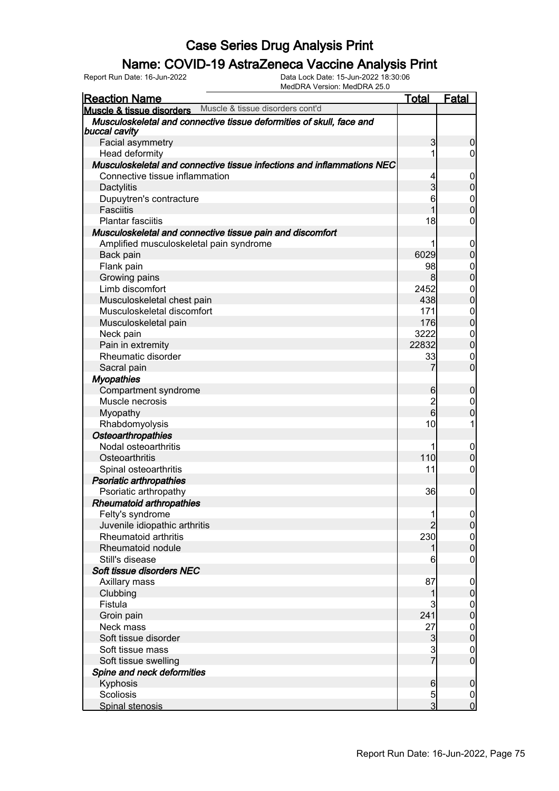#### Name: COVID-19 AstraZeneca Vaccine Analysis Print

| <b>Reaction Name</b>                                                                  | <b>Total</b>    | <b>Fatal</b>                       |
|---------------------------------------------------------------------------------------|-----------------|------------------------------------|
| Muscle & tissue disorders cont'd<br>Muscle & tissue disorders                         |                 |                                    |
| Musculoskeletal and connective tissue deformities of skull, face and<br>buccal cavity |                 |                                    |
| Facial asymmetry                                                                      | 3               | $\overline{0}$                     |
| Head deformity                                                                        | 1               | $\overline{0}$                     |
| Musculoskeletal and connective tissue infections and inflammations NEC                |                 |                                    |
| Connective tissue inflammation                                                        | 4               | $\boldsymbol{0}$                   |
| Dactylitis                                                                            | $\overline{3}$  | $\pmb{0}$                          |
| Dupuytren's contracture                                                               | 6               |                                    |
| <b>Fasciitis</b>                                                                      |                 | $\begin{matrix}0\\0\end{matrix}$   |
| <b>Plantar fasciitis</b>                                                              | 18              | $\mathbf 0$                        |
| Musculoskeletal and connective tissue pain and discomfort                             |                 |                                    |
| Amplified musculoskeletal pain syndrome                                               |                 | $\mathbf 0$                        |
| Back pain                                                                             | 6029            | $\overline{0}$                     |
| Flank pain                                                                            | 98              | $\mathbf{0}$                       |
| Growing pains                                                                         | 8               | $\overline{0}$                     |
| Limb discomfort                                                                       | 2452            |                                    |
| Musculoskeletal chest pain                                                            | 438             | $\begin{matrix}0\\0\end{matrix}$   |
| Musculoskeletal discomfort                                                            | 171             |                                    |
| Musculoskeletal pain                                                                  | <b>176</b>      | $\begin{matrix}0\\0\end{matrix}$   |
| Neck pain                                                                             | 3222            | $\mathbf{0}$                       |
| Pain in extremity                                                                     | 22832           | $\overline{0}$                     |
| Rheumatic disorder                                                                    | 33              | $\mathbf 0$                        |
| Sacral pain                                                                           | 7               | $\overline{0}$                     |
| <b>Myopathies</b>                                                                     |                 |                                    |
| Compartment syndrome                                                                  | 6               | $\mathbf 0$                        |
| Muscle necrosis                                                                       | $\overline{2}$  | $\mathbf 0$                        |
| Myopathy                                                                              | 6               | $\mathbf 0$                        |
| Rhabdomyolysis                                                                        | 10              | 1                                  |
| Osteoarthropathies                                                                    |                 |                                    |
| Nodal osteoarthritis                                                                  | 1               | $\mathbf 0$                        |
| Osteoarthritis                                                                        | 110             | $\mathbf 0$                        |
| Spinal osteoarthritis                                                                 | 11              | 0                                  |
| <b>Psoriatic arthropathies</b>                                                        |                 |                                    |
| Psoriatic arthropathy                                                                 | 36              | $\mathbf 0$                        |
| <b>Rheumatoid arthropathies</b>                                                       |                 |                                    |
| Felty's syndrome                                                                      | 1               | $\Omega$                           |
| Juvenile idiopathic arthritis                                                         |                 | $\overline{0}$                     |
| <b>Rheumatoid arthritis</b>                                                           | 230             | $\boldsymbol{0}$                   |
| Rheumatoid nodule                                                                     | 1               | $\overline{0}$                     |
| Still's disease                                                                       | 6               | $\mathbf 0$                        |
| Soft tissue disorders NEC                                                             |                 |                                    |
| Axillary mass                                                                         | 87              | $\mathbf 0$                        |
| Clubbing                                                                              | 1               | $\mathsf{O}\xspace$                |
| Fistula                                                                               | 3               |                                    |
| Groin pain                                                                            | 241             | $\boldsymbol{0}$<br>$\overline{0}$ |
| Neck mass                                                                             | 27              | $\boldsymbol{0}$                   |
| Soft tissue disorder                                                                  | $\mathbf{3}$    | $\overline{0}$                     |
| Soft tissue mass                                                                      |                 | $\mathbf 0$                        |
| Soft tissue swelling                                                                  | $rac{3}{7}$     | $\overline{0}$                     |
| Spine and neck deformities                                                            |                 |                                    |
| Kyphosis                                                                              | $6 \overline{}$ | $\boldsymbol{0}$                   |
| <b>Scoliosis</b>                                                                      | $\overline{5}$  | $\mathbf 0$                        |
| Spinal stenosis                                                                       | $\overline{3}$  | $\overline{0}$                     |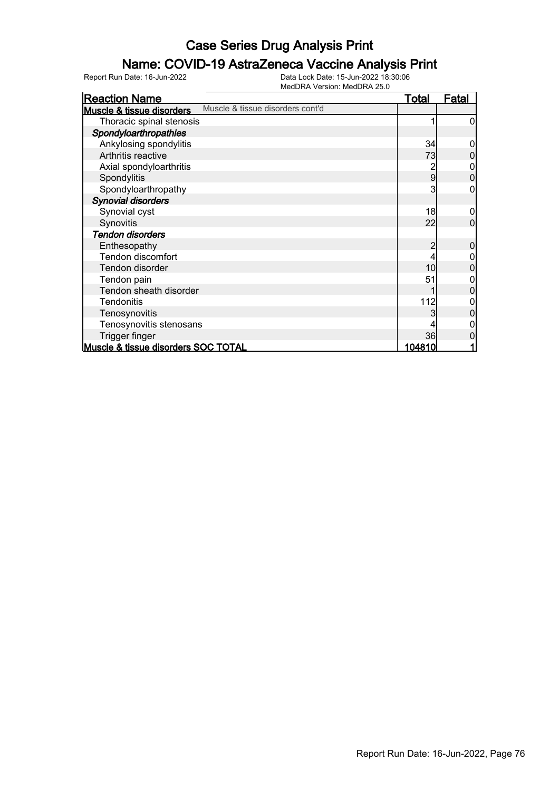### Name: COVID-19 AstraZeneca Vaccine Analysis Print

| <b>Reaction Name</b>                                          | <b>Total</b> | <u>Fatal</u> |
|---------------------------------------------------------------|--------------|--------------|
| Muscle & tissue disorders cont'd<br>Muscle & tissue disorders |              |              |
| Thoracic spinal stenosis                                      |              |              |
| Spondyloarthropathies                                         |              |              |
| Ankylosing spondylitis                                        | 34           |              |
| Arthritis reactive                                            | 73           |              |
| Axial spondyloarthritis                                       |              |              |
| Spondylitis                                                   | 9            | 0            |
| Spondyloarthropathy                                           |              |              |
| <b>Synovial disorders</b>                                     |              |              |
| Synovial cyst                                                 | 18           | 0            |
| Synovitis                                                     | 22           | 0            |
| <b>Tendon disorders</b>                                       |              |              |
| Enthesopathy                                                  |              | 0            |
| Tendon discomfort                                             |              |              |
| Tendon disorder                                               | 10           | 0            |
| Tendon pain                                                   | 51           |              |
| Tendon sheath disorder                                        |              |              |
| <b>Tendonitis</b>                                             | 112          |              |
| Tenosynovitis                                                 |              |              |
| Tenosynovitis stenosans                                       |              |              |
| Trigger finger                                                | 36           |              |
| Muscle & tissue disorders SOC TOTAL                           | 104810       |              |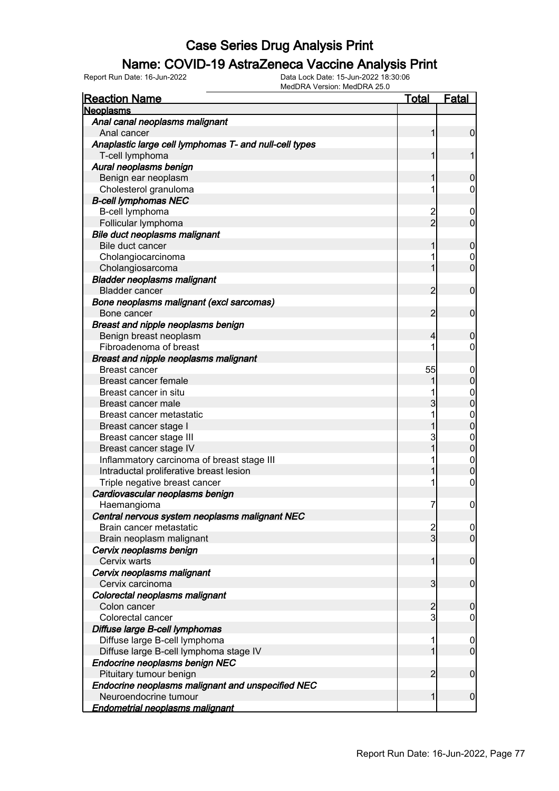### Name: COVID-19 AstraZeneca Vaccine Analysis Print

| <b>Reaction Name</b>                                   | <u>Total</u>   | <b>Fatal</b>     |
|--------------------------------------------------------|----------------|------------------|
| <b>Neoplasms</b>                                       |                |                  |
| Anal canal neoplasms malignant                         |                |                  |
| Anal cancer                                            | 1              | $\mathbf 0$      |
| Anaplastic large cell lymphomas T- and null-cell types |                |                  |
| T-cell lymphoma                                        | 1              | 1                |
| Aural neoplasms benign                                 |                |                  |
| Benign ear neoplasm                                    | 1              | $\mathbf 0$      |
| Cholesterol granuloma                                  | 1              | $\mathbf 0$      |
| <b>B-cell lymphomas NEC</b>                            |                |                  |
| B-cell lymphoma                                        | $\overline{c}$ | $\overline{0}$   |
| Follicular lymphoma                                    | $\overline{2}$ | $\overline{0}$   |
| Bile duct neoplasms malignant                          |                |                  |
| Bile duct cancer                                       | 1              | $\mathbf 0$      |
| Cholangiocarcinoma                                     | 1              | $\mathbf 0$      |
| Cholangiosarcoma                                       | 1              | $\overline{0}$   |
| <b>Bladder neoplasms malignant</b>                     |                |                  |
| <b>Bladder cancer</b>                                  | $\overline{2}$ | $\mathbf 0$      |
| Bone neoplasms malignant (excl sarcomas)               |                |                  |
| Bone cancer                                            | $\overline{2}$ | $\mathbf 0$      |
| Breast and nipple neoplasms benign                     |                |                  |
| Benign breast neoplasm                                 | 4              | $\mathbf 0$      |
| Fibroadenoma of breast                                 | 1              | 0                |
| <b>Breast and nipple neoplasms malignant</b>           |                |                  |
| <b>Breast cancer</b>                                   | 55             | $\boldsymbol{0}$ |
| <b>Breast cancer female</b>                            |                | $\mathbf 0$      |
| Breast cancer in situ                                  |                | $\mathbf{0}$     |
| Breast cancer male                                     | 3              | $\overline{0}$   |
| Breast cancer metastatic                               | 1              | $\mathbf{0}$     |
| Breast cancer stage I                                  |                | $\overline{0}$   |
| Breast cancer stage III                                | 3              | $\mathbf{0}$     |
| Breast cancer stage IV                                 | 1              | $\overline{0}$   |
| Inflammatory carcinoma of breast stage III             | 1              | $\mathbf{0}$     |
| Intraductal proliferative breast lesion                | 1              | $\overline{0}$   |
| Triple negative breast cancer                          | 1              | $\mathbf 0$      |
| Cardiovascular neoplasms benign                        |                |                  |
| Haemangioma                                            | 7              | $\boldsymbol{0}$ |
| Central nervous system neoplasms malignant NEC         |                |                  |
| Brain cancer metastatic                                | $\overline{c}$ | $\overline{0}$   |
| Brain neoplasm malignant                               | $\overline{3}$ | $\overline{0}$   |
| Cervix neoplasms benign                                |                |                  |
| Cervix warts                                           | $\mathbf{1}$   | $\mathbf 0$      |
| Cervix neoplasms malignant                             |                |                  |
| Cervix carcinoma                                       | $\overline{3}$ | $\boldsymbol{0}$ |
| Colorectal neoplasms malignant                         |                |                  |
| Colon cancer                                           | $\overline{2}$ | $\mathbf 0$      |
| Colorectal cancer                                      | $\overline{3}$ | $\mathbf 0$      |
| Diffuse large B-cell lymphomas                         |                |                  |
| Diffuse large B-cell lymphoma                          | 1              | $\mathbf 0$      |
| Diffuse large B-cell lymphoma stage IV                 | $\mathbf{1}$   | $\overline{0}$   |
| Endocrine neoplasms benign NEC                         |                |                  |
| Pituitary tumour benign                                | $\overline{2}$ | $\boldsymbol{0}$ |
| Endocrine neoplasms malignant and unspecified NEC      |                |                  |
| Neuroendocrine tumour                                  | 1              | $\boldsymbol{0}$ |
| <b>Endometrial neoplasms malignant</b>                 |                |                  |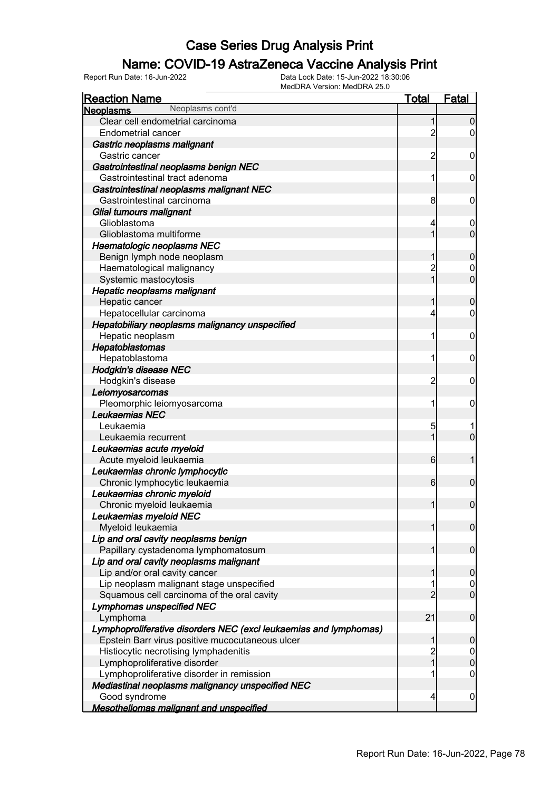### Name: COVID-19 AstraZeneca Vaccine Analysis Print

| <b>Reaction Name</b>                                              | Total           | Fatal            |
|-------------------------------------------------------------------|-----------------|------------------|
| Neoplasms cont'd<br><b>Neoplasms</b>                              |                 |                  |
| Clear cell endometrial carcinoma                                  | 1               | $\boldsymbol{0}$ |
| <b>Endometrial cancer</b>                                         | $\overline{c}$  | 0                |
| Gastric neoplasms malignant                                       |                 |                  |
| Gastric cancer                                                    | $\overline{c}$  | $\mathbf 0$      |
| Gastrointestinal neoplasms benign NEC                             |                 |                  |
| Gastrointestinal tract adenoma                                    | 1               | $\mathbf 0$      |
| Gastrointestinal neoplasms malignant NEC                          |                 |                  |
| Gastrointestinal carcinoma                                        | 8               | $\mathbf 0$      |
| Glial tumours malignant                                           |                 |                  |
| Glioblastoma                                                      | 4               | 0                |
| Glioblastoma multiforme                                           |                 | $\mathbf 0$      |
| Haematologic neoplasms NEC                                        |                 |                  |
| Benign lymph node neoplasm                                        |                 | $\boldsymbol{0}$ |
| Haematological malignancy                                         | $\overline{c}$  | 0                |
| Systemic mastocytosis                                             | 1               | $\overline{0}$   |
| <b>Hepatic neoplasms malignant</b>                                |                 |                  |
| Hepatic cancer                                                    |                 | $\boldsymbol{0}$ |
| Hepatocellular carcinoma                                          | 4               | 0                |
| Hepatobiliary neoplasms malignancy unspecified                    |                 |                  |
| Hepatic neoplasm                                                  | 1               | $\mathbf 0$      |
| Hepatoblastomas                                                   |                 |                  |
| Hepatoblastoma                                                    | 1               | $\mathbf 0$      |
| <b>Hodgkin's disease NEC</b>                                      |                 |                  |
| Hodgkin's disease                                                 | $\overline{c}$  | $\mathbf 0$      |
| Leiomyosarcomas                                                   |                 |                  |
| Pleomorphic leiomyosarcoma                                        | 1               | $\mathbf 0$      |
| Leukaemias NEC                                                    |                 |                  |
| Leukaemia                                                         | 5               |                  |
| Leukaemia recurrent                                               |                 | $\overline{0}$   |
| Leukaemias acute myeloid                                          |                 |                  |
| Acute myeloid leukaemia                                           | 6               | 1                |
| Leukaemias chronic lymphocytic                                    |                 |                  |
| Chronic lymphocytic leukaemia                                     | $6 \overline{}$ | $\mathbf 0$      |
| Leukaemias chronic myeloid                                        |                 |                  |
| Chronic myeloid leukaemia                                         | $\mathbf{1}$    | $\overline{0}$   |
| Leukaemias myeloid NEC                                            |                 |                  |
| Myeloid leukaemia                                                 | 1               | $\overline{0}$   |
| Lip and oral cavity neoplasms benign                              |                 |                  |
| Papillary cystadenoma lymphomatosum                               |                 | $\mathbf 0$      |
| Lip and oral cavity neoplasms malignant                           |                 |                  |
| Lip and/or oral cavity cancer                                     |                 | $\mathbf 0$      |
| Lip neoplasm malignant stage unspecified                          |                 | $\overline{0}$   |
| Squamous cell carcinoma of the oral cavity                        | $\overline{c}$  | $\mathbf 0$      |
| <b>Lymphomas unspecified NEC</b>                                  |                 |                  |
| Lymphoma                                                          | 21              | $\mathbf 0$      |
| Lymphoproliferative disorders NEC (excl leukaemias and lymphomas) |                 |                  |
| Epstein Barr virus positive mucocutaneous ulcer                   |                 | $\mathbf 0$      |
| Histiocytic necrotising lymphadenitis                             |                 | $\mathbf 0$      |
| Lymphoproliferative disorder                                      | 1               | $\boldsymbol{0}$ |
| Lymphoproliferative disorder in remission                         |                 | $\mathbf 0$      |
| Mediastinal neoplasms malignancy unspecified NEC                  |                 |                  |
| Good syndrome                                                     | 4               | $\mathbf 0$      |
| <b>Mesotheliomas malignant and unspecified</b>                    |                 |                  |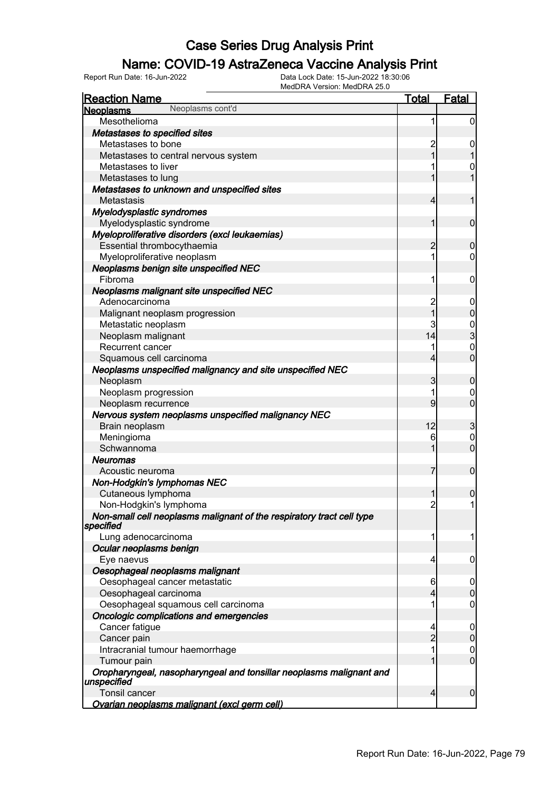### Name: COVID-19 AstraZeneca Vaccine Analysis Print

| <b>Reaction Name</b>                                                               | <b>Total</b>            | Fatal            |
|------------------------------------------------------------------------------------|-------------------------|------------------|
| Neoplasms cont'd<br><b>Neoplasms</b>                                               |                         |                  |
| Mesothelioma                                                                       | 1                       | $\overline{0}$   |
| Metastases to specified sites                                                      |                         |                  |
| Metastases to bone                                                                 | $\overline{\mathbf{c}}$ | 0                |
| Metastases to central nervous system                                               | 1                       |                  |
| Metastases to liver                                                                |                         | 0                |
| Metastases to lung                                                                 |                         |                  |
| Metastases to unknown and unspecified sites                                        |                         |                  |
| <b>Metastasis</b>                                                                  | 4                       | 1                |
| Myelodysplastic syndromes                                                          |                         |                  |
| Myelodysplastic syndrome                                                           | 1                       | $\mathbf 0$      |
| Myeloproliferative disorders (excl leukaemias)                                     |                         |                  |
| Essential thrombocythaemia                                                         | $\overline{2}$          | $\boldsymbol{0}$ |
| Myeloproliferative neoplasm                                                        | 1                       | 0                |
| Neoplasms benign site unspecified NEC                                              |                         |                  |
| Fibroma                                                                            | 1                       | $\mathbf 0$      |
| Neoplasms malignant site unspecified NEC                                           |                         |                  |
| Adenocarcinoma                                                                     | $\overline{\mathbf{c}}$ | $\mathbf 0$      |
| Malignant neoplasm progression                                                     | 1                       | $\mathbf 0$      |
| Metastatic neoplasm                                                                | 3                       | $\frac{0}{3}$    |
| Neoplasm malignant                                                                 | 14                      |                  |
| <b>Recurrent cancer</b>                                                            |                         | $\mathbf 0$      |
| Squamous cell carcinoma                                                            | 4                       | $\overline{0}$   |
| Neoplasms unspecified malignancy and site unspecified NEC                          |                         |                  |
| Neoplasm                                                                           | 3                       | $\boldsymbol{0}$ |
| Neoplasm progression                                                               | 1                       | 0                |
| Neoplasm recurrence                                                                | 9                       | $\overline{0}$   |
| Nervous system neoplasms unspecified malignancy NEC                                |                         |                  |
| Brain neoplasm                                                                     | 12                      | 3                |
| Meningioma                                                                         | 6                       | $\mathbf 0$      |
| Schwannoma                                                                         |                         | $\overline{0}$   |
| <b>Neuromas</b>                                                                    |                         |                  |
| Acoustic neuroma                                                                   | 7                       | $\mathbf 0$      |
| Non-Hodgkin's lymphomas NEC                                                        |                         |                  |
| Cutaneous lymphoma                                                                 |                         | $\boldsymbol{0}$ |
| Non-Hodgkin's lymphoma                                                             | $\overline{2}$          | 1                |
| Non-small cell neoplasms malignant of the respiratory tract cell type<br>specified |                         |                  |
| Lung adenocarcinoma                                                                | 1                       | 1                |
| Ocular neoplasms benign                                                            |                         |                  |
| Eye naevus                                                                         | 4                       | 0                |
| Oesophageal neoplasms malignant                                                    |                         |                  |
| Oesophageal cancer metastatic                                                      | 6                       | 0                |
| Oesophageal carcinoma                                                              | 4                       | $\mathbf 0$      |
| Oesophageal squamous cell carcinoma                                                | 1                       | $\mathbf 0$      |
| Oncologic complications and emergencies                                            |                         |                  |
| Cancer fatigue                                                                     | 4                       | 0                |
| Cancer pain                                                                        | $\overline{2}$          | $\boldsymbol{0}$ |
| Intracranial tumour haemorrhage                                                    | 1                       | $\mathbf 0$      |
| Tumour pain                                                                        | 1                       | $\overline{0}$   |
| Oropharyngeal, nasopharyngeal and tonsillar neoplasms malignant and<br>unspecified |                         |                  |
| Tonsil cancer                                                                      | $\overline{4}$          | 0                |
| Ovarian neoplasms malignant (excl germ cell)                                       |                         |                  |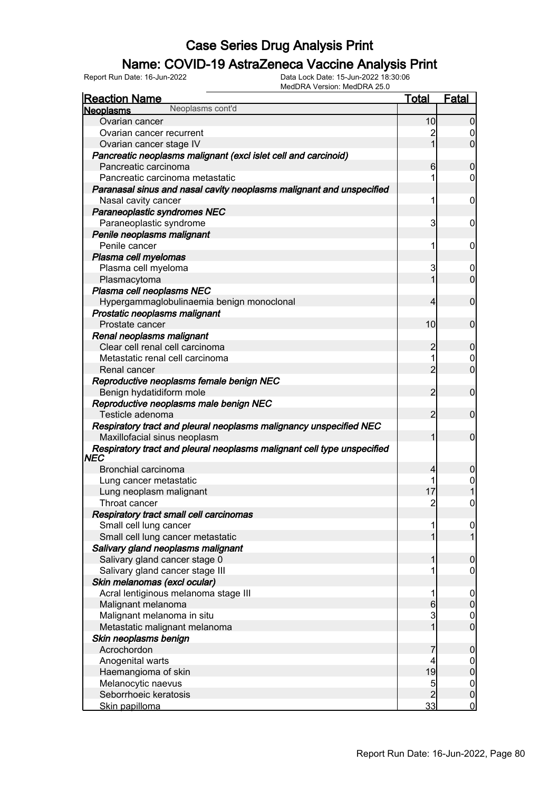### Name: COVID-19 AstraZeneca Vaccine Analysis Print

| <b>Reaction Name</b>                                                    | <b>Total</b>   | <b>Fatal</b>                         |
|-------------------------------------------------------------------------|----------------|--------------------------------------|
| Neoplasms cont'd<br><b>Neoplasms</b>                                    |                |                                      |
| Ovarian cancer                                                          | 10             | 0                                    |
| Ovarian cancer recurrent                                                |                | 0                                    |
| Ovarian cancer stage IV                                                 | 1              | $\overline{0}$                       |
| Pancreatic neoplasms malignant (excl islet cell and carcinoid)          |                |                                      |
| Pancreatic carcinoma                                                    | 6              | $\mathbf 0$                          |
| Pancreatic carcinoma metastatic                                         |                | $\overline{0}$                       |
| Paranasal sinus and nasal cavity neoplasms malignant and unspecified    |                |                                      |
| Nasal cavity cancer                                                     | 1              | $\boldsymbol{0}$                     |
| Paraneoplastic syndromes NEC                                            |                |                                      |
| Paraneoplastic syndrome                                                 | 3              | $\boldsymbol{0}$                     |
| Penile neoplasms malignant                                              |                |                                      |
| Penile cancer                                                           | 1              | $\boldsymbol{0}$                     |
| Plasma cell myelomas                                                    |                |                                      |
| Plasma cell myeloma                                                     | 3              | $\boldsymbol{0}$                     |
| Plasmacytoma                                                            | 1              | $\overline{0}$                       |
| Plasma cell neoplasms NEC                                               |                |                                      |
| Hypergammaglobulinaemia benign monoclonal                               | 4              | $\mathbf 0$                          |
| Prostatic neoplasms malignant                                           |                |                                      |
| Prostate cancer                                                         | 10             | $\mathbf 0$                          |
| Renal neoplasms malignant                                               |                |                                      |
| Clear cell renal cell carcinoma                                         | $\overline{c}$ | $\boldsymbol{0}$                     |
| Metastatic renal cell carcinoma                                         | 1              | 0                                    |
| Renal cancer                                                            | $\overline{2}$ | $\overline{0}$                       |
| Reproductive neoplasms female benign NEC                                |                |                                      |
| Benign hydatidiform mole                                                | $\overline{2}$ | $\mathbf 0$                          |
| Reproductive neoplasms male benign NEC                                  |                |                                      |
| Testicle adenoma                                                        | $\overline{2}$ | $\mathbf 0$                          |
| Respiratory tract and pleural neoplasms malignancy unspecified NEC      |                |                                      |
| Maxillofacial sinus neoplasm                                            | 1              | $\mathbf 0$                          |
| Respiratory tract and pleural neoplasms malignant cell type unspecified |                |                                      |
| NEC                                                                     |                |                                      |
| <b>Bronchial carcinoma</b>                                              | 4              | 0                                    |
| Lung cancer metastatic                                                  |                | 0                                    |
| Lung neoplasm malignant                                                 | 17             |                                      |
| Throat cancer                                                           | $\overline{c}$ | $\mathbf{0}$                         |
| Respiratory tract small cell carcinomas                                 |                |                                      |
| Small cell lung cancer                                                  | 1              | $\overline{0}$                       |
| Small cell lung cancer metastatic                                       | 1              |                                      |
| Salivary gland neoplasms malignant                                      |                |                                      |
| Salivary gland cancer stage 0                                           |                | 0                                    |
| Salivary gland cancer stage III                                         | 1              | $\overline{0}$                       |
| Skin melanomas (excl ocular)                                            |                |                                      |
| Acral lentiginous melanoma stage III                                    | 1              | $\mathbf 0$                          |
| Malignant melanoma                                                      | 6              | $\pmb{0}$                            |
| Malignant melanoma in situ                                              | 3              |                                      |
| Metastatic malignant melanoma                                           | 1              | $\begin{matrix} 0 \\ 0 \end{matrix}$ |
| Skin neoplasms benign                                                   |                |                                      |
| Acrochordon                                                             |                | $\boldsymbol{0}$                     |
| Anogenital warts                                                        | 4              |                                      |
| Haemangioma of skin                                                     | 19             | $0$ 0                                |
| Melanocytic naevus                                                      | 5              | $\mathbf 0$                          |
| Seborrhoeic keratosis                                                   | $\overline{2}$ | $\overline{0}$                       |
| Skin papilloma                                                          | 33             | $\overline{0}$                       |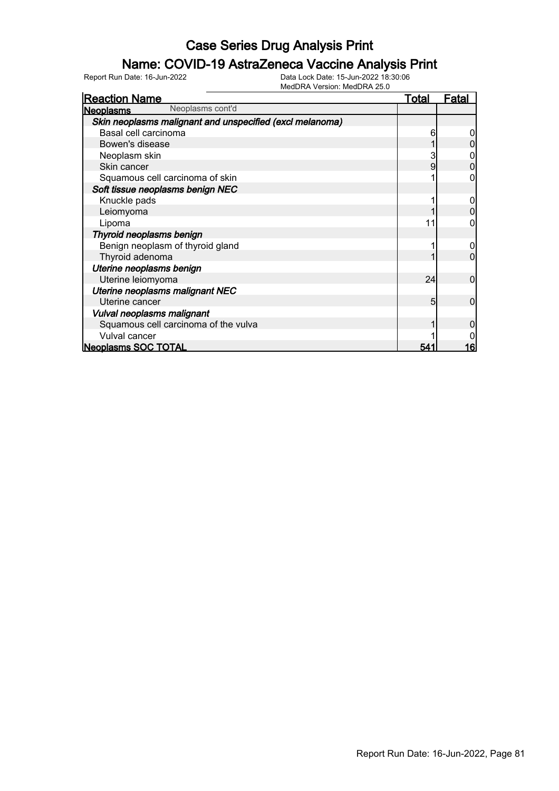### Name: COVID-19 AstraZeneca Vaccine Analysis Print

| <b>Reaction Name</b>                                     | <b>Total</b> | Fatal |
|----------------------------------------------------------|--------------|-------|
| Neoplasms cont'd<br><b>Neoplasms</b>                     |              |       |
| Skin neoplasms malignant and unspecified (excl melanoma) |              |       |
| Basal cell carcinoma                                     | 6            |       |
| Bowen's disease                                          |              |       |
| Neoplasm skin                                            | 3            |       |
| Skin cancer                                              | 9            |       |
| Squamous cell carcinoma of skin                          |              |       |
| Soft tissue neoplasms benign NEC                         |              |       |
| Knuckle pads                                             |              |       |
| Leiomyoma                                                |              |       |
| Lipoma                                                   | 11           |       |
| Thyroid neoplasms benign                                 |              |       |
| Benign neoplasm of thyroid gland                         |              |       |
| Thyroid adenoma                                          |              |       |
| Uterine neoplasms benign                                 |              |       |
| Uterine leiomyoma                                        | 24           | 0     |
| Uterine neoplasms malignant NEC                          |              |       |
| Uterine cancer                                           | 5            | ი     |
| Vulval neoplasms malignant                               |              |       |
| Squamous cell carcinoma of the vulva                     |              |       |
| Vulval cancer                                            |              |       |
| <b>Neoplasms SOC TOTAL</b>                               | 54           | 16    |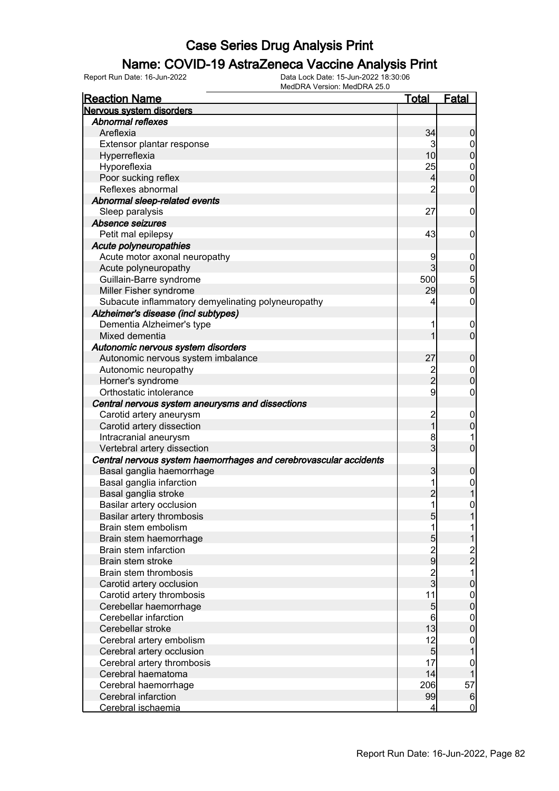### Name: COVID-19 AstraZeneca Vaccine Analysis Print

| <b>Reaction Name</b>                                              | <b>Total</b>                                        | <b>Fatal</b>                               |
|-------------------------------------------------------------------|-----------------------------------------------------|--------------------------------------------|
| Nervous system disorders                                          |                                                     |                                            |
| <b>Abnormal reflexes</b>                                          |                                                     |                                            |
| Areflexia                                                         | 34                                                  | $\boldsymbol{0}$                           |
| Extensor plantar response                                         | 3                                                   | $\overline{0}$                             |
| Hyperreflexia                                                     | 10 <sub>l</sub>                                     | $\overline{0}$                             |
| Hyporeflexia                                                      | 25                                                  |                                            |
| Poor sucking reflex                                               | $\overline{4}$                                      | $0\atop 0$                                 |
| Reflexes abnormal                                                 | $\overline{2}$                                      | $\pmb{0}$                                  |
| Abnormal sleep-related events                                     |                                                     |                                            |
| Sleep paralysis                                                   | 27                                                  | $\boldsymbol{0}$                           |
| Absence seizures                                                  |                                                     |                                            |
| Petit mal epilepsy                                                | 43                                                  | $\mathbf 0$                                |
| Acute polyneuropathies                                            |                                                     |                                            |
| Acute motor axonal neuropathy                                     | 9                                                   | $\boldsymbol{0}$                           |
| Acute polyneuropathy                                              | $\overline{3}$                                      | $\mathbf 0$                                |
| Guillain-Barre syndrome                                           | 500                                                 |                                            |
|                                                                   | 29                                                  | $\begin{bmatrix} 5 \\ 0 \end{bmatrix}$     |
| Miller Fisher syndrome                                            | 4                                                   |                                            |
| Subacute inflammatory demyelinating polyneuropathy                |                                                     | $\boldsymbol{0}$                           |
| Alzheimer's disease (incl subtypes)                               |                                                     |                                            |
| Dementia Alzheimer's type                                         | 1                                                   | $\mathbf 0$                                |
| Mixed dementia                                                    | 1                                                   | $\mathbf 0$                                |
| Autonomic nervous system disorders                                |                                                     |                                            |
| Autonomic nervous system imbalance                                | 27                                                  | $\boldsymbol{0}$                           |
| Autonomic neuropathy                                              | $\frac{2}{2}$                                       | $\overline{0}$                             |
| Horner's syndrome                                                 |                                                     | $\overline{0}$                             |
| Orthostatic intolerance                                           | 9                                                   | $\pmb{0}$                                  |
| Central nervous system aneurysms and dissections                  |                                                     |                                            |
| Carotid artery aneurysm                                           | 2<br>1                                              | $\mathbf 0$                                |
| Carotid artery dissection                                         |                                                     | $\mathbf 0$                                |
| Intracranial aneurysm                                             | 8                                                   | 1                                          |
| Vertebral artery dissection                                       | $\overline{3}$                                      | $\overline{0}$                             |
| Central nervous system haemorrhages and cerebrovascular accidents |                                                     |                                            |
| Basal ganglia haemorrhage                                         | 3                                                   | $\mathbf 0$                                |
| Basal ganglia infarction                                          | 1                                                   | $\mathbf{0}$                               |
| Basal ganglia stroke                                              | $\overline{2}$                                      | 1                                          |
| Basilar artery occlusion                                          | $\mathbf{1}$                                        | $\mathbf 0$                                |
| Basilar artery thrombosis                                         | $\overline{5}$                                      |                                            |
| Brain stem embolism                                               | 1                                                   |                                            |
| Brain stem haemorrhage                                            | 5                                                   | $\mathbf{1}$                               |
| Brain stem infarction                                             |                                                     |                                            |
| Brain stem stroke                                                 | $\begin{array}{c}\n 2 \\ 9 \\ 2 \\ 3\n \end{array}$ | $\begin{array}{c} 2 \\ 2 \\ 1 \end{array}$ |
| Brain stem thrombosis                                             |                                                     |                                            |
| Carotid artery occlusion                                          |                                                     | $\mathbf 0$                                |
| Carotid artery thrombosis                                         | 11                                                  | $\boldsymbol{0}$                           |
| Cerebellar haemorrhage                                            | 5                                                   | $\mathbf 0$                                |
| Cerebellar infarction                                             | $6\overline{6}$                                     | $\boldsymbol{0}$                           |
| Cerebellar stroke                                                 | 13                                                  | $\overline{0}$                             |
| Cerebral artery embolism                                          | 12                                                  | $\mathbf 0$                                |
| Cerebral artery occlusion                                         | 5                                                   | $\overline{1}$                             |
| Cerebral artery thrombosis                                        | 17                                                  | $\mathbf{0}$                               |
| Cerebral haematoma                                                | 14                                                  | 1                                          |
| Cerebral haemorrhage                                              | 206                                                 | 57                                         |
| Cerebral infarction                                               | 99                                                  | 6                                          |
| Cerebral ischaemia                                                | $\overline{\mathbf{r}}$                             | $\overline{0}$                             |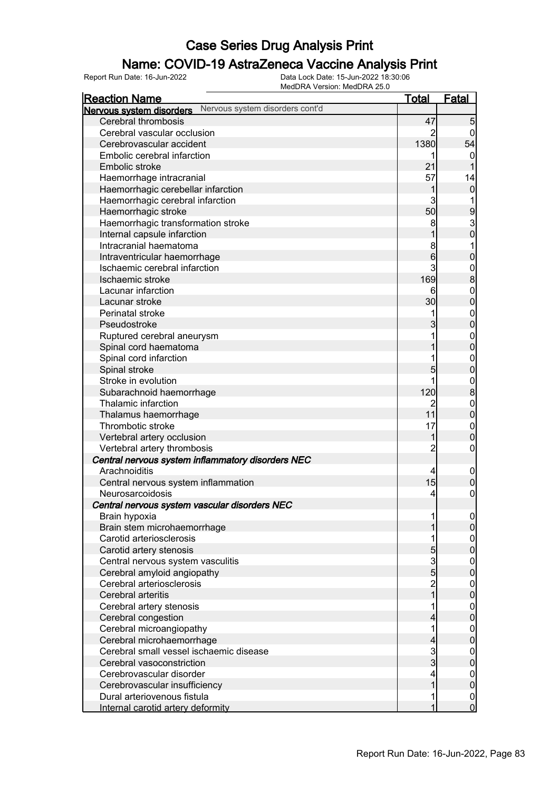### Name: COVID-19 AstraZeneca Vaccine Analysis Print

| <b>Reaction Name</b>                                     | <u>Total</u>   | <b>Fatal</b>                         |
|----------------------------------------------------------|----------------|--------------------------------------|
| Nervous system disorders Nervous system disorders cont'd |                |                                      |
| Cerebral thrombosis                                      | 47             | $\overline{5}$                       |
| Cerebral vascular occlusion                              | 2              | 0                                    |
| Cerebrovascular accident                                 | 1380           | 54                                   |
| Embolic cerebral infarction                              |                | 0                                    |
| Embolic stroke                                           | 21             |                                      |
| Haemorrhage intracranial                                 | 57             | 14                                   |
| Haemorrhagic cerebellar infarction                       | 1              | $\boldsymbol{0}$                     |
| Haemorrhagic cerebral infarction                         | 3              |                                      |
| Haemorrhagic stroke                                      | 50             | 9                                    |
| Haemorrhagic transformation stroke                       | 8              |                                      |
| Internal capsule infarction                              |                | $\frac{3}{0}$                        |
| Intracranial haematoma                                   | 8              | 1                                    |
| Intraventricular haemorrhage                             | 6              | $\mathbf 0$                          |
| Ischaemic cerebral infarction                            | 3              |                                      |
| Ischaemic stroke                                         | 169            | $\frac{0}{8}$                        |
| Lacunar infarction                                       |                |                                      |
|                                                          | 6<br>30        | $0$<br>0                             |
| Lacunar stroke                                           |                |                                      |
| Perinatal stroke                                         |                | $0$<br>0                             |
| Pseudostroke                                             | 3              |                                      |
| Ruptured cerebral aneurysm                               |                | $0$<br>0                             |
| Spinal cord haematoma                                    |                |                                      |
| Spinal cord infarction                                   |                | $0\atop 0$                           |
| Spinal stroke                                            | 5              |                                      |
| Stroke in evolution                                      |                | $\frac{0}{8}$                        |
| Subarachnoid haemorrhage                                 | 120            |                                      |
| Thalamic infarction                                      | 2              | $0\atop 0$                           |
| Thalamus haemorrhage                                     | 11             |                                      |
| Thrombotic stroke                                        | 17             | $\mathbf{0}$                         |
| Vertebral artery occlusion                               | 1              | $\mathbf 0$                          |
| Vertebral artery thrombosis                              | $\overline{c}$ | $\boldsymbol{0}$                     |
| Central nervous system inflammatory disorders NEC        |                |                                      |
| Arachnoiditis                                            | 4              | $\mathbf 0$                          |
| Central nervous system inflammation                      | 15             | $\pmb{0}$                            |
| Neurosarcoidosis                                         | 4              | $\boldsymbol{0}$                     |
| Central nervous system vascular disorders NEC            |                |                                      |
| Brain hypoxia                                            |                | 0                                    |
| Brain stem microhaemorrhage                              |                | $\overline{0}$                       |
| Carotid arteriosclerosis                                 |                | $\begin{matrix} 0 \\ 0 \end{matrix}$ |
| Carotid artery stenosis                                  | 5              |                                      |
| Central nervous system vasculitis                        | $\frac{3}{5}$  | $\mathbf{0}$                         |
| Cerebral amyloid angiopathy                              |                | $\overline{0}$                       |
| Cerebral arteriosclerosis                                | $\overline{2}$ | $\mathbf{0}$                         |
| Cerebral arteritis                                       | $\overline{1}$ | $\overline{0}$                       |
| Cerebral artery stenosis                                 |                | $\mathbf{0}$                         |
| Cerebral congestion                                      | 4              | $\overline{0}$                       |
| Cerebral microangiopathy                                 | 1              | $\mathbf{0}$                         |
| Cerebral microhaemorrhage                                | 4              | $\overline{0}$                       |
| Cerebral small vessel ischaemic disease                  |                | $\boldsymbol{0}$                     |
| Cerebral vasoconstriction                                | 3<br>3         | $\overline{0}$                       |
| Cerebrovascular disorder                                 | 4              | $\mathbf{0}$                         |
| Cerebrovascular insufficiency                            | 1              | $\overline{0}$                       |
| Dural arteriovenous fistula                              |                | $\mathbf 0$                          |
| Internal carotid artery deformity                        |                | $\overline{0}$                       |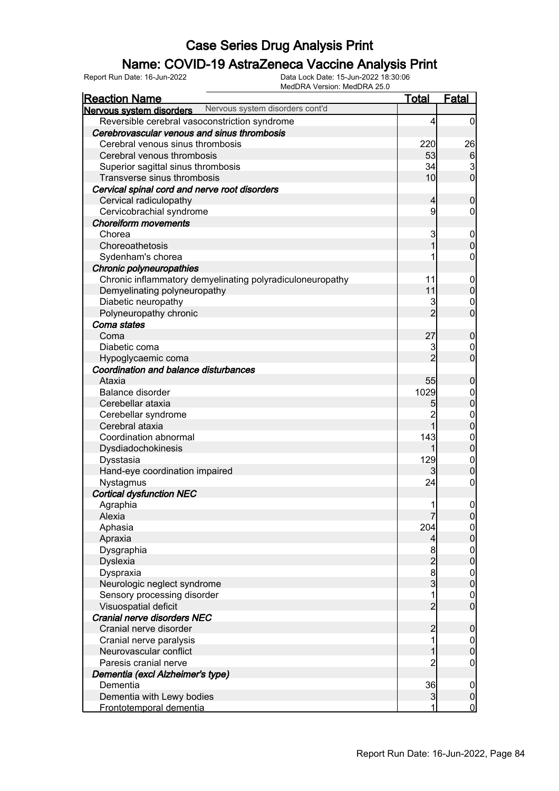### Name: COVID-19 AstraZeneca Vaccine Analysis Print

| MedDRA Version: MedDRA 25.0                                 |                   |                               |
|-------------------------------------------------------------|-------------------|-------------------------------|
| <b>Reaction Name</b>                                        | <u>Total</u>      | Fatal                         |
| Nervous system disorders cont'd<br>Nervous system disorders |                   |                               |
| Reversible cerebral vasoconstriction syndrome               | 4                 | $\overline{0}$                |
| Cerebrovascular venous and sinus thrombosis                 |                   |                               |
| Cerebral venous sinus thrombosis                            | 220               | 26                            |
| Cerebral venous thrombosis                                  | 53                | 6                             |
| Superior sagittal sinus thrombosis                          | 34                | $\frac{3}{0}$                 |
| Transverse sinus thrombosis                                 | 10                |                               |
| Cervical spinal cord and nerve root disorders               |                   |                               |
| Cervical radiculopathy                                      | 4                 | $\mathbf 0$                   |
| Cervicobrachial syndrome                                    | 9                 | $\mathbf 0$                   |
| <b>Choreiform movements</b>                                 |                   |                               |
| Chorea                                                      | 3                 | $\mathbf 0$                   |
| Choreoathetosis                                             | 1                 | $\boldsymbol{0}$              |
| Sydenham's chorea                                           |                   | $\boldsymbol{0}$              |
| Chronic polyneuropathies                                    |                   |                               |
| Chronic inflammatory demyelinating polyradiculoneuropathy   | 11                | $\overline{0}$                |
| Demyelinating polyneuropathy                                | 11                | $\boldsymbol{0}$              |
| Diabetic neuropathy                                         | 3                 | $\overline{0}$                |
| Polyneuropathy chronic                                      | $\overline{2}$    | $\overline{0}$                |
| Coma states                                                 |                   |                               |
| Coma                                                        | 27                | $\boldsymbol{0}$              |
| Diabetic coma                                               | 3                 | $\overline{0}$                |
| Hypoglycaemic coma                                          | $\overline{2}$    | $\overline{0}$                |
| Coordination and balance disturbances                       |                   |                               |
| Ataxia                                                      | 55                | $\boldsymbol{0}$              |
| Balance disorder                                            | 1029              | $\boldsymbol{0}$              |
| Cerebellar ataxia                                           | 5                 | $\mathbf 0$                   |
| Cerebellar syndrome                                         |                   | $\boldsymbol{0}$              |
| Cerebral ataxia                                             | 1                 | $\overline{0}$                |
| Coordination abnormal                                       | 143               | $\boldsymbol{0}$              |
| Dysdiadochokinesis                                          |                   | $\mathbf 0$                   |
| Dysstasia                                                   | 129               | $\overline{0}$                |
| Hand-eye coordination impaired                              |                   | $\mathbf 0$                   |
| Nystagmus                                                   | 24                | $\mathbf 0$                   |
| <b>Cortical dysfunction NEC</b>                             |                   |                               |
| Agraphia                                                    |                   | $\mathbf{0}$                  |
| Alexia                                                      |                   | 0                             |
| Aphasia                                                     | 204               | $\overline{0}$                |
| Apraxia                                                     | 4                 | $\pmb{0}$                     |
| Dysgraphia                                                  | 8                 | $\boldsymbol{0}$              |
| <b>Dyslexia</b>                                             | $\overline{2}$    | $\mathbf 0$                   |
| Dyspraxia                                                   | 8                 | $\boldsymbol{0}$              |
| Neurologic neglect syndrome                                 | $\overline{3}$    | $\mathbf 0$                   |
| Sensory processing disorder                                 |                   | $\mathbf 0$                   |
| Visuospatial deficit                                        | $\overline{2}$    | $\mathbf 0$                   |
| Cranial nerve disorders NEC                                 |                   |                               |
| Cranial nerve disorder                                      | $\overline{2}$    | $\mathbf 0$                   |
|                                                             |                   |                               |
| Cranial nerve paralysis<br>Neurovascular conflict           |                   | $\mathbf 0$<br>$\mathbf 0$    |
| Paresis cranial nerve                                       | $\overline{c}$    | $\mathbf 0$                   |
|                                                             |                   |                               |
| Dementia (excl Alzheimer's type)                            |                   |                               |
| Dementia                                                    | 36                | $\overline{0}$<br>$\mathbf 0$ |
| Dementia with Lewy bodies                                   | $\mathbf{3}$<br>1 | $\overline{0}$                |
| Frontotemporal dementia                                     |                   |                               |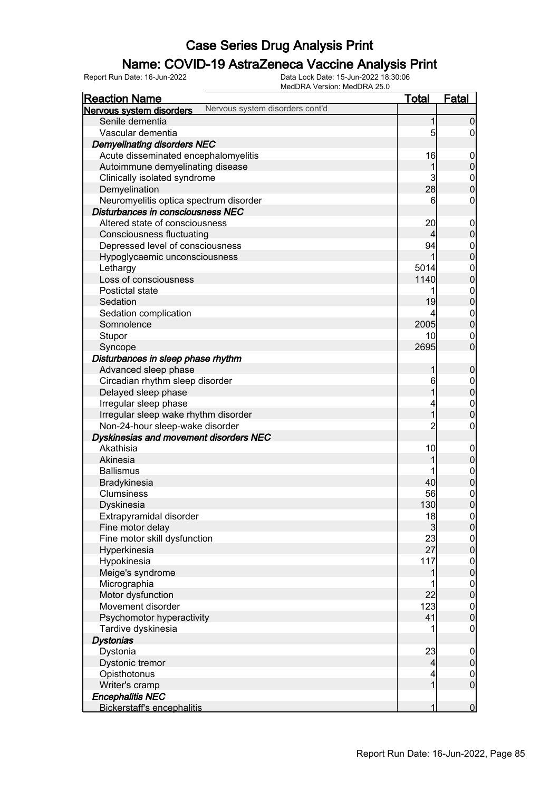### Name: COVID-19 AstraZeneca Vaccine Analysis Print

|                                        | MedDRA Version: MedDRA 25.0     |                |                                      |
|----------------------------------------|---------------------------------|----------------|--------------------------------------|
| <b>Reaction Name</b>                   |                                 | <u>Total</u>   | Fatal                                |
| Nervous system disorders               | Nervous system disorders cont'd |                |                                      |
| Senile dementia                        |                                 | 1              | $\overline{0}$                       |
| Vascular dementia                      |                                 | 5              | 0                                    |
| <b>Demyelinating disorders NEC</b>     |                                 |                |                                      |
| Acute disseminated encephalomyelitis   |                                 | 16             | $\mathbf 0$                          |
| Autoimmune demyelinating disease       |                                 | 1              | $\mathbf 0$                          |
| Clinically isolated syndrome           |                                 | 3              |                                      |
| Demyelination                          |                                 | 28             | $0$<br>0                             |
| Neuromyelitis optica spectrum disorder |                                 | 6              | $\mathbf 0$                          |
| Disturbances in consciousness NEC      |                                 |                |                                      |
| Altered state of consciousness         |                                 | 20             | $\mathbf 0$                          |
| <b>Consciousness fluctuating</b>       |                                 | 4              | $\boldsymbol{0}$                     |
| Depressed level of consciousness       |                                 | 94             |                                      |
| Hypoglycaemic unconsciousness          |                                 | 1              | $0\atop 0$                           |
| Lethargy                               |                                 | 5014           |                                      |
| Loss of consciousness                  |                                 | 1140           | $0\atop 0$                           |
| Postictal state                        |                                 | 1              |                                      |
| Sedation                               |                                 | 19             | $\begin{matrix} 0 \\ 0 \end{matrix}$ |
| Sedation complication                  |                                 | 4              |                                      |
| Somnolence                             |                                 | 2005           | $0$<br>0                             |
| Stupor                                 |                                 | 10             | $\boldsymbol{0}$                     |
| Syncope                                |                                 | 2695           | $\overline{0}$                       |
| Disturbances in sleep phase rhythm     |                                 |                |                                      |
| Advanced sleep phase                   |                                 | 1              | $\boldsymbol{0}$                     |
| Circadian rhythm sleep disorder        |                                 | 6              |                                      |
| Delayed sleep phase                    |                                 | 1              | $0$<br>0                             |
| Irregular sleep phase                  |                                 | 4              |                                      |
| Irregular sleep wake rhythm disorder   |                                 | $\overline{1}$ | $\begin{matrix} 0 \\ 0 \end{matrix}$ |
| Non-24-hour sleep-wake disorder        |                                 | 2              | $\boldsymbol{0}$                     |
| Dyskinesias and movement disorders NEC |                                 |                |                                      |
| Akathisia                              |                                 | 10             | $\boldsymbol{0}$                     |
| Akinesia                               |                                 | 1              | $\mathbf 0$                          |
| <b>Ballismus</b>                       |                                 |                |                                      |
| Bradykinesia                           |                                 | 40             | $\begin{matrix} 0 \\ 0 \end{matrix}$ |
| Clumsiness                             |                                 | 56             | $\boldsymbol{0}$                     |
| Dyskinesia                             |                                 | 130            | $\overline{0}$                       |
| Extrapyramidal disorder                |                                 | 18             | $\overline{0}$                       |
| Fine motor delay                       |                                 | $\overline{3}$ | $\overline{0}$                       |
| Fine motor skill dysfunction           |                                 | 23             | $\overline{0}$                       |
| Hyperkinesia                           |                                 | 27             | $\mathbf 0$                          |
| Hypokinesia                            |                                 | 117            | $\overline{0}$                       |
| Meige's syndrome                       |                                 |                | $\mathbf 0$                          |
| Micrographia                           |                                 |                | $\overline{0}$                       |
| Motor dysfunction                      |                                 | 22             | $\pmb{0}$                            |
| Movement disorder                      |                                 | 123            |                                      |
|                                        |                                 | 41             | $\overline{0}$<br>$\boldsymbol{0}$   |
| Psychomotor hyperactivity              |                                 | 1              |                                      |
| Tardive dyskinesia                     |                                 |                | $\boldsymbol{0}$                     |
| <b>Dystonias</b>                       |                                 |                |                                      |
| Dystonia                               |                                 | 23             | $\mathbf 0$                          |
| Dystonic tremor                        |                                 | 4              | $\mathbf 0$                          |
| Opisthotonus                           |                                 | 4              | $\overline{0}$                       |
| Writer's cramp                         |                                 | 1              | $\overline{0}$                       |
| <b>Encephalitis NEC</b>                |                                 |                |                                      |
| <b>Bickerstaff's encephalitis</b>      |                                 | 1              | $\overline{0}$                       |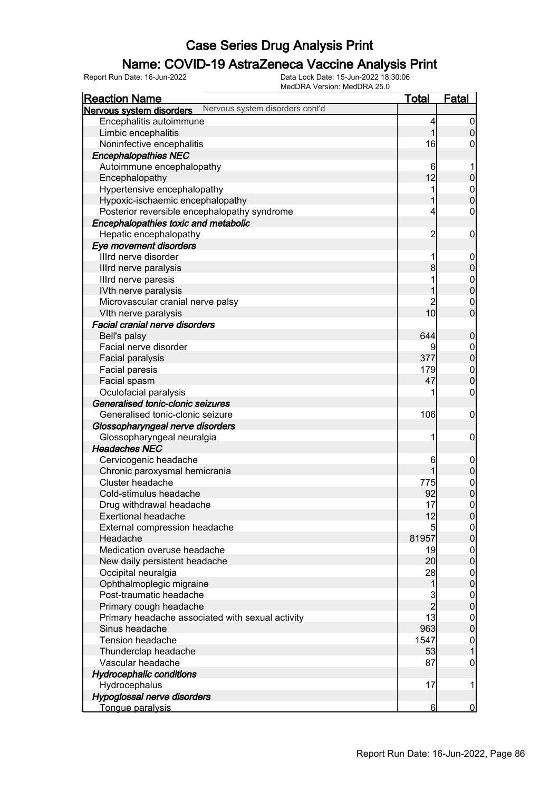### Name: COVID-19 AstraZeneca Vaccine Analysis Print

| MedDRA Version: MedDRA 25.0                                 |                 |                                      |
|-------------------------------------------------------------|-----------------|--------------------------------------|
| <u>Reaction Name</u>                                        | <u>Total</u>    | <b>Fatal</b>                         |
| Nervous system disorders cont'd<br>Nervous system disorders |                 |                                      |
| Encephalitis autoimmune                                     | 4               | $\overline{0}$                       |
| Limbic encephalitis                                         | 1               | $\mathbf 0$                          |
| Noninfective encephalitis                                   | 16              | 0                                    |
| <b>Encephalopathies NEC</b>                                 |                 |                                      |
| Autoimmune encephalopathy                                   | 6               | 1                                    |
| Encephalopathy                                              | 12              | $\boldsymbol{0}$                     |
| Hypertensive encephalopathy                                 | 1               | $0$<br>0                             |
| Hypoxic-ischaemic encephalopathy                            |                 |                                      |
| Posterior reversible encephalopathy syndrome                | 4               | $\boldsymbol{0}$                     |
| Encephalopathies toxic and metabolic                        |                 |                                      |
| Hepatic encephalopathy                                      | $\overline{c}$  | $\mathbf 0$                          |
| Eye movement disorders                                      |                 |                                      |
| Illrd nerve disorder                                        | 1               | $\mathbf 0$                          |
| Illrd nerve paralysis                                       | 8               | $\boldsymbol{0}$                     |
| Illrd nerve paresis                                         |                 |                                      |
| IVth nerve paralysis                                        |                 | $0\atop 0$                           |
| Microvascular cranial nerve palsy                           | $\overline{c}$  | $\boldsymbol{0}$                     |
| VIth nerve paralysis                                        | 10              | $\overline{0}$                       |
| <b>Facial cranial nerve disorders</b>                       |                 |                                      |
| Bell's palsy                                                | 644             | $\boldsymbol{0}$                     |
| Facial nerve disorder                                       | 9               |                                      |
| Facial paralysis                                            | 377             | $\begin{matrix} 0 \\ 0 \end{matrix}$ |
| Facial paresis                                              | 179             |                                      |
| Facial spasm                                                | 47              | $0$<br>0                             |
| Oculofacial paralysis                                       |                 | $\mathbf 0$                          |
| Generalised tonic-clonic seizures                           |                 |                                      |
| Generalised tonic-clonic seizure                            | 106             | $\mathbf 0$                          |
| Glossopharyngeal nerve disorders                            |                 |                                      |
| Glossopharyngeal neuralgia                                  | 1               | $\mathbf 0$                          |
| <b>Headaches NEC</b>                                        |                 |                                      |
| Cervicogenic headache                                       | 6               | $\mathbf 0$                          |
| Chronic paroxysmal hemicrania                               | 1               | $\mathbf 0$                          |
| Cluster headache                                            | 775             |                                      |
| Cold-stimulus headache                                      | 92              | $\begin{matrix} 0 \\ 0 \end{matrix}$ |
| Drug withdrawal headache                                    | 17              | $\overline{0}$                       |
| <b>Exertional headache</b>                                  | 12              | $\overline{0}$                       |
| External compression headache                               | $\overline{5}$  | $\overline{0}$                       |
| Headache                                                    | 81957           | $\overline{0}$                       |
| Medication overuse headache                                 | 19              | $\overline{0}$                       |
| New daily persistent headache                               | 20              | $\overline{0}$                       |
| Occipital neuralgia                                         | 28              | $\overline{0}$                       |
| Ophthalmoplegic migraine                                    | 1               | $\mathbf 0$                          |
| Post-traumatic headache                                     | 3               | $\boldsymbol{0}$                     |
| Primary cough headache                                      | $\overline{2}$  | $\overline{0}$                       |
| Primary headache associated with sexual activity            | 13              | $\overline{0}$                       |
| Sinus headache                                              | 963             | $\overline{0}$                       |
| <b>Tension headache</b>                                     | 1547            | $\mathbf 0$                          |
| Thunderclap headache                                        | 53              | $\overline{1}$                       |
| Vascular headache                                           | 87              | $\mathbf 0$                          |
| <b>Hydrocephalic conditions</b>                             |                 |                                      |
| Hydrocephalus                                               | 17              | 1                                    |
| Hypoglossal nerve disorders                                 |                 |                                      |
| <u>Tonque paralysis</u>                                     | $6 \overline{}$ | $\overline{0}$                       |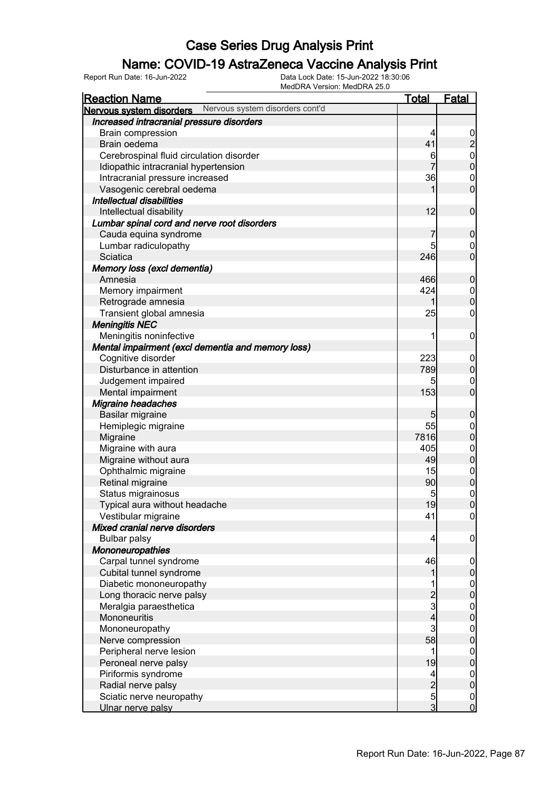### Name: COVID-19 AstraZeneca Vaccine Analysis Print

| <b>Reaction Name</b>                              |                                 | Total                                      | Fatal                                |
|---------------------------------------------------|---------------------------------|--------------------------------------------|--------------------------------------|
| Nervous system disorders                          | Nervous system disorders cont'd |                                            |                                      |
| Increased intracranial pressure disorders         |                                 |                                            |                                      |
| <b>Brain compression</b>                          |                                 | 4                                          |                                      |
| Brain oedema                                      |                                 | 41                                         | $\frac{0}{2}$                        |
| Cerebrospinal fluid circulation disorder          |                                 | 6                                          |                                      |
| Idiopathic intracranial hypertension              |                                 |                                            | $\begin{matrix} 0 \\ 0 \end{matrix}$ |
| Intracranial pressure increased                   |                                 | 36                                         | $\mathbf 0$                          |
| Vasogenic cerebral oedema                         |                                 |                                            | $\overline{0}$                       |
| Intellectual disabilities                         |                                 |                                            |                                      |
| Intellectual disability                           |                                 | 12                                         | $\mathbf 0$                          |
| Lumbar spinal cord and nerve root disorders       |                                 |                                            |                                      |
| Cauda equina syndrome                             |                                 | 7                                          | $\boldsymbol{0}$                     |
| Lumbar radiculopathy                              |                                 | 5                                          | $\mathbf 0$                          |
| Sciatica                                          |                                 | 246                                        | $\overline{0}$                       |
| Memory loss (excl dementia)                       |                                 |                                            |                                      |
| Amnesia                                           |                                 | 466                                        | $\pmb{0}$                            |
| Memory impairment                                 |                                 | 424                                        |                                      |
| Retrograde amnesia                                |                                 |                                            | $0$<br>$0$                           |
| Transient global amnesia                          |                                 | 25                                         | $\mathbf 0$                          |
| <b>Meningitis NEC</b>                             |                                 |                                            |                                      |
| Meningitis noninfective                           |                                 | 1                                          | $\boldsymbol{0}$                     |
| Mental impairment (excl dementia and memory loss) |                                 |                                            |                                      |
| Cognitive disorder                                |                                 | 223                                        | $\mathbf 0$                          |
| Disturbance in attention                          |                                 | 789                                        | $\mathbf 0$                          |
| Judgement impaired                                |                                 | 5                                          | $\mathbf 0$                          |
| Mental impairment                                 |                                 | 153                                        | $\overline{0}$                       |
| Migraine headaches                                |                                 |                                            |                                      |
| Basilar migraine                                  |                                 | 5 <sub>5</sub>                             | $\boldsymbol{0}$                     |
| Hemiplegic migraine                               |                                 | 55                                         |                                      |
| Migraine                                          |                                 | 7816                                       | $0\atop 0$                           |
| Migraine with aura                                |                                 | 405                                        |                                      |
| Migraine without aura                             |                                 | 49                                         | $0\atop 0$                           |
| Ophthalmic migraine                               |                                 | 15                                         |                                      |
| Retinal migraine                                  |                                 | 90                                         | $\begin{matrix} 0 \\ 0 \end{matrix}$ |
| Status migrainosus                                |                                 | 5                                          |                                      |
| Typical aura without headache                     |                                 | 19                                         | $\begin{matrix} 0 \\ 0 \end{matrix}$ |
| Vestibular migraine                               |                                 | 41                                         | $\overline{0}$                       |
| Mixed cranial nerve disorders                     |                                 |                                            |                                      |
| <b>Bulbar palsy</b>                               |                                 | 4                                          | $\mathbf 0$                          |
| Mononeuropathies                                  |                                 |                                            |                                      |
| Carpal tunnel syndrome                            |                                 | 46                                         | $\mathbf 0$                          |
| Cubital tunnel syndrome                           |                                 | 1                                          | $\mathbf 0$                          |
| Diabetic mononeuropathy                           |                                 |                                            |                                      |
| Long thoracic nerve palsy                         |                                 |                                            | $\begin{matrix} 0 \\ 0 \end{matrix}$ |
| Meralgia paraesthetica                            |                                 | $\begin{array}{c} 2 \\ 3 \\ 4 \end{array}$ |                                      |
| Mononeuritis                                      |                                 |                                            | $0\atop 0$                           |
| Mononeuropathy                                    |                                 | 3                                          |                                      |
| Nerve compression                                 |                                 | 58                                         | $0\atop 0$                           |
| Peripheral nerve lesion                           |                                 | 1                                          |                                      |
| Peroneal nerve palsy                              |                                 | 19                                         | $0\atop 0$                           |
| Piriformis syndrome                               |                                 | 4                                          |                                      |
| Radial nerve palsy                                |                                 | $\overline{a}$                             | $0\atop 0$                           |
| Sciatic nerve neuropathy                          |                                 | 5                                          |                                      |
| Ulnar nerve palsy                                 |                                 | $\overline{3}$                             | $\begin{matrix}0\\0\end{matrix}$     |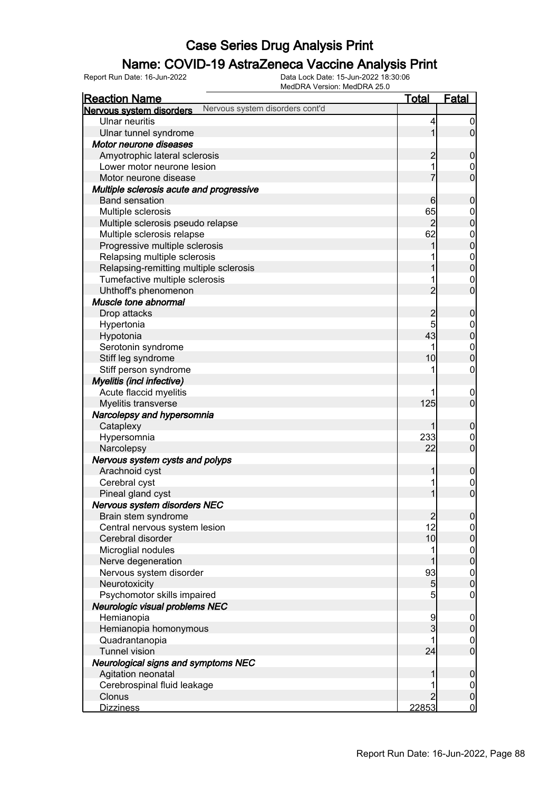### Name: COVID-19 AstraZeneca Vaccine Analysis Print

| MedDRA Version: MedDRA 25.0                                 |                |                                      |
|-------------------------------------------------------------|----------------|--------------------------------------|
| <b>Reaction Name</b>                                        | <u>Total</u>   | <b>Fatal</b>                         |
| Nervous system disorders cont'd<br>Nervous system disorders |                |                                      |
| <b>Ulnar neuritis</b>                                       | 4              | $\boldsymbol{0}$                     |
| Ulnar tunnel syndrome                                       | 1              | $\overline{0}$                       |
| Motor neurone diseases                                      |                |                                      |
| Amyotrophic lateral sclerosis                               | $\overline{2}$ | $\mathbf 0$                          |
| Lower motor neurone lesion                                  |                | $\mathbf 0$                          |
| Motor neurone disease                                       | 7              | $\overline{0}$                       |
| Multiple sclerosis acute and progressive                    |                |                                      |
| <b>Band sensation</b>                                       | 6              | $\boldsymbol{0}$                     |
| Multiple sclerosis                                          | 65             |                                      |
| Multiple sclerosis pseudo relapse                           | $\overline{c}$ | $0\atop 0$                           |
| Multiple sclerosis relapse                                  | 62             |                                      |
| Progressive multiple sclerosis                              |                | $0$<br>0                             |
| Relapsing multiple sclerosis                                |                |                                      |
| Relapsing-remitting multiple sclerosis                      |                | $0$<br>0                             |
| Tumefactive multiple sclerosis                              |                | $\boldsymbol{0}$                     |
| Uhthoff's phenomenon                                        | $\overline{2}$ | $\overline{0}$                       |
| Muscle tone abnormal                                        |                |                                      |
| Drop attacks                                                | $\overline{c}$ | $\mathbf 0$                          |
| Hypertonia                                                  | 5              |                                      |
| Hypotonia                                                   | 43             | $0$<br>0                             |
| Serotonin syndrome                                          | 1              |                                      |
| Stiff leg syndrome                                          | 10             | $\begin{matrix} 0 \\ 0 \end{matrix}$ |
| Stiff person syndrome                                       |                | $\mathbf 0$                          |
| Myelitis (incl infective)                                   |                |                                      |
| Acute flaccid myelitis                                      | 1              | $\mathbf 0$                          |
| Myelitis transverse                                         | 125            | $\overline{0}$                       |
| Narcolepsy and hypersomnia                                  |                |                                      |
| Cataplexy                                                   |                | $\mathbf 0$                          |
| Hypersomnia                                                 | 233            | $\mathbf 0$                          |
| Narcolepsy                                                  | 22             | $\overline{0}$                       |
| Nervous system cysts and polyps                             |                |                                      |
| Arachnoid cyst                                              |                | $\mathbf 0$                          |
| Cerebral cyst                                               |                | $\boldsymbol{0}$                     |
| Pineal gland cyst                                           |                | $\overline{0}$                       |
| Nervous system disorders NEC                                |                |                                      |
| Brain stem syndrome                                         | $\overline{2}$ | 0                                    |
| Central nervous system lesion                               | 12             | $\overline{0}$                       |
| Cerebral disorder                                           | 10             | $\pmb{0}$                            |
| Microglial nodules                                          |                | $\boldsymbol{0}$                     |
| Nerve degeneration                                          |                | $\overline{0}$                       |
| Nervous system disorder                                     | 93             | $\boldsymbol{0}$                     |
| Neurotoxicity                                               | $\overline{5}$ | $\mathbf 0$                          |
| Psychomotor skills impaired                                 | $\overline{5}$ | $\mathbf 0$                          |
| Neurologic visual problems NEC                              |                |                                      |
| Hemianopia                                                  | 9              | $\mathbf 0$                          |
| Hemianopia homonymous                                       | 3              | $\pmb{0}$                            |
| Quadrantanopia                                              |                | $\boldsymbol{0}$                     |
| <b>Tunnel vision</b>                                        | 24             | $\overline{0}$                       |
| Neurological signs and symptoms NEC                         |                |                                      |
| Agitation neonatal                                          |                | $\mathbf 0$                          |
| Cerebrospinal fluid leakage                                 |                | $\mathbf 0$                          |
| Clonus                                                      |                | $\pmb{0}$                            |
| <b>Dizziness</b>                                            | 22853          | $\overline{0}$                       |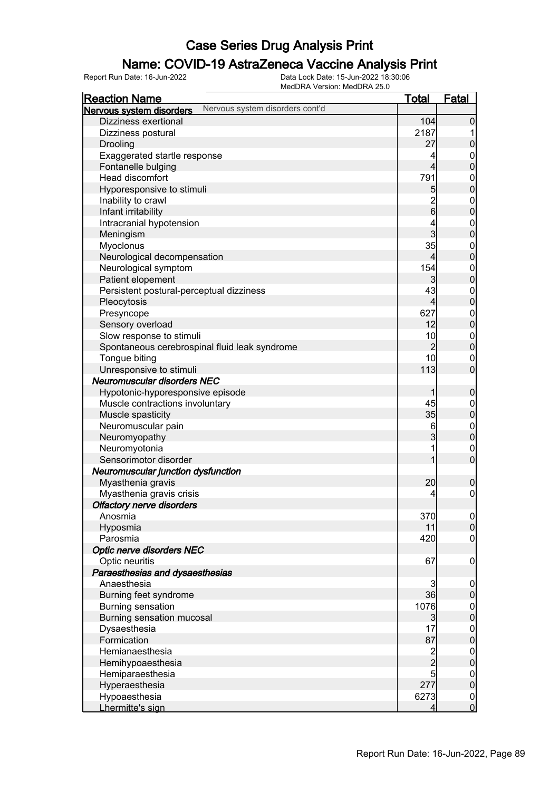### Name: COVID-19 AstraZeneca Vaccine Analysis Print

| Nervous system disorders cont'd<br>Nervous system disorders | <b>Total</b>   | <b>Fatal</b>                     |
|-------------------------------------------------------------|----------------|----------------------------------|
|                                                             |                |                                  |
| Dizziness exertional                                        | 104            | $\mathbf 0$                      |
| Dizziness postural                                          | 2187           |                                  |
| Drooling                                                    | 27             | $\mathbf 0$                      |
| Exaggerated startle response                                | 4              | $\mathbf{0}$                     |
| Fontanelle bulging                                          | $\overline{4}$ | $\overline{0}$                   |
| Head discomfort                                             | 791            |                                  |
| Hyporesponsive to stimuli                                   | 5              | $0\atop 0$                       |
| Inability to crawl                                          |                |                                  |
| Infant irritability                                         | $\frac{2}{6}$  | $0\atop 0$                       |
| Intracranial hypotension                                    | 4              |                                  |
| Meningism                                                   | 3              | $\begin{matrix}0\\0\end{matrix}$ |
| Myoclonus                                                   | 35             |                                  |
| Neurological decompensation                                 | $\overline{4}$ | $0\atop 0$                       |
| Neurological symptom                                        | 154            |                                  |
| Patient elopement                                           | 3              | $0\atop 0$                       |
|                                                             | 43             |                                  |
| Persistent postural-perceptual dizziness                    | $\overline{4}$ | $0\atop 0$                       |
| Pleocytosis                                                 | 627            |                                  |
| Presyncope                                                  |                | $0\atop 0$                       |
| Sensory overload                                            | 12             |                                  |
| Slow response to stimuli                                    | 10             | $0\atop 0$                       |
| Spontaneous cerebrospinal fluid leak syndrome               | $\overline{2}$ |                                  |
| Tongue biting                                               | 10             | $\mathbf 0$                      |
| Unresponsive to stimuli                                     | 113            | $\overline{0}$                   |
| <b>Neuromuscular disorders NEC</b>                          |                |                                  |
| Hypotonic-hyporesponsive episode                            | 1              | $\boldsymbol{0}$                 |
| Muscle contractions involuntary                             | 45             | $\boldsymbol{0}$                 |
| Muscle spasticity                                           | 35             | $\mathbf 0$                      |
| Neuromuscular pain                                          | 6              | $\mathbf{0}$                     |
| Neuromyopathy                                               | $\overline{3}$ | $\overline{0}$                   |
| Neuromyotonia                                               | 1              | $\boldsymbol{0}$                 |
| Sensorimotor disorder                                       | 1              | $\mathbf 0$                      |
| Neuromuscular junction dysfunction                          |                |                                  |
| Myasthenia gravis                                           | 20             | $\boldsymbol{0}$                 |
| Myasthenia gravis crisis                                    | 4              | $\boldsymbol{0}$                 |
| <b>Olfactory nerve disorders</b>                            |                |                                  |
| Anosmia                                                     | 370            | 0                                |
| Hyposmia                                                    | 11             | $\overline{0}$                   |
| Parosmia                                                    | 420            | $\mathbf 0$                      |
| Optic nerve disorders NEC                                   |                |                                  |
| Optic neuritis                                              | 67             | $\mathbf 0$                      |
| Paraesthesias and dysaesthesias                             |                |                                  |
| Anaesthesia                                                 | 3              | $\mathbf 0$                      |
| Burning feet syndrome                                       | 36             | $\pmb{0}$                        |
| <b>Burning sensation</b>                                    | 1076           | $\boldsymbol{0}$                 |
| Burning sensation mucosal                                   | 3              | $\overline{0}$                   |
| Dysaesthesia                                                | 17             | $\boldsymbol{0}$                 |
| Formication                                                 | 87             | $\overline{0}$                   |
| Hemianaesthesia                                             |                | $\boldsymbol{0}$                 |
| Hemihypoaesthesia                                           | $\frac{2}{2}$  | $\overline{0}$                   |
| Hemiparaesthesia                                            | 5              | $\overline{0}$                   |
| Hyperaesthesia                                              | 277            | $\mathbf 0$                      |
| Hypoaesthesia                                               | 6273           | $\overline{0}$                   |
| Lhermitte's sign                                            | 4              | $\overline{0}$                   |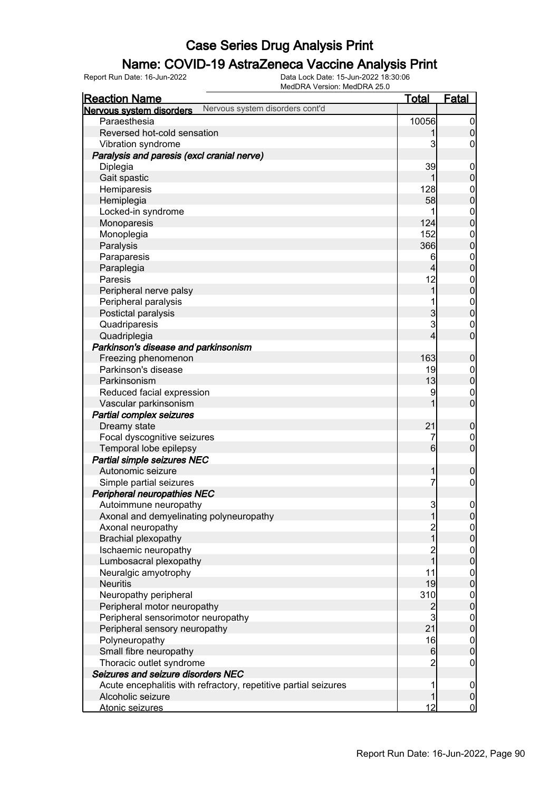### Name: COVID-19 AstraZeneca Vaccine Analysis Print

| <u>Reaction Name</u>                       |                                                                 | <b>Total</b>            | <b>Fatal</b>                         |
|--------------------------------------------|-----------------------------------------------------------------|-------------------------|--------------------------------------|
| Nervous system disorders                   | Nervous system disorders cont'd                                 |                         |                                      |
| Paraesthesia                               |                                                                 | 10056                   | $\overline{0}$                       |
| Reversed hot-cold sensation                |                                                                 |                         | $\boldsymbol{0}$                     |
| Vibration syndrome                         |                                                                 | 3                       | 0                                    |
| Paralysis and paresis (excl cranial nerve) |                                                                 |                         |                                      |
| Diplegia                                   |                                                                 | 39                      | $\mathbf 0$                          |
| Gait spastic                               |                                                                 |                         | $\mathbf 0$                          |
| Hemiparesis                                |                                                                 | 128                     | $\boldsymbol{0}$                     |
| Hemiplegia                                 |                                                                 | 58                      | $\overline{0}$                       |
| Locked-in syndrome                         |                                                                 |                         | $\boldsymbol{0}$                     |
| Monoparesis                                |                                                                 | 124                     | $\overline{0}$                       |
| Monoplegia                                 |                                                                 | 152                     | $\mathbf{0}$                         |
| Paralysis                                  |                                                                 | 366                     | $\overline{0}$                       |
| Paraparesis                                |                                                                 | 6                       | $\boldsymbol{0}$                     |
| Paraplegia                                 |                                                                 | $\overline{\mathbf{4}}$ | $\overline{0}$                       |
| Paresis                                    |                                                                 | 12                      | $\boldsymbol{0}$                     |
| Peripheral nerve palsy                     |                                                                 | $\overline{1}$          | $\overline{0}$                       |
| Peripheral paralysis                       |                                                                 |                         | $\boldsymbol{0}$                     |
| Postictal paralysis                        |                                                                 | 3                       | $\overline{0}$                       |
| Quadriparesis                              |                                                                 | 3                       | $\mathbf 0$                          |
| Quadriplegia                               |                                                                 | $\overline{4}$          | $\overline{0}$                       |
| Parkinson's disease and parkinsonism       |                                                                 |                         |                                      |
| Freezing phenomenon                        |                                                                 | 163                     | $\mathbf 0$                          |
| Parkinson's disease                        |                                                                 | 19                      | $\mathbf 0$                          |
| Parkinsonism                               |                                                                 | 13                      | $\mathbf 0$                          |
| Reduced facial expression                  |                                                                 | 9                       | $\mathbf 0$                          |
| Vascular parkinsonism                      |                                                                 | 1                       | $\mathbf 0$                          |
| Partial complex seizures                   |                                                                 |                         |                                      |
| Dreamy state                               |                                                                 | 21                      | $\mathbf 0$                          |
| Focal dyscognitive seizures                |                                                                 | 7                       | 0                                    |
| Temporal lobe epilepsy                     |                                                                 | 6                       | $\mathbf 0$                          |
| Partial simple seizures NEC                |                                                                 |                         |                                      |
| Autonomic seizure                          |                                                                 | 1                       | $\mathbf 0$                          |
| Simple partial seizures                    |                                                                 | 7                       | $\mathbf 0$                          |
| Peripheral neuropathies NEC                |                                                                 |                         |                                      |
| Autoimmune neuropathy                      |                                                                 | $\overline{3}$          | $\boldsymbol{0}$                     |
| Axonal and demyelinating polyneuropathy    |                                                                 | 1                       | 0                                    |
| Axonal neuropathy                          |                                                                 |                         |                                      |
| <b>Brachial plexopathy</b>                 |                                                                 | 2<br>1                  | $\frac{0}{0}$                        |
| Ischaemic neuropathy                       |                                                                 |                         |                                      |
| Lumbosacral plexopathy                     |                                                                 | 2<br>1                  | $\begin{matrix} 0 \\ 0 \end{matrix}$ |
| Neuralgic amyotrophy                       |                                                                 | 11                      |                                      |
| <b>Neuritis</b>                            |                                                                 | 19                      | $\begin{matrix} 0 \\ 0 \end{matrix}$ |
| Neuropathy peripheral                      |                                                                 | 310                     |                                      |
| Peripheral motor neuropathy                |                                                                 |                         | $\begin{matrix} 0 \\ 0 \end{matrix}$ |
| Peripheral sensorimotor neuropathy         |                                                                 | $\frac{2}{3}$           |                                      |
| Peripheral sensory neuropathy              |                                                                 | 21                      | $\begin{matrix} 0 \\ 0 \end{matrix}$ |
| Polyneuropathy                             |                                                                 | 16                      |                                      |
| Small fibre neuropathy                     |                                                                 | $6 \,$                  | $\begin{matrix} 0 \\ 0 \end{matrix}$ |
| Thoracic outlet syndrome                   |                                                                 | $\overline{c}$          | $\overline{0}$                       |
| Seizures and seizure disorders NEC         |                                                                 |                         |                                      |
|                                            | Acute encephalitis with refractory, repetitive partial seizures | 1                       | $\mathbf 0$                          |
| Alcoholic seizure                          |                                                                 | 1                       | $\mathbf 0$                          |
| Atonic seizures                            |                                                                 | 12                      | $\overline{0}$                       |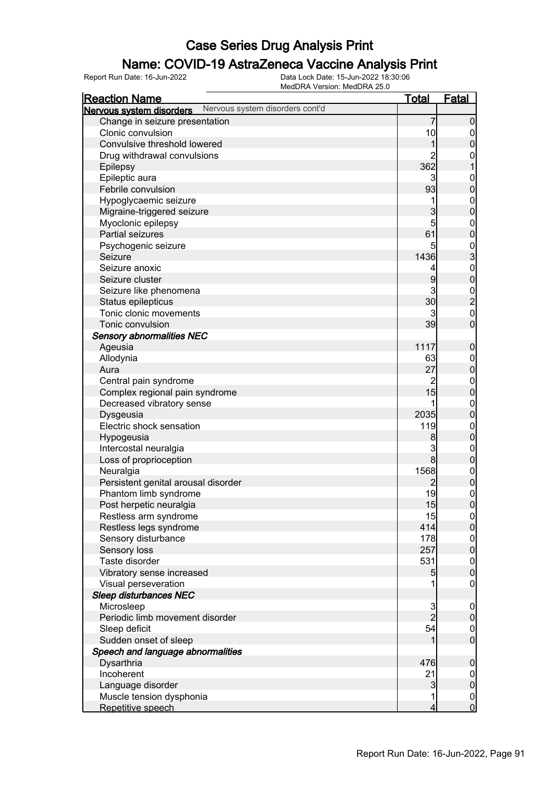### Name: COVID-19 AstraZeneca Vaccine Analysis Print

| <b>Reaction Name</b>                                        | <u>Total</u>   | <b>Fatal</b>                     |
|-------------------------------------------------------------|----------------|----------------------------------|
| Nervous system disorders cont'd<br>Nervous system disorders |                |                                  |
| Change in seizure presentation                              | $\overline{7}$ | $\mathbf 0$                      |
| Clonic convulsion                                           | 10             | $\mathbf 0$                      |
| Convulsive threshold lowered                                | 1              | $\pmb{0}$                        |
| Drug withdrawal convulsions                                 |                | $\boldsymbol{0}$                 |
| Epilepsy                                                    | 362            |                                  |
| Epileptic aura                                              | 3              | $\boldsymbol{0}$                 |
| Febrile convulsion                                          | 93             | $\pmb{0}$                        |
| Hypoglycaemic seizure                                       |                | $\boldsymbol{0}$                 |
| Migraine-triggered seizure                                  | 3              | $\mathbf 0$                      |
| Myoclonic epilepsy                                          | 5              |                                  |
| Partial seizures                                            | 61             | $\boldsymbol{0}$<br>$\mathbf 0$  |
|                                                             |                |                                  |
| Psychogenic seizure                                         | 5              | $\frac{0}{3}$                    |
| Seizure                                                     | 1436           |                                  |
| Seizure anoxic                                              | 4              | $\boldsymbol{0}$                 |
| Seizure cluster                                             | 9              | $\mathbf 0$                      |
| Seizure like phenomena                                      | 3              | $\frac{0}{2}$                    |
| Status epilepticus                                          | 30             |                                  |
| Tonic clonic movements                                      | 3              | $\mathbf{0}$                     |
| Tonic convulsion                                            | 39             | $\overline{0}$                   |
| <b>Sensory abnormalities NEC</b>                            |                |                                  |
| Ageusia                                                     | 1117           | $\boldsymbol{0}$                 |
| Allodynia                                                   | 63             | $\boldsymbol{0}$                 |
| Aura                                                        | 27             | $\mathbf 0$                      |
| Central pain syndrome                                       | $\overline{c}$ | $\boldsymbol{0}$                 |
| Complex regional pain syndrome                              | 15             | $\mathbf 0$                      |
| Decreased vibratory sense                                   |                | $\boldsymbol{0}$                 |
| Dysgeusia                                                   | 2035           | $\mathbf 0$                      |
| Electric shock sensation                                    | 119            | $\boldsymbol{0}$                 |
| Hypogeusia                                                  | 8              | $\mathbf 0$                      |
| Intercostal neuralgia                                       | 3              | $\boldsymbol{0}$                 |
| Loss of proprioception                                      | $\mathbf{8}$   | $\pmb{0}$                        |
| Neuralgia                                                   | 1568           | $\boldsymbol{0}$                 |
| Persistent genital arousal disorder                         | $\overline{2}$ | $\mathbf 0$                      |
| Phantom limb syndrome                                       | 19             | $\mathbf 0$                      |
| Post herpetic neuralgia                                     | 15             | $\overline{0}$                   |
| Restless arm syndrome                                       | 15             | 0                                |
| Restless legs syndrome                                      | 414            | 0                                |
| Sensory disturbance                                         | 178            | $\overline{0}$                   |
| Sensory loss                                                | 257            | $\overline{0}$                   |
| Taste disorder                                              | 531            | $\overline{0}$                   |
| Vibratory sense increased                                   | 5              | $\overline{0}$                   |
| Visual perseveration                                        |                | $\mathbf 0$                      |
| Sleep disturbances NEC                                      |                |                                  |
| Microsleep                                                  | 3              | $\overline{0}$                   |
| Periodic limb movement disorder                             | $\overline{2}$ | $\mathbf 0$                      |
| Sleep deficit                                               | 54             |                                  |
|                                                             |                | $\overline{0}$<br>$\overline{0}$ |
| Sudden onset of sleep                                       |                |                                  |
| Speech and language abnormalities                           |                |                                  |
| Dysarthria                                                  | 476            | $\mathbf 0$                      |
| Incoherent                                                  | 21             | $\overline{0}$                   |
| Language disorder                                           | 3              | $\mathbf 0$                      |
| Muscle tension dysphonia                                    |                | $\overline{0}$                   |
| Repetitive speech                                           | 4              | $\overline{0}$                   |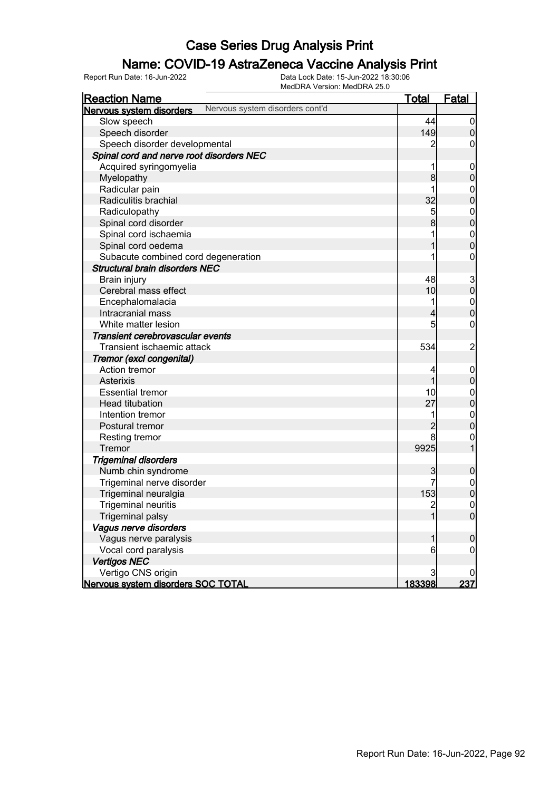### Name: COVID-19 AstraZeneca Vaccine Analysis Print

|                                          | MedDRA Version: MedDRA 25.0     |                |                                      |
|------------------------------------------|---------------------------------|----------------|--------------------------------------|
| <u>Reaction Name</u>                     |                                 | <u>Total</u>   | Fatal                                |
| Nervous system disorders                 | Nervous system disorders cont'd |                |                                      |
| Slow speech                              |                                 | 44             | $\overline{0}$                       |
| Speech disorder                          |                                 | 149            | $\overline{0}$                       |
| Speech disorder developmental            |                                 | 2              | 0                                    |
| Spinal cord and nerve root disorders NEC |                                 |                |                                      |
| Acquired syringomyelia                   |                                 | 1              | $\mathbf 0$                          |
| Myelopathy                               |                                 | 8              | $\boldsymbol{0}$                     |
| Radicular pain                           |                                 | 1              | $\boldsymbol{0}$                     |
| Radiculitis brachial                     |                                 | 32             | $\mathbf 0$                          |
| Radiculopathy                            |                                 | 5              |                                      |
| Spinal cord disorder                     |                                 | 8              | $\begin{matrix} 0 \\ 0 \end{matrix}$ |
| Spinal cord ischaemia                    |                                 |                | $\boldsymbol{0}$                     |
| Spinal cord oedema                       |                                 |                | $\overline{0}$                       |
| Subacute combined cord degeneration      |                                 |                | $\boldsymbol{0}$                     |
| <b>Structural brain disorders NEC</b>    |                                 |                |                                      |
| Brain injury                             |                                 | 48             |                                      |
| Cerebral mass effect                     |                                 | 10             | $\frac{3}{0}$                        |
| Encephalomalacia                         |                                 | 1              | $\overline{0}$                       |
| Intracranial mass                        |                                 | 4              | $\mathbf 0$                          |
| White matter lesion                      |                                 | 5              | $\boldsymbol{0}$                     |
| Transient cerebrovascular events         |                                 |                |                                      |
| Transient ischaemic attack               |                                 | 534            | $\overline{\mathbf{c}}$              |
| Tremor (excl congenital)                 |                                 |                |                                      |
| Action tremor                            |                                 | 4              | $\overline{0}$                       |
| <b>Asterixis</b>                         |                                 | 1              | $\overline{0}$                       |
| <b>Essential tremor</b>                  |                                 | 10             | $\boldsymbol{0}$                     |
| <b>Head titubation</b>                   |                                 | 27             | $\mathbf 0$                          |
| Intention tremor                         |                                 |                | $\boldsymbol{0}$                     |
| Postural tremor                          |                                 | $\overline{2}$ | $\overline{0}$                       |
| Resting tremor                           |                                 | 8              | $\boldsymbol{0}$                     |
| Tremor                                   |                                 | 9925           | $\overline{1}$                       |
| <b>Trigeminal disorders</b>              |                                 |                |                                      |
| Numb chin syndrome                       |                                 | 3              | $\mathbf 0$                          |
| Trigeminal nerve disorder                |                                 | 7              | $\overline{0}$                       |
| Trigeminal neuralgia                     |                                 | 153            | $\overline{0}$                       |
| <b>Trigeminal neuritis</b>               |                                 |                | $\overline{0}$                       |
| <b>Trigeminal palsy</b>                  |                                 | $\overline{1}$ | $\overline{0}$                       |
| Vagus nerve disorders                    |                                 |                |                                      |
| Vagus nerve paralysis                    |                                 | 1              | $\mathbf 0$                          |
| Vocal cord paralysis                     |                                 | 6              | 0                                    |
| <b>Vertigos NEC</b>                      |                                 |                |                                      |
| Vertigo CNS origin                       |                                 | 3              |                                      |
| Nervous system disorders SOC TOTAL       |                                 | 183398         | 237                                  |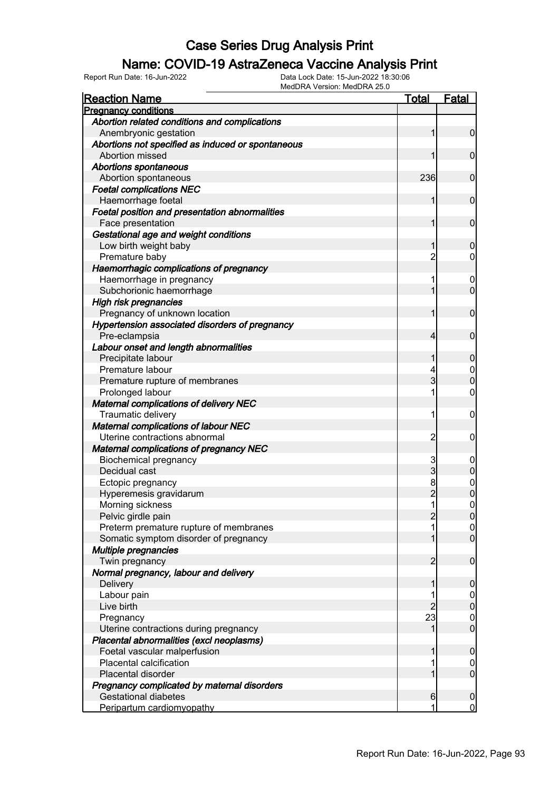### Name: COVID-19 AstraZeneca Vaccine Analysis Print

Report Run Date: 16-Jun-2022 Data Lock Date: 15-Jun-2022 18:30:06

MedDRA Version: MedDRA 25.0

| <b>Reaction Name</b>                              | <b>Total</b>   | <b>Fatal</b>     |
|---------------------------------------------------|----------------|------------------|
| <b>Pregnancy conditions</b>                       |                |                  |
| Abortion related conditions and complications     |                |                  |
| Anembryonic gestation                             | 1              | $\mathbf 0$      |
| Abortions not specified as induced or spontaneous |                |                  |
| Abortion missed                                   | 1              | $\mathbf 0$      |
| <b>Abortions spontaneous</b>                      |                |                  |
| Abortion spontaneous                              | 236            | $\mathbf 0$      |
| <b>Foetal complications NEC</b>                   |                |                  |
| Haemorrhage foetal                                | 1              | $\mathbf 0$      |
| Foetal position and presentation abnormalities    |                |                  |
| Face presentation                                 | 1              | $\mathbf 0$      |
| Gestational age and weight conditions             |                |                  |
| Low birth weight baby                             | 1              | $\mathbf 0$      |
| Premature baby                                    | $\overline{c}$ | $\overline{0}$   |
| Haemorrhagic complications of pregnancy           |                |                  |
| Haemorrhage in pregnancy                          | 1              | $\mathbf 0$      |
| Subchorionic haemorrhage                          | 1              | $\mathbf 0$      |
| High risk pregnancies                             |                |                  |
| Pregnancy of unknown location                     | 1              | $\mathbf 0$      |
| Hypertension associated disorders of pregnancy    |                |                  |
| Pre-eclampsia                                     | $\overline{4}$ | $\mathbf 0$      |
| Labour onset and length abnormalities             |                |                  |
| Precipitate labour                                | 1              | $\mathbf 0$      |
| Premature labour                                  | 4              | $\boldsymbol{0}$ |
| Premature rupture of membranes                    | $\overline{3}$ | $\overline{0}$   |
| Prolonged labour                                  | 1              | $\mathbf 0$      |
| <b>Maternal complications of delivery NEC</b>     |                |                  |
| Traumatic delivery                                | 1              | $\boldsymbol{0}$ |
| <b>Maternal complications of labour NEC</b>       |                |                  |
| Uterine contractions abnormal                     | $\overline{c}$ | $\mathbf 0$      |
| <b>Maternal complications of pregnancy NEC</b>    |                |                  |
| <b>Biochemical pregnancy</b>                      | 3              | $\mathbf 0$      |
| Decidual cast                                     | 3              | $\mathbf 0$      |
| Ectopic pregnancy                                 | 8              |                  |
| Hyperemesis gravidarum                            | $\overline{2}$ | $0\atop 0$       |
| Morning sickness                                  | $\mathbf{1}$   | $\mathbf 0$      |
| Pelvic girdle pain                                | $\overline{c}$ | 0                |
| Preterm premature rupture of membranes            | 1              | 0                |
| Somatic symptom disorder of pregnancy             | 1              | $\overline{0}$   |
| Multiple pregnancies                              |                |                  |
| Twin pregnancy                                    | $\overline{2}$ | $\boldsymbol{0}$ |
| Normal pregnancy, labour and delivery             |                |                  |
| Delivery                                          | 1              | $\mathbf 0$      |
| Labour pain                                       | 1              | $\overline{0}$   |
| Live birth                                        | $\overline{c}$ | $\pmb{0}$        |
| Pregnancy                                         | 23             | $\boldsymbol{0}$ |
| Uterine contractions during pregnancy             | 1              | $\mathbf 0$      |
| Placental abnormalities (excl neoplasms)          |                |                  |
| Foetal vascular malperfusion                      | 1              | $\mathbf 0$      |
| Placental calcification                           | 1              | $\overline{0}$   |
| Placental disorder                                | 1              | $\boldsymbol{0}$ |
| Pregnancy complicated by maternal disorders       |                |                  |
| <b>Gestational diabetes</b>                       | 6              | $\mathbf 0$      |
| Peripartum cardiomyopathy                         | 1              | $\overline{0}$   |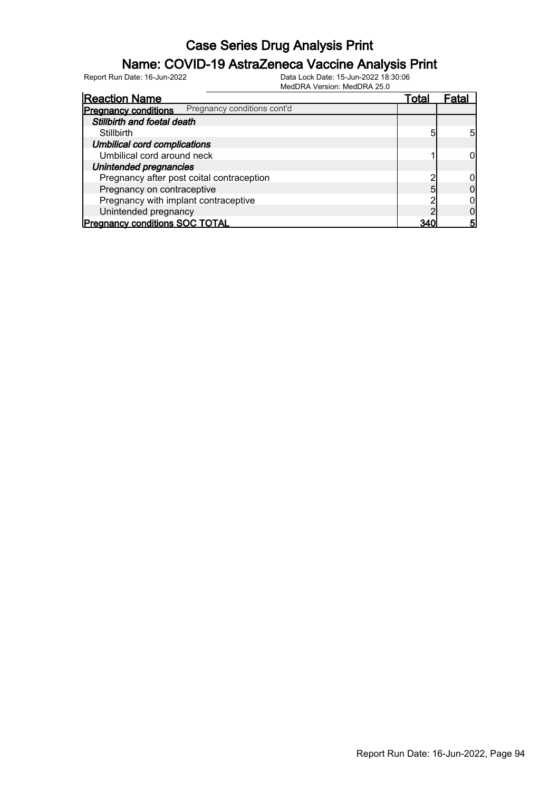### Name: COVID-19 AstraZeneca Vaccine Analysis Print

|                                           | 1810 G D I V I V O DIOIN . 1810 G D I V I LO. 0 |       |       |
|-------------------------------------------|-------------------------------------------------|-------|-------|
| <b>Reaction Name</b>                      |                                                 | Total | Fatal |
| <b>Pregnancy conditions</b>               | Pregnancy conditions cont'd                     |       |       |
| Stillbirth and foetal death               |                                                 |       |       |
| Stillbirth                                |                                                 | 5     |       |
| <b>Umbilical cord complications</b>       |                                                 |       |       |
| Umbilical cord around neck                |                                                 |       |       |
| Unintended pregnancies                    |                                                 |       |       |
| Pregnancy after post coital contraception |                                                 |       |       |
| Pregnancy on contraceptive                |                                                 |       |       |
| Pregnancy with implant contraceptive      |                                                 |       |       |
| Unintended pregnancy                      |                                                 |       |       |
| <b>Pregnancy conditions SOC TOTAL</b>     |                                                 |       |       |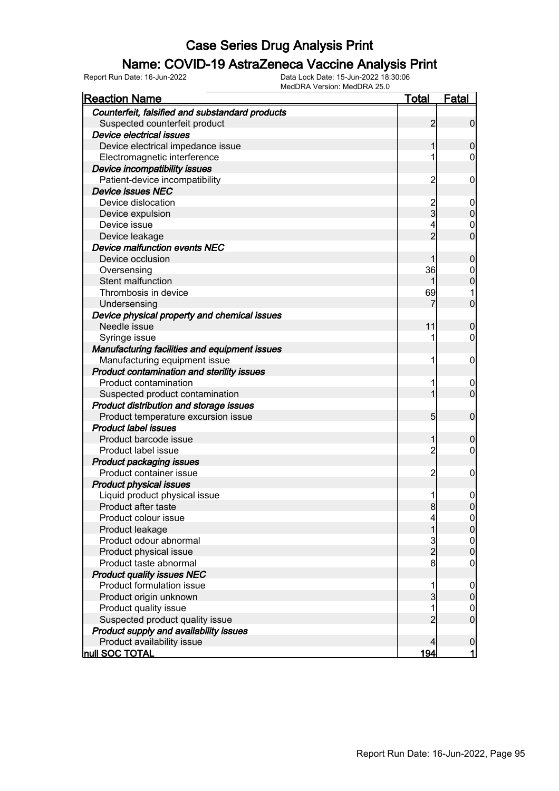### Name: COVID-19 AstraZeneca Vaccine Analysis Print

| MedDRA Version: MedDRA 25.0                                    |                     |                     |
|----------------------------------------------------------------|---------------------|---------------------|
| <b>Reaction Name</b>                                           | <u>Total</u>        | <b>Fatal</b>        |
| Counterfeit, falsified and substandard products                |                     |                     |
| Suspected counterfeit product                                  | 2                   | 0                   |
| Device electrical issues                                       |                     |                     |
| Device electrical impedance issue                              |                     | 0                   |
| Electromagnetic interference                                   |                     | 0                   |
| Device incompatibility issues                                  |                     |                     |
| Patient-device incompatibility                                 | 2                   | 0                   |
| <b>Device issues NEC</b>                                       |                     |                     |
| Device dislocation                                             |                     | 0                   |
| Device expulsion                                               | 2<br>3              | $\overline{0}$      |
| Device issue                                                   | 4                   | 0                   |
| Device leakage                                                 | $\overline{2}$      | 0                   |
| <b>Device malfunction events NEC</b>                           |                     |                     |
| Device occlusion                                               |                     | 0                   |
| Oversensing                                                    | 36                  | 0                   |
| Stent malfunction                                              |                     | 0                   |
| Thrombosis in device                                           | 69                  | 1                   |
| Undersensing                                                   |                     | 0                   |
| Device physical property and chemical issues                   |                     |                     |
| Needle issue                                                   | 11                  | 0                   |
| Syringe issue                                                  |                     | 0                   |
| Manufacturing facilities and equipment issues                  |                     |                     |
| Manufacturing equipment issue                                  |                     | 0                   |
| Product contamination and sterility issues                     |                     |                     |
| <b>Product contamination</b>                                   |                     | 0                   |
| Suspected product contamination                                |                     | $\overline{0}$      |
| Product distribution and storage issues                        |                     |                     |
| Product temperature excursion issue                            | 5                   | 0                   |
| <b>Product label issues</b>                                    |                     |                     |
| Product barcode issue                                          |                     | 0                   |
| Product label issue                                            | 2                   | 0                   |
|                                                                |                     |                     |
| <b>Product packaging issues</b><br>Product container issue     | $\overline{2}$      |                     |
| <b>Product physical issues</b>                                 |                     | 0                   |
|                                                                | 1                   |                     |
| Liquid product physical issue                                  |                     | 0                   |
| Product after taste<br>Product colour issue                    | ୪<br>$\overline{4}$ |                     |
| Product leakage                                                |                     | 0                   |
| Product odour abnormal                                         |                     |                     |
|                                                                | $\frac{3}{2}$       | 0<br>$\overline{0}$ |
| Product physical issue<br>Product taste abnormal               | $\mathbf{8}$        |                     |
|                                                                |                     | 0                   |
| <b>Product quality issues NEC</b><br>Product formulation issue |                     |                     |
|                                                                | 1                   |                     |
| Product origin unknown                                         | $\overline{3}$      | 0                   |
| Product quality issue                                          |                     | $\mathbf 0$         |
| Suspected product quality issue                                | 2                   | $\overline{0}$      |
| Product supply and availability issues                         |                     |                     |
| Product availability issue                                     | 4                   | $\boldsymbol{0}$    |
| <b>null SOC TOTAL</b>                                          | 194                 | $\mathbf{1}$        |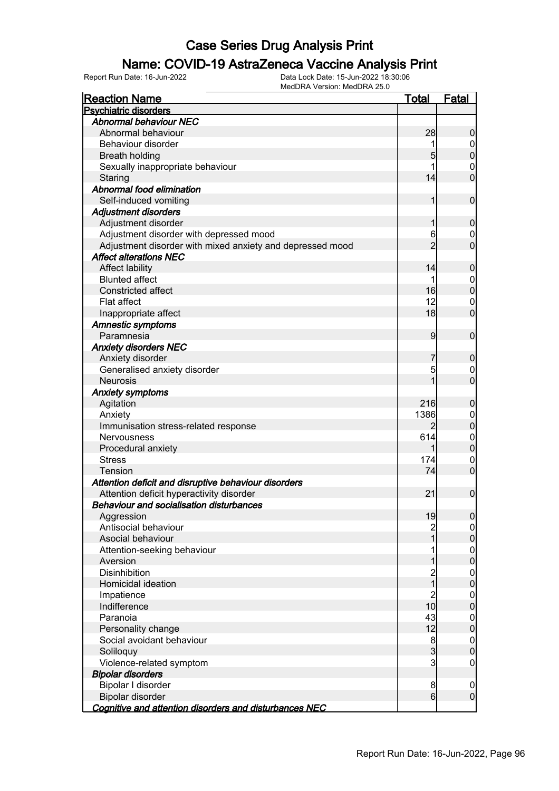### Name: COVID-19 AstraZeneca Vaccine Analysis Print

| <b>Reaction Name</b>                                      | <b>Total</b>     | <b>Fatal</b>                  |
|-----------------------------------------------------------|------------------|-------------------------------|
| <b>Psychiatric disorders</b>                              |                  |                               |
| <b>Abnormal behaviour NEC</b>                             |                  |                               |
| Abnormal behaviour                                        | 28               | $\boldsymbol{0}$              |
| Behaviour disorder                                        | 1                | $\overline{0}$                |
| <b>Breath holding</b>                                     | 5                | $\mathbf 0$                   |
| Sexually inappropriate behaviour                          | 1                | $\mathbf 0$                   |
| Staring                                                   | 14               | $\overline{0}$                |
| Abnormal food elimination                                 |                  |                               |
| Self-induced vomiting                                     | 1                | $\mathbf 0$                   |
| <b>Adjustment disorders</b>                               |                  |                               |
| Adjustment disorder                                       | 1                | $\mathbf 0$                   |
| Adjustment disorder with depressed mood                   | 6                | $\overline{0}$                |
| Adjustment disorder with mixed anxiety and depressed mood | $\overline{2}$   | $\overline{0}$                |
| <b>Affect alterations NEC</b>                             |                  |                               |
| Affect lability                                           | 14               | $\boldsymbol{0}$              |
| <b>Blunted affect</b>                                     | 1                |                               |
| <b>Constricted affect</b>                                 | 16               | $0\atop 0$                    |
|                                                           | 12               |                               |
| <b>Flat affect</b>                                        | 18               | $\mathbf 0$<br>$\overline{0}$ |
| Inappropriate affect                                      |                  |                               |
| Amnestic symptoms                                         |                  |                               |
| Paramnesia                                                | 9                | $\mathbf 0$                   |
| <b>Anxiety disorders NEC</b>                              |                  |                               |
| Anxiety disorder                                          | 7                | $\mathbf 0$                   |
| Generalised anxiety disorder                              | 5                | $\overline{0}$                |
| <b>Neurosis</b>                                           | 1                | $\overline{0}$                |
| <b>Anxiety symptoms</b>                                   |                  |                               |
| Agitation                                                 | 216              | $\mathbf 0$                   |
| Anxiety                                                   | 1386             | $\mathbf 0$                   |
| Immunisation stress-related response                      | 2                | $\mathbf 0$                   |
| <b>Nervousness</b>                                        | 614              | $\mathbf{0}$                  |
| Procedural anxiety                                        | 1                | $\overline{0}$                |
| <b>Stress</b>                                             | 174              | $\mathbf 0$                   |
| Tension                                                   | 74               | $\overline{0}$                |
| Attention deficit and disruptive behaviour disorders      |                  |                               |
| Attention deficit hyperactivity disorder                  | 21               | $\mathbf 0$                   |
| Behaviour and socialisation disturbances                  |                  |                               |
| Aggression                                                | 19               | 0                             |
| Antisocial behaviour                                      | $\overline{c}$   | $\overline{0}$                |
| Asocial behaviour                                         | $\overline{1}$   | $\pmb{0}$                     |
| Attention-seeking behaviour                               | 1                | $\boldsymbol{0}$              |
| Aversion                                                  | 1                | $\mathbf 0$                   |
| <b>Disinhibition</b>                                      | 2<br>1           | $\boldsymbol{0}$              |
| Homicidal ideation                                        |                  | $\mathbf 0$                   |
| Impatience                                                | $\overline{c}$   | $\boldsymbol{0}$              |
| Indifference                                              | 10               | $\mathbf 0$                   |
| Paranoia                                                  | 43               | $\boldsymbol{0}$              |
| Personality change                                        | 12               | $\mathbf 0$                   |
| Social avoidant behaviour                                 | 8                | $\boldsymbol{0}$              |
| Soliloquy                                                 | $\mathbf{3}$     | $\pmb{0}$                     |
| Violence-related symptom                                  | $\overline{3}$   | $\mathbf 0$                   |
| <b>Bipolar disorders</b>                                  |                  |                               |
| Bipolar I disorder                                        | 8                | $\mathbf 0$                   |
| Bipolar disorder                                          | $6 \overline{6}$ | $\overline{0}$                |
| Cognitive and attention disorders and disturbances NEC    |                  |                               |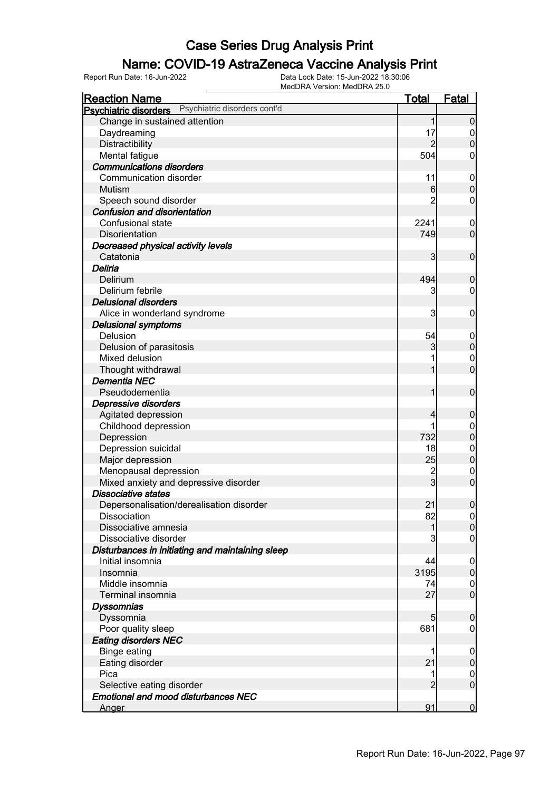### Name: COVID-19 AstraZeneca Vaccine Analysis Print

|                                                    | MedDRA Version: MedDRA 25.0 |                  |
|----------------------------------------------------|-----------------------------|------------------|
| <b>Reaction Name</b>                               | <u>Total</u>                | Fatal            |
| Psychiatric disorders Psychiatric disorders cont'd |                             |                  |
| Change in sustained attention                      | 1                           | $\overline{0}$   |
| Daydreaming                                        | 17                          | $\overline{0}$   |
| Distractibility                                    | $\overline{2}$              | $\boldsymbol{0}$ |
| Mental fatigue                                     | 504                         | 0                |
| <b>Communications disorders</b>                    |                             |                  |
| Communication disorder                             | 11                          | $\overline{0}$   |
| Mutism                                             | 6                           | $\boldsymbol{0}$ |
| Speech sound disorder                              | 2                           | $\mathbf 0$      |
| <b>Confusion and disorientation</b>                |                             |                  |
| Confusional state                                  | 2241                        | $\mathbf 0$      |
| Disorientation                                     | 749                         | $\overline{0}$   |
| Decreased physical activity levels                 |                             |                  |
| Catatonia                                          | 3                           | $\mathbf 0$      |
| Deliria                                            |                             |                  |
| Delirium                                           | 494                         | $\mathbf 0$      |
| Delirium febrile                                   | 3                           | $\mathbf 0$      |
| <b>Delusional disorders</b>                        |                             |                  |
| Alice in wonderland syndrome                       | 3                           | $\mathbf 0$      |
| <b>Delusional symptoms</b>                         |                             |                  |
| Delusion                                           | 54                          | $\overline{0}$   |
| Delusion of parasitosis                            | 3                           | $\mathbf 0$      |
| Mixed delusion                                     |                             | $\boldsymbol{0}$ |
| Thought withdrawal                                 |                             | $\overline{0}$   |
| Dementia NEC                                       |                             |                  |
| Pseudodementia                                     | 1                           | $\boldsymbol{0}$ |
| Depressive disorders                               |                             |                  |
| Agitated depression                                | 4                           | $\mathbf 0$      |
| Childhood depression                               | 1                           | $\boldsymbol{0}$ |
| Depression                                         | 732                         | $\mathbf 0$      |
| Depression suicidal                                | 18                          | $\boldsymbol{0}$ |
| Major depression                                   | 25                          | $\overline{0}$   |
| Menopausal depression                              | $\overline{\mathbf{c}}$     | $\mathbf 0$      |
| Mixed anxiety and depressive disorder              | $\overline{3}$              | $\mathbf 0$      |
| <b>Dissociative states</b>                         |                             |                  |
| Depersonalisation/derealisation disorder           | 21                          | $\boldsymbol{0}$ |
| <b>Dissociation</b>                                | 82                          | 0                |
| Dissociative amnesia                               | 1                           | $\overline{0}$   |
| Dissociative disorder                              | 3                           | $\mathbf 0$      |
| Disturbances in initiating and maintaining sleep   |                             |                  |
| Initial insomnia                                   | 44                          | $\mathbf 0$      |
| Insomnia                                           | 3195                        | $\overline{0}$   |
| Middle insomnia                                    | 74                          | $\overline{0}$   |
| Terminal insomnia                                  | 27                          | $\overline{0}$   |
| <b>Dyssomnias</b>                                  |                             |                  |
| Dyssomnia                                          | 5 <sub>5</sub>              | $\mathbf 0$      |
| Poor quality sleep                                 | 681                         | $\overline{0}$   |
| <b>Eating disorders NEC</b>                        |                             |                  |
| <b>Binge eating</b>                                |                             | $\overline{0}$   |
| Eating disorder                                    | 21                          | $\overline{0}$   |
| Pica                                               |                             | $\overline{0}$   |
| Selective eating disorder                          | $\overline{2}$              | $\overline{0}$   |
| <b>Emotional and mood disturbances NEC</b>         |                             |                  |
| <b>Anger</b>                                       | 91                          | $\overline{0}$   |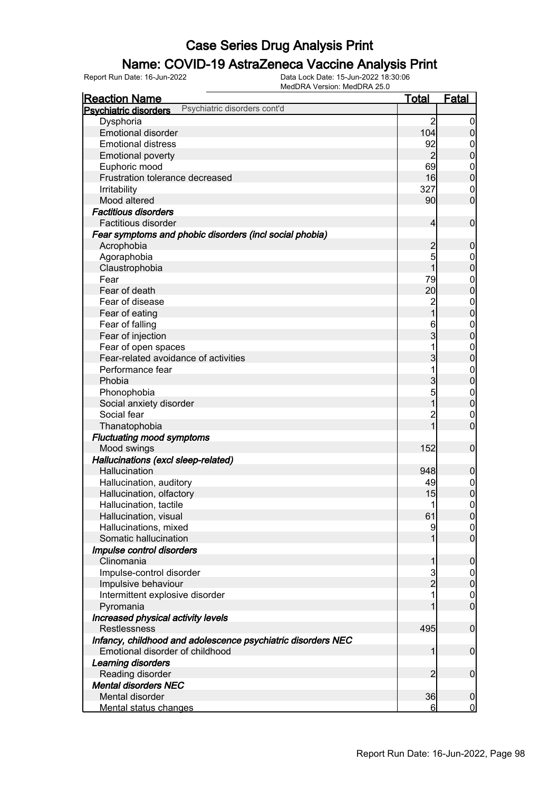### Name: COVID-19 AstraZeneca Vaccine Analysis Print

| <b>Reaction Name</b>                                         | <u>Total</u>   | <b>Fatal</b>                |
|--------------------------------------------------------------|----------------|-----------------------------|
| Psychiatric disorders cont'd<br><b>Psychiatric disorders</b> |                |                             |
| Dysphoria                                                    | $\overline{2}$ | 0                           |
| <b>Emotional disorder</b>                                    | 104            | $\boldsymbol{0}$            |
| <b>Emotional distress</b>                                    | 92             | 0                           |
| <b>Emotional poverty</b>                                     | $\overline{2}$ | $\pmb{0}$                   |
| Euphoric mood                                                | 69             | $\mathbf 0$                 |
| Frustration tolerance decreased                              | 16             | $\mathbf 0$                 |
| Irritability                                                 | 327            | $\mathbf 0$                 |
| Mood altered                                                 | 90             | $\mathbf 0$                 |
| <b>Factitious disorders</b>                                  |                |                             |
| Factitious disorder                                          | $\overline{4}$ | $\mathbf 0$                 |
| Fear symptoms and phobic disorders (incl social phobia)      |                |                             |
| Acrophobia                                                   | $\overline{2}$ | $\mathbf 0$                 |
| Agoraphobia                                                  | 5              | $\mathbf 0$                 |
| Claustrophobia                                               | 1              | $\mathbf 0$                 |
| Fear                                                         | 79             | $\boldsymbol{0}$            |
| Fear of death                                                | 20             | $\pmb{0}$                   |
| Fear of disease                                              | $\overline{c}$ | $\boldsymbol{0}$            |
| Fear of eating                                               | $\overline{1}$ | $\mathbf 0$                 |
| Fear of falling                                              | 6              |                             |
| Fear of injection                                            | 3              | $\mathbf{0}$<br>$\mathbf 0$ |
| Fear of open spaces                                          | 1              |                             |
| Fear-related avoidance of activities                         | 3              | $\mathbf{0}$<br>$\mathbf 0$ |
|                                                              |                |                             |
| Performance fear                                             | 1              | $\mathbf{0}$                |
| Phobia                                                       | 3              | $\pmb{0}$                   |
| Phonophobia                                                  | 5              | $\boldsymbol{0}$            |
| Social anxiety disorder                                      | 1              | $\pmb{0}$                   |
| Social fear                                                  | 2<br>1         | $\mathbf 0$                 |
| Thanatophobia                                                |                | $\overline{0}$              |
| <b>Fluctuating mood symptoms</b>                             |                |                             |
| Mood swings                                                  | 152            | $\mathbf 0$                 |
| Hallucinations (excl sleep-related)                          |                |                             |
| Hallucination                                                | 948            | $\boldsymbol{0}$            |
| Hallucination, auditory                                      | 49             | $\boldsymbol{0}$            |
| Hallucination, olfactory                                     | 15             | $\overline{0}$              |
| Hallucination, tactile                                       | 1              | $\mathsf{O}\xspace$         |
| Hallucination, visual                                        | 61             | 0                           |
| Hallucinations, mixed                                        | 9              | $\overline{0}$              |
| Somatic hallucination                                        | 1              | $\overline{0}$              |
| Impulse control disorders                                    |                |                             |
| Clinomania                                                   | 1              | $\mathbf 0$                 |
| Impulse-control disorder                                     | 3              | $\mathbf 0$                 |
| Impulsive behaviour                                          | $\overline{2}$ | $\boldsymbol{0}$            |
| Intermittent explosive disorder                              | 1              | $\boldsymbol{0}$            |
| Pyromania                                                    | 1              | $\overline{0}$              |
| Increased physical activity levels                           |                |                             |
| <b>Restlessness</b>                                          | 495            | $\boldsymbol{0}$            |
| Infancy, childhood and adolescence psychiatric disorders NEC |                |                             |
| Emotional disorder of childhood                              | 1              | $\boldsymbol{0}$            |
| Learning disorders                                           |                |                             |
| Reading disorder                                             | $\overline{2}$ | $\boldsymbol{0}$            |
| <b>Mental disorders NEC</b>                                  |                |                             |
| Mental disorder                                              | 36             | $\mathbf 0$                 |
| Mental status changes                                        | 6              | $\overline{0}$              |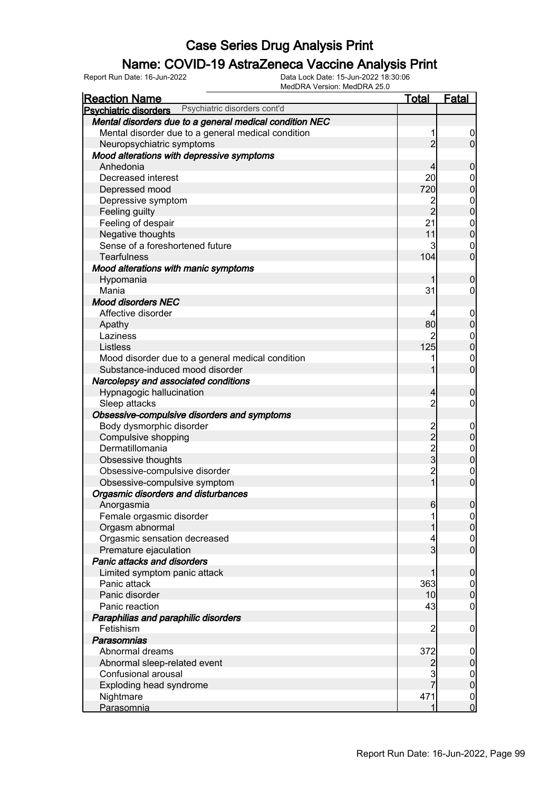### Name: COVID-19 AstraZeneca Vaccine Analysis Print

| <b>Reaction Name</b>                                         | <u>Total</u>     | <b>Fatal</b>                         |
|--------------------------------------------------------------|------------------|--------------------------------------|
| Psychiatric disorders cont'd<br><b>Psychiatric disorders</b> |                  |                                      |
| Mental disorders due to a general medical condition NEC      |                  |                                      |
| Mental disorder due to a general medical condition           | 1                | $\overline{0}$                       |
| Neuropsychiatric symptoms                                    | $\overline{2}$   | $\overline{0}$                       |
| Mood alterations with depressive symptoms                    |                  |                                      |
| Anhedonia                                                    | 4                | $\mathbf 0$                          |
| Decreased interest                                           | 20               |                                      |
| Depressed mood                                               | 720              | $\begin{matrix}0\\0\end{matrix}$     |
| Depressive symptom                                           | $\overline{2}$   |                                      |
| Feeling guilty                                               | $\overline{2}$   | $\begin{matrix} 0 \\ 0 \end{matrix}$ |
| Feeling of despair                                           | 21               |                                      |
| Negative thoughts                                            | 11               | $\begin{matrix}0\\0\end{matrix}$     |
| Sense of a foreshortened future                              | 3                | $\mathbf 0$                          |
| <b>Tearfulness</b>                                           | 104              | $\overline{0}$                       |
| Mood alterations with manic symptoms                         |                  |                                      |
| Hypomania                                                    | 1                | $\mathbf 0$                          |
| Mania                                                        | 31               | $\mathbf 0$                          |
| <b>Mood disorders NEC</b>                                    |                  |                                      |
| Affective disorder                                           | 4                |                                      |
|                                                              | 80               | $\boldsymbol{0}$<br>$\pmb{0}$        |
| Apathy                                                       | $\overline{2}$   |                                      |
| Laziness                                                     |                  | $\begin{matrix}0\\0\end{matrix}$     |
| Listless                                                     | 125              |                                      |
| Mood disorder due to a general medical condition             | 1                | $\begin{matrix}0\\0\end{matrix}$     |
| Substance-induced mood disorder                              | 1                |                                      |
| Narcolepsy and associated conditions                         |                  |                                      |
| Hypnagogic hallucination                                     | $\overline{4}$   | $\mathbf 0$                          |
| Sleep attacks                                                | $\overline{2}$   | $\mathbf 0$                          |
| Obsessive-compulsive disorders and symptoms                  |                  |                                      |
| Body dysmorphic disorder                                     | 2<br>2<br>3<br>3 | $\boldsymbol{0}$                     |
| Compulsive shopping                                          |                  | $\overline{0}$                       |
| Dermatillomania                                              |                  | $\begin{matrix}0\\0\end{matrix}$     |
| Obsessive thoughts                                           |                  |                                      |
| Obsessive-compulsive disorder                                | $\overline{2}$   | $\begin{matrix} 0 \\ 0 \end{matrix}$ |
| Obsessive-compulsive symptom                                 | $\overline{1}$   |                                      |
| Orgasmic disorders and disturbances                          |                  |                                      |
| Anorgasmia                                                   | $6 \mid$         | $\boldsymbol{0}$                     |
| Female orgasmic disorder                                     | 1                | 0                                    |
| Orgasm abnormal                                              | 1                | $\overline{0}$                       |
| Orgasmic sensation decreased                                 | 4                | $\mathbf 0$                          |
| Premature ejaculation                                        | $\overline{3}$   | $\overline{0}$                       |
| Panic attacks and disorders                                  |                  |                                      |
| Limited symptom panic attack                                 | 1                | $\boldsymbol{0}$                     |
| Panic attack                                                 | 363              | $\overline{0}$                       |
| Panic disorder                                               | 10               | $\mathbf 0$                          |
| Panic reaction                                               | 43               | $\mathbf 0$                          |
| Paraphilias and paraphilic disorders                         |                  |                                      |
| Fetishism                                                    | $\overline{2}$   | $\mathbf 0$                          |
| <b>Parasomnias</b>                                           |                  |                                      |
| Abnormal dreams                                              | 372              | $\mathbf 0$                          |
| Abnormal sleep-related event                                 | $\overline{2}$   | $\mathsf{O}\xspace$                  |
| Confusional arousal                                          | 3                | $\overline{0}$                       |
| Exploding head syndrome                                      |                  | $\overline{0}$                       |
| Nightmare                                                    | 471              | $\overline{0}$                       |
| Parasomnia                                                   | 1                | $\overline{0}$                       |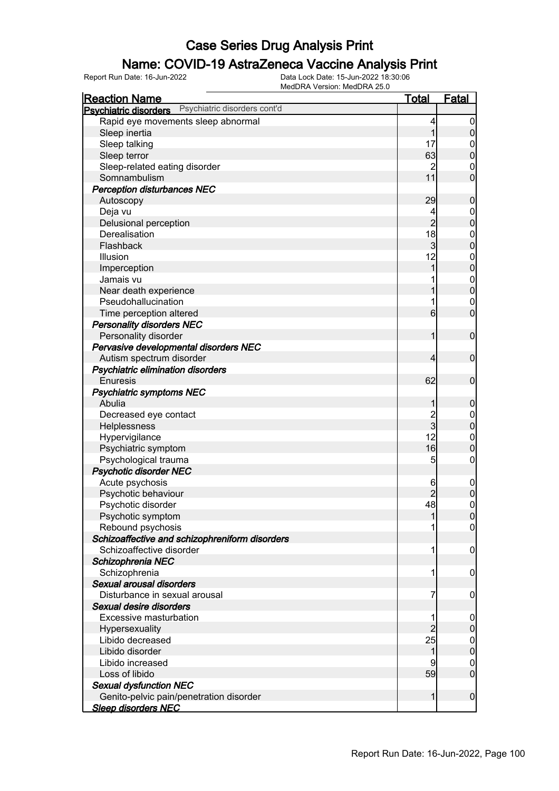#### Name: COVID-19 AstraZeneca Vaccine Analysis Print

| <b>Reaction Name</b>                                         | <b>Total</b>    | <u>Fatal</u>     |
|--------------------------------------------------------------|-----------------|------------------|
| Psychiatric disorders cont'd<br><b>Psychiatric disorders</b> |                 |                  |
| Rapid eye movements sleep abnormal                           | 4               | $\overline{0}$   |
| Sleep inertia                                                | 1               | $\overline{0}$   |
| Sleep talking                                                | 17              | 0                |
| Sleep terror                                                 | 63              | $\mathbf 0$      |
| Sleep-related eating disorder                                | $\overline{c}$  | $\mathbf 0$      |
| Somnambulism                                                 | 11              | $\mathbf 0$      |
| <b>Perception disturbances NEC</b>                           |                 |                  |
| Autoscopy                                                    | 29              | $\boldsymbol{0}$ |
| Deja vu                                                      | 4               | $\boldsymbol{0}$ |
| Delusional perception                                        | $\overline{2}$  | $\mathbf 0$      |
| Derealisation                                                | 18              | $\boldsymbol{0}$ |
| Flashback                                                    | $\overline{3}$  | $\overline{0}$   |
| Illusion                                                     | 12              | $\boldsymbol{0}$ |
| Imperception                                                 | 1               | $\overline{0}$   |
| Jamais vu                                                    |                 | $\mathbf{0}$     |
| Near death experience                                        |                 | $\overline{0}$   |
| Pseudohallucination                                          |                 | $\mathbf 0$      |
| Time perception altered                                      | $6\overline{6}$ | $\mathbf 0$      |
| <b>Personality disorders NEC</b>                             |                 |                  |
| Personality disorder                                         | 1               | $\mathbf 0$      |
| Pervasive developmental disorders NEC                        |                 |                  |
| Autism spectrum disorder                                     | 4               | $\mathbf 0$      |
| Psychiatric elimination disorders                            |                 |                  |
| <b>Enuresis</b>                                              | 62              | $\mathbf 0$      |
| <b>Psychiatric symptoms NEC</b>                              |                 |                  |
| Abulia                                                       | 1               | $\mathbf 0$      |
| Decreased eye contact                                        |                 | $\boldsymbol{0}$ |
| Helplessness                                                 | $\frac{2}{3}$   | $\mathbf 0$      |
| Hypervigilance                                               | 12              | $\boldsymbol{0}$ |
| Psychiatric symptom                                          | 16              | $\overline{0}$   |
| Psychological trauma                                         | 5               | $\mathbf 0$      |
| <b>Psychotic disorder NEC</b>                                |                 |                  |
| Acute psychosis                                              | 6               | $\mathbf 0$      |
| Psychotic behaviour                                          |                 | $\pmb{0}$        |
| Psychotic disorder                                           | 48              | $\mathbf 0$      |
| Psychotic symptom                                            |                 | 0                |
| Rebound psychosis                                            |                 | $\overline{0}$   |
| Schizoaffective and schizophreniform disorders               |                 |                  |
| Schizoaffective disorder                                     |                 | $\mathbf 0$      |
| Schizophrenia NEC                                            |                 |                  |
| Schizophrenia                                                |                 | $\mathbf 0$      |
| Sexual arousal disorders                                     |                 |                  |
| Disturbance in sexual arousal                                | 7               | $\mathbf 0$      |
| Sexual desire disorders                                      |                 |                  |
| Excessive masturbation                                       |                 | $\mathbf 0$      |
| Hypersexuality                                               | $\overline{c}$  | $\boldsymbol{0}$ |
| Libido decreased                                             | 25              | $\mathbf 0$      |
| Libido disorder                                              | 1               | $\mathbf 0$      |
| Libido increased                                             |                 | $\mathbf 0$      |
| Loss of libido                                               | 59              | $\mathbf 0$      |
| <b>Sexual dysfunction NEC</b>                                |                 |                  |
| Genito-pelvic pain/penetration disorder                      | 1               | $\boldsymbol{0}$ |
| <b>Sleep disorders NEC</b>                                   |                 |                  |
|                                                              |                 |                  |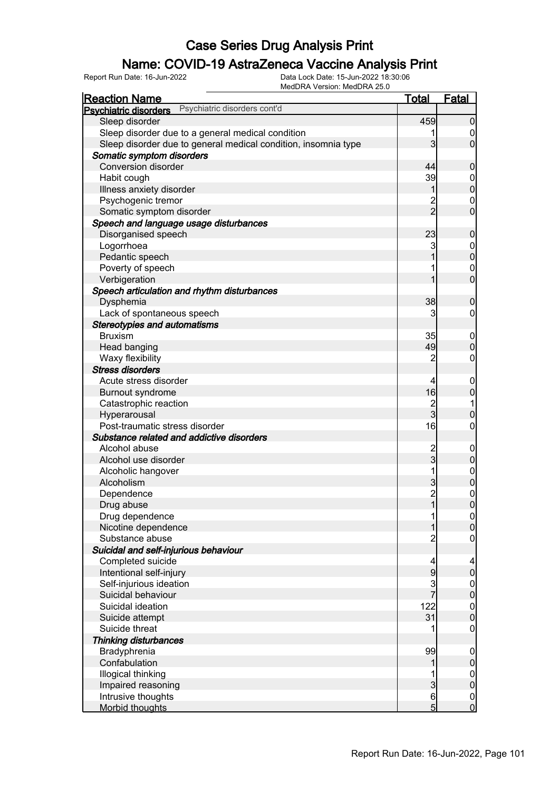### Name: COVID-19 AstraZeneca Vaccine Analysis Print

| <b>Reaction Name</b>                                           | <b>Total</b>            | Fatal                                |
|----------------------------------------------------------------|-------------------------|--------------------------------------|
| Psychiatric disorders cont'd<br><b>Psychiatric disorders</b>   |                         |                                      |
| Sleep disorder                                                 | 459                     | $\overline{0}$                       |
| Sleep disorder due to a general medical condition              |                         | $\mathbf 0$                          |
| Sleep disorder due to general medical condition, insomnia type | 3                       | $\overline{0}$                       |
| Somatic symptom disorders                                      |                         |                                      |
| <b>Conversion disorder</b>                                     | 44                      | $\mathbf 0$                          |
| Habit cough                                                    | 39                      |                                      |
| Illness anxiety disorder                                       |                         | $0\atop 0$                           |
| Psychogenic tremor                                             |                         | $\mathbf 0$                          |
| Somatic symptom disorder                                       | $\frac{2}{2}$           | $\overline{0}$                       |
| Speech and language usage disturbances                         |                         |                                      |
| Disorganised speech                                            | 23                      | $\boldsymbol{0}$                     |
| Logorrhoea                                                     | 3                       |                                      |
| Pedantic speech                                                |                         | $0\atop 0$                           |
| Poverty of speech                                              |                         | $\mathbf 0$                          |
| Verbigeration                                                  |                         | $\overline{0}$                       |
| Speech articulation and rhythm disturbances                    |                         |                                      |
| Dysphemia                                                      | 38                      | $\mathbf 0$                          |
| Lack of spontaneous speech                                     | 3                       | $\overline{0}$                       |
| <b>Stereotypies and automatisms</b>                            |                         |                                      |
| <b>Bruxism</b>                                                 | 35                      |                                      |
|                                                                | 49                      | $\mathbf 0$<br>$\mathbf 0$           |
| Head banging                                                   |                         |                                      |
| Waxy flexibility<br><b>Stress disorders</b>                    | 2                       | $\mathbf 0$                          |
|                                                                |                         |                                      |
| Acute stress disorder                                          |                         | $\mathbf 0$<br>$\mathbf 0$           |
| <b>Burnout syndrome</b>                                        | 16                      |                                      |
| Catastrophic reaction                                          | $\frac{2}{3}$           |                                      |
| Hyperarousal                                                   |                         | $\boldsymbol{0}$                     |
| Post-traumatic stress disorder                                 | 16                      | $\boldsymbol{0}$                     |
| Substance related and addictive disorders                      |                         |                                      |
| Alcohol abuse                                                  | 2<br>3                  | $\boldsymbol{0}$                     |
| Alcohol use disorder                                           |                         | $\mathbf 0$                          |
| Alcoholic hangover                                             |                         | $\begin{matrix} 0 \\ 0 \end{matrix}$ |
| Alcoholism                                                     | $\overline{3}$          |                                      |
| Dependence                                                     | $\overline{\mathbf{c}}$ | $\mathbf{0}$                         |
| Drug abuse                                                     | $\mathbf{1}$            | $\overline{0}$                       |
| Drug dependence                                                |                         | $\frac{0}{0}$                        |
| Nicotine dependence                                            |                         |                                      |
| Substance abuse                                                |                         | $\mathbf 0$                          |
| Suicidal and self-injurious behaviour                          |                         |                                      |
| Completed suicide                                              |                         | 4                                    |
| Intentional self-injury                                        | 9                       | $\mathbf 0$                          |
| Self-injurious ideation                                        | 3                       | $\begin{matrix} 0 \\ 0 \end{matrix}$ |
| Suicidal behaviour                                             | $\overline{7}$          |                                      |
| Suicidal ideation                                              | 122                     | $\begin{matrix} 0 \\ 0 \end{matrix}$ |
| Suicide attempt                                                | 31                      |                                      |
| Suicide threat                                                 |                         | $\mathsf{O}\xspace$                  |
| Thinking disturbances                                          |                         |                                      |
| Bradyphrenia                                                   | 99                      | $\mathbf 0$                          |
| Confabulation                                                  |                         | $\overline{0}$                       |
| Illogical thinking                                             |                         | $\boldsymbol{0}$                     |
| Impaired reasoning                                             | $\overline{3}$          | $\overline{0}$                       |
| Intrusive thoughts                                             | 6                       | $\boldsymbol{0}$                     |
| <b>Morbid thoughts</b>                                         | 5                       | $\overline{0}$                       |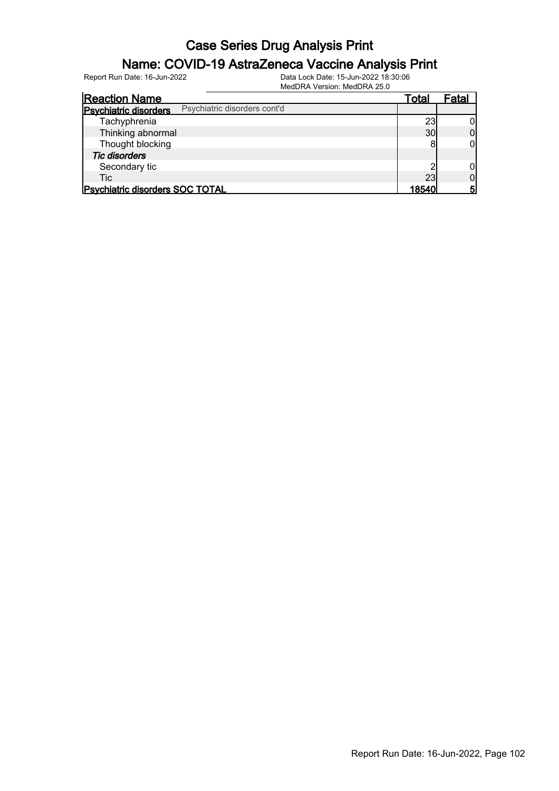### Name: COVID-19 AstraZeneca Vaccine Analysis Print

Report Run Date: 16-Jun-2022 Data Lock Date: 15-Jun-2022 18:30:06

MedDRA Version: MedDRA 25.0

|                                        | 1819991811819191911.18199918120.0 |                 |       |
|----------------------------------------|-----------------------------------|-----------------|-------|
| <b>Reaction Name</b>                   |                                   | Total           | Fatal |
| <b>Psychiatric disorders</b>           | Psychiatric disorders cont'd      |                 |       |
| Tachyphrenia                           |                                   | 23              |       |
| Thinking abnormal                      |                                   | 30 <sub>l</sub> |       |
| Thought blocking                       |                                   | 8               |       |
| <b>Tic disorders</b>                   |                                   |                 |       |
| Secondary tic                          |                                   |                 |       |
| Tic                                    |                                   | 23              |       |
| <b>Psychiatric disorders SOC TOTAL</b> |                                   | 18540           | 5     |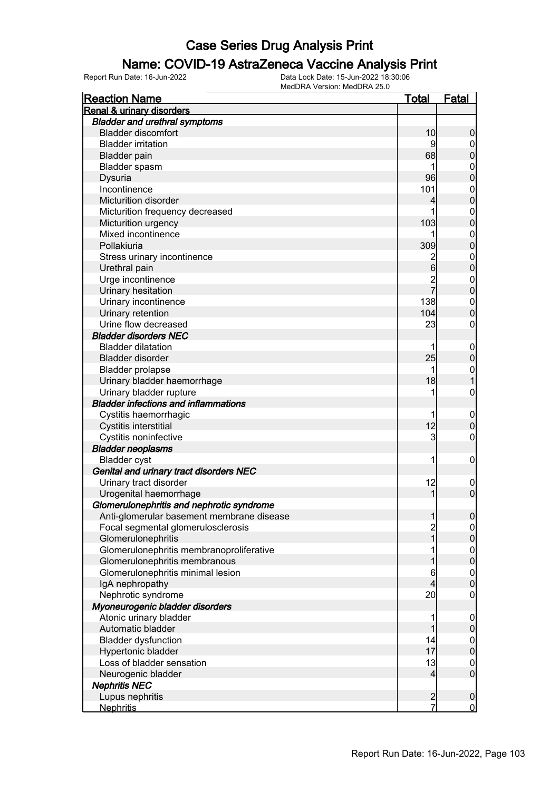### Name: COVID-19 AstraZeneca Vaccine Analysis Print

| <b>Reaction Name</b>                        | <u>Total</u>     | <b>Fatal</b>     |
|---------------------------------------------|------------------|------------------|
| Renal & urinary disorders                   |                  |                  |
| <b>Bladder and urethral symptoms</b>        |                  |                  |
| <b>Bladder discomfort</b>                   | 10               | 0                |
| <b>Bladder irritation</b>                   | 9                | $\boldsymbol{0}$ |
| <b>Bladder pain</b>                         | 68               | $\boldsymbol{0}$ |
| Bladder spasm                               | 1                | $\mathbf{0}$     |
| Dysuria                                     | 96               | 0                |
| Incontinence                                | 101              | $\mathbf 0$      |
| <b>Micturition disorder</b>                 | 4                | $\mathbf 0$      |
| Micturition frequency decreased             | 1                | $\mathbf{0}$     |
| Micturition urgency                         | 103              | $\overline{0}$   |
| Mixed incontinence                          |                  | $\mathbf{0}$     |
| Pollakiuria                                 | 309              | $\mathbf 0$      |
| Stress urinary incontinence                 |                  | $\mathbf{0}$     |
| Urethral pain                               | $6 \overline{6}$ | $\overline{0}$   |
| Urge incontinence                           | $\overline{c}$   | $\boldsymbol{0}$ |
| Urinary hesitation                          | $\overline{7}$   | $\overline{0}$   |
| Urinary incontinence                        | 138              | $\mathbf 0$      |
| Urinary retention                           | 104              | $\overline{0}$   |
| Urine flow decreased                        | 23               | $\mathbf{0}$     |
| <b>Bladder disorders NEC</b>                |                  |                  |
| <b>Bladder dilatation</b>                   | 1                |                  |
|                                             | 25               | $\boldsymbol{0}$ |
| Bladder disorder                            |                  | $\mathbf 0$      |
| <b>Bladder prolapse</b>                     | 1                | $\mathbf{0}$     |
| Urinary bladder haemorrhage                 | 18               |                  |
| Urinary bladder rupture                     | 1                | $\mathbf 0$      |
| <b>Bladder infections and inflammations</b> |                  |                  |
| Cystitis haemorrhagic                       | 1                | $\mathbf 0$      |
| Cystitis interstitial                       | 12               | $\mathbf 0$      |
| Cystitis noninfective                       | 3                | 0                |
| <b>Bladder neoplasms</b>                    |                  |                  |
| <b>Bladder cyst</b>                         | 1                | $\mathbf 0$      |
| Genital and urinary tract disorders NEC     |                  |                  |
| Urinary tract disorder                      | 12               | $\mathbf 0$      |
| Urogenital haemorrhage                      | 1                | $\mathbf 0$      |
| Glomerulonephritis and nephrotic syndrome   |                  |                  |
| Anti-glomerular basement membrane disease   |                  | <sup>0</sup>     |
| Focal segmental glomerulosclerosis          | $\overline{c}$   | $\overline{0}$   |
| Glomerulonephritis                          | 1                | $\overline{0}$   |
| Glomerulonephritis membranoproliferative    |                  | $\mathbf 0$      |
| Glomerulonephritis membranous               |                  | $\overline{0}$   |
| Glomerulonephritis minimal lesion           | 6                | $\boldsymbol{0}$ |
| IgA nephropathy                             | 4                | $\overline{0}$   |
| Nephrotic syndrome                          | 20               | $\mathbf 0$      |
| Myoneurogenic bladder disorders             |                  |                  |
| Atonic urinary bladder                      |                  | $\mathbf 0$      |
| Automatic bladder                           |                  | 0                |
| <b>Bladder dysfunction</b>                  | 14               | $\mathbf 0$      |
| Hypertonic bladder                          | 17               | $\overline{0}$   |
| Loss of bladder sensation                   | 13               | $\mathbf 0$      |
| Neurogenic bladder                          | 4                | $\overline{0}$   |
| <b>Nephritis NEC</b>                        |                  |                  |
| Lupus nephritis                             |                  | $\mathbf 0$      |
| <b>Nephritis</b>                            | $rac{2}{7}$      | $\overline{0}$   |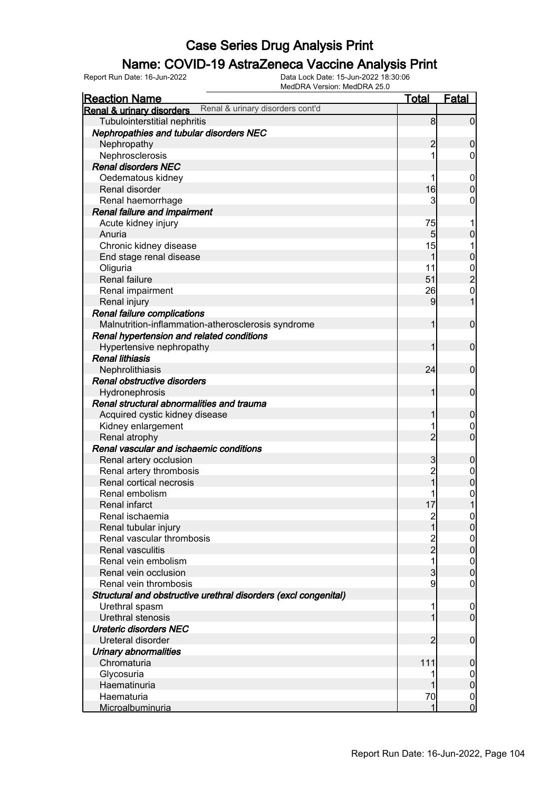### Name: COVID-19 AstraZeneca Vaccine Analysis Print

| MedDRA Version: MedDRA 25.0                                              |                |                                    |
|--------------------------------------------------------------------------|----------------|------------------------------------|
| <b>Reaction Name</b>                                                     | <u>Total</u>   | Fatal                              |
| Renal & urinary disorders cont'd<br><b>Renal &amp; urinary disorders</b> |                |                                    |
| Tubulointerstitial nephritis                                             | 8              | $\overline{0}$                     |
| Nephropathies and tubular disorders NEC                                  |                |                                    |
| Nephropathy                                                              | $\overline{2}$ | $\mathbf 0$                        |
| Nephrosclerosis                                                          |                | $\mathbf 0$                        |
| <b>Renal disorders NEC</b>                                               |                |                                    |
| Oedematous kidney                                                        |                | $\overline{0}$                     |
| Renal disorder                                                           | 16             | $\boldsymbol{0}$                   |
| Renal haemorrhage                                                        | 3              | 0                                  |
| Renal failure and impairment                                             |                |                                    |
| Acute kidney injury                                                      | 75             | 1                                  |
| Anuria                                                                   | 5              | $\pmb{0}$                          |
| Chronic kidney disease                                                   | 15             | 1                                  |
| End stage renal disease                                                  | 1              | $\pmb{0}$                          |
| Oliguria                                                                 | 11             |                                    |
| Renal failure                                                            | 51             | $\frac{0}{2}$                      |
| Renal impairment                                                         | 26             | $\boldsymbol{0}$                   |
| Renal injury                                                             | 9              | $\overline{1}$                     |
| Renal failure complications                                              |                |                                    |
| Malnutrition-inflammation-atherosclerosis syndrome                       | 1              | $\mathbf 0$                        |
| Renal hypertension and related conditions                                |                |                                    |
| Hypertensive nephropathy                                                 |                | $\mathbf 0$                        |
| <b>Renal lithiasis</b>                                                   |                |                                    |
| Nephrolithiasis                                                          | 24             | $\mathbf 0$                        |
| Renal obstructive disorders                                              |                |                                    |
| Hydronephrosis                                                           |                | $\mathbf 0$                        |
| Renal structural abnormalities and trauma                                |                |                                    |
| Acquired cystic kidney disease                                           |                | $\mathbf 0$                        |
| Kidney enlargement                                                       |                | $\mathbf 0$                        |
| Renal atrophy                                                            | $\overline{2}$ | $\overline{0}$                     |
| Renal vascular and ischaemic conditions                                  |                |                                    |
| Renal artery occlusion                                                   | 3              | $\mathbf 0$                        |
| Renal artery thrombosis                                                  | $\overline{c}$ | $\boldsymbol{0}$                   |
| Renal cortical necrosis                                                  |                | $\mathbf 0$                        |
| Renal embolism                                                           |                | $\boldsymbol{0}$                   |
| Renal infarct                                                            | 17             | $\overline{1}$                     |
| Renal ischaemia                                                          | $\overline{c}$ |                                    |
| Renal tubular injury                                                     | 1              | $\overline{0}$<br>$\overline{0}$   |
| Renal vascular thrombosis                                                |                |                                    |
| Renal vasculitis                                                         | $\frac{2}{2}$  | $\boldsymbol{0}$<br>$\overline{0}$ |
| Renal vein embolism                                                      |                |                                    |
| Renal vein occlusion                                                     | $\overline{3}$ | $\mathbf 0$<br>$\mathbf 0$         |
| Renal vein thrombosis                                                    | 9              | 0                                  |
|                                                                          |                |                                    |
| Structural and obstructive urethral disorders (excl congenital)          |                |                                    |
| Urethral spasm<br>Urethral stenosis                                      |                | $\mathbf 0$<br>$\mathbf 0$         |
| <b>Ureteric disorders NEC</b>                                            |                |                                    |
|                                                                          |                |                                    |
| Ureteral disorder                                                        | 2              | $\overline{0}$                     |
| Urinary abnormalities                                                    |                |                                    |
| Chromaturia                                                              | 111            | $\mathbf 0$                        |
| Glycosuria                                                               |                | $\mathbf 0$                        |
| Haematinuria                                                             |                | $\boldsymbol{0}$                   |
| Haematuria                                                               | 70             | $\mathbf 0$                        |
| Microalbuminuria                                                         | 1              | $\overline{0}$                     |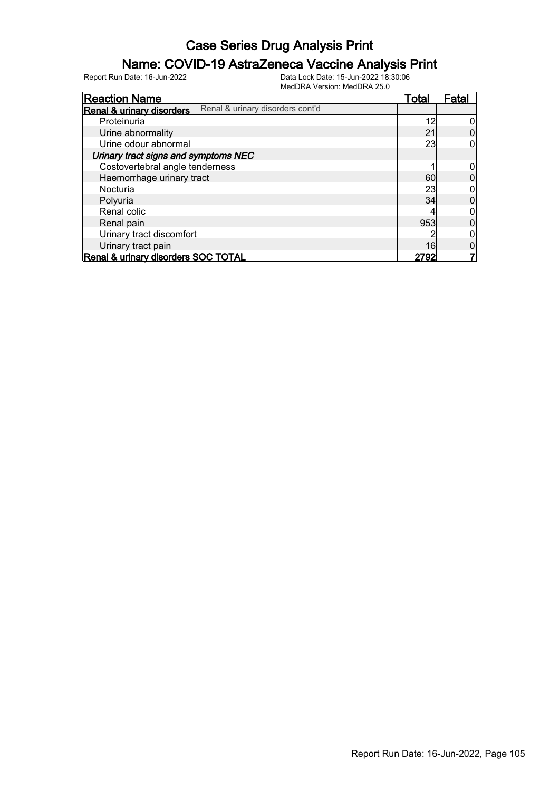### Name: COVID-19 AstraZeneca Vaccine Analysis Print

Report Run Date: 16-Jun-2022 Data Lock Date: 15-Jun-2022 18:30:06

MedDRA Version: MedDRA 25.0

| <b>Reaction Name</b>                 |                                  | Total | Fatal |
|--------------------------------------|----------------------------------|-------|-------|
| <b>Renal &amp; urinary disorders</b> | Renal & urinary disorders cont'd |       |       |
| Proteinuria                          |                                  | 12    |       |
| Urine abnormality                    |                                  | 21    |       |
| Urine odour abnormal                 |                                  | 23    |       |
| Urinary tract signs and symptoms NEC |                                  |       |       |
| Costovertebral angle tenderness      |                                  |       |       |
| Haemorrhage urinary tract            |                                  | 60    |       |
| Nocturia                             |                                  | 23    |       |
| Polyuria                             |                                  | 34    |       |
| Renal colic                          |                                  |       |       |
| Renal pain                           |                                  | 953   |       |
| Urinary tract discomfort             |                                  |       |       |
| Urinary tract pain                   |                                  | 16    |       |
| Renal & urinary disorders SOC TOTAL  |                                  | 2792  |       |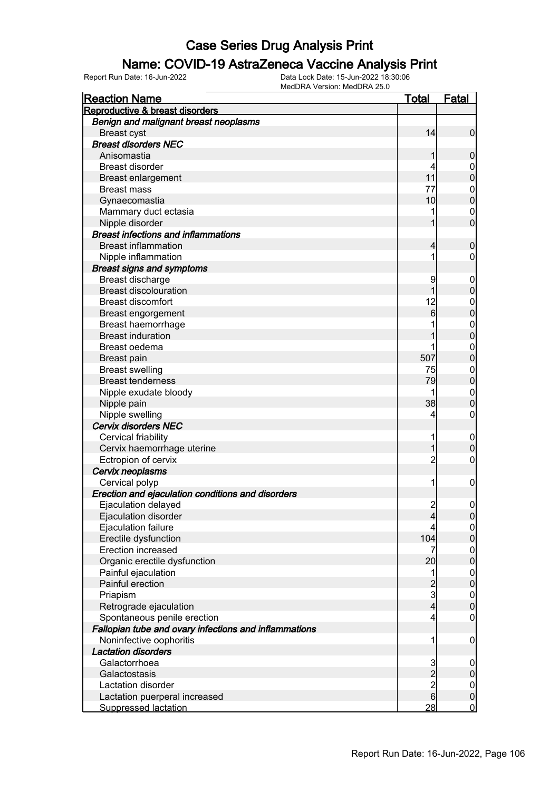#### Name: COVID-19 AstraZeneca Vaccine Analysis Print

| <b>Reaction Name</b>                                  | <u>Total</u>                               | <b>Fatal</b>               |
|-------------------------------------------------------|--------------------------------------------|----------------------------|
| Reproductive & breast disorders                       |                                            |                            |
| Benign and malignant breast neoplasms                 |                                            |                            |
| <b>Breast cyst</b>                                    | 14                                         | $\overline{0}$             |
| <b>Breast disorders NEC</b>                           |                                            |                            |
| Anisomastia                                           | 1                                          | $\mathbf 0$                |
| <b>Breast disorder</b>                                | 4                                          | $\mathbf 0$                |
| <b>Breast enlargement</b>                             | 11                                         | $\mathbf 0$                |
| <b>Breast mass</b>                                    | 77                                         | $\mathbf{0}$               |
| Gynaecomastia                                         | 10                                         | $\overline{0}$             |
| Mammary duct ectasia                                  |                                            | $\mathbf 0$                |
| Nipple disorder                                       | 1                                          | $\overline{0}$             |
| <b>Breast infections and inflammations</b>            |                                            |                            |
| <b>Breast inflammation</b>                            | $\overline{4}$                             | $\mathbf 0$                |
| Nipple inflammation                                   | 1                                          | $\mathbf 0$                |
| <b>Breast signs and symptoms</b>                      |                                            |                            |
| Breast discharge                                      | 9                                          |                            |
| <b>Breast discolouration</b>                          | 1                                          | $\mathbf 0$<br>$\mathbf 0$ |
| <b>Breast discomfort</b>                              | 12                                         |                            |
|                                                       | 6                                          | $\mathbf{0}$               |
| Breast engorgement                                    |                                            | $\mathbf 0$                |
| Breast haemorrhage                                    |                                            | $\mathbf{0}$               |
| <b>Breast induration</b>                              | 1                                          | $\overline{0}$             |
| Breast oedema                                         | 1                                          | $\mathbf{0}$               |
| <b>Breast pain</b>                                    | 507                                        | $\mathbf 0$                |
| <b>Breast swelling</b>                                | 75                                         | $\mathbf{0}$               |
| <b>Breast tenderness</b>                              | 79                                         | $\mathbf 0$                |
| Nipple exudate bloody                                 | 1                                          | $\mathbf{0}$               |
| Nipple pain                                           | 38                                         | $\mathbf 0$                |
| Nipple swelling                                       | 4                                          | $\boldsymbol{0}$           |
| <b>Cervix disorders NEC</b>                           |                                            |                            |
| Cervical friability                                   | 1                                          | $\mathbf 0$                |
| Cervix haemorrhage uterine                            | 1                                          | $\boldsymbol{0}$           |
| Ectropion of cervix                                   | $\overline{c}$                             | $\boldsymbol{0}$           |
| Cervix neoplasms                                      |                                            |                            |
| Cervical polyp                                        | 1                                          | $\mathbf 0$                |
| Erection and ejaculation conditions and disorders     |                                            |                            |
| Ejaculation delayed                                   | $\overline{2}$                             | $\mathbf 0$                |
| Ejaculation disorder                                  | $\overline{4}$                             | 0                          |
| Ejaculation failure                                   | 4                                          | $\overline{0}$             |
| Erectile dysfunction                                  | 104                                        | $\pmb{0}$                  |
| <b>Erection increased</b>                             | 7                                          | $\boldsymbol{0}$           |
| Organic erectile dysfunction                          | 20                                         | $\mathbf 0$                |
| Painful ejaculation                                   | 1                                          | $\boldsymbol{0}$           |
| Painful erection                                      | $\frac{2}{3}$                              | $\mathbf 0$                |
| Priapism                                              |                                            | $\boldsymbol{0}$           |
| Retrograde ejaculation                                | $\overline{4}$                             | $\mathbf 0$                |
| Spontaneous penile erection                           | $\vert 4 \vert$                            | $\mathbf 0$                |
| Fallopian tube and ovary infections and inflammations |                                            |                            |
| Noninfective oophoritis                               | 1                                          | $\mathbf 0$                |
| <b>Lactation disorders</b>                            |                                            |                            |
| Galactorrhoea                                         |                                            | $\mathbf 0$                |
| Galactostasis                                         | $\begin{array}{c} 3 \\ 2 \\ 6 \end{array}$ | $\pmb{0}$                  |
| Lactation disorder                                    |                                            | $\overline{0}$             |
| Lactation puerperal increased                         |                                            | $\pmb{0}$                  |
| <b>Suppressed lactation</b>                           | 28                                         | $\overline{0}$             |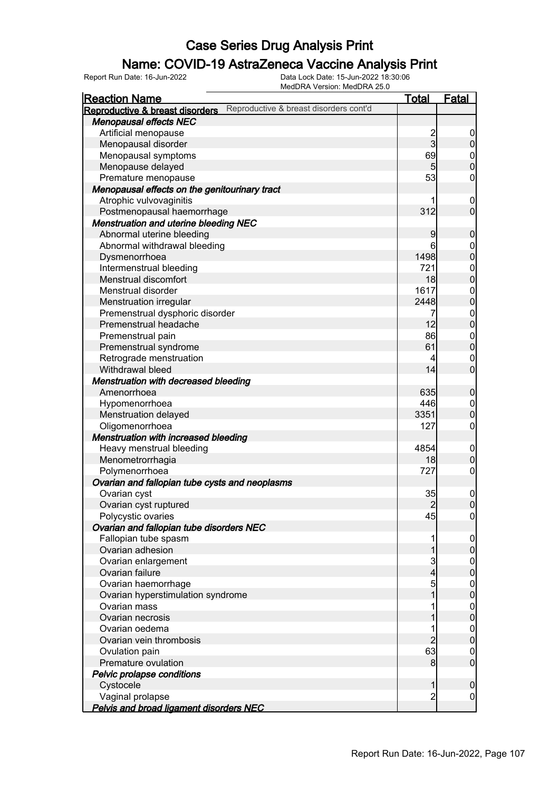### Name: COVID-19 AstraZeneca Vaccine Analysis Print

| <b>Reaction Name</b>                                                      | <b>Total</b>   | Fatal                                |
|---------------------------------------------------------------------------|----------------|--------------------------------------|
| Reproductive & breast disorders cont'd<br>Reproductive & breast disorders |                |                                      |
| <b>Menopausal effects NEC</b>                                             |                |                                      |
| Artificial menopause                                                      |                | $\overline{0}$                       |
| Menopausal disorder                                                       | $\frac{2}{3}$  | $\overline{0}$                       |
| Menopausal symptoms                                                       | 69             |                                      |
| Menopause delayed                                                         | 5              | $0\atop 0$                           |
| Premature menopause                                                       | 53             | $\boldsymbol{0}$                     |
| Menopausal effects on the genitourinary tract                             |                |                                      |
| Atrophic vulvovaginitis                                                   |                | $\mathbf 0$                          |
| Postmenopausal haemorrhage                                                | 312            | $\mathbf 0$                          |
| <b>Menstruation and uterine bleeding NEC</b>                              |                |                                      |
| Abnormal uterine bleeding                                                 | 9              | $\pmb{0}$                            |
| Abnormal withdrawal bleeding                                              | 6              |                                      |
| Dysmenorrhoea                                                             | 1498           | $0\atop 0$                           |
| Intermenstrual bleeding                                                   | 721            |                                      |
| Menstrual discomfort                                                      | 18             | $0\atop 0$                           |
| Menstrual disorder                                                        | 1617           |                                      |
| Menstruation irregular                                                    | 2448           | $0\atop 0$                           |
| Premenstrual dysphoric disorder                                           | 7              |                                      |
| Premenstrual headache                                                     | 12             | $\begin{matrix} 0 \\ 0 \end{matrix}$ |
| Premenstrual pain                                                         | 86             |                                      |
| Premenstrual syndrome                                                     | 61             | $0\atop 0$                           |
| Retrograde menstruation                                                   | 4              | $\mathbf 0$                          |
| Withdrawal bleed                                                          | 14             | $\overline{0}$                       |
| <b>Menstruation with decreased bleeding</b>                               |                |                                      |
| Amenorrhoea                                                               | 635            | $\boldsymbol{0}$                     |
| Hypomenorrhoea                                                            | 446            | $\boldsymbol{0}$                     |
| Menstruation delayed                                                      | 3351           | $\mathbf 0$                          |
| Oligomenorrhoea                                                           | 127            | $\boldsymbol{0}$                     |
| <b>Menstruation with increased bleeding</b>                               |                |                                      |
| Heavy menstrual bleeding                                                  | 4854           | $\mathbf 0$                          |
| Menometrorrhagia                                                          | 18             | $\pmb{0}$                            |
| Polymenorrhoea                                                            | 727            | $\boldsymbol{0}$                     |
| Ovarian and fallopian tube cysts and neoplasms                            |                |                                      |
| Ovarian cyst                                                              | 35             | $\mathbf 0$                          |
| Ovarian cyst ruptured                                                     | $\overline{2}$ | $\overline{0}$                       |
| Polycystic ovaries                                                        | 45             | $\overline{0}$                       |
| Ovarian and fallopian tube disorders NEC                                  |                |                                      |
| Fallopian tube spasm                                                      |                | $\overline{0}$                       |
| Ovarian adhesion                                                          | 1              | $\boldsymbol{0}$                     |
| Ovarian enlargement                                                       | 3              | $\overline{0}$                       |
| Ovarian failure                                                           | 4              | $\mathbf 0$                          |
| Ovarian haemorrhage                                                       | 5              | $\overline{0}$                       |
| Ovarian hyperstimulation syndrome                                         | 1              | $\mathbf 0$                          |
| Ovarian mass                                                              |                | $\boldsymbol{0}$                     |
| Ovarian necrosis                                                          |                | $\mathbf 0$                          |
| Ovarian oedema                                                            |                | $\overline{0}$                       |
| Ovarian vein thrombosis                                                   | $\overline{2}$ | $\boldsymbol{0}$                     |
| Ovulation pain                                                            | 63             | $\mathbf 0$                          |
| Premature ovulation                                                       | 8              | $\mathbf 0$                          |
| Pelvic prolapse conditions                                                |                |                                      |
| Cystocele                                                                 | 1              | $\boldsymbol{0}$                     |
| Vaginal prolapse                                                          | $\overline{c}$ | $\boldsymbol{0}$                     |
| <b>Pelvis and broad ligament disorders NEC</b>                            |                |                                      |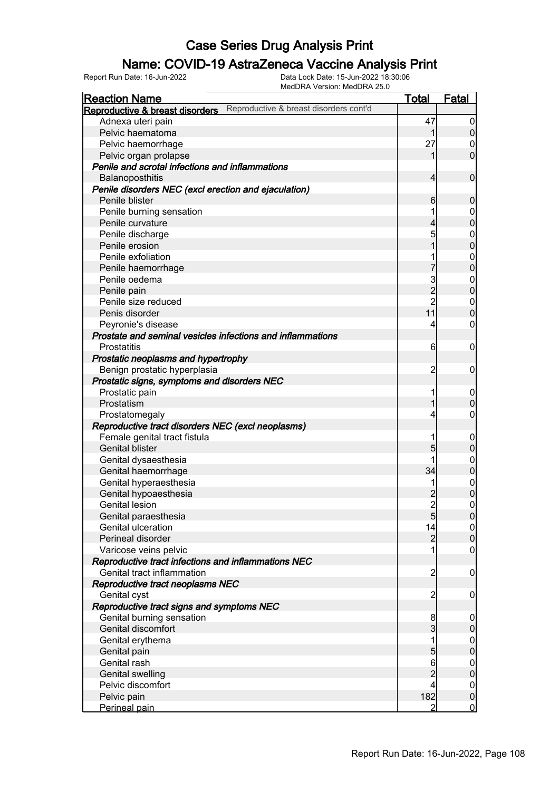#### Name: COVID-19 AstraZeneca Vaccine Analysis Print

| <b>Reaction Name</b>                                                      | <b>Total</b>    | <b>Fatal</b>                         |
|---------------------------------------------------------------------------|-----------------|--------------------------------------|
| Reproductive & breast disorders cont'd<br>Reproductive & breast disorders |                 |                                      |
| Adnexa uteri pain                                                         | 47              | $\overline{0}$                       |
| Pelvic haematoma                                                          |                 | $\overline{0}$                       |
| Pelvic haemorrhage                                                        | 27              | 0                                    |
| Pelvic organ prolapse                                                     | 1               | $\mathbf 0$                          |
| Penile and scrotal infections and inflammations                           |                 |                                      |
| Balanoposthitis                                                           | $\overline{4}$  | $\mathbf 0$                          |
| Penile disorders NEC (excl erection and ejaculation)                      |                 |                                      |
| Penile blister                                                            | 6               | $\mathbf 0$                          |
| Penile burning sensation                                                  |                 | $\mathbf 0$                          |
| Penile curvature                                                          | 4               | $\overline{0}$                       |
| Penile discharge                                                          | 5               | $\boldsymbol{0}$                     |
| Penile erosion                                                            | $\overline{1}$  | $\overline{0}$                       |
| Penile exfoliation                                                        |                 | $\mathbf{0}$                         |
| Penile haemorrhage                                                        | 7               | $\overline{0}$                       |
| Penile oedema                                                             |                 | $\boldsymbol{0}$                     |
| Penile pain                                                               | $\frac{3}{2}$   | $\overline{0}$                       |
| Penile size reduced                                                       | $\overline{2}$  | $\mathbf{0}$                         |
| Penis disorder                                                            | 11              | $\overline{0}$                       |
| Peyronie's disease                                                        | 4               | 0                                    |
| Prostate and seminal vesicles infections and inflammations                |                 |                                      |
| <b>Prostatitis</b>                                                        | 6               | $\boldsymbol{0}$                     |
| Prostatic neoplasms and hypertrophy                                       |                 |                                      |
| Benign prostatic hyperplasia                                              | $\overline{2}$  | $\mathbf 0$                          |
| Prostatic signs, symptoms and disorders NEC                               |                 |                                      |
| Prostatic pain                                                            | 1               | $\mathbf 0$                          |
| Prostatism                                                                | 1               | $\mathbf 0$                          |
| Prostatomegaly                                                            | 4               | 0                                    |
| Reproductive tract disorders NEC (excl neoplasms)                         |                 |                                      |
| Female genital tract fistula                                              | 1               | $\mathbf 0$                          |
| <b>Genital blister</b>                                                    | 5               | $\boldsymbol{0}$                     |
| Genital dysaesthesia                                                      | 1               | $\mathbf{0}$                         |
| Genital haemorrhage                                                       | 34              | $\overline{0}$                       |
| Genital hyperaesthesia                                                    | 1               | $\boldsymbol{0}$                     |
| Genital hypoaesthesia                                                     |                 | $\overline{0}$                       |
| <b>Genital lesion</b>                                                     | $\overline{2}$  | $\overline{0}$                       |
| Genital paraesthesia                                                      | $5\overline{)}$ | 0                                    |
| Genital ulceration                                                        | 14              | 0                                    |
| Perineal disorder                                                         | $\overline{2}$  | $\overline{0}$                       |
| Varicose veins pelvic                                                     | 1               | $\boldsymbol{0}$                     |
| Reproductive tract infections and inflammations NEC                       |                 |                                      |
| Genital tract inflammation                                                | $\overline{2}$  | $\mathbf 0$                          |
| Reproductive tract neoplasms NEC                                          |                 |                                      |
| Genital cyst                                                              | $\overline{2}$  | $\overline{0}$                       |
| Reproductive tract signs and symptoms NEC                                 |                 |                                      |
| Genital burning sensation                                                 | 8               | $\overline{0}$                       |
| Genital discomfort                                                        | $\overline{3}$  | $\pmb{0}$                            |
| Genital erythema                                                          | 1               |                                      |
| Genital pain                                                              | $\overline{5}$  | $0\atop 0$                           |
| Genital rash                                                              | 6               |                                      |
| Genital swelling                                                          | $\overline{2}$  | $\begin{matrix} 0 \\ 0 \end{matrix}$ |
| Pelvic discomfort                                                         | 4               | $\boldsymbol{0}$                     |
| Pelvic pain                                                               | 182             | $\mathbf 0$                          |
| Perineal pain                                                             | $\overline{2}$  | $\overline{0}$                       |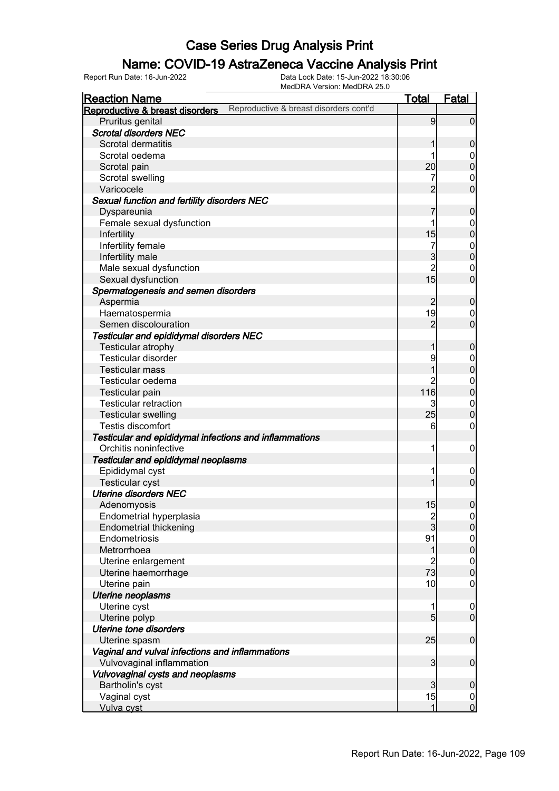#### Name: COVID-19 AstraZeneca Vaccine Analysis Print

| <b>Reaction Name</b>                                                      | <b>Total</b>    | <b>Fatal</b>     |
|---------------------------------------------------------------------------|-----------------|------------------|
| Reproductive & breast disorders cont'd<br>Reproductive & breast disorders |                 |                  |
| Pruritus genital                                                          | 9               | $\mathbf 0$      |
| <b>Scrotal disorders NEC</b>                                              |                 |                  |
| Scrotal dermatitis                                                        | 1               | $\mathbf 0$      |
| Scrotal oedema                                                            |                 | 0                |
| Scrotal pain                                                              | 20              | $\mathbf 0$      |
| Scrotal swelling                                                          |                 | $\mathbf 0$      |
| Varicocele                                                                | $\overline{2}$  | $\overline{0}$   |
| Sexual function and fertility disorders NEC                               |                 |                  |
| Dyspareunia                                                               | 7               | $\boldsymbol{0}$ |
| Female sexual dysfunction                                                 | 1               | $\mathbf 0$      |
| Infertility                                                               | 15              | $\overline{0}$   |
| Infertility female                                                        | 7               | $\boldsymbol{0}$ |
| Infertility male                                                          | 3               | $\mathbf 0$      |
| Male sexual dysfunction                                                   | $\overline{2}$  | $\mathbf 0$      |
| Sexual dysfunction                                                        | 15              | $\overline{0}$   |
| Spermatogenesis and semen disorders                                       |                 |                  |
| Aspermia                                                                  | $\overline{2}$  | $\boldsymbol{0}$ |
| Haematospermia                                                            | 19              | 0                |
| Semen discolouration                                                      | $\overline{2}$  | $\overline{0}$   |
| <b>Testicular and epididymal disorders NEC</b>                            |                 |                  |
| Testicular atrophy                                                        | 1               | $\boldsymbol{0}$ |
| Testicular disorder                                                       | 9               | $\boldsymbol{0}$ |
| <b>Testicular mass</b>                                                    | 1               | $\overline{0}$   |
| Testicular oedema                                                         | $\overline{2}$  | $\mathbf{0}$     |
| Testicular pain                                                           | 116             | $\overline{0}$   |
| <b>Testicular retraction</b>                                              | 3               | $\mathbf 0$      |
| <b>Testicular swelling</b>                                                | 25              | $\mathbf 0$      |
| Testis discomfort                                                         | 6               | $\mathbf 0$      |
| Testicular and epididymal infections and inflammations                    |                 |                  |
| Orchitis noninfective                                                     | 1               | $\mathbf 0$      |
| Testicular and epididymal neoplasms                                       |                 |                  |
| Epididymal cyst                                                           | 1               | $\boldsymbol{0}$ |
| <b>Testicular cyst</b>                                                    |                 | $\overline{0}$   |
| <b>Uterine disorders NEC</b>                                              |                 |                  |
| Adenomyosis                                                               | 15              | $\boldsymbol{0}$ |
| Endometrial hyperplasia                                                   |                 |                  |
| <b>Endometrial thickening</b>                                             | $\frac{2}{3}$   | $\frac{0}{0}$    |
| Endometriosis                                                             | 91              |                  |
| Metrorrhoea                                                               | 1               | $0\atop 0$       |
| Uterine enlargement                                                       | $\overline{2}$  |                  |
| Uterine haemorrhage                                                       | 73              | $0$<br>0         |
| Uterine pain                                                              | 10              | $\mathbf 0$      |
| Uterine neoplasms                                                         |                 |                  |
| Uterine cyst                                                              | 1               | $\mathbf 0$      |
| Uterine polyp                                                             | $5\overline{)}$ | $\overline{0}$   |
| <b>Uterine tone disorders</b>                                             |                 |                  |
| Uterine spasm                                                             | 25              | $\boldsymbol{0}$ |
| Vaginal and vulval infections and inflammations                           |                 |                  |
| Vulvovaginal inflammation                                                 | 3               | $\boldsymbol{0}$ |
| Vulvovaginal cysts and neoplasms                                          |                 |                  |
| Bartholin's cyst                                                          | 3               | $\boldsymbol{0}$ |
| Vaginal cyst                                                              | 15              | $\overline{0}$   |
| Vulva cyst                                                                | 1               | $\overline{0}$   |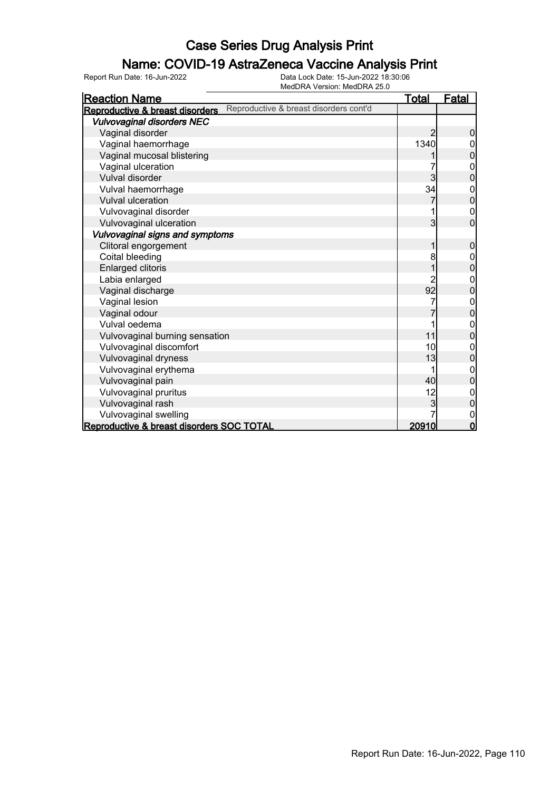#### Name: COVID-19 AstraZeneca Vaccine Analysis Print

| <b>Reaction Name</b>                                                      | <b>Total</b> | <b>Fatal</b>     |
|---------------------------------------------------------------------------|--------------|------------------|
| Reproductive & breast disorders cont'd<br>Reproductive & breast disorders |              |                  |
| <b>Vulvovaginal disorders NEC</b>                                         |              |                  |
| Vaginal disorder                                                          |              | 0                |
| Vaginal haemorrhage                                                       | 1340         |                  |
| Vaginal mucosal blistering                                                |              | 0                |
| Vaginal ulceration                                                        |              | 0                |
| Vulval disorder                                                           | 3            | 0                |
| Vulval haemorrhage                                                        | 34           | 0                |
| <b>Vulval ulceration</b>                                                  |              | 0                |
| Vulvovaginal disorder                                                     |              | $\boldsymbol{0}$ |
| Vulvovaginal ulceration                                                   | 3            | $\overline{0}$   |
| Vulvovaginal signs and symptoms                                           |              |                  |
| Clitoral engorgement                                                      | 1            | 0                |
| Coital bleeding                                                           | 8            | 0                |
| <b>Enlarged clitoris</b>                                                  |              | $\overline{0}$   |
| Labia enlarged                                                            | 2            | 0                |
| Vaginal discharge                                                         | 92           | $\overline{0}$   |
| Vaginal lesion                                                            |              | $\mathbf 0$      |
| Vaginal odour                                                             |              | $\overline{0}$   |
| Vulval oedema                                                             |              | 0                |
| Vulvovaginal burning sensation                                            | 11           | $\overline{0}$   |
| Vulvovaginal discomfort                                                   | 10           | 0                |
| Vulvovaginal dryness                                                      | 13           | $\overline{0}$   |
| Vulvovaginal erythema                                                     |              | 0                |
| Vulvovaginal pain                                                         | 40           | 0                |
| Vulvovaginal pruritus                                                     | 12           | 0                |
| Vulvovaginal rash                                                         | 3            | 0                |
| Vulvovaginal swelling                                                     |              | 0                |
| Reproductive & breast disorders SOC TOTAL                                 | 20910        | $\mathbf 0$      |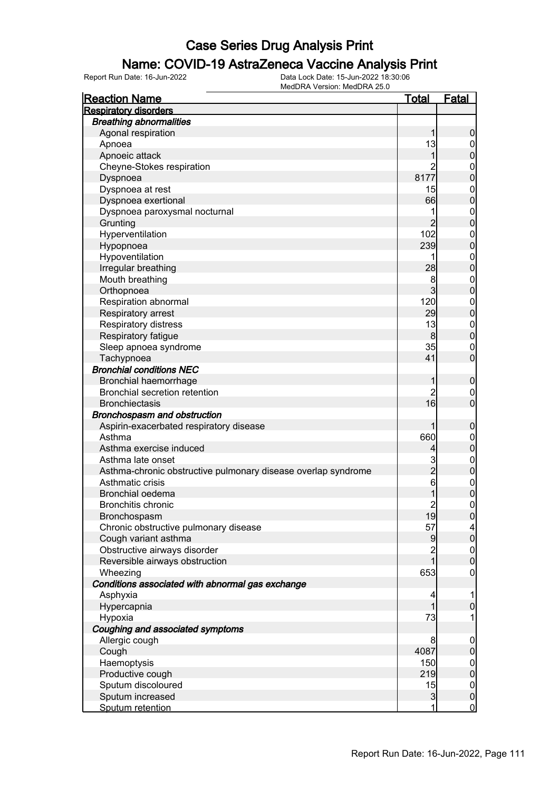#### Name: COVID-19 AstraZeneca Vaccine Analysis Print

| <b>Reaction Name</b>                                          | <u>Total</u>        | <b>Fatal</b>                     |
|---------------------------------------------------------------|---------------------|----------------------------------|
| <b>Respiratory disorders</b>                                  |                     |                                  |
| <b>Breathing abnormalities</b>                                |                     |                                  |
| Agonal respiration                                            | 1                   | $\boldsymbol{0}$                 |
| Apnoea                                                        | 13                  | $\overline{0}$                   |
| Apnoeic attack                                                | 1                   | $\mathbf 0$                      |
| Cheyne-Stokes respiration                                     | 2                   | $\boldsymbol{0}$                 |
| Dyspnoea                                                      | 8177                | $\overline{0}$                   |
| Dyspnoea at rest                                              | 15                  | $\mathbf{0}$                     |
| Dyspnoea exertional                                           | 66                  | $\mathbf 0$                      |
| Dyspnoea paroxysmal nocturnal                                 | 1                   | $\boldsymbol{0}$                 |
| Grunting                                                      | $\overline{2}$      | $\overline{0}$                   |
| Hyperventilation                                              | 102                 | $\mathbf{0}$                     |
| Hypopnoea                                                     | 239                 | $\mathbf 0$                      |
| Hypoventilation                                               | 1                   | $\boldsymbol{0}$                 |
| Irregular breathing                                           | 28                  | $\mathbf 0$                      |
| Mouth breathing                                               | 8                   | $\mathbf{0}$                     |
| Orthopnoea                                                    | $\overline{3}$      | $\mathbf 0$                      |
| Respiration abnormal                                          | 120                 | $\mathbf{0}$                     |
| Respiratory arrest                                            | 29                  | $\mathbf 0$                      |
| Respiratory distress                                          | 13                  | $\boldsymbol{0}$                 |
| Respiratory fatigue                                           | 8                   | $\mathbf 0$                      |
| Sleep apnoea syndrome                                         | 35                  | $\mathbf 0$                      |
| Tachypnoea                                                    | 41                  | $\overline{0}$                   |
| <b>Bronchial conditions NEC</b>                               |                     |                                  |
| Bronchial haemorrhage                                         | 1                   | $\boldsymbol{0}$                 |
| <b>Bronchial secretion retention</b>                          | $\overline{c}$      | $\mathbf 0$                      |
| <b>Bronchiectasis</b>                                         | 16                  | $\overline{0}$                   |
| Bronchospasm and obstruction                                  |                     |                                  |
| Aspirin-exacerbated respiratory disease                       | 1                   | $\boldsymbol{0}$                 |
| Asthma                                                        | 660                 | $\boldsymbol{0}$                 |
| Asthma exercise induced                                       | $\overline{4}$      | $\mathbf 0$                      |
| Asthma late onset                                             | $\mathbf{3}$        | $\boldsymbol{0}$                 |
| Asthma-chronic obstructive pulmonary disease overlap syndrome | $\overline{2}$      | $\mathbf 0$                      |
| Asthmatic crisis                                              | $6\overline{6}$     |                                  |
| <b>Bronchial oedema</b>                                       | 1                   | $\boldsymbol{0}$<br>$\mathbf{0}$ |
| <b>Bronchitis chronic</b>                                     | $\overline{2}$      | $\mathbf 0$                      |
|                                                               | 19                  |                                  |
| Bronchospasm<br>Chronic obstructive pulmonary disease         | 57                  | 0                                |
| Cough variant asthma                                          |                     | 4<br>$\mathbf 0$                 |
| Obstructive airways disorder                                  | 9<br>$\overline{c}$ |                                  |
|                                                               | $\overline{1}$      | $\overline{0}$<br>$\overline{0}$ |
| Reversible airways obstruction                                |                     |                                  |
| Wheezing                                                      | 653                 | $\mathbf 0$                      |
| Conditions associated with abnormal gas exchange              |                     |                                  |
| Asphyxia                                                      | 4<br>$\overline{1}$ | 1                                |
| Hypercapnia                                                   |                     | $\mathbf 0$                      |
| Hypoxia                                                       | 73                  | 1                                |
| Coughing and associated symptoms                              |                     |                                  |
| Allergic cough                                                | 8                   | $\mathbf 0$                      |
| Cough                                                         | 4087                | $\pmb{0}$                        |
| Haemoptysis                                                   | 150                 | $\boldsymbol{0}$                 |
| Productive cough                                              | 219                 | $\mathbf 0$                      |
| Sputum discoloured                                            | 15                  | $\boldsymbol{0}$                 |
| Sputum increased                                              | $\mathbf{3}$        | $\pmb{0}$                        |
| Sputum retention                                              | 1                   | $\overline{0}$                   |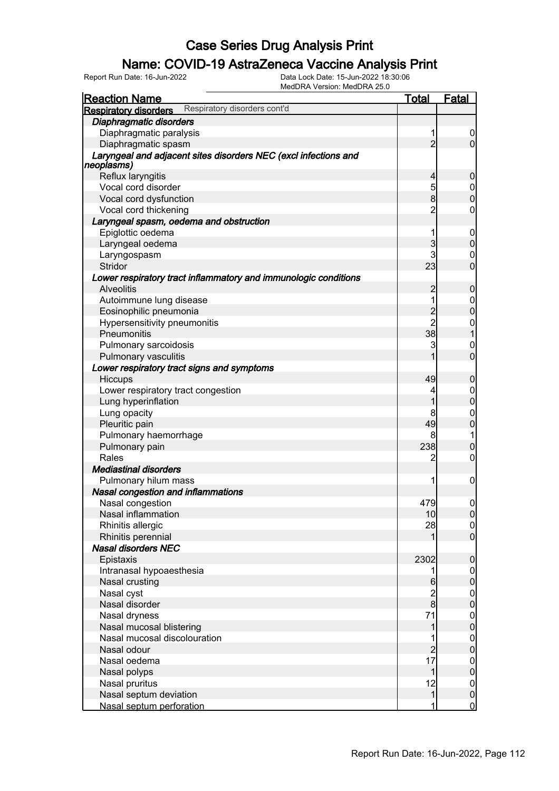#### Name: COVID-19 AstraZeneca Vaccine Analysis Print

Report Run Date: 16-Jun-2022 Data Lock Date: 15-Jun-2022 18:30:06

MedDRA Version: MedDRA 25.0

| Respiratory disorders cont'd<br><b>Respiratory disorders</b><br>Diaphragmatic disorders |                |                  |
|-----------------------------------------------------------------------------------------|----------------|------------------|
|                                                                                         |                |                  |
|                                                                                         |                |                  |
| Diaphragmatic paralysis                                                                 | 1              | 0                |
| Diaphragmatic spasm                                                                     | $\overline{2}$ | $\overline{0}$   |
| Laryngeal and adjacent sites disorders NEC (excl infections and<br>neoplasms)           |                |                  |
| Reflux laryngitis                                                                       | 4              | 0                |
| Vocal cord disorder                                                                     | 5              | $\mathbf 0$      |
| Vocal cord dysfunction                                                                  | 8              | $\overline{0}$   |
| Vocal cord thickening                                                                   | $\overline{2}$ | 0                |
| Laryngeal spasm, oedema and obstruction                                                 |                |                  |
| Epiglottic oedema                                                                       | 1              | $\mathbf 0$      |
| Laryngeal oedema                                                                        | 3              | 0                |
| Laryngospasm                                                                            | 3              | $\mathbf 0$      |
| Stridor                                                                                 | 23             | $\overline{0}$   |
| Lower respiratory tract inflammatory and immunologic conditions                         |                |                  |
| <b>Alveolitis</b>                                                                       | $\overline{c}$ | 0                |
| Autoimmune lung disease                                                                 | 1              | 0                |
| Eosinophilic pneumonia                                                                  | $\overline{c}$ | 0                |
| Hypersensitivity pneumonitis                                                            | $\overline{2}$ | $\mathbf 0$      |
| Pneumonitis                                                                             | 38             |                  |
| Pulmonary sarcoidosis                                                                   | 3              | $\mathbf 0$      |
| Pulmonary vasculitis                                                                    |                | $\overline{0}$   |
| Lower respiratory tract signs and symptoms                                              |                |                  |
| Hiccups                                                                                 | 49             | 0                |
| Lower respiratory tract congestion                                                      | 4              | $\boldsymbol{0}$ |
| Lung hyperinflation                                                                     | 1              | $\overline{0}$   |
| Lung opacity                                                                            | 8              | $\mathbf 0$      |
| Pleuritic pain                                                                          | 49             | 0                |
| Pulmonary haemorrhage                                                                   | 8              | 1                |
| Pulmonary pain                                                                          | 238            | 0                |
| Rales                                                                                   | 2              | 0                |
| <b>Mediastinal disorders</b>                                                            |                |                  |
| Pulmonary hilum mass                                                                    | 1              | 0                |
| Nasal congestion and inflammations                                                      |                |                  |
| Nasal congestion                                                                        | 479            | 0                |
| Nasal inflammation                                                                      | 10             | $\overline{0}$   |
| Rhinitis allergic                                                                       | 28             | $\overline{0}$   |
| Rhinitis perennial                                                                      | 1              | $\overline{0}$   |
| <b>Nasal disorders NEC</b>                                                              |                |                  |
| Epistaxis                                                                               | 2302           | 0                |
| Intranasal hypoaesthesia                                                                | 1              | $\boldsymbol{0}$ |
| Nasal crusting                                                                          | 6              | $\pmb{0}$        |
| Nasal cyst                                                                              | $\overline{c}$ | $\boldsymbol{0}$ |
| Nasal disorder                                                                          | $\bf{8}$       | $\mathbf 0$      |
| Nasal dryness                                                                           | 71             | $\mathbf 0$      |
| Nasal mucosal blistering                                                                | 1              | $\mathbf 0$      |
| Nasal mucosal discolouration                                                            |                | $\boldsymbol{0}$ |
| Nasal odour                                                                             | $\overline{2}$ | $\mathbf 0$      |
| Nasal oedema                                                                            | 17             | $\mathbf 0$      |
| Nasal polyps                                                                            | 1              | $\boldsymbol{0}$ |
| Nasal pruritus                                                                          | 12             | $\mathbf 0$      |
| Nasal septum deviation                                                                  | $\mathbf{1}$   | $\mathbf 0$      |
| Nasal septum perforation                                                                |                | $\overline{0}$   |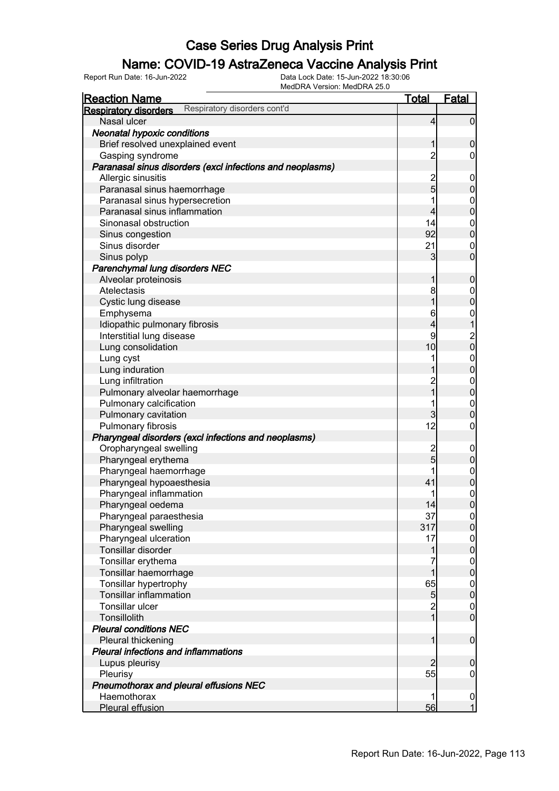#### Name: COVID-19 AstraZeneca Vaccine Analysis Print

| <b>Reaction Name</b>                                         | <u>Total</u>            | <b>Fatal</b>                         |
|--------------------------------------------------------------|-------------------------|--------------------------------------|
| Respiratory disorders cont'd<br><b>Respiratory disorders</b> |                         |                                      |
| Nasal ulcer                                                  | 4                       | $\overline{0}$                       |
| <b>Neonatal hypoxic conditions</b>                           |                         |                                      |
| Brief resolved unexplained event                             | 1                       | $\boldsymbol{0}$                     |
| Gasping syndrome                                             | $\overline{c}$          | 0                                    |
| Paranasal sinus disorders (excl infections and neoplasms)    |                         |                                      |
| Allergic sinusitis                                           |                         | $\mathbf 0$                          |
| Paranasal sinus haemorrhage                                  | $\frac{2}{5}$           | $\pmb{0}$                            |
| Paranasal sinus hypersecretion                               |                         | $\boldsymbol{0}$                     |
| Paranasal sinus inflammation                                 | 4                       | $\overline{0}$                       |
| Sinonasal obstruction                                        | 14                      | $\boldsymbol{0}$                     |
| Sinus congestion                                             | 92                      | $\overline{0}$                       |
| Sinus disorder                                               | 21                      | $\mathbf 0$                          |
| Sinus polyp                                                  | 3                       | $\overline{0}$                       |
| Parenchymal lung disorders NEC                               |                         |                                      |
| Alveolar proteinosis                                         | 1                       | $\boldsymbol{0}$                     |
| Atelectasis                                                  | 8                       | $\boldsymbol{0}$                     |
| Cystic lung disease                                          | 1                       | $\overline{0}$                       |
| Emphysema                                                    | 6                       | $\mathbf 0$                          |
| Idiopathic pulmonary fibrosis                                | 4                       |                                      |
| Interstitial lung disease                                    | 9                       |                                      |
| Lung consolidation                                           | 10                      | $\begin{matrix} 2 \\ 0 \end{matrix}$ |
| Lung cyst                                                    |                         |                                      |
| Lung induration                                              |                         | $0$<br>0                             |
| Lung infiltration                                            | $\overline{\mathbf{c}}$ | $\mathbf{0}$                         |
| Pulmonary alveolar haemorrhage                               | $\overline{1}$          | $\overline{0}$                       |
| Pulmonary calcification                                      |                         | $\mathbf{0}$                         |
| Pulmonary cavitation                                         | 3                       | $\overline{0}$                       |
| Pulmonary fibrosis                                           | 12                      | $\boldsymbol{0}$                     |
| Pharyngeal disorders (excl infections and neoplasms)         |                         |                                      |
| Oropharyngeal swelling                                       | $\frac{2}{5}$           | $\mathbf 0$                          |
| Pharyngeal erythema                                          |                         | $\pmb{0}$                            |
| Pharyngeal haemorrhage                                       |                         | $\boldsymbol{0}$                     |
| Pharyngeal hypoaesthesia                                     | 41                      | $\overline{0}$                       |
| Pharyngeal inflammation                                      |                         | $\mathbf{0}$                         |
| Pharyngeal oedema                                            | 14                      | $\overline{0}$                       |
| Pharyngeal paraesthesia                                      | 37                      | 0                                    |
| Pharyngeal swelling                                          | 317                     | $\overline{0}$                       |
| Pharyngeal ulceration                                        | 17                      | $\begin{matrix} 0 \\ 0 \end{matrix}$ |
| Tonsillar disorder                                           | 1                       |                                      |
| Tonsillar erythema                                           |                         | $\begin{matrix} 0 \\ 0 \end{matrix}$ |
| Tonsillar haemorrhage                                        | 1                       |                                      |
| Tonsillar hypertrophy                                        | 65                      | $0\atop 0$                           |
| <b>Tonsillar inflammation</b>                                | 5                       |                                      |
| Tonsillar ulcer                                              | $\overline{\mathbf{c}}$ | $\boldsymbol{0}$                     |
| Tonsillolith                                                 | $\overline{1}$          | $\overline{0}$                       |
| <b>Pleural conditions NEC</b>                                |                         |                                      |
| Pleural thickening                                           | 1                       | $\mathbf 0$                          |
| Pleural infections and inflammations                         |                         |                                      |
| Lupus pleurisy                                               | $\overline{2}$          | $\mathbf 0$                          |
| Pleurisy                                                     | 55                      | $\boldsymbol{0}$                     |
| Pneumothorax and pleural effusions NEC                       |                         |                                      |
| Haemothorax                                                  | 1                       | $\overline{0}$                       |
| Pleural effusion                                             | 56                      | $\overline{1}$                       |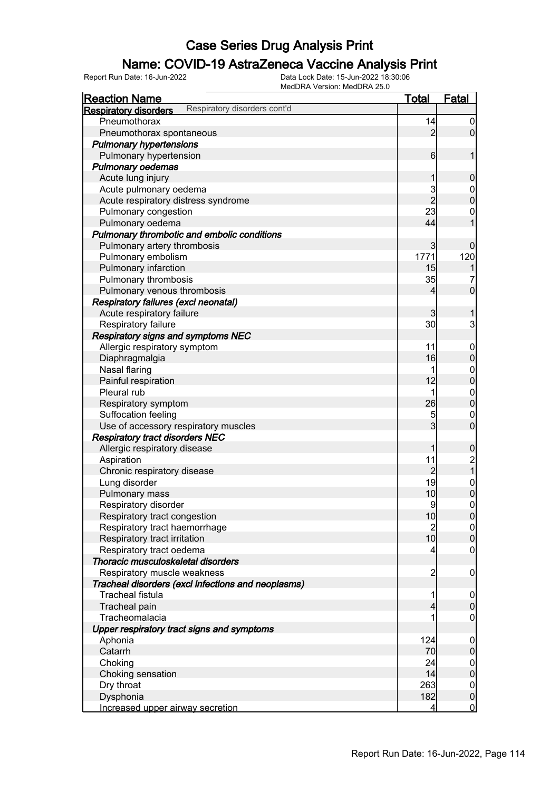#### Name: COVID-19 AstraZeneca Vaccine Analysis Print

|                                                              | MedDRA Version: MedDRA 25.0 |                                      |
|--------------------------------------------------------------|-----------------------------|--------------------------------------|
| <b>Reaction Name</b>                                         | <u>Total</u>                | <b>Fatal</b>                         |
| Respiratory disorders cont'd<br><b>Respiratory disorders</b> |                             |                                      |
| Pneumothorax                                                 | 14                          | $\overline{0}$                       |
| Pneumothorax spontaneous                                     |                             | $\overline{2}$<br>$\overline{0}$     |
| <b>Pulmonary hypertensions</b>                               |                             |                                      |
| Pulmonary hypertension                                       |                             | $6 \overline{6}$<br>$\mathbf 1$      |
| Pulmonary oedemas                                            |                             |                                      |
| Acute lung injury                                            |                             | $\mathbf 0$<br>1                     |
| Acute pulmonary oedema                                       |                             | 3                                    |
| Acute respiratory distress syndrome                          |                             | 0<br>$\overline{c}$                  |
| Pulmonary congestion                                         | 23                          | $\boldsymbol{0}$                     |
| Pulmonary oedema                                             | 44                          | $\overline{1}$                       |
| Pulmonary thrombotic and embolic conditions                  |                             |                                      |
| Pulmonary artery thrombosis                                  |                             | 3<br>$\overline{0}$                  |
| Pulmonary embolism                                           | 1771                        | 120                                  |
| Pulmonary infarction                                         | 15                          |                                      |
| Pulmonary thrombosis                                         | 35                          | $\overline{7}$                       |
| Pulmonary venous thrombosis                                  |                             | $\overline{0}$<br>4                  |
| Respiratory failures (excl neonatal)                         |                             |                                      |
| Acute respiratory failure                                    |                             | 3<br>1                               |
| Respiratory failure                                          | 30                          | 3                                    |
| Respiratory signs and symptoms NEC                           |                             |                                      |
| Allergic respiratory symptom                                 | 11                          | $\overline{0}$                       |
| Diaphragmalgia                                               | 16                          | $\mathbf 0$                          |
| Nasal flaring                                                |                             | 1                                    |
| Painful respiration                                          | 12                          | $\begin{matrix} 0 \\ 0 \end{matrix}$ |
| Pleural rub                                                  |                             | 1                                    |
| Respiratory symptom                                          | 26                          | $\begin{matrix} 0 \\ 0 \end{matrix}$ |
| Suffocation feeling                                          |                             | 5<br>$\overline{0}$                  |
| Use of accessory respiratory muscles                         |                             | $\mathbf 0$<br>3                     |
| <b>Respiratory tract disorders NEC</b>                       |                             |                                      |
| Allergic respiratory disease                                 |                             | $\pmb{0}$<br>1                       |
| Aspiration                                                   | 11                          |                                      |
| Chronic respiratory disease                                  |                             | $\frac{2}{1}$<br>$\overline{c}$      |
| Lung disorder                                                | 19                          |                                      |
| Pulmonary mass                                               | 10                          | $\begin{matrix} 0 \\ 0 \end{matrix}$ |
| Respiratory disorder                                         |                             | $\overline{0}$<br>9                  |
| Respiratory tract congestion                                 | 10                          | 0                                    |
| Respiratory tract haemorrhage                                |                             | $\overline{c}$<br>$\overline{0}$     |
| Respiratory tract irritation                                 | 10                          | $\overline{0}$                       |
| Respiratory tract oedema                                     |                             | $\mathbf 0$<br>4                     |
| Thoracic musculoskeletal disorders                           |                             |                                      |
| Respiratory muscle weakness                                  |                             | $\overline{c}$<br>$\boldsymbol{0}$   |
| Tracheal disorders (excl infections and neoplasms)           |                             |                                      |
| Tracheal fistula                                             |                             | 1<br>$\overline{0}$                  |
| Tracheal pain                                                |                             | $\mathbf 0$<br>4                     |
| Tracheomalacia                                               |                             | $\mathbf 0$                          |
|                                                              |                             |                                      |
| Upper respiratory tract signs and symptoms                   |                             |                                      |
| Aphonia                                                      | 124                         | $\boldsymbol{0}$                     |
| Catarrh                                                      | 70                          | $\mathbf 0$                          |
| Choking                                                      | 24                          | $\overline{0}$                       |
| Choking sensation                                            | 14                          | $\pmb{0}$                            |
| Dry throat                                                   | 263                         | $\overline{0}$                       |
| Dysphonia                                                    | 182                         | $\pmb{0}$                            |
| Increased upper airway secretion                             |                             | $\overline{0}$<br>$\overline{4}$     |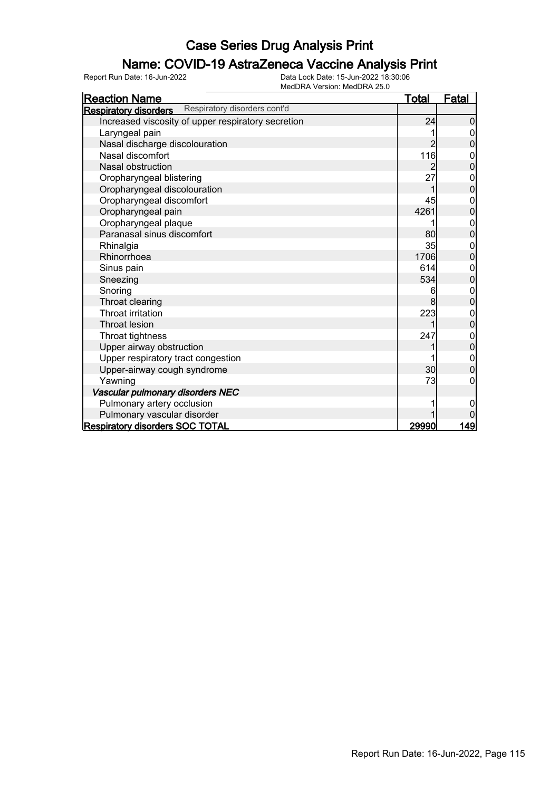#### Name: COVID-19 AstraZeneca Vaccine Analysis Print

| <b>Reaction Name</b>                                         | <b>Total</b>    | <u>Fatal</u>     |
|--------------------------------------------------------------|-----------------|------------------|
| Respiratory disorders cont'd<br><b>Respiratory disorders</b> |                 |                  |
| Increased viscosity of upper respiratory secretion           | 24              | $\overline{0}$   |
| Laryngeal pain                                               |                 |                  |
| Nasal discharge discolouration                               | $\overline{2}$  | $\Omega$         |
| Nasal discomfort                                             | 116             | 0                |
| Nasal obstruction                                            | $\overline{2}$  | $\overline{0}$   |
| Oropharyngeal blistering                                     | 27              | 0                |
| Oropharyngeal discolouration                                 | 1               | $\mathbf 0$      |
| Oropharyngeal discomfort                                     | 45              |                  |
| Oropharyngeal pain                                           | 4261            | 0                |
| Oropharyngeal plaque                                         |                 | 0                |
| Paranasal sinus discomfort                                   | 80              | 0                |
| Rhinalgia                                                    | 35              | 0                |
| Rhinorrhoea                                                  | 1706            | 0                |
| Sinus pain                                                   | 614             | $\boldsymbol{0}$ |
| Sneezing                                                     | 534             | $\overline{0}$   |
| Snoring                                                      | 6               | $\mathbf 0$      |
| Throat clearing                                              | 8               | $\overline{0}$   |
| <b>Throat irritation</b>                                     | 223             | $\mathbf 0$      |
| <b>Throat lesion</b>                                         |                 | $\overline{0}$   |
| Throat tightness                                             | 247             | $\mathbf{0}$     |
| Upper airway obstruction                                     |                 | $\overline{0}$   |
| Upper respiratory tract congestion                           |                 | $\mathbf{0}$     |
| Upper-airway cough syndrome                                  | 30 <sup>1</sup> | $\overline{0}$   |
| Yawning                                                      | 73              | 0                |
| Vascular pulmonary disorders NEC                             |                 |                  |
| Pulmonary artery occlusion                                   |                 |                  |
| Pulmonary vascular disorder                                  |                 |                  |
| <b>Respiratory disorders SOC TOTAL</b>                       | 29990           | <u> 149 </u>     |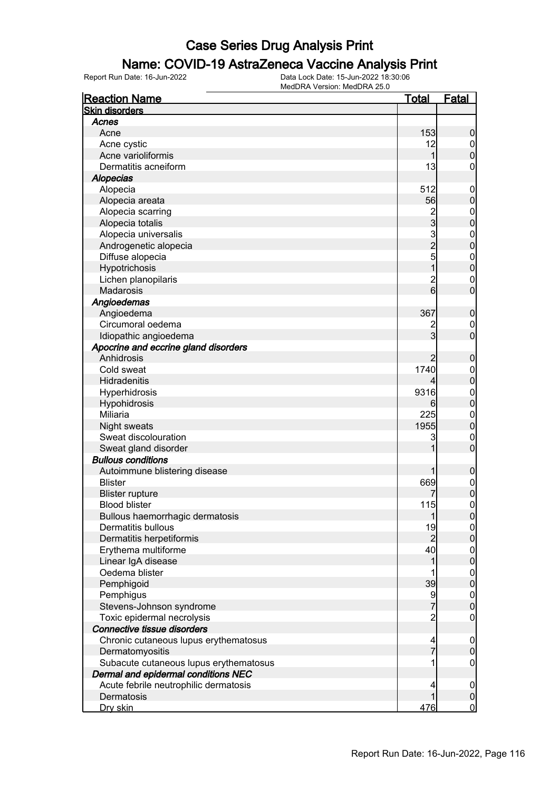#### Name: COVID-19 AstraZeneca Vaccine Analysis Print

| <b>Reaction Name</b>                               | <u>Total</u>                               | <u>Fatal</u>                         |
|----------------------------------------------------|--------------------------------------------|--------------------------------------|
| <b>Skin disorders</b>                              |                                            |                                      |
| <b>Acnes</b>                                       |                                            |                                      |
| Acne                                               | 153                                        | $\mathbf 0$                          |
| Acne cystic                                        | 12                                         | $\overline{0}$                       |
| Acne varioliformis                                 | 1                                          | $\overline{0}$                       |
| Dermatitis acneiform                               | 13                                         | 0                                    |
| <b>Alopecias</b>                                   |                                            |                                      |
| Alopecia                                           | 512                                        | $\mathbf 0$                          |
| Alopecia areata                                    | 56                                         | $\overline{0}$                       |
| Alopecia scarring                                  |                                            |                                      |
| Alopecia totalis                                   | $\frac{2}{3}$                              | $0\atop 0$                           |
| Alopecia universalis                               |                                            |                                      |
| Androgenetic alopecia                              | $\begin{array}{c} 3 \\ 2 \\ 5 \end{array}$ | $\begin{matrix} 0 \\ 0 \end{matrix}$ |
| Diffuse alopecia                                   |                                            |                                      |
| Hypotrichosis                                      | $\overline{1}$                             | $\begin{matrix} 0 \\ 0 \end{matrix}$ |
| Lichen planopilaris                                |                                            | $\mathbf 0$                          |
| Madarosis                                          | $\frac{2}{6}$                              | $\overline{0}$                       |
| Angioedemas                                        |                                            |                                      |
| Angioedema                                         | 367                                        | $\boldsymbol{0}$                     |
| Circumoral oedema                                  | 2                                          | $\mathbf 0$                          |
| Idiopathic angioedema                              | 3                                          | $\overline{0}$                       |
|                                                    |                                            |                                      |
| Apocrine and eccrine gland disorders<br>Anhidrosis | $\overline{2}$                             |                                      |
| Cold sweat                                         | 1740                                       | $\boldsymbol{0}$                     |
|                                                    |                                            | $0$<br>0                             |
| Hidradenitis                                       | 4                                          |                                      |
| Hyperhidrosis                                      | 9316                                       | $\begin{matrix} 0 \\ 0 \end{matrix}$ |
| Hypohidrosis                                       | 6                                          |                                      |
| Miliaria                                           | 225                                        | $\begin{matrix} 0 \\ 0 \end{matrix}$ |
| Night sweats                                       | 1955                                       |                                      |
| Sweat discolouration                               | 3                                          | $\mathbf 0$                          |
| Sweat gland disorder                               | 1                                          | $\overline{0}$                       |
| <b>Bullous conditions</b>                          |                                            |                                      |
| Autoimmune blistering disease                      | 1                                          | $\mathbf 0$                          |
| <b>Blister</b>                                     | 669                                        | $\boldsymbol{0}$                     |
| <b>Blister rupture</b>                             |                                            | $\overline{0}$                       |
| <b>Blood blister</b>                               | 115                                        | $\mathbf{0}$                         |
| Bullous haemorrhagic dermatosis                    |                                            |                                      |
| <b>Dermatitis bullous</b>                          | 19                                         | $\overline{0}$                       |
| Dermatitis herpetiformis                           | $\overline{2}$                             | $\overline{0}$                       |
| Erythema multiforme                                | 40                                         | $0$<br>0                             |
| Linear IgA disease                                 | 1                                          |                                      |
| Oedema blister                                     |                                            | $0$<br>0                             |
| Pemphigoid                                         | 39                                         |                                      |
| Pemphigus                                          | $\frac{9}{7}$                              | $\begin{matrix} 0 \\ 0 \end{matrix}$ |
| Stevens-Johnson syndrome                           |                                            |                                      |
| Toxic epidermal necrolysis                         | $\overline{2}$                             | 0                                    |
| Connective tissue disorders                        |                                            |                                      |
| Chronic cutaneous lupus erythematosus              | 4                                          | $\mathbf 0$                          |
| Dermatomyositis                                    | $\overline{7}$                             | $\mathbf 0$                          |
| Subacute cutaneous lupus erythematosus             |                                            | 0                                    |
| Dermal and epidermal conditions NEC                |                                            |                                      |
| Acute febrile neutrophilic dermatosis              | 4                                          | $\overline{0}$                       |
| Dermatosis                                         | 1                                          | $\mathbf 0$                          |
| Dry skin                                           | 476                                        | $\mathbf 0$                          |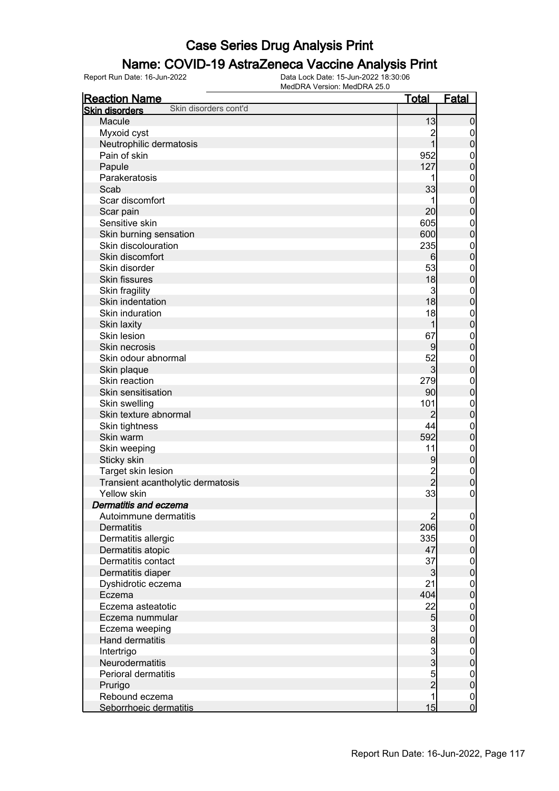#### Name: COVID-19 AstraZeneca Vaccine Analysis Print

| MedDRA Version: MedDRA 25.0                    |                         |                                  |
|------------------------------------------------|-------------------------|----------------------------------|
| <b>Reaction Name</b>                           | <b>Total</b>            | Fatal                            |
| Skin disorders cont'd<br><b>Skin disorders</b> |                         |                                  |
| Macule                                         | 13                      | $\mathbf 0$                      |
| Myxoid cyst                                    | $\overline{c}$          | $\overline{0}$                   |
| Neutrophilic dermatosis                        | 1                       | $\mathbf 0$                      |
| Pain of skin                                   | 952                     | $\boldsymbol{0}$                 |
| Papule                                         | 127                     | $\mathbf 0$                      |
| Parakeratosis                                  | 1                       | $\boldsymbol{0}$                 |
| Scab                                           | 33                      | $\mathbf 0$                      |
| Scar discomfort                                | 1                       | $\boldsymbol{0}$                 |
| Scar pain                                      | 20                      | $\mathbf 0$                      |
| Sensitive skin                                 | 605                     | $\boldsymbol{0}$                 |
| Skin burning sensation                         | 600                     | $\mathbf 0$                      |
| Skin discolouration                            | 235                     | $\boldsymbol{0}$                 |
| Skin discomfort                                | 6                       | $\mathbf 0$                      |
| Skin disorder                                  | 53                      | $\boldsymbol{0}$                 |
| <b>Skin fissures</b>                           | 18                      | $\mathbf 0$                      |
| Skin fragility                                 | 3                       |                                  |
| Skin indentation                               | 18                      | $\boldsymbol{0}$<br>$\mathbf 0$  |
| Skin induration                                | 18                      |                                  |
|                                                |                         | $\boldsymbol{0}$                 |
| Skin laxity                                    | 1                       | $\mathbf 0$                      |
| Skin lesion                                    | 67                      | $\boldsymbol{0}$                 |
| Skin necrosis                                  | 9                       | $\mathbf 0$                      |
| Skin odour abnormal                            | 52                      | $\boldsymbol{0}$                 |
| Skin plaque                                    | $\overline{3}$          | $\mathbf 0$                      |
| Skin reaction                                  | 279                     | $\boldsymbol{0}$                 |
| Skin sensitisation                             | 90                      | $\mathbf 0$                      |
| Skin swelling                                  | 101                     | $\boldsymbol{0}$                 |
| Skin texture abnormal                          | 2                       | $\mathbf 0$                      |
| Skin tightness                                 | 44                      | $\boldsymbol{0}$                 |
| Skin warm                                      | 592                     | $\mathbf 0$                      |
| Skin weeping                                   | 11                      | $\boldsymbol{0}$                 |
| Sticky skin                                    | 9                       | $\mathbf 0$                      |
| Target skin lesion                             | $\overline{\mathbf{c}}$ | $\boldsymbol{0}$                 |
| Transient acantholytic dermatosis              | $\overline{2}$          | $\mathbf 0$                      |
| Yellow skin                                    | 33                      | $\mathbf{0}$                     |
| Dermatitis and eczema                          |                         |                                  |
| Autoimmune dermatitis                          | $\overline{c}$          | 0                                |
| <b>Dermatitis</b>                              | 206                     | 0                                |
| Dermatitis allergic                            | 335                     | $\boldsymbol{0}$                 |
| Dermatitis atopic                              | 47                      | $\overline{0}$                   |
| Dermatitis contact                             | 37                      | $\boldsymbol{0}$                 |
| Dermatitis diaper                              | $\mathbf{3}$            | $\overline{0}$                   |
| Dyshidrotic eczema                             | 21                      | $\mathbf 0$                      |
| Eczema                                         | 404                     | $\overline{0}$                   |
| Eczema asteatotic                              | 22                      | $\boldsymbol{0}$                 |
| Eczema nummular                                | $\overline{5}$          | $\mathbf 0$                      |
| Eczema weeping                                 | $\mathbf{3}$            | $\mathbf 0$                      |
| Hand dermatitis                                | $\bf{8}$                | $\mathbf 0$                      |
| Intertrigo                                     | 3                       | $\mathbf 0$                      |
| Neurodermatitis                                | $\overline{3}$          | $\mathbf 0$                      |
| Perioral dermatitis                            | 5                       | $\boldsymbol{0}$                 |
| Prurigo                                        | $\overline{2}$          | $\overline{0}$                   |
| Rebound eczema                                 | 1                       |                                  |
| Seborrhoeic dermatitis                         | 15                      | $\begin{matrix}0\\0\end{matrix}$ |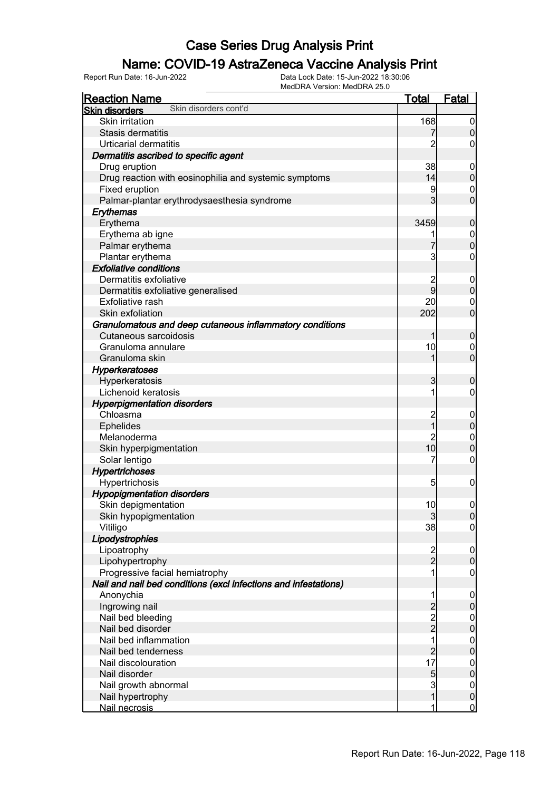#### Name: COVID-19 AstraZeneca Vaccine Analysis Print

| Fatal<br>$\overline{0}$<br>$\mathbf 0$<br>0<br>$\overline{0}$<br>$\pmb{0}$<br>$\mathbf 0$<br>$\overline{0}$ |
|-------------------------------------------------------------------------------------------------------------|
|                                                                                                             |
|                                                                                                             |
|                                                                                                             |
|                                                                                                             |
|                                                                                                             |
|                                                                                                             |
|                                                                                                             |
|                                                                                                             |
|                                                                                                             |
|                                                                                                             |
|                                                                                                             |
| $\boldsymbol{0}$                                                                                            |
| $\overline{0}$                                                                                              |
| $\overline{0}$                                                                                              |
| $\boldsymbol{0}$                                                                                            |
|                                                                                                             |
| $\overline{0}$                                                                                              |
| $\overline{0}$                                                                                              |
| $\overline{0}$                                                                                              |
| $\overline{0}$                                                                                              |
|                                                                                                             |
| $\boldsymbol{0}$                                                                                            |
| $\overline{0}$                                                                                              |
| $\overline{0}$                                                                                              |
|                                                                                                             |
| $\mathbf 0$                                                                                                 |
| 0                                                                                                           |
|                                                                                                             |
| $\overline{0}$                                                                                              |
| $\mathbf 0$                                                                                                 |
| $\boldsymbol{0}$                                                                                            |
| $\overline{0}$                                                                                              |
| $\boldsymbol{0}$                                                                                            |
|                                                                                                             |
| $\mathbf 0$                                                                                                 |
|                                                                                                             |
| $\overline{0}$                                                                                              |
| 0                                                                                                           |
| $\boldsymbol{0}$                                                                                            |
|                                                                                                             |
| $\overline{0}$                                                                                              |
| $\mathbf 0$                                                                                                 |
| $\boldsymbol{0}$                                                                                            |
|                                                                                                             |
| $\mathbf 0$                                                                                                 |
| $\pmb{0}$                                                                                                   |
| $\overline{0}$                                                                                              |
| $\overline{0}$                                                                                              |
| $\boldsymbol{0}$                                                                                            |
| $\overline{0}$                                                                                              |
| $\overline{0}$                                                                                              |
| $\pmb{0}$                                                                                                   |
| $\overline{0}$                                                                                              |
| $\mathbf 0$                                                                                                 |
| $\overline{0}$                                                                                              |
|                                                                                                             |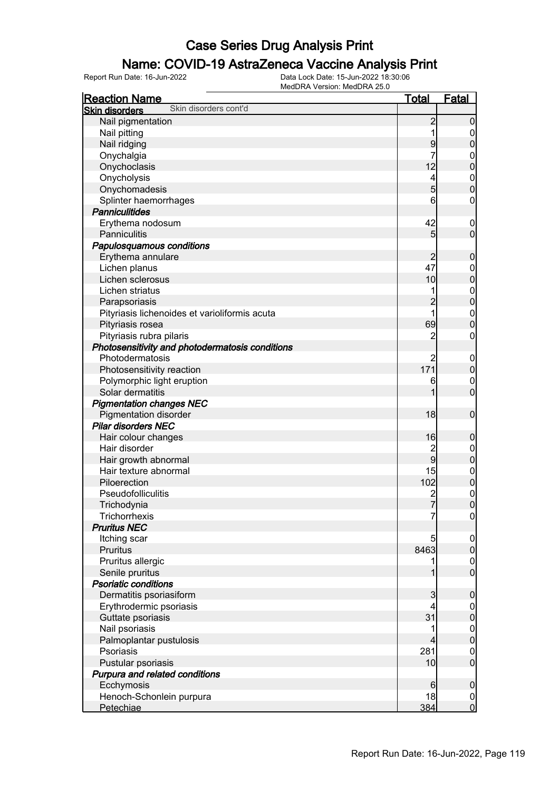#### Name: COVID-19 AstraZeneca Vaccine Analysis Print

| Skin disorders cont'd<br><b>Skin disorders</b><br>$\overline{2}$<br>Nail pigmentation<br>Nail pitting<br>9<br>Nail ridging<br>Onychalgia<br>7<br>$0\atop 0$<br>12<br>Onychoclasis<br>Onycholysis<br>4<br>$\overline{5}$<br>Onychomadesis<br>Splinter haemorrhages<br>6<br><b>Panniculitides</b><br>42<br>Erythema nodosum<br>Panniculitis<br>5<br>Papulosquamous conditions<br>$\overline{c}$<br>Erythema annulare<br>47<br>Lichen planus<br>10<br>Lichen sclerosus<br>$\begin{matrix} 0 \\ 0 \end{matrix}$<br>Lichen striatus<br>$\overline{c}$<br>Parapsoriasis<br>1<br>$\boldsymbol{0}$<br>Pityriasis lichenoides et varioliformis acuta<br>Pityriasis rosea<br>69<br>Pityriasis rubra pilaris<br>$\overline{c}$<br>Photosensitivity and photodermatosis conditions<br>Photodermatosis<br>$\overline{c}$<br>$\overline{0}$<br>171<br>Photosensitivity reaction<br>Polymorphic light eruption<br>$\boldsymbol{0}$<br>6<br>Solar dermatitis<br><b>Pigmentation changes NEC</b><br>18<br><b>Pigmentation disorder</b><br><b>Pilar disorders NEC</b><br>16<br>Hair colour changes<br>Hair disorder<br>$\overline{\mathbf{c}}$<br>$\boldsymbol{0}$<br>9<br>Hair growth abnormal<br>Hair texture abnormal<br>15<br>$\boldsymbol{0}$<br>$\mathbf 0$<br>Piloerection<br>102<br>$\boldsymbol{0}$<br>$\frac{2}{7}$<br>Pseudofolliculitis<br>Trichodynia<br>$\overline{0}$<br>Trichorrhexis<br>7<br><b>Pruritus NEC</b><br>Itching scar<br>5<br>$\overline{0}$<br>$\pmb{0}$<br>8463<br><b>Pruritus</b><br>Pruritus allergic<br>$\mathbf 0$<br>$\overline{0}$<br>Senile pruritus<br>1<br><b>Psoriatic conditions</b><br>3<br>$\mathbf 0$<br>Dermatitis psoriasiform<br>Erythrodermic psoriasis<br>4<br>$\mathbf 0$<br>31<br>$\pmb{0}$<br>Guttate psoriasis<br>Nail psoriasis<br>$\boldsymbol{0}$<br>$\mathbf 0$<br>Palmoplantar pustulosis<br>4<br>Psoriasis<br>281<br>$\mathbf 0$ | MedDRA Version: MedDRA 25.0 |              |                                  |
|---------------------------------------------------------------------------------------------------------------------------------------------------------------------------------------------------------------------------------------------------------------------------------------------------------------------------------------------------------------------------------------------------------------------------------------------------------------------------------------------------------------------------------------------------------------------------------------------------------------------------------------------------------------------------------------------------------------------------------------------------------------------------------------------------------------------------------------------------------------------------------------------------------------------------------------------------------------------------------------------------------------------------------------------------------------------------------------------------------------------------------------------------------------------------------------------------------------------------------------------------------------------------------------------------------------------------------------------------------------------------------------------------------------------------------------------------------------------------------------------------------------------------------------------------------------------------------------------------------------------------------------------------------------------------------------------------------------------------------------------------------------------------------------------------------------------------------------------------------------------------|-----------------------------|--------------|----------------------------------|
|                                                                                                                                                                                                                                                                                                                                                                                                                                                                                                                                                                                                                                                                                                                                                                                                                                                                                                                                                                                                                                                                                                                                                                                                                                                                                                                                                                                                                                                                                                                                                                                                                                                                                                                                                                                                                                                                           | <b>Reaction Name</b>        | <u>Total</u> | <b>Fatal</b>                     |
|                                                                                                                                                                                                                                                                                                                                                                                                                                                                                                                                                                                                                                                                                                                                                                                                                                                                                                                                                                                                                                                                                                                                                                                                                                                                                                                                                                                                                                                                                                                                                                                                                                                                                                                                                                                                                                                                           |                             |              |                                  |
|                                                                                                                                                                                                                                                                                                                                                                                                                                                                                                                                                                                                                                                                                                                                                                                                                                                                                                                                                                                                                                                                                                                                                                                                                                                                                                                                                                                                                                                                                                                                                                                                                                                                                                                                                                                                                                                                           |                             |              | $\overline{0}$                   |
|                                                                                                                                                                                                                                                                                                                                                                                                                                                                                                                                                                                                                                                                                                                                                                                                                                                                                                                                                                                                                                                                                                                                                                                                                                                                                                                                                                                                                                                                                                                                                                                                                                                                                                                                                                                                                                                                           |                             |              | $\overline{0}$                   |
|                                                                                                                                                                                                                                                                                                                                                                                                                                                                                                                                                                                                                                                                                                                                                                                                                                                                                                                                                                                                                                                                                                                                                                                                                                                                                                                                                                                                                                                                                                                                                                                                                                                                                                                                                                                                                                                                           |                             |              | $\mathbf 0$                      |
|                                                                                                                                                                                                                                                                                                                                                                                                                                                                                                                                                                                                                                                                                                                                                                                                                                                                                                                                                                                                                                                                                                                                                                                                                                                                                                                                                                                                                                                                                                                                                                                                                                                                                                                                                                                                                                                                           |                             |              |                                  |
|                                                                                                                                                                                                                                                                                                                                                                                                                                                                                                                                                                                                                                                                                                                                                                                                                                                                                                                                                                                                                                                                                                                                                                                                                                                                                                                                                                                                                                                                                                                                                                                                                                                                                                                                                                                                                                                                           |                             |              |                                  |
|                                                                                                                                                                                                                                                                                                                                                                                                                                                                                                                                                                                                                                                                                                                                                                                                                                                                                                                                                                                                                                                                                                                                                                                                                                                                                                                                                                                                                                                                                                                                                                                                                                                                                                                                                                                                                                                                           |                             |              | $\boldsymbol{0}$                 |
|                                                                                                                                                                                                                                                                                                                                                                                                                                                                                                                                                                                                                                                                                                                                                                                                                                                                                                                                                                                                                                                                                                                                                                                                                                                                                                                                                                                                                                                                                                                                                                                                                                                                                                                                                                                                                                                                           |                             |              | $\overline{0}$                   |
|                                                                                                                                                                                                                                                                                                                                                                                                                                                                                                                                                                                                                                                                                                                                                                                                                                                                                                                                                                                                                                                                                                                                                                                                                                                                                                                                                                                                                                                                                                                                                                                                                                                                                                                                                                                                                                                                           |                             |              | $\boldsymbol{0}$                 |
|                                                                                                                                                                                                                                                                                                                                                                                                                                                                                                                                                                                                                                                                                                                                                                                                                                                                                                                                                                                                                                                                                                                                                                                                                                                                                                                                                                                                                                                                                                                                                                                                                                                                                                                                                                                                                                                                           |                             |              |                                  |
|                                                                                                                                                                                                                                                                                                                                                                                                                                                                                                                                                                                                                                                                                                                                                                                                                                                                                                                                                                                                                                                                                                                                                                                                                                                                                                                                                                                                                                                                                                                                                                                                                                                                                                                                                                                                                                                                           |                             |              | $\mathbf 0$                      |
|                                                                                                                                                                                                                                                                                                                                                                                                                                                                                                                                                                                                                                                                                                                                                                                                                                                                                                                                                                                                                                                                                                                                                                                                                                                                                                                                                                                                                                                                                                                                                                                                                                                                                                                                                                                                                                                                           |                             |              | $\overline{0}$                   |
|                                                                                                                                                                                                                                                                                                                                                                                                                                                                                                                                                                                                                                                                                                                                                                                                                                                                                                                                                                                                                                                                                                                                                                                                                                                                                                                                                                                                                                                                                                                                                                                                                                                                                                                                                                                                                                                                           |                             |              |                                  |
|                                                                                                                                                                                                                                                                                                                                                                                                                                                                                                                                                                                                                                                                                                                                                                                                                                                                                                                                                                                                                                                                                                                                                                                                                                                                                                                                                                                                                                                                                                                                                                                                                                                                                                                                                                                                                                                                           |                             |              | $\mathbf 0$                      |
|                                                                                                                                                                                                                                                                                                                                                                                                                                                                                                                                                                                                                                                                                                                                                                                                                                                                                                                                                                                                                                                                                                                                                                                                                                                                                                                                                                                                                                                                                                                                                                                                                                                                                                                                                                                                                                                                           |                             |              | $\mathbf 0$                      |
|                                                                                                                                                                                                                                                                                                                                                                                                                                                                                                                                                                                                                                                                                                                                                                                                                                                                                                                                                                                                                                                                                                                                                                                                                                                                                                                                                                                                                                                                                                                                                                                                                                                                                                                                                                                                                                                                           |                             |              | $\mathbf 0$                      |
|                                                                                                                                                                                                                                                                                                                                                                                                                                                                                                                                                                                                                                                                                                                                                                                                                                                                                                                                                                                                                                                                                                                                                                                                                                                                                                                                                                                                                                                                                                                                                                                                                                                                                                                                                                                                                                                                           |                             |              |                                  |
|                                                                                                                                                                                                                                                                                                                                                                                                                                                                                                                                                                                                                                                                                                                                                                                                                                                                                                                                                                                                                                                                                                                                                                                                                                                                                                                                                                                                                                                                                                                                                                                                                                                                                                                                                                                                                                                                           |                             |              |                                  |
|                                                                                                                                                                                                                                                                                                                                                                                                                                                                                                                                                                                                                                                                                                                                                                                                                                                                                                                                                                                                                                                                                                                                                                                                                                                                                                                                                                                                                                                                                                                                                                                                                                                                                                                                                                                                                                                                           |                             |              |                                  |
|                                                                                                                                                                                                                                                                                                                                                                                                                                                                                                                                                                                                                                                                                                                                                                                                                                                                                                                                                                                                                                                                                                                                                                                                                                                                                                                                                                                                                                                                                                                                                                                                                                                                                                                                                                                                                                                                           |                             |              | $\overline{0}$                   |
|                                                                                                                                                                                                                                                                                                                                                                                                                                                                                                                                                                                                                                                                                                                                                                                                                                                                                                                                                                                                                                                                                                                                                                                                                                                                                                                                                                                                                                                                                                                                                                                                                                                                                                                                                                                                                                                                           |                             |              | $\boldsymbol{0}$                 |
|                                                                                                                                                                                                                                                                                                                                                                                                                                                                                                                                                                                                                                                                                                                                                                                                                                                                                                                                                                                                                                                                                                                                                                                                                                                                                                                                                                                                                                                                                                                                                                                                                                                                                                                                                                                                                                                                           |                             |              |                                  |
|                                                                                                                                                                                                                                                                                                                                                                                                                                                                                                                                                                                                                                                                                                                                                                                                                                                                                                                                                                                                                                                                                                                                                                                                                                                                                                                                                                                                                                                                                                                                                                                                                                                                                                                                                                                                                                                                           |                             |              |                                  |
|                                                                                                                                                                                                                                                                                                                                                                                                                                                                                                                                                                                                                                                                                                                                                                                                                                                                                                                                                                                                                                                                                                                                                                                                                                                                                                                                                                                                                                                                                                                                                                                                                                                                                                                                                                                                                                                                           |                             |              | $\boldsymbol{0}$                 |
|                                                                                                                                                                                                                                                                                                                                                                                                                                                                                                                                                                                                                                                                                                                                                                                                                                                                                                                                                                                                                                                                                                                                                                                                                                                                                                                                                                                                                                                                                                                                                                                                                                                                                                                                                                                                                                                                           |                             |              |                                  |
|                                                                                                                                                                                                                                                                                                                                                                                                                                                                                                                                                                                                                                                                                                                                                                                                                                                                                                                                                                                                                                                                                                                                                                                                                                                                                                                                                                                                                                                                                                                                                                                                                                                                                                                                                                                                                                                                           |                             |              | $\overline{0}$                   |
|                                                                                                                                                                                                                                                                                                                                                                                                                                                                                                                                                                                                                                                                                                                                                                                                                                                                                                                                                                                                                                                                                                                                                                                                                                                                                                                                                                                                                                                                                                                                                                                                                                                                                                                                                                                                                                                                           |                             |              |                                  |
|                                                                                                                                                                                                                                                                                                                                                                                                                                                                                                                                                                                                                                                                                                                                                                                                                                                                                                                                                                                                                                                                                                                                                                                                                                                                                                                                                                                                                                                                                                                                                                                                                                                                                                                                                                                                                                                                           |                             |              | $\mathbf 0$                      |
|                                                                                                                                                                                                                                                                                                                                                                                                                                                                                                                                                                                                                                                                                                                                                                                                                                                                                                                                                                                                                                                                                                                                                                                                                                                                                                                                                                                                                                                                                                                                                                                                                                                                                                                                                                                                                                                                           |                             |              |                                  |
|                                                                                                                                                                                                                                                                                                                                                                                                                                                                                                                                                                                                                                                                                                                                                                                                                                                                                                                                                                                                                                                                                                                                                                                                                                                                                                                                                                                                                                                                                                                                                                                                                                                                                                                                                                                                                                                                           |                             |              | $\mathbf 0$                      |
|                                                                                                                                                                                                                                                                                                                                                                                                                                                                                                                                                                                                                                                                                                                                                                                                                                                                                                                                                                                                                                                                                                                                                                                                                                                                                                                                                                                                                                                                                                                                                                                                                                                                                                                                                                                                                                                                           |                             |              |                                  |
|                                                                                                                                                                                                                                                                                                                                                                                                                                                                                                                                                                                                                                                                                                                                                                                                                                                                                                                                                                                                                                                                                                                                                                                                                                                                                                                                                                                                                                                                                                                                                                                                                                                                                                                                                                                                                                                                           |                             |              | $\overline{0}$                   |
|                                                                                                                                                                                                                                                                                                                                                                                                                                                                                                                                                                                                                                                                                                                                                                                                                                                                                                                                                                                                                                                                                                                                                                                                                                                                                                                                                                                                                                                                                                                                                                                                                                                                                                                                                                                                                                                                           |                             |              |                                  |
|                                                                                                                                                                                                                                                                                                                                                                                                                                                                                                                                                                                                                                                                                                                                                                                                                                                                                                                                                                                                                                                                                                                                                                                                                                                                                                                                                                                                                                                                                                                                                                                                                                                                                                                                                                                                                                                                           |                             |              |                                  |
|                                                                                                                                                                                                                                                                                                                                                                                                                                                                                                                                                                                                                                                                                                                                                                                                                                                                                                                                                                                                                                                                                                                                                                                                                                                                                                                                                                                                                                                                                                                                                                                                                                                                                                                                                                                                                                                                           |                             |              |                                  |
|                                                                                                                                                                                                                                                                                                                                                                                                                                                                                                                                                                                                                                                                                                                                                                                                                                                                                                                                                                                                                                                                                                                                                                                                                                                                                                                                                                                                                                                                                                                                                                                                                                                                                                                                                                                                                                                                           |                             |              | $\overline{0}$                   |
|                                                                                                                                                                                                                                                                                                                                                                                                                                                                                                                                                                                                                                                                                                                                                                                                                                                                                                                                                                                                                                                                                                                                                                                                                                                                                                                                                                                                                                                                                                                                                                                                                                                                                                                                                                                                                                                                           |                             |              |                                  |
|                                                                                                                                                                                                                                                                                                                                                                                                                                                                                                                                                                                                                                                                                                                                                                                                                                                                                                                                                                                                                                                                                                                                                                                                                                                                                                                                                                                                                                                                                                                                                                                                                                                                                                                                                                                                                                                                           |                             |              |                                  |
|                                                                                                                                                                                                                                                                                                                                                                                                                                                                                                                                                                                                                                                                                                                                                                                                                                                                                                                                                                                                                                                                                                                                                                                                                                                                                                                                                                                                                                                                                                                                                                                                                                                                                                                                                                                                                                                                           |                             |              |                                  |
|                                                                                                                                                                                                                                                                                                                                                                                                                                                                                                                                                                                                                                                                                                                                                                                                                                                                                                                                                                                                                                                                                                                                                                                                                                                                                                                                                                                                                                                                                                                                                                                                                                                                                                                                                                                                                                                                           |                             |              |                                  |
|                                                                                                                                                                                                                                                                                                                                                                                                                                                                                                                                                                                                                                                                                                                                                                                                                                                                                                                                                                                                                                                                                                                                                                                                                                                                                                                                                                                                                                                                                                                                                                                                                                                                                                                                                                                                                                                                           |                             |              |                                  |
|                                                                                                                                                                                                                                                                                                                                                                                                                                                                                                                                                                                                                                                                                                                                                                                                                                                                                                                                                                                                                                                                                                                                                                                                                                                                                                                                                                                                                                                                                                                                                                                                                                                                                                                                                                                                                                                                           |                             |              |                                  |
|                                                                                                                                                                                                                                                                                                                                                                                                                                                                                                                                                                                                                                                                                                                                                                                                                                                                                                                                                                                                                                                                                                                                                                                                                                                                                                                                                                                                                                                                                                                                                                                                                                                                                                                                                                                                                                                                           |                             |              |                                  |
|                                                                                                                                                                                                                                                                                                                                                                                                                                                                                                                                                                                                                                                                                                                                                                                                                                                                                                                                                                                                                                                                                                                                                                                                                                                                                                                                                                                                                                                                                                                                                                                                                                                                                                                                                                                                                                                                           |                             |              |                                  |
|                                                                                                                                                                                                                                                                                                                                                                                                                                                                                                                                                                                                                                                                                                                                                                                                                                                                                                                                                                                                                                                                                                                                                                                                                                                                                                                                                                                                                                                                                                                                                                                                                                                                                                                                                                                                                                                                           |                             |              |                                  |
|                                                                                                                                                                                                                                                                                                                                                                                                                                                                                                                                                                                                                                                                                                                                                                                                                                                                                                                                                                                                                                                                                                                                                                                                                                                                                                                                                                                                                                                                                                                                                                                                                                                                                                                                                                                                                                                                           |                             |              |                                  |
|                                                                                                                                                                                                                                                                                                                                                                                                                                                                                                                                                                                                                                                                                                                                                                                                                                                                                                                                                                                                                                                                                                                                                                                                                                                                                                                                                                                                                                                                                                                                                                                                                                                                                                                                                                                                                                                                           |                             |              |                                  |
|                                                                                                                                                                                                                                                                                                                                                                                                                                                                                                                                                                                                                                                                                                                                                                                                                                                                                                                                                                                                                                                                                                                                                                                                                                                                                                                                                                                                                                                                                                                                                                                                                                                                                                                                                                                                                                                                           |                             |              |                                  |
|                                                                                                                                                                                                                                                                                                                                                                                                                                                                                                                                                                                                                                                                                                                                                                                                                                                                                                                                                                                                                                                                                                                                                                                                                                                                                                                                                                                                                                                                                                                                                                                                                                                                                                                                                                                                                                                                           |                             |              |                                  |
|                                                                                                                                                                                                                                                                                                                                                                                                                                                                                                                                                                                                                                                                                                                                                                                                                                                                                                                                                                                                                                                                                                                                                                                                                                                                                                                                                                                                                                                                                                                                                                                                                                                                                                                                                                                                                                                                           | Pustular psoriasis          | 10           | $\overline{0}$                   |
|                                                                                                                                                                                                                                                                                                                                                                                                                                                                                                                                                                                                                                                                                                                                                                                                                                                                                                                                                                                                                                                                                                                                                                                                                                                                                                                                                                                                                                                                                                                                                                                                                                                                                                                                                                                                                                                                           |                             |              |                                  |
| Purpura and related conditions                                                                                                                                                                                                                                                                                                                                                                                                                                                                                                                                                                                                                                                                                                                                                                                                                                                                                                                                                                                                                                                                                                                                                                                                                                                                                                                                                                                                                                                                                                                                                                                                                                                                                                                                                                                                                                            |                             |              |                                  |
| Ecchymosis<br>6<br>18                                                                                                                                                                                                                                                                                                                                                                                                                                                                                                                                                                                                                                                                                                                                                                                                                                                                                                                                                                                                                                                                                                                                                                                                                                                                                                                                                                                                                                                                                                                                                                                                                                                                                                                                                                                                                                                     |                             |              | $\boldsymbol{0}$                 |
| Henoch-Schonlein purpura<br>384<br>Petechiae                                                                                                                                                                                                                                                                                                                                                                                                                                                                                                                                                                                                                                                                                                                                                                                                                                                                                                                                                                                                                                                                                                                                                                                                                                                                                                                                                                                                                                                                                                                                                                                                                                                                                                                                                                                                                              |                             |              | $\overline{0}$<br>$\overline{0}$ |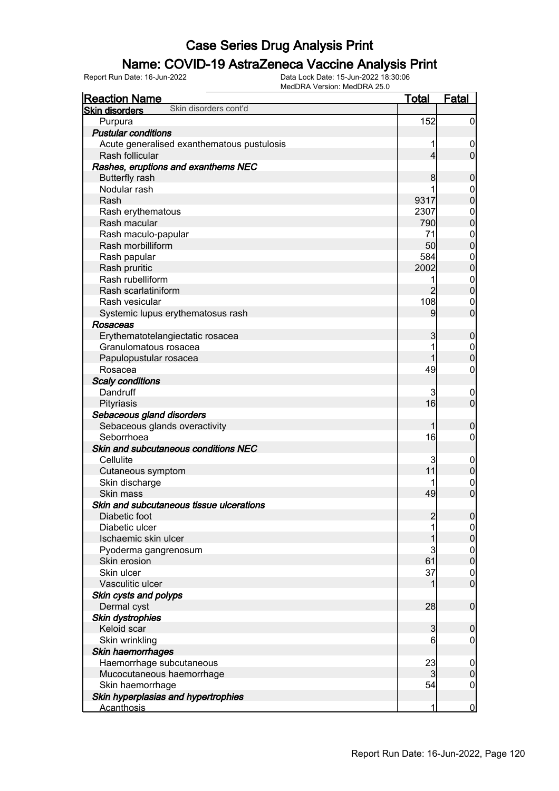#### Name: COVID-19 AstraZeneca Vaccine Analysis Print

|                                                | MedDRA Version: MedDRA 25.0 |                                                        |
|------------------------------------------------|-----------------------------|--------------------------------------------------------|
| <b>Reaction Name</b>                           | <b>Total</b>                | Fatal                                                  |
| Skin disorders cont'd<br><b>Skin disorders</b> |                             |                                                        |
| Purpura                                        | 152                         | $\mathbf 0$                                            |
| <b>Pustular conditions</b>                     |                             |                                                        |
| Acute generalised exanthematous pustulosis     |                             | $\overline{0}$                                         |
| Rash follicular                                |                             | $\overline{0}$<br>$\overline{4}$                       |
| Rashes, eruptions and exanthems NEC            |                             |                                                        |
| <b>Butterfly rash</b>                          |                             | $\boldsymbol{0}$<br>8                                  |
| Nodular rash                                   |                             | 1<br>$\mathbf 0$                                       |
| Rash                                           | 9317                        | $\overline{0}$                                         |
| Rash erythematous                              | 2307                        |                                                        |
| Rash macular                                   | 790                         | $0$<br>0                                               |
| Rash maculo-papular                            | 71                          |                                                        |
| Rash morbilliform                              | 50                          | $\begin{matrix} 0 \\ 0 \end{matrix}$                   |
| Rash papular                                   | 584                         |                                                        |
| Rash pruritic                                  | 2002                        | $0\atop 0$                                             |
| Rash rubelliform                               |                             | 1                                                      |
| Rash scarlatiniform                            |                             | $\begin{matrix} 0 \\ 0 \end{matrix}$<br>$\overline{2}$ |
| Rash vesicular                                 | 108                         | $\mathbf 0$                                            |
| Systemic lupus erythematosus rash              |                             | $\overline{0}$<br>9                                    |
| <b>Rosaceas</b>                                |                             |                                                        |
| Erythematotelangiectatic rosacea               |                             | 3<br>$\boldsymbol{0}$                                  |
| Granulomatous rosacea                          |                             | $\overline{0}$<br>1                                    |
| Papulopustular rosacea                         |                             | $\overline{0}$                                         |
| Rosacea                                        | 49                          | $\boldsymbol{0}$                                       |
| <b>Scaly conditions</b>                        |                             |                                                        |
| Dandruff                                       | 3                           | $\overline{0}$                                         |
| Pityriasis                                     | 16                          | $\overline{0}$                                         |
| Sebaceous gland disorders                      |                             |                                                        |
| Sebaceous glands overactivity                  |                             | 1<br>$\boldsymbol{0}$                                  |
| Seborrhoea                                     | 16                          | $\boldsymbol{0}$                                       |
| Skin and subcutaneous conditions NEC           |                             |                                                        |
| Cellulite                                      | 3                           | $\overline{0}$                                         |
| Cutaneous symptom                              | 11                          | $\mathbf 0$                                            |
| Skin discharge                                 |                             |                                                        |
| Skin mass                                      | 49                          | $\begin{matrix} 0 \\ 0 \end{matrix}$                   |
| Skin and subcutaneous tissue ulcerations       |                             |                                                        |
| Diabetic foot                                  | $\overline{2}$              | 0                                                      |
| Diabetic ulcer                                 |                             |                                                        |
| Ischaemic skin ulcer                           |                             | $\overline{0}$<br>$\mathbf 0$                          |
|                                                |                             | 3                                                      |
| Pyoderma gangrenosum<br>Skin erosion           | 61                          | $0\atop 0$                                             |
| Skin ulcer                                     |                             |                                                        |
|                                                | 37                          | $\mathbf 0$<br>$\overline{0}$                          |
| Vasculitic ulcer                               |                             |                                                        |
| Skin cysts and polyps                          |                             |                                                        |
| Dermal cyst                                    | 28                          | $\mathbf 0$                                            |
| Skin dystrophies                               |                             |                                                        |
| Keloid scar                                    |                             | $\mathbf{3}$<br>$\boldsymbol{0}$                       |
| Skin wrinkling                                 |                             | 6<br>0                                                 |
| Skin haemorrhages                              |                             |                                                        |
| Haemorrhage subcutaneous                       | 23                          | $\mathbf 0$                                            |
| Mucocutaneous haemorrhage                      |                             | $\mathbf 0$<br>3                                       |
| Skin haemorrhage                               | 54                          | 0                                                      |
| Skin hyperplasias and hypertrophies            |                             |                                                        |
| <b>Acanthosis</b>                              |                             | 1<br>$\overline{0}$                                    |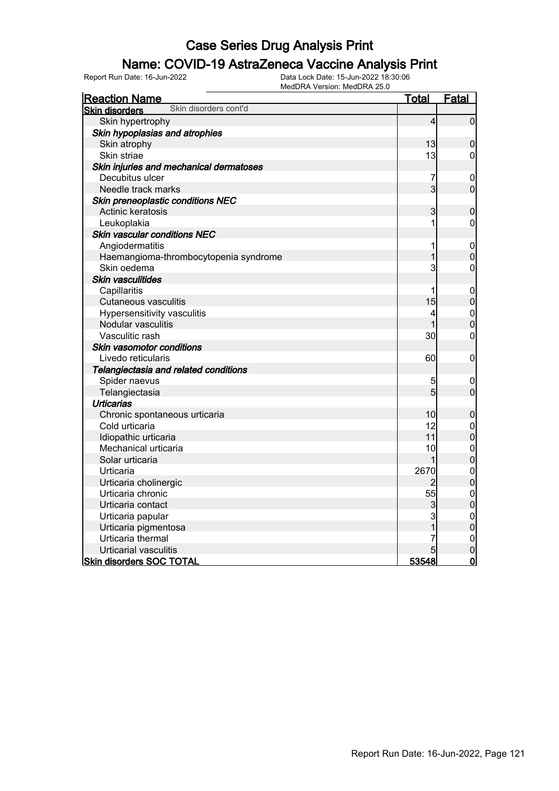#### Name: COVID-19 AstraZeneca Vaccine Analysis Print

| MedDRA Version: MedDRA 25.0             |                |                                  |
|-----------------------------------------|----------------|----------------------------------|
| <b>Reaction Name</b>                    | Total          | Fatal                            |
| Skin disorders cont'd<br>Skin disorders |                |                                  |
| Skin hypertrophy                        | 4              | $\overline{0}$                   |
| Skin hypoplasias and atrophies          |                |                                  |
| Skin atrophy                            | 13             | $\mathbf 0$                      |
| Skin striae                             | 13             | $\mathbf 0$                      |
| Skin injuries and mechanical dermatoses |                |                                  |
| Decubitus ulcer                         | 7              | 0                                |
| Needle track marks                      | $\overline{3}$ | $\overline{0}$                   |
| Skin preneoplastic conditions NEC       |                |                                  |
| Actinic keratosis                       | 3              | $\boldsymbol{0}$                 |
| Leukoplakia                             | 1              | $\overline{0}$                   |
| <b>Skin vascular conditions NEC</b>     |                |                                  |
| Angiodermatitis                         | 1              | $\mathbf 0$                      |
| Haemangioma-thrombocytopenia syndrome   | $\mathbf{1}$   | $\overline{0}$                   |
| Skin oedema                             | 3              | $\mathbf 0$                      |
| <b>Skin vasculitides</b>                |                |                                  |
| Capillaritis                            | 1              | $\boldsymbol{0}$                 |
| <b>Cutaneous vasculitis</b>             | 15             | $\overline{0}$                   |
| Hypersensitivity vasculitis             | 4              | $\mathbf{0}$                     |
| Nodular vasculitis                      | 1              | $\overline{0}$                   |
| Vasculitic rash                         | 30             | $\mathbf 0$                      |
| Skin vasomotor conditions               |                |                                  |
| Livedo reticularis                      | 60             | $\mathbf 0$                      |
| Telangiectasia and related conditions   |                |                                  |
| Spider naevus                           | 5              | $\mathbf 0$                      |
| Telangiectasia                          | 5              | $\overline{0}$                   |
| <b>Urticarias</b>                       |                |                                  |
| Chronic spontaneous urticaria           | 10             | $\boldsymbol{0}$                 |
| Cold urticaria                          | 12             | $\boldsymbol{0}$                 |
| Idiopathic urticaria                    | 11             | $\overline{0}$                   |
| Mechanical urticaria                    | 10             | $\begin{matrix}0\\0\end{matrix}$ |
| Solar urticaria                         | 1              |                                  |
| Urticaria                               | 2670           | $\mathbf 0$                      |
| Urticaria cholinergic                   | 2              | $\overline{0}$                   |
| Urticaria chronic                       | 55             | $\mathbf{0}$                     |
| Urticaria contact                       | 3              | $\overline{0}$                   |
| Urticaria papular                       | 3              | $\mathbf{0}$                     |
| Urticaria pigmentosa                    | 1              | $\overline{0}$                   |
| Urticaria thermal                       | 7              | $\mathbf{0}$                     |
| Urticarial vasculitis                   | 5              | $\overline{0}$                   |
| <b>Skin disorders SOC TOTAL</b>         | 53548          | $\mathbf 0$                      |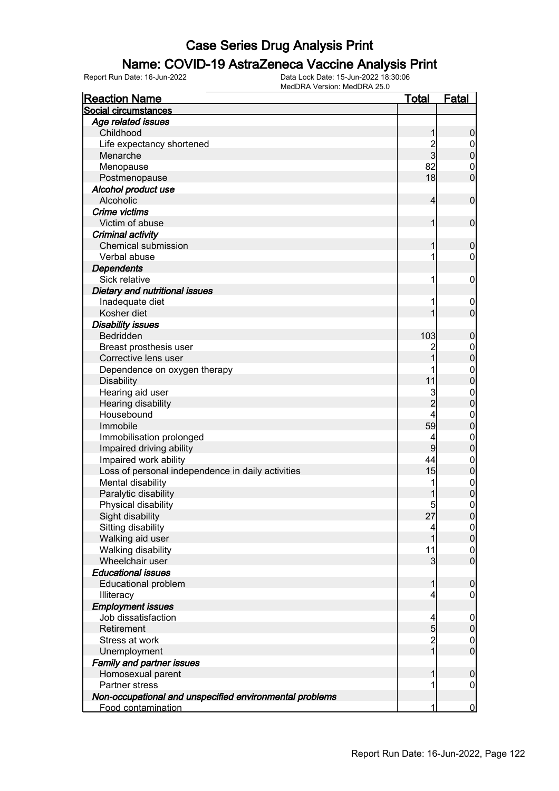#### Name: COVID-19 AstraZeneca Vaccine Analysis Print

Report Run Date: 16-Jun-2022 Data Lock Date: 15-Jun-2022 18:30:06

MedDRA Version: MedDRA 25.0

| <b>Reaction Name</b>                                    | <b>Total</b>   | <b>Fatal</b>     |
|---------------------------------------------------------|----------------|------------------|
| Social circumstances                                    |                |                  |
| Age related issues                                      |                |                  |
| Childhood                                               | 1              | $\boldsymbol{0}$ |
| Life expectancy shortened                               | $\frac{2}{3}$  | $\mathbf 0$      |
| Menarche                                                |                | $\mathbf 0$      |
| Menopause                                               | 82             | $\boldsymbol{0}$ |
| Postmenopause                                           | 18             | $\overline{0}$   |
| Alcohol product use                                     |                |                  |
| Alcoholic                                               | $\overline{4}$ | $\boldsymbol{0}$ |
| Crime victims                                           |                |                  |
| Victim of abuse                                         | 1              | $\mathbf 0$      |
| Criminal activity                                       |                |                  |
| <b>Chemical submission</b>                              | 1              | $\mathbf 0$      |
| Verbal abuse                                            | 1              | $\boldsymbol{0}$ |
| <b>Dependents</b>                                       |                |                  |
| Sick relative                                           | 1              | $\boldsymbol{0}$ |
| Dietary and nutritional issues                          |                |                  |
| Inadequate diet                                         | 1              | $\mathbf 0$      |
| Kosher diet                                             | 1              | $\mathbf 0$      |
| <b>Disability issues</b>                                |                |                  |
| Bedridden                                               | 103            | $\boldsymbol{0}$ |
| Breast prosthesis user                                  |                | $\boldsymbol{0}$ |
| Corrective lens user                                    | 1              | $\overline{0}$   |
| Dependence on oxygen therapy                            |                |                  |
| <b>Disability</b>                                       | 11             | $0\atop 0$       |
| Hearing aid user                                        |                | $\mathbf{0}$     |
| Hearing disability                                      | 3<br>2         | $\overline{0}$   |
| Housebound                                              | 4              | $\mathbf{0}$     |
| Immobile                                                | 59             | $\overline{0}$   |
| Immobilisation prolonged                                | 4              | $\mathbf{0}$     |
| Impaired driving ability                                | 9              | $\overline{0}$   |
| Impaired work ability                                   | 44             |                  |
| Loss of personal independence in daily activities       | 15             | $0$<br>0         |
| Mental disability                                       | 1              |                  |
| Paralytic disability                                    | 1              | $0\atop 0$       |
| Physical disability                                     | 5              | $\mathbf 0$      |
| Sight disability                                        | 27             | 0                |
| Sitting disability                                      | 4              | $\overline{0}$   |
| Walking aid user                                        | 1              | $\mathbf 0$      |
| Walking disability                                      | 11             | $\boldsymbol{0}$ |
| Wheelchair user                                         | $\overline{3}$ | $\overline{0}$   |
| <b>Educational issues</b>                               |                |                  |
| <b>Educational problem</b>                              | 1              | $\boldsymbol{0}$ |
| Illiteracy                                              | 4              | $\mathbf 0$      |
| <b>Employment issues</b>                                |                |                  |
| Job dissatisfaction                                     | 4              | $\mathbf 0$      |
| Retirement                                              | $\overline{5}$ | $\pmb{0}$        |
| Stress at work                                          | $\frac{2}{1}$  | $\boldsymbol{0}$ |
| Unemployment                                            |                | $\mathbf 0$      |
| <b>Family and partner issues</b>                        |                |                  |
| Homosexual parent                                       | 1              | $\boldsymbol{0}$ |
| Partner stress                                          | 1              | $\mathbf 0$      |
| Non-occupational and unspecified environmental problems |                |                  |
| Food contamination                                      | 1              | $\overline{0}$   |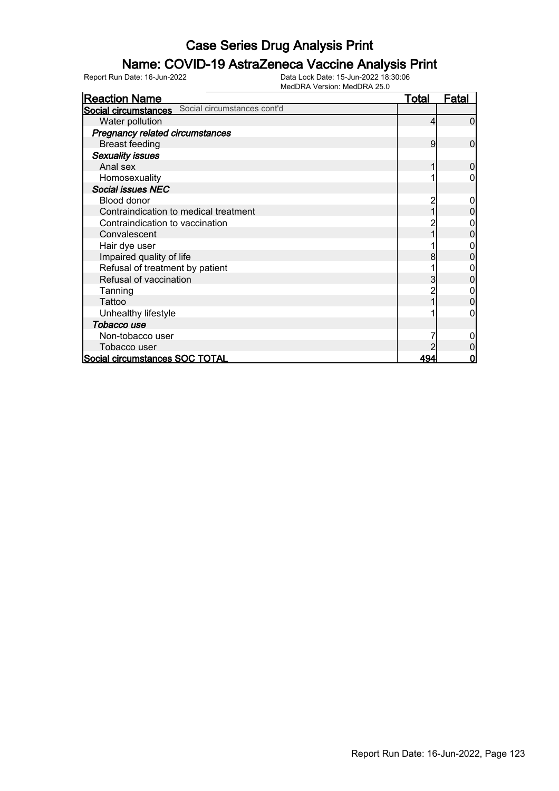#### Name: COVID-19 AstraZeneca Vaccine Analysis Print

| <b>Reaction Name</b>                                    | <u>Total</u> | Fatal |
|---------------------------------------------------------|--------------|-------|
| <b>Social circumstances</b> Social circumstances cont'd |              |       |
| Water pollution                                         | 4            | 0     |
| Pregnancy related circumstances                         |              |       |
| <b>Breast feeding</b>                                   | 9            | 0     |
| <b>Sexuality issues</b>                                 |              |       |
| Anal sex                                                |              | 0     |
| Homosexuality                                           |              |       |
| <b>Social issues NEC</b>                                |              |       |
| <b>Blood donor</b>                                      |              |       |
| Contraindication to medical treatment                   |              |       |
| Contraindication to vaccination                         |              |       |
| Convalescent                                            |              |       |
| Hair dye user                                           |              |       |
| Impaired quality of life                                | 8            |       |
| Refusal of treatment by patient                         |              |       |
| Refusal of vaccination                                  |              |       |
| Tanning                                                 |              |       |
| Tattoo                                                  |              |       |
| Unhealthy lifestyle                                     |              |       |
| Tobacco use                                             |              |       |
| Non-tobacco user                                        |              |       |
| Tobacco user                                            |              |       |
| Social circumstances SOC TOTAL                          | 494          | ი     |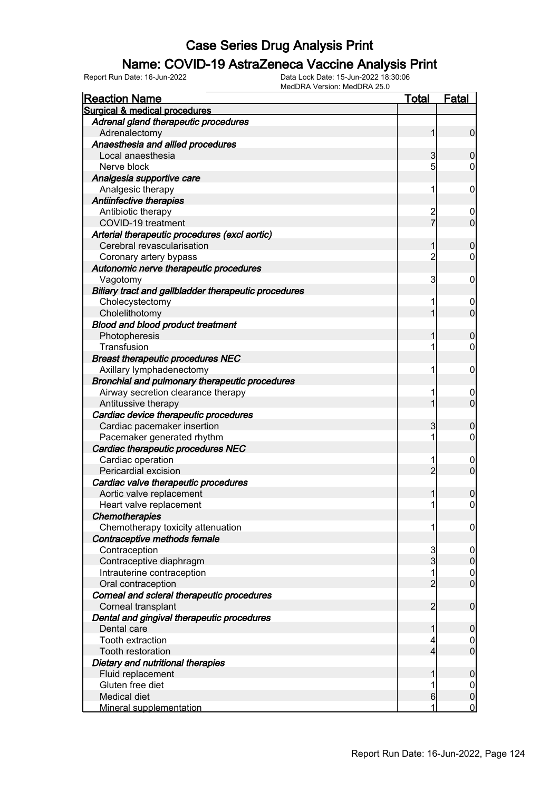#### Name: COVID-19 AstraZeneca Vaccine Analysis Print

| <b>Reaction Name</b>                                             | <u>Total</u>    | <u>Fatal</u>               |
|------------------------------------------------------------------|-----------------|----------------------------|
| Surgical & medical procedures                                    |                 |                            |
| Adrenal gland therapeutic procedures                             |                 |                            |
| Adrenalectomy                                                    | 1               | $\overline{0}$             |
| Anaesthesia and allied procedures                                |                 |                            |
| Local anaesthesia                                                | 3               | 0                          |
| Nerve block                                                      | $5\overline{)}$ | 0                          |
| Analgesia supportive care                                        |                 |                            |
| Analgesic therapy                                                | 1               | $\mathbf 0$                |
| <b>Antiinfective therapies</b>                                   |                 |                            |
| Antibiotic therapy                                               | $\overline{c}$  | 0                          |
| COVID-19 treatment                                               | $\overline{7}$  | $\overline{0}$             |
| Arterial therapeutic procedures (excl aortic)                    |                 |                            |
| Cerebral revascularisation                                       | 1               | 0                          |
| Coronary artery bypass                                           | $\overline{2}$  | 0                          |
| Autonomic nerve therapeutic procedures                           |                 |                            |
| Vagotomy                                                         | 3               | $\mathbf 0$                |
| Biliary tract and gallbladder therapeutic procedures             |                 |                            |
| Cholecystectomy                                                  | 1               | $\overline{0}$             |
| Cholelithotomy                                                   | 1               | $\overline{0}$             |
| <b>Blood and blood product treatment</b>                         |                 |                            |
| Photopheresis                                                    |                 | 0                          |
| Transfusion                                                      | 1               | 0                          |
| <b>Breast therapeutic procedures NEC</b>                         |                 |                            |
| Axillary lymphadenectomy                                         | 1               | $\mathbf 0$                |
| Bronchial and pulmonary therapeutic procedures                   |                 |                            |
| Airway secretion clearance therapy                               | 1               | 0                          |
| Antitussive therapy                                              | 1               | $\overline{0}$             |
| Cardiac device therapeutic procedures                            |                 |                            |
| Cardiac pacemaker insertion                                      | 3               | 0                          |
| Pacemaker generated rhythm                                       | 1               | 0                          |
| Cardiac therapeutic procedures NEC                               |                 |                            |
| Cardiac operation                                                | 1               | $\overline{0}$             |
| Pericardial excision                                             | $\overline{2}$  | $\overline{0}$             |
| Cardiac valve therapeutic procedures                             |                 |                            |
| Aortic valve replacement                                         |                 | 0                          |
| Heart valve replacement                                          | 1               | 0                          |
| Chemotherapies                                                   |                 |                            |
| Chemotherapy toxicity attenuation                                | 1               | $\boldsymbol{0}$           |
| Contraceptive methods female                                     |                 |                            |
| Contraception                                                    | 3               | $\boldsymbol{0}$           |
| Contraceptive diaphragm                                          | 3<br>1          | $\boldsymbol{0}$           |
| Intrauterine contraception                                       | $\overline{2}$  | $\mathbf 0$<br>$\mathbf 0$ |
| Oral contraception                                               |                 |                            |
| Corneal and scleral therapeutic procedures<br>Corneal transplant | $\overline{2}$  | $\boldsymbol{0}$           |
| Dental and gingival therapeutic procedures                       |                 |                            |
| Dental care                                                      | 1               | $\boldsymbol{0}$           |
| <b>Tooth extraction</b>                                          | 4               | $\boldsymbol{0}$           |
| <b>Tooth restoration</b>                                         | 4               | $\mathbf 0$                |
| Dietary and nutritional therapies                                |                 |                            |
| Fluid replacement                                                |                 | $\boldsymbol{0}$           |
| Gluten free diet                                                 | 1               | 0                          |
| <b>Medical diet</b>                                              | 6               | 0                          |
| <b>Mineral supplementation</b>                                   | 1               | $\overline{0}$             |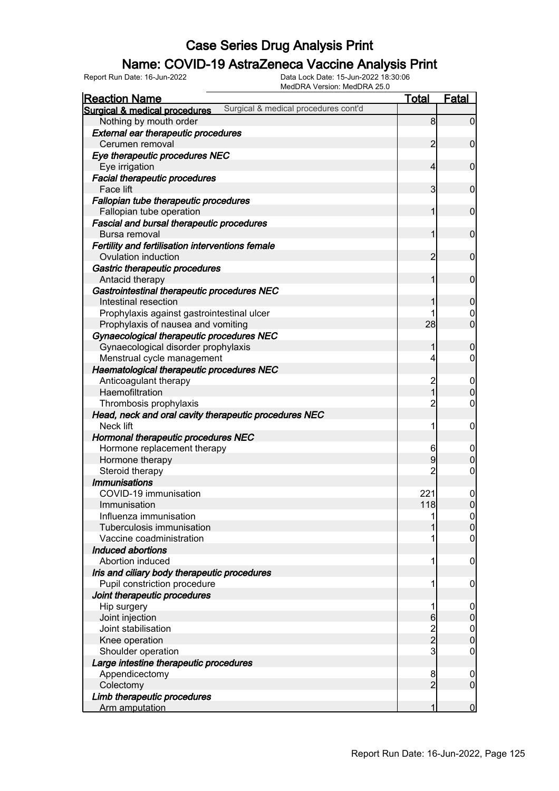#### Name: COVID-19 AstraZeneca Vaccine Analysis Print

| MedDRA Version: MedDRA 25.0                                                      |                         |                  |
|----------------------------------------------------------------------------------|-------------------------|------------------|
| <b>Reaction Name</b>                                                             | <u>Total</u>            | Fatal            |
| Surgical & medical procedures cont'd<br><b>Surgical &amp; medical procedures</b> |                         |                  |
| Nothing by mouth order                                                           | 8                       | $\overline{0}$   |
| <b>External ear therapeutic procedures</b>                                       |                         |                  |
| Cerumen removal                                                                  | $\overline{2}$          | $\overline{0}$   |
| Eye therapeutic procedures NEC                                                   |                         |                  |
| Eye irrigation                                                                   | $\overline{4}$          | $\mathbf 0$      |
| <b>Facial therapeutic procedures</b>                                             |                         |                  |
| Face lift                                                                        | $\overline{3}$          | $\mathbf 0$      |
| Fallopian tube therapeutic procedures                                            |                         |                  |
| Fallopian tube operation                                                         | 1                       | $\mathbf 0$      |
| Fascial and bursal therapeutic procedures                                        |                         |                  |
| Bursa removal                                                                    | 1                       | $\mathbf 0$      |
| Fertility and fertilisation interventions female                                 |                         |                  |
| Ovulation induction                                                              | $\overline{2}$          | $\mathbf 0$      |
| Gastric therapeutic procedures                                                   |                         |                  |
| Antacid therapy                                                                  | 1                       | $\mathbf 0$      |
| Gastrointestinal therapeutic procedures NEC                                      |                         |                  |
| Intestinal resection                                                             |                         | $\mathbf 0$      |
| Prophylaxis against gastrointestinal ulcer                                       |                         | $\overline{0}$   |
| Prophylaxis of nausea and vomiting                                               | 28                      | $\overline{0}$   |
| Gynaecological therapeutic procedures NEC                                        |                         |                  |
| Gynaecological disorder prophylaxis                                              | 1                       | $\mathbf 0$      |
| Menstrual cycle management                                                       | 4                       | $\mathbf 0$      |
| Haematological therapeutic procedures NEC                                        |                         |                  |
| Anticoagulant therapy                                                            | $\overline{\mathbf{c}}$ | $\overline{0}$   |
| Haemofiltration                                                                  | $\overline{1}$          | $\mathbf 0$      |
| Thrombosis prophylaxis                                                           | $\overline{c}$          | $\boldsymbol{0}$ |
| Head, neck and oral cavity therapeutic procedures NEC                            |                         |                  |
| Neck lift                                                                        | 1                       | $\mathbf 0$      |
| Hormonal therapeutic procedures NEC                                              |                         |                  |
| Hormone replacement therapy                                                      | 6                       | $\overline{0}$   |
| Hormone therapy                                                                  | 9                       | $\mathbf 0$      |
| Steroid therapy                                                                  | $\overline{c}$          | $\mathbf 0$      |
| <b>Immunisations</b>                                                             |                         |                  |
| COVID-19 immunisation                                                            | 221                     | $\mathbf 0$      |
| Immunisation                                                                     | 118                     | $\overline{0}$   |
| Influenza immunisation                                                           |                         | $\overline{0}$   |
| Tuberculosis immunisation                                                        |                         | $\overline{0}$   |
| Vaccine coadministration                                                         |                         | 0                |
| Induced abortions                                                                |                         |                  |
| Abortion induced                                                                 |                         | $\mathbf 0$      |
| Iris and ciliary body therapeutic procedures                                     |                         |                  |
| Pupil constriction procedure                                                     |                         | $\mathbf 0$      |
| Joint therapeutic procedures                                                     |                         |                  |
| Hip surgery                                                                      |                         | $\mathbf 0$      |
| Joint injection                                                                  | $6 \,$                  | $\mathbf 0$      |
| Joint stabilisation                                                              |                         | $\boldsymbol{0}$ |
| Knee operation                                                                   | $\frac{2}{2}$           | $\overline{0}$   |
| Shoulder operation                                                               | 3                       | 0                |
| Large intestine therapeutic procedures                                           |                         |                  |
| Appendicectomy                                                                   | 8                       | 0                |
| Colectomy                                                                        | $\overline{2}$          | $\overline{0}$   |
| Limb therapeutic procedures                                                      |                         |                  |
| Arm amputation                                                                   |                         | $\overline{0}$   |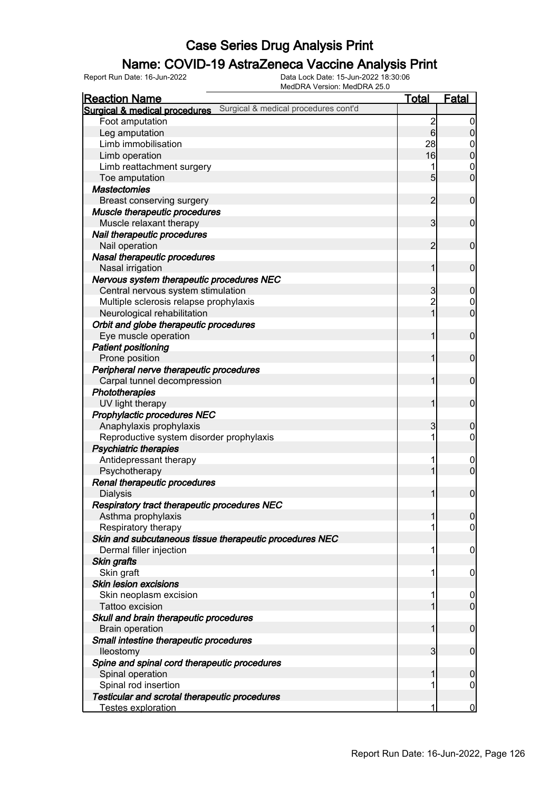#### Name: COVID-19 AstraZeneca Vaccine Analysis Print

| <b>Reaction Name</b>                                    | <b>Total</b>                         |                  | Fatal          |
|---------------------------------------------------------|--------------------------------------|------------------|----------------|
| Surgical & medical procedures                           | Surgical & medical procedures cont'd |                  |                |
| Foot amputation                                         |                                      | $\overline{c}$   | 0              |
| Leg amputation                                          |                                      | $6 \overline{6}$ | $\mathbf 0$    |
| Limb immobilisation                                     |                                      | 28               | 0              |
| Limb operation                                          |                                      | 16               | $\overline{0}$ |
| Limb reattachment surgery                               |                                      |                  | $\mathbf 0$    |
| Toe amputation                                          |                                      | 5                | $\overline{0}$ |
| <b>Mastectomies</b>                                     |                                      |                  |                |
| Breast conserving surgery                               |                                      | $\overline{2}$   | $\mathbf 0$    |
| Muscle therapeutic procedures                           |                                      |                  |                |
|                                                         |                                      |                  |                |
| Muscle relaxant therapy                                 |                                      | 3                | $\mathbf 0$    |
| Nail therapeutic procedures                             |                                      |                  |                |
| Nail operation                                          |                                      | 2                | $\mathbf 0$    |
| Nasal therapeutic procedures                            |                                      |                  |                |
| Nasal irrigation                                        |                                      | 1                | $\mathbf 0$    |
| Nervous system therapeutic procedures NEC               |                                      |                  |                |
| Central nervous system stimulation                      |                                      | 3                | $\mathbf 0$    |
| Multiple sclerosis relapse prophylaxis                  |                                      | $\overline{2}$   | 0              |
| Neurological rehabilitation                             |                                      | 1                | $\overline{0}$ |
| Orbit and globe therapeutic procedures                  |                                      |                  |                |
| Eye muscle operation                                    |                                      | 1                | $\mathbf 0$    |
| <b>Patient positioning</b>                              |                                      |                  |                |
| Prone position                                          |                                      | 1                | $\mathbf 0$    |
| Peripheral nerve therapeutic procedures                 |                                      |                  |                |
| Carpal tunnel decompression                             |                                      | 1                | $\mathbf 0$    |
| Phototherapies                                          |                                      |                  |                |
| UV light therapy                                        |                                      | 1                | $\mathbf 0$    |
| Prophylactic procedures NEC                             |                                      |                  |                |
| Anaphylaxis prophylaxis                                 |                                      | 3                | $\mathbf 0$    |
| Reproductive system disorder prophylaxis                |                                      |                  | 0              |
| <b>Psychiatric therapies</b>                            |                                      |                  |                |
| Antidepressant therapy                                  |                                      |                  | 0              |
| Psychotherapy                                           |                                      |                  | $\overline{0}$ |
| Renal therapeutic procedures                            |                                      |                  |                |
| <b>Dialysis</b>                                         |                                      | 1                | $\mathbf{0}$   |
| Respiratory tract therapeutic procedures NEC            |                                      |                  |                |
|                                                         |                                      |                  |                |
| Asthma prophylaxis                                      |                                      |                  | $\overline{0}$ |
| Respiratory therapy                                     |                                      |                  | 0              |
| Skin and subcutaneous tissue therapeutic procedures NEC |                                      |                  |                |
| Dermal filler injection                                 |                                      | 1                | $\mathbf 0$    |
| <b>Skin grafts</b>                                      |                                      |                  |                |
| Skin graft                                              |                                      | 1                | $\mathbf 0$    |
| <b>Skin lesion excisions</b>                            |                                      |                  |                |
| Skin neoplasm excision                                  |                                      |                  | 0              |
| Tattoo excision                                         |                                      |                  | $\mathbf 0$    |
| Skull and brain therapeutic procedures                  |                                      |                  |                |
| <b>Brain operation</b>                                  |                                      | 1                | $\mathbf 0$    |
| Small intestine therapeutic procedures                  |                                      |                  |                |
| lleostomy                                               |                                      | 3                | $\mathbf 0$    |
| Spine and spinal cord therapeutic procedures            |                                      |                  |                |
| Spinal operation                                        |                                      |                  | $\mathbf 0$    |
| Spinal rod insertion                                    |                                      |                  | $\mathbf 0$    |
| Testicular and scrotal therapeutic procedures           |                                      |                  |                |
| Testes exploration                                      |                                      | 1                | $\bf{0}$       |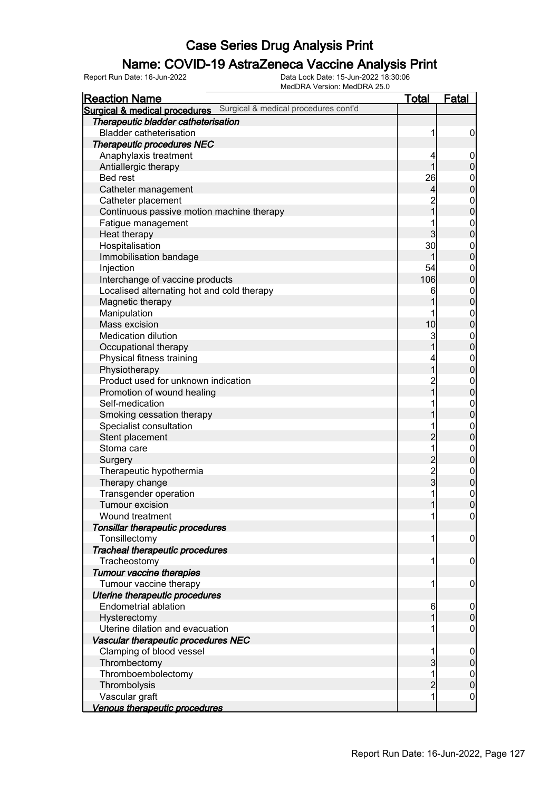#### Name: COVID-19 AstraZeneca Vaccine Analysis Print

|                                                                               | MedDRA Version: MedDRA 25.0 |                                 |
|-------------------------------------------------------------------------------|-----------------------------|---------------------------------|
| <b>Reaction Name</b>                                                          | <b>Total</b>                | <b>Fatal</b>                    |
| <b>Surgical &amp; medical procedures</b> Surgical & medical procedures cont'd |                             |                                 |
| Therapeutic bladder catheterisation                                           |                             |                                 |
| <b>Bladder catheterisation</b>                                                | 1                           | $\overline{0}$                  |
| <b>Therapeutic procedures NEC</b>                                             |                             |                                 |
| Anaphylaxis treatment                                                         | 4                           | $\mathbf 0$                     |
| Antiallergic therapy                                                          |                             | $\pmb{0}$                       |
| <b>Bed rest</b>                                                               | 26                          | $0\atop 0$                      |
| Catheter management                                                           | 4                           |                                 |
| Catheter placement                                                            |                             | $0$<br>0                        |
| Continuous passive motion machine therapy                                     | $\overline{1}$              |                                 |
| Fatigue management                                                            |                             | $\boldsymbol{0}$                |
| Heat therapy                                                                  | 3                           | $\mathbf 0$                     |
| Hospitalisation                                                               | 30                          | $\boldsymbol{0}$                |
| Immobilisation bandage                                                        |                             | $\overline{0}$                  |
| Injection                                                                     | 54                          | $\boldsymbol{0}$                |
| Interchange of vaccine products                                               | 106                         | $\mathbf 0$                     |
| Localised alternating hot and cold therapy                                    | 6                           | $\boldsymbol{0}$                |
| Magnetic therapy                                                              |                             | $\mathbf 0$                     |
| Manipulation                                                                  |                             | $\overline{0}$                  |
| Mass excision                                                                 | 10                          | $\boldsymbol{0}$                |
| <b>Medication dilution</b>                                                    | 3 <sup>1</sup>              | $\boldsymbol{0}$                |
| Occupational therapy                                                          |                             | $\mathbf 0$                     |
| Physical fitness training                                                     | 4                           | $\boldsymbol{0}$                |
| Physiotherapy                                                                 | 1                           | $\mathbf 0$                     |
| Product used for unknown indication                                           | $\overline{c}$              | $\boldsymbol{0}$                |
| Promotion of wound healing                                                    | 1                           | $\mathbf 0$                     |
| Self-medication                                                               |                             | $\boldsymbol{0}$                |
| Smoking cessation therapy                                                     |                             | $\mathbf 0$                     |
| Specialist consultation                                                       |                             | $\boldsymbol{0}$                |
| Stent placement                                                               | $\overline{c}$              | $\mathbf 0$                     |
| Stoma care                                                                    | 1                           | $\boldsymbol{0}$                |
| Surgery                                                                       | $\overline{c}$              | $\mathbf 0$                     |
| Therapeutic hypothermia<br>Therapy change                                     | $\frac{2}{3}$               | $\boldsymbol{0}$<br>$\mathbf 0$ |
| Transgender operation                                                         |                             |                                 |
| Tumour excision                                                               | 1                           | $\mathbf 0$<br>$\overline{0}$   |
| Wound treatment                                                               |                             | $\overline{0}$                  |
|                                                                               |                             |                                 |
| Tonsillar therapeutic procedures<br>Tonsillectomy                             |                             | $\boldsymbol{0}$                |
| Tracheal therapeutic procedures                                               |                             |                                 |
| Tracheostomy                                                                  | 1                           | $\mathbf 0$                     |
| <b>Tumour vaccine therapies</b>                                               |                             |                                 |
| Tumour vaccine therapy                                                        |                             | $\mathbf 0$                     |
| Uterine therapeutic procedures                                                |                             |                                 |
| Endometrial ablation                                                          | 6                           | $\boldsymbol{0}$                |
| Hysterectomy                                                                  |                             | $\overline{0}$                  |
| Uterine dilation and evacuation                                               |                             | 0                               |
| Vascular therapeutic procedures NEC                                           |                             |                                 |
| Clamping of blood vessel                                                      |                             | 0                               |
| Thrombectomy                                                                  | 3                           | $\mathbf 0$                     |
| Thromboembolectomy                                                            |                             | 0                               |
| Thrombolysis                                                                  | $\overline{2}$              | $\mathbf 0$                     |
| Vascular graft                                                                | 1                           | $\mathbf 0$                     |
| <b>Venous therapeutic procedures</b>                                          |                             |                                 |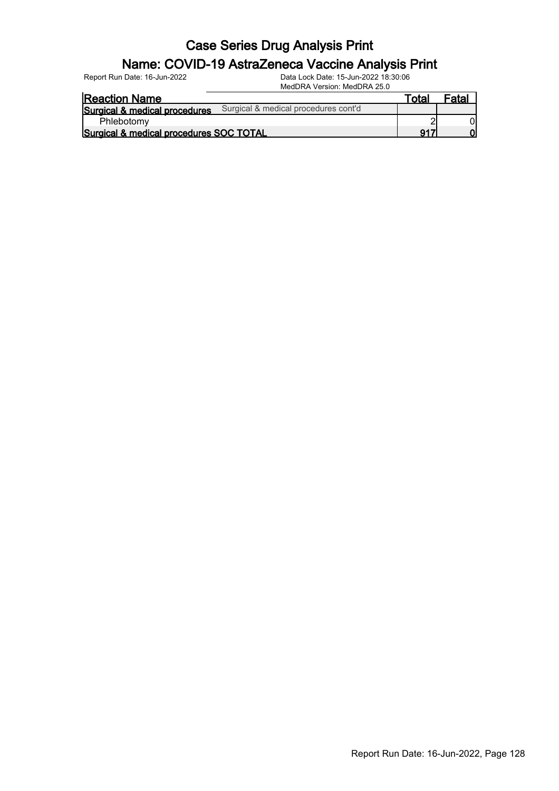#### Name: COVID-19 AstraZeneca Vaccine Analysis Print

|                                         | MedDRA Version: MedDRA 25.0          |       |       |
|-----------------------------------------|--------------------------------------|-------|-------|
| <b>Reaction Name</b>                    |                                      | Total | Fatal |
| Surgical & medical procedures           | Surgical & medical procedures cont'd |       |       |
| Phlebotomy                              |                                      |       |       |
| Surgical & medical procedures SOC TOTAL |                                      | 017   |       |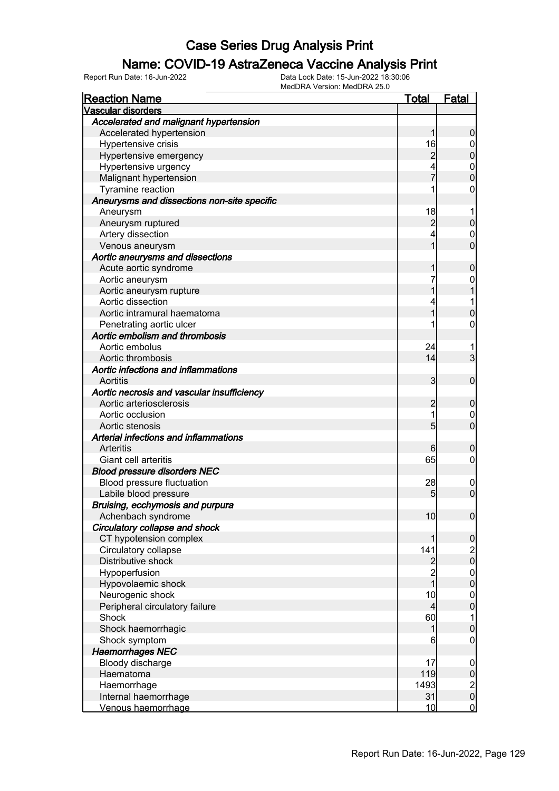#### Name: COVID-19 AstraZeneca Vaccine Analysis Print

| <b>Vascular disorders</b><br>Accelerated and malignant hypertension<br>Accelerated hypertension<br>1<br>0<br>16<br>Hypertensive crisis<br>0<br>$\overline{c}$<br>$\mathbf 0$<br>Hypertensive emergency<br>Hypertensive urgency<br>$\mathbf{0}$<br>$\overline{0}$<br>7<br>Malignant hypertension<br>Tyramine reaction<br>0<br>Aneurysms and dissections non-site specific<br>18<br>Aneurysm<br>1<br>Aneurysm ruptured<br>$\overline{c}$<br>$\mathbf 0$<br>Artery dissection<br>4<br>$\mathbf 0$<br>$\overline{0}$<br>1<br>Venous aneurysm<br>Aortic aneurysms and dissections<br>Acute aortic syndrome<br>0<br>7<br>Aortic aneurysm<br>0<br>Aortic aneurysm rupture<br>Aortic dissection<br>1<br>4<br>Aortic intramural haematoma<br>1<br>$\mathbf 0$<br>Penetrating aortic ulcer<br>0<br>Aortic embolism and thrombosis<br>Aortic embolus<br>24<br>1<br>3<br>14<br>Aortic thrombosis<br>Aortic infections and inflammations<br>3<br>$\mathbf 0$<br>Aortitis<br>Aortic necrosis and vascular insufficiency<br>Aortic arteriosclerosis<br>2<br>$\boldsymbol{0}$<br>1<br>Aortic occlusion<br>$\mathbf 0$<br>$\overline{0}$<br>5<br>Aortic stenosis<br>Arterial infections and inflammations<br>Arteritis<br>0<br>6<br>65<br>Giant cell arteritis<br>0<br><b>Blood pressure disorders NEC</b><br>Blood pressure fluctuation<br>28<br>$\mathbf 0$<br>$\mathbf 0$<br>Labile blood pressure<br>5<br>Bruising, ecchymosis and purpura<br>Achenbach syndrome<br>10<br> 0 <br>Circulatory collapse and shock<br>CT hypotension complex<br>$\boldsymbol{0}$ |
|--------------------------------------------------------------------------------------------------------------------------------------------------------------------------------------------------------------------------------------------------------------------------------------------------------------------------------------------------------------------------------------------------------------------------------------------------------------------------------------------------------------------------------------------------------------------------------------------------------------------------------------------------------------------------------------------------------------------------------------------------------------------------------------------------------------------------------------------------------------------------------------------------------------------------------------------------------------------------------------------------------------------------------------------------------------------------------------------------------------------------------------------------------------------------------------------------------------------------------------------------------------------------------------------------------------------------------------------------------------------------------------------------------------------------------------------------------------------------------------------------------------------------------------------------|
|                                                                                                                                                                                                                                                                                                                                                                                                                                                                                                                                                                                                                                                                                                                                                                                                                                                                                                                                                                                                                                                                                                                                                                                                                                                                                                                                                                                                                                                                                                                                                  |
|                                                                                                                                                                                                                                                                                                                                                                                                                                                                                                                                                                                                                                                                                                                                                                                                                                                                                                                                                                                                                                                                                                                                                                                                                                                                                                                                                                                                                                                                                                                                                  |
|                                                                                                                                                                                                                                                                                                                                                                                                                                                                                                                                                                                                                                                                                                                                                                                                                                                                                                                                                                                                                                                                                                                                                                                                                                                                                                                                                                                                                                                                                                                                                  |
|                                                                                                                                                                                                                                                                                                                                                                                                                                                                                                                                                                                                                                                                                                                                                                                                                                                                                                                                                                                                                                                                                                                                                                                                                                                                                                                                                                                                                                                                                                                                                  |
|                                                                                                                                                                                                                                                                                                                                                                                                                                                                                                                                                                                                                                                                                                                                                                                                                                                                                                                                                                                                                                                                                                                                                                                                                                                                                                                                                                                                                                                                                                                                                  |
|                                                                                                                                                                                                                                                                                                                                                                                                                                                                                                                                                                                                                                                                                                                                                                                                                                                                                                                                                                                                                                                                                                                                                                                                                                                                                                                                                                                                                                                                                                                                                  |
|                                                                                                                                                                                                                                                                                                                                                                                                                                                                                                                                                                                                                                                                                                                                                                                                                                                                                                                                                                                                                                                                                                                                                                                                                                                                                                                                                                                                                                                                                                                                                  |
|                                                                                                                                                                                                                                                                                                                                                                                                                                                                                                                                                                                                                                                                                                                                                                                                                                                                                                                                                                                                                                                                                                                                                                                                                                                                                                                                                                                                                                                                                                                                                  |
|                                                                                                                                                                                                                                                                                                                                                                                                                                                                                                                                                                                                                                                                                                                                                                                                                                                                                                                                                                                                                                                                                                                                                                                                                                                                                                                                                                                                                                                                                                                                                  |
|                                                                                                                                                                                                                                                                                                                                                                                                                                                                                                                                                                                                                                                                                                                                                                                                                                                                                                                                                                                                                                                                                                                                                                                                                                                                                                                                                                                                                                                                                                                                                  |
|                                                                                                                                                                                                                                                                                                                                                                                                                                                                                                                                                                                                                                                                                                                                                                                                                                                                                                                                                                                                                                                                                                                                                                                                                                                                                                                                                                                                                                                                                                                                                  |
|                                                                                                                                                                                                                                                                                                                                                                                                                                                                                                                                                                                                                                                                                                                                                                                                                                                                                                                                                                                                                                                                                                                                                                                                                                                                                                                                                                                                                                                                                                                                                  |
|                                                                                                                                                                                                                                                                                                                                                                                                                                                                                                                                                                                                                                                                                                                                                                                                                                                                                                                                                                                                                                                                                                                                                                                                                                                                                                                                                                                                                                                                                                                                                  |
|                                                                                                                                                                                                                                                                                                                                                                                                                                                                                                                                                                                                                                                                                                                                                                                                                                                                                                                                                                                                                                                                                                                                                                                                                                                                                                                                                                                                                                                                                                                                                  |
|                                                                                                                                                                                                                                                                                                                                                                                                                                                                                                                                                                                                                                                                                                                                                                                                                                                                                                                                                                                                                                                                                                                                                                                                                                                                                                                                                                                                                                                                                                                                                  |
|                                                                                                                                                                                                                                                                                                                                                                                                                                                                                                                                                                                                                                                                                                                                                                                                                                                                                                                                                                                                                                                                                                                                                                                                                                                                                                                                                                                                                                                                                                                                                  |
|                                                                                                                                                                                                                                                                                                                                                                                                                                                                                                                                                                                                                                                                                                                                                                                                                                                                                                                                                                                                                                                                                                                                                                                                                                                                                                                                                                                                                                                                                                                                                  |
|                                                                                                                                                                                                                                                                                                                                                                                                                                                                                                                                                                                                                                                                                                                                                                                                                                                                                                                                                                                                                                                                                                                                                                                                                                                                                                                                                                                                                                                                                                                                                  |
|                                                                                                                                                                                                                                                                                                                                                                                                                                                                                                                                                                                                                                                                                                                                                                                                                                                                                                                                                                                                                                                                                                                                                                                                                                                                                                                                                                                                                                                                                                                                                  |
|                                                                                                                                                                                                                                                                                                                                                                                                                                                                                                                                                                                                                                                                                                                                                                                                                                                                                                                                                                                                                                                                                                                                                                                                                                                                                                                                                                                                                                                                                                                                                  |
|                                                                                                                                                                                                                                                                                                                                                                                                                                                                                                                                                                                                                                                                                                                                                                                                                                                                                                                                                                                                                                                                                                                                                                                                                                                                                                                                                                                                                                                                                                                                                  |
|                                                                                                                                                                                                                                                                                                                                                                                                                                                                                                                                                                                                                                                                                                                                                                                                                                                                                                                                                                                                                                                                                                                                                                                                                                                                                                                                                                                                                                                                                                                                                  |
|                                                                                                                                                                                                                                                                                                                                                                                                                                                                                                                                                                                                                                                                                                                                                                                                                                                                                                                                                                                                                                                                                                                                                                                                                                                                                                                                                                                                                                                                                                                                                  |
|                                                                                                                                                                                                                                                                                                                                                                                                                                                                                                                                                                                                                                                                                                                                                                                                                                                                                                                                                                                                                                                                                                                                                                                                                                                                                                                                                                                                                                                                                                                                                  |
|                                                                                                                                                                                                                                                                                                                                                                                                                                                                                                                                                                                                                                                                                                                                                                                                                                                                                                                                                                                                                                                                                                                                                                                                                                                                                                                                                                                                                                                                                                                                                  |
|                                                                                                                                                                                                                                                                                                                                                                                                                                                                                                                                                                                                                                                                                                                                                                                                                                                                                                                                                                                                                                                                                                                                                                                                                                                                                                                                                                                                                                                                                                                                                  |
|                                                                                                                                                                                                                                                                                                                                                                                                                                                                                                                                                                                                                                                                                                                                                                                                                                                                                                                                                                                                                                                                                                                                                                                                                                                                                                                                                                                                                                                                                                                                                  |
|                                                                                                                                                                                                                                                                                                                                                                                                                                                                                                                                                                                                                                                                                                                                                                                                                                                                                                                                                                                                                                                                                                                                                                                                                                                                                                                                                                                                                                                                                                                                                  |
|                                                                                                                                                                                                                                                                                                                                                                                                                                                                                                                                                                                                                                                                                                                                                                                                                                                                                                                                                                                                                                                                                                                                                                                                                                                                                                                                                                                                                                                                                                                                                  |
|                                                                                                                                                                                                                                                                                                                                                                                                                                                                                                                                                                                                                                                                                                                                                                                                                                                                                                                                                                                                                                                                                                                                                                                                                                                                                                                                                                                                                                                                                                                                                  |
|                                                                                                                                                                                                                                                                                                                                                                                                                                                                                                                                                                                                                                                                                                                                                                                                                                                                                                                                                                                                                                                                                                                                                                                                                                                                                                                                                                                                                                                                                                                                                  |
|                                                                                                                                                                                                                                                                                                                                                                                                                                                                                                                                                                                                                                                                                                                                                                                                                                                                                                                                                                                                                                                                                                                                                                                                                                                                                                                                                                                                                                                                                                                                                  |
|                                                                                                                                                                                                                                                                                                                                                                                                                                                                                                                                                                                                                                                                                                                                                                                                                                                                                                                                                                                                                                                                                                                                                                                                                                                                                                                                                                                                                                                                                                                                                  |
|                                                                                                                                                                                                                                                                                                                                                                                                                                                                                                                                                                                                                                                                                                                                                                                                                                                                                                                                                                                                                                                                                                                                                                                                                                                                                                                                                                                                                                                                                                                                                  |
|                                                                                                                                                                                                                                                                                                                                                                                                                                                                                                                                                                                                                                                                                                                                                                                                                                                                                                                                                                                                                                                                                                                                                                                                                                                                                                                                                                                                                                                                                                                                                  |
|                                                                                                                                                                                                                                                                                                                                                                                                                                                                                                                                                                                                                                                                                                                                                                                                                                                                                                                                                                                                                                                                                                                                                                                                                                                                                                                                                                                                                                                                                                                                                  |
|                                                                                                                                                                                                                                                                                                                                                                                                                                                                                                                                                                                                                                                                                                                                                                                                                                                                                                                                                                                                                                                                                                                                                                                                                                                                                                                                                                                                                                                                                                                                                  |
|                                                                                                                                                                                                                                                                                                                                                                                                                                                                                                                                                                                                                                                                                                                                                                                                                                                                                                                                                                                                                                                                                                                                                                                                                                                                                                                                                                                                                                                                                                                                                  |
|                                                                                                                                                                                                                                                                                                                                                                                                                                                                                                                                                                                                                                                                                                                                                                                                                                                                                                                                                                                                                                                                                                                                                                                                                                                                                                                                                                                                                                                                                                                                                  |
| $\begin{bmatrix} 2 \\ 0 \end{bmatrix}$<br>Circulatory collapse<br>141                                                                                                                                                                                                                                                                                                                                                                                                                                                                                                                                                                                                                                                                                                                                                                                                                                                                                                                                                                                                                                                                                                                                                                                                                                                                                                                                                                                                                                                                            |
| Distributive shock<br>$\overline{c}$                                                                                                                                                                                                                                                                                                                                                                                                                                                                                                                                                                                                                                                                                                                                                                                                                                                                                                                                                                                                                                                                                                                                                                                                                                                                                                                                                                                                                                                                                                             |
| $\overline{2}$<br>Hypoperfusion<br>$\boldsymbol{0}$                                                                                                                                                                                                                                                                                                                                                                                                                                                                                                                                                                                                                                                                                                                                                                                                                                                                                                                                                                                                                                                                                                                                                                                                                                                                                                                                                                                                                                                                                              |
| $\overline{0}$<br>$\overline{1}$<br>Hypovolaemic shock                                                                                                                                                                                                                                                                                                                                                                                                                                                                                                                                                                                                                                                                                                                                                                                                                                                                                                                                                                                                                                                                                                                                                                                                                                                                                                                                                                                                                                                                                           |
| Neurogenic shock<br>10<br>$\mathbf{0}$                                                                                                                                                                                                                                                                                                                                                                                                                                                                                                                                                                                                                                                                                                                                                                                                                                                                                                                                                                                                                                                                                                                                                                                                                                                                                                                                                                                                                                                                                                           |
| $\overline{0}$<br>Peripheral circulatory failure<br>4                                                                                                                                                                                                                                                                                                                                                                                                                                                                                                                                                                                                                                                                                                                                                                                                                                                                                                                                                                                                                                                                                                                                                                                                                                                                                                                                                                                                                                                                                            |
| 60<br>Shock<br>1                                                                                                                                                                                                                                                                                                                                                                                                                                                                                                                                                                                                                                                                                                                                                                                                                                                                                                                                                                                                                                                                                                                                                                                                                                                                                                                                                                                                                                                                                                                                 |
| $\boldsymbol{0}$<br>Shock haemorrhagic<br>1                                                                                                                                                                                                                                                                                                                                                                                                                                                                                                                                                                                                                                                                                                                                                                                                                                                                                                                                                                                                                                                                                                                                                                                                                                                                                                                                                                                                                                                                                                      |
| Shock symptom<br>6<br>$\boldsymbol{0}$                                                                                                                                                                                                                                                                                                                                                                                                                                                                                                                                                                                                                                                                                                                                                                                                                                                                                                                                                                                                                                                                                                                                                                                                                                                                                                                                                                                                                                                                                                           |
| <b>Haemorrhages NEC</b>                                                                                                                                                                                                                                                                                                                                                                                                                                                                                                                                                                                                                                                                                                                                                                                                                                                                                                                                                                                                                                                                                                                                                                                                                                                                                                                                                                                                                                                                                                                          |
| Bloody discharge<br>17<br>$\mathbf 0$                                                                                                                                                                                                                                                                                                                                                                                                                                                                                                                                                                                                                                                                                                                                                                                                                                                                                                                                                                                                                                                                                                                                                                                                                                                                                                                                                                                                                                                                                                            |
| $\pmb{0}$<br>Haematoma<br>119                                                                                                                                                                                                                                                                                                                                                                                                                                                                                                                                                                                                                                                                                                                                                                                                                                                                                                                                                                                                                                                                                                                                                                                                                                                                                                                                                                                                                                                                                                                    |
| $\frac{2}{0}$<br>1493<br>Haemorrhage                                                                                                                                                                                                                                                                                                                                                                                                                                                                                                                                                                                                                                                                                                                                                                                                                                                                                                                                                                                                                                                                                                                                                                                                                                                                                                                                                                                                                                                                                                             |
| Internal haemorrhage<br>31<br>$\overline{0}$<br>10<br>Venous haemorrhage                                                                                                                                                                                                                                                                                                                                                                                                                                                                                                                                                                                                                                                                                                                                                                                                                                                                                                                                                                                                                                                                                                                                                                                                                                                                                                                                                                                                                                                                         |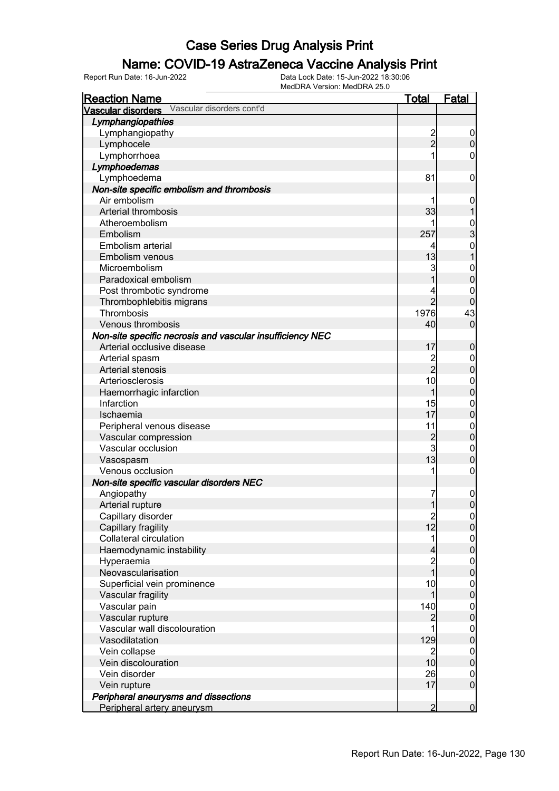#### Name: COVID-19 AstraZeneca Vaccine Analysis Print

| <b>Reaction Name</b>                                      | <b>Total</b>                           | Fatal            |
|-----------------------------------------------------------|----------------------------------------|------------------|
| Vascular disorders Vascular disorders cont'd              |                                        |                  |
| Lymphangiopathies                                         |                                        |                  |
| Lymphangiopathy                                           |                                        | $\overline{0}$   |
| Lymphocele                                                | $\frac{2}{2}$                          | $\overline{0}$   |
| Lymphorrhoea                                              |                                        | 0                |
| Lymphoedemas                                              |                                        |                  |
| Lymphoedema                                               | 81                                     | $\mathbf 0$      |
| Non-site specific embolism and thrombosis                 |                                        |                  |
| Air embolism                                              |                                        | $\mathbf 0$      |
| Arterial thrombosis                                       | 33                                     |                  |
| Atheroembolism                                            |                                        |                  |
| Embolism                                                  | 257                                    | $\frac{0}{3}$    |
| Embolism arterial                                         | 4                                      | $\mathbf 0$      |
| Embolism venous                                           | 13                                     |                  |
| Microembolism                                             | 3                                      | $\mathbf{0}$     |
| Paradoxical embolism                                      | 1                                      | $\overline{0}$   |
| Post thrombotic syndrome                                  |                                        | 0                |
| Thrombophlebitis migrans                                  | $\overline{2}$                         | $\mathbf 0$      |
| Thrombosis                                                | 1976                                   | 43               |
| Venous thrombosis                                         | 40                                     | $\overline{0}$   |
| Non-site specific necrosis and vascular insufficiency NEC |                                        |                  |
| Arterial occlusive disease                                | 17                                     | $\mathbf 0$      |
| Arterial spasm                                            |                                        | $\mathbf 0$      |
| Arterial stenosis                                         | $\frac{2}{2}$                          | $\pmb{0}$        |
| Arteriosclerosis                                          | 10                                     | $\boldsymbol{0}$ |
| Haemorrhagic infarction                                   | 1                                      | $\overline{0}$   |
| Infarction                                                | 15                                     | $\boldsymbol{0}$ |
| Ischaemia                                                 | 17                                     | $\overline{0}$   |
| Peripheral venous disease                                 | 11                                     | $\boldsymbol{0}$ |
| Vascular compression                                      | $\overline{c}$                         | $\overline{0}$   |
| Vascular occlusion                                        | $\mathbf{3}$                           | $\boldsymbol{0}$ |
| Vasospasm                                                 | 13                                     | $\overline{0}$   |
| Venous occlusion                                          | 1                                      | $\boldsymbol{0}$ |
| Non-site specific vascular disorders NEC                  |                                        |                  |
| Angiopathy                                                | 7                                      | $\mathbf 0$      |
| Arterial rupture                                          | $\mathbf{1}$                           | $\overline{0}$   |
| Capillary disorder                                        |                                        | 0                |
| Capillary fragility                                       | $\begin{array}{c} 2 \\ 12 \end{array}$ | $\overline{0}$   |
| Collateral circulation                                    | 1                                      | $\overline{0}$   |
| Haemodynamic instability                                  | 4                                      | $\overline{0}$   |
| Hyperaemia                                                |                                        | $\boldsymbol{0}$ |
| Neovascularisation                                        | $\frac{2}{1}$                          | $\overline{0}$   |
| Superficial vein prominence                               | 10                                     | $\boldsymbol{0}$ |
| Vascular fragility                                        | 1                                      | $\overline{0}$   |
| Vascular pain                                             | 140                                    | $\boldsymbol{0}$ |
| Vascular rupture                                          | $\overline{c}$                         | $\overline{0}$   |
| Vascular wall discolouration                              | 1                                      | $\boldsymbol{0}$ |
| Vasodilatation                                            | 129                                    | $\overline{0}$   |
| Vein collapse                                             | $\overline{\mathbf{c}}$                | $\boldsymbol{0}$ |
| Vein discolouration                                       | 10                                     | $\overline{0}$   |
| Vein disorder                                             | 26                                     | $\mathbf 0$      |
| Vein rupture                                              | 17                                     | $\overline{0}$   |
| Peripheral aneurysms and dissections                      |                                        |                  |
| Peripheral artery aneurysm                                | $\overline{2}$                         | $\overline{0}$   |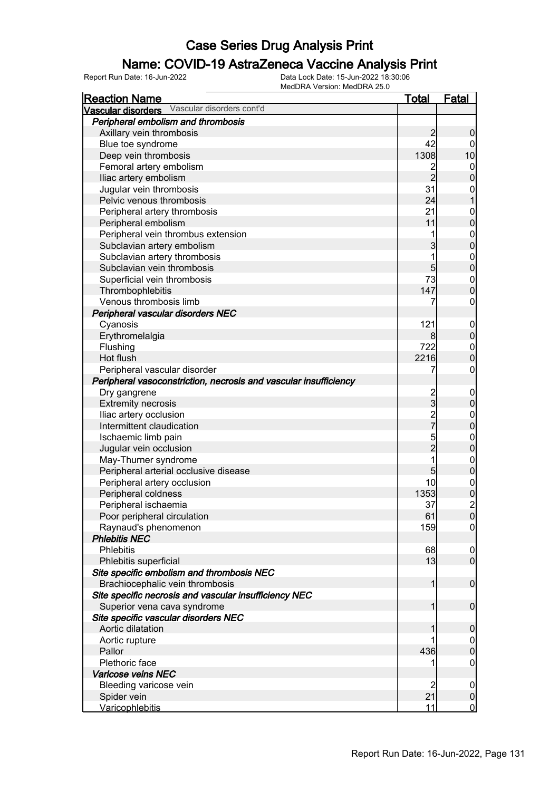#### Name: COVID-19 AstraZeneca Vaccine Analysis Print

| <b>Reaction Name</b>                                             | <u>Total</u>   | <b>Fatal</b>     |
|------------------------------------------------------------------|----------------|------------------|
| Vascular disorders Vascular disorders cont'd                     |                |                  |
| Peripheral embolism and thrombosis                               |                |                  |
| Axillary vein thrombosis                                         | $\overline{2}$ | $\boldsymbol{0}$ |
| Blue toe syndrome                                                | 42             | 0                |
| Deep vein thrombosis                                             | 1308           | 10               |
| Femoral artery embolism                                          | $\overline{c}$ | $\overline{0}$   |
| Iliac artery embolism                                            | $\overline{2}$ | $\mathbf 0$      |
| Jugular vein thrombosis                                          | 31             | $\mathbf{0}$     |
| Pelvic venous thrombosis                                         | 24             | $\mathbf 1$      |
| Peripheral artery thrombosis                                     | 21             | $\mathbf{0}$     |
| Peripheral embolism                                              | 11             | $\mathbf 0$      |
| Peripheral vein thrombus extension                               |                | $\boldsymbol{0}$ |
| Subclavian artery embolism                                       | 3              | $\mathbf 0$      |
| Subclavian artery thrombosis                                     | 1              | $\mathbf{0}$     |
| Subclavian vein thrombosis                                       | $\overline{5}$ | $\mathbf 0$      |
| Superficial vein thrombosis                                      | 73             | $\mathbf{0}$     |
| Thrombophlebitis                                                 | 147            | $\mathbf 0$      |
| Venous thrombosis limb                                           |                | $\boldsymbol{0}$ |
| Peripheral vascular disorders NEC                                |                |                  |
| Cyanosis                                                         | 121            | $\mathbf 0$      |
| Erythromelalgia                                                  | 8 <sup>1</sup> | $\pmb{0}$        |
| Flushing                                                         | 722            | $\boldsymbol{0}$ |
| Hot flush                                                        | 2216           | $\mathbf 0$      |
| Peripheral vascular disorder                                     | 7              | $\boldsymbol{0}$ |
| Peripheral vasoconstriction, necrosis and vascular insufficiency |                |                  |
| Dry gangrene                                                     |                | $\mathbf 0$      |
| <b>Extremity necrosis</b>                                        | 2<br>3         | $\pmb{0}$        |
| Iliac artery occlusion                                           |                | $\boldsymbol{0}$ |
| Intermittent claudication                                        | 2<br>7         | $\mathbf 0$      |
| Ischaemic limb pain                                              | 5              | $\mathbf{0}$     |
| Jugular vein occlusion                                           | $\overline{c}$ | $\mathbf 0$      |
| May-Thurner syndrome                                             | 1              | $\mathbf{0}$     |
| Peripheral arterial occlusive disease                            | $\overline{5}$ | $\mathbf 0$      |
| Peripheral artery occlusion                                      | 10             | $\boldsymbol{0}$ |
| Peripheral coldness                                              | 1353           |                  |
| Peripheral ischaemia                                             | 37             | $\frac{0}{2}$    |
| Poor peripheral circulation                                      | 61             | 0                |
| Raynaud's phenomenon                                             | 159            | $\overline{0}$   |
| <b>Phlebitis NEC</b>                                             |                |                  |
| <b>Phlebitis</b>                                                 | 68             | $\boldsymbol{0}$ |
| Phlebitis superficial                                            | 13             | $\overline{0}$   |
| Site specific embolism and thrombosis NEC                        |                |                  |
| Brachiocephalic vein thrombosis                                  | 1              | $\boldsymbol{0}$ |
| Site specific necrosis and vascular insufficiency NEC            |                |                  |
| Superior vena cava syndrome                                      | 1              | $\boldsymbol{0}$ |
| Site specific vascular disorders NEC                             |                |                  |
| Aortic dilatation                                                |                | $\mathbf 0$      |
| Aortic rupture                                                   |                | $\overline{0}$   |
| Pallor                                                           | 436            | $\pmb{0}$        |
| Plethoric face                                                   |                | $\mathbf 0$      |
| <b>Varicose veins NEC</b>                                        |                |                  |
| Bleeding varicose vein                                           | $\overline{c}$ | $\boldsymbol{0}$ |
| Spider vein                                                      | 21             | $\pmb{0}$        |
| Varicophlebitis                                                  | 11             | $\overline{0}$   |